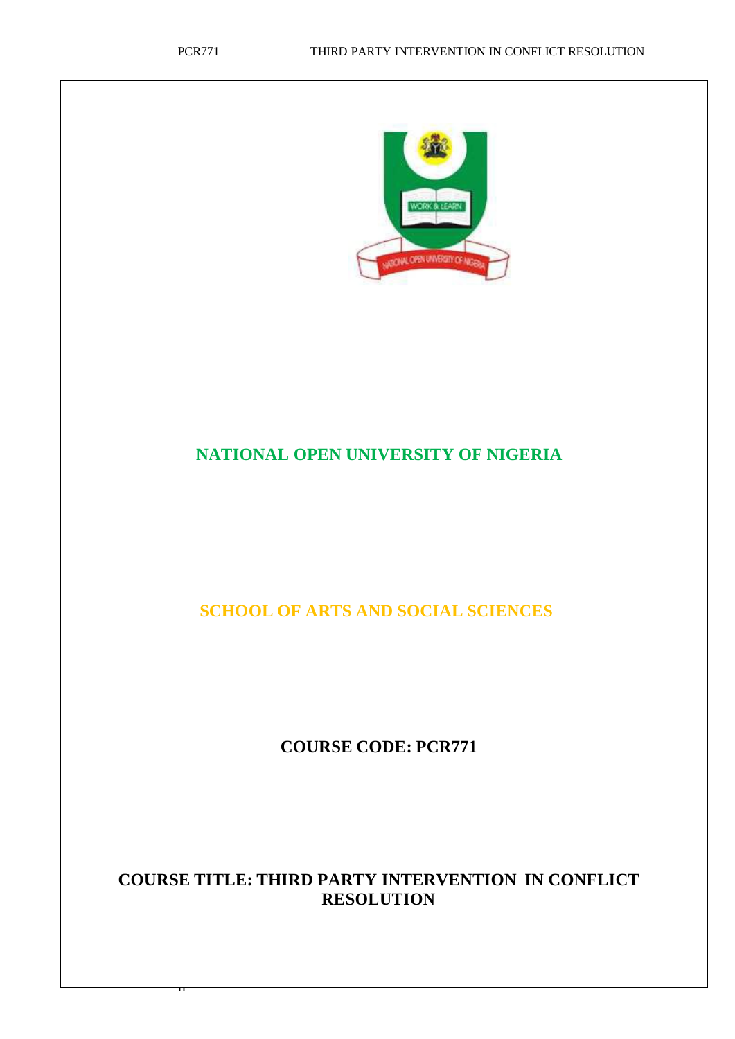<sub>ii</sub>



# **NATIONAL OPEN UNIVERSITY OF NIGERIA**

**SCHOOL OF ARTS AND SOCIAL SCIENCES**

**COURSE CODE: PCR771**

# **COURSE TITLE: THIRD PARTY INTERVENTION IN CONFLICT RESOLUTION**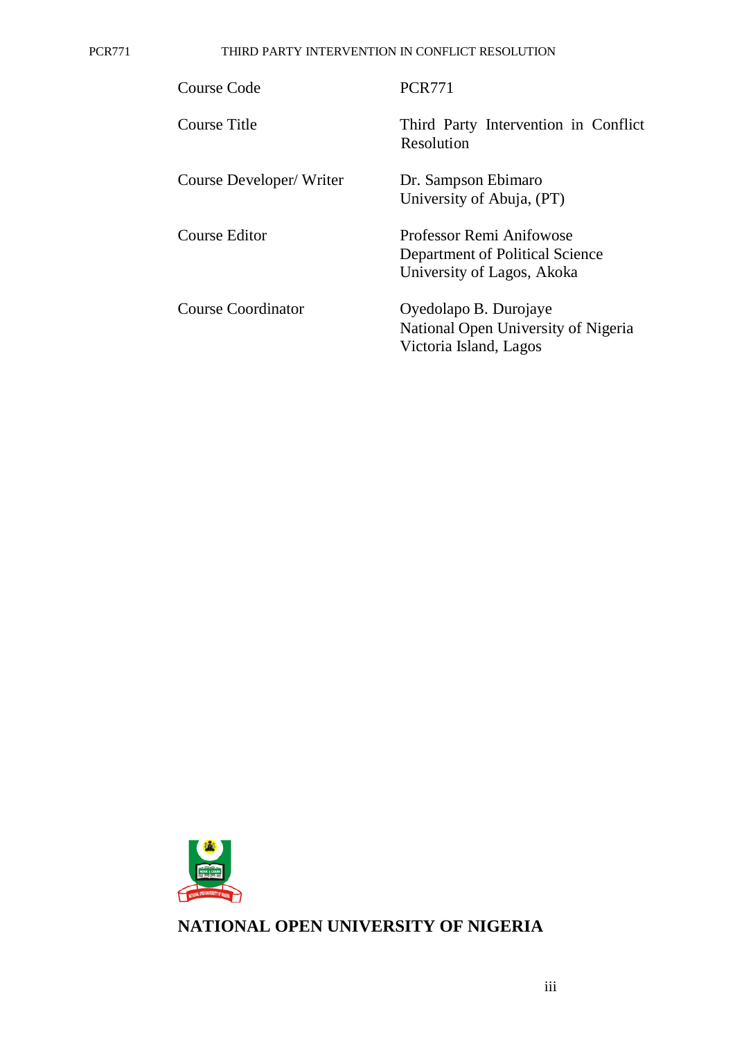PCR771 THIRD PARTY INTERVENTION IN CONFLICT RESOLUTION

| Course Code             | <b>PCR771</b>                                                                             |
|-------------------------|-------------------------------------------------------------------------------------------|
| Course Title            | Third Party Intervention in Conflict<br>Resolution                                        |
| Course Developer/Writer | Dr. Sampson Ebimaro<br>University of Abuja, (PT)                                          |
| Course Editor           | Professor Remi Anifowose<br>Department of Political Science<br>University of Lagos, Akoka |
| Course Coordinator      | Oyedolapo B. Durojaye<br>National Open University of Nigeria<br>Victoria Island, Lagos    |



**NATIONAL OPEN UNIVERSITY OF NIGERIA**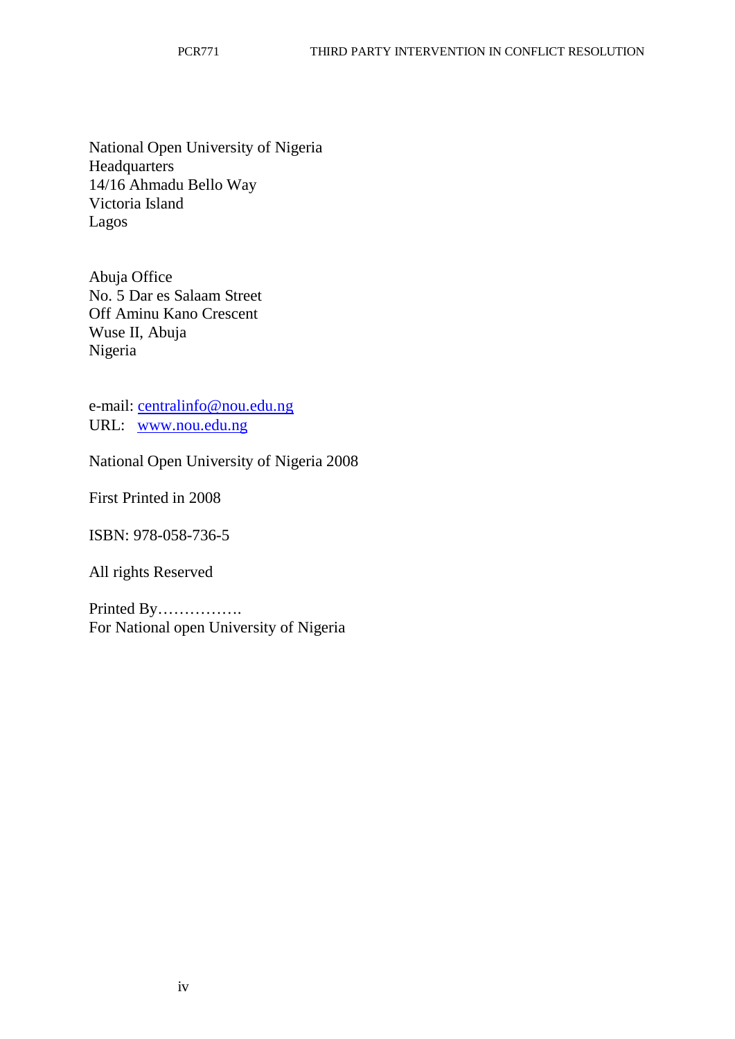National Open University of Nigeria **Headquarters** 14/16 Ahmadu Bello Way Victoria Island Lagos

Abuja Office No. 5 Dar es Salaam Street Off Aminu Kano Crescent Wuse II, Abuja Nigeria

e-mail: [centralinfo@nou.edu.ng](mailto:centralinfo@nou.edu.ng) URL: [www.nou.edu.ng](http://www.nou.edu.ng/)

National Open University of Nigeria 2008

First Printed in 2008

ISBN: 978-058-736-5

All rights Reserved

Printed By……………. For National open University of Nigeria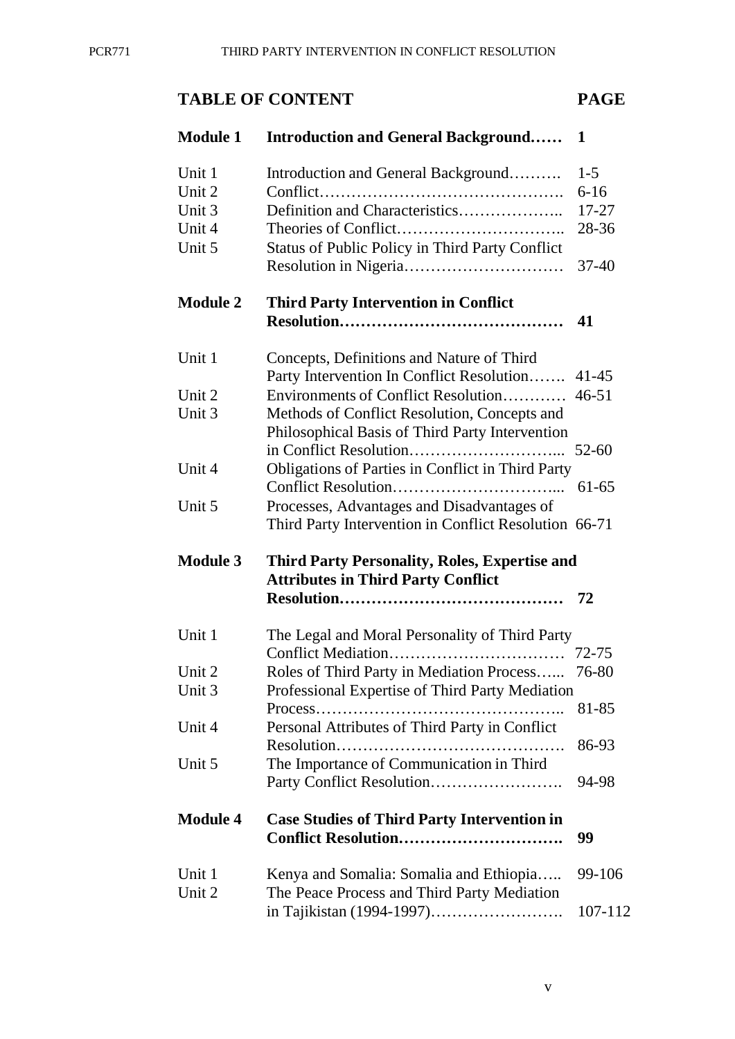# **TABLE OF CONTENT PAGE**

| <b>Module 1</b> | <b>Introduction and General Background</b>            | 1         |  |
|-----------------|-------------------------------------------------------|-----------|--|
| Unit 1          | Introduction and General Background                   | $1-5$     |  |
| Unit 2          |                                                       | $6 - 16$  |  |
| Unit 3          | Definition and Characteristics                        | $17 - 27$ |  |
| Unit 4          |                                                       | 28-36     |  |
| Unit 5          | Status of Public Policy in Third Party Conflict       |           |  |
|                 |                                                       | $37 - 40$ |  |
| <b>Module 2</b> | <b>Third Party Intervention in Conflict</b>           |           |  |
|                 |                                                       | 41        |  |
| Unit 1          | Concepts, Definitions and Nature of Third             |           |  |
|                 | Party Intervention In Conflict Resolution             | $41 - 45$ |  |
| Unit 2          | Environments of Conflict Resolution                   | $46 - 51$ |  |
| Unit 3          | Methods of Conflict Resolution, Concepts and          |           |  |
|                 | Philosophical Basis of Third Party Intervention       |           |  |
|                 |                                                       | 52-60     |  |
| Unit 4          | Obligations of Parties in Conflict in Third Party     |           |  |
|                 |                                                       | 61-65     |  |
| Unit 5          | Processes, Advantages and Disadvantages of            |           |  |
|                 | Third Party Intervention in Conflict Resolution 66-71 |           |  |
| <b>Module 3</b> | <b>Third Party Personality, Roles, Expertise and</b>  |           |  |
|                 | <b>Attributes in Third Party Conflict</b>             |           |  |
|                 |                                                       | 72        |  |
| Unit 1          | The Legal and Moral Personality of Third Party        |           |  |
|                 |                                                       | 72-75     |  |
| Unit 2          | Roles of Third Party in Mediation Process             | 76-80     |  |
| Unit 3          | Professional Expertise of Third Party Mediation       |           |  |
|                 | Process                                               | 81-85     |  |
| Unit 4          | Personal Attributes of Third Party in Conflict        |           |  |
|                 |                                                       | 86-93     |  |
| Unit 5          | The Importance of Communication in Third              |           |  |
|                 |                                                       | 94-98     |  |
| <b>Module 4</b> | <b>Case Studies of Third Party Intervention in</b>    |           |  |
|                 | <b>Conflict Resolution</b>                            | 99        |  |
| Unit 1          | Kenya and Somalia: Somalia and Ethiopia               | 99-106    |  |
| Unit 2          | The Peace Process and Third Party Mediation           |           |  |
|                 |                                                       | 107-112   |  |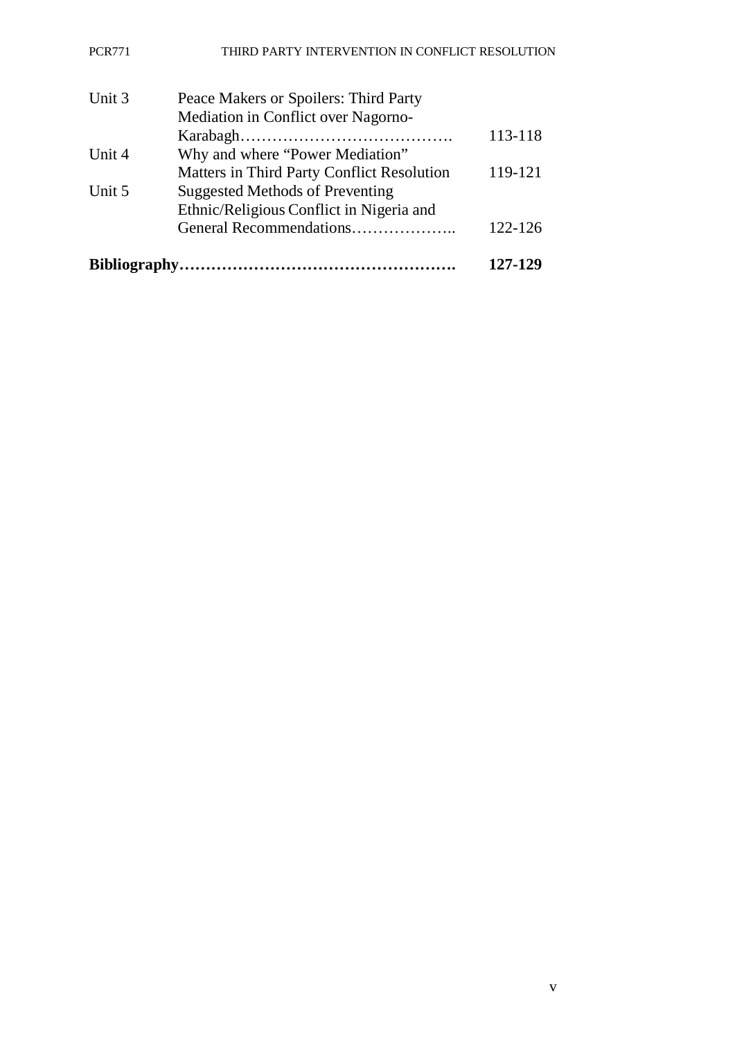#### PCR771 THIRD PARTY INTERVENTION IN CONFLICT RESOLUTION

| Unit 3 | Peace Makers or Spoilers: Third Party      |         |
|--------|--------------------------------------------|---------|
|        | Mediation in Conflict over Nagorno-        |         |
|        |                                            | 113-118 |
| Unit 4 | Why and where "Power Mediation"            |         |
|        | Matters in Third Party Conflict Resolution | 119-121 |
| Unit 5 | <b>Suggested Methods of Preventing</b>     |         |
|        | Ethnic/Religious Conflict in Nigeria and   |         |
|        | General Recommendations                    | 122-126 |
|        |                                            | 127-129 |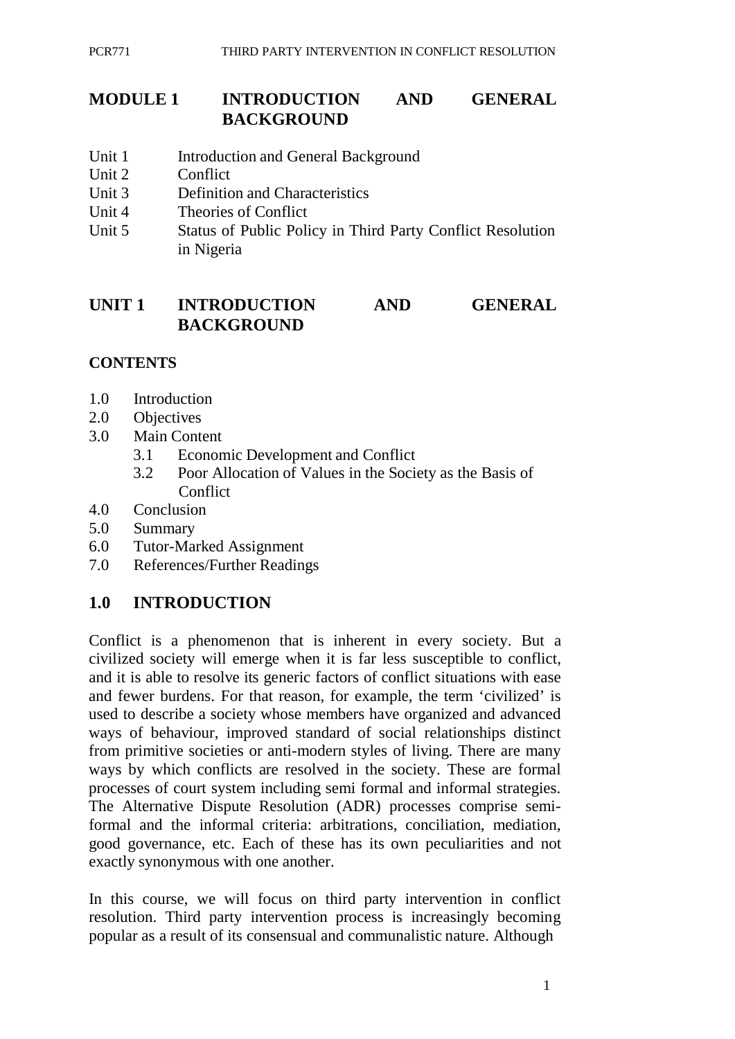## **MODULE 1 INTRODUCTION AND GENERAL BACKGROUND**

- Unit 1 Introduction and General Background
- Unit 2 Conflict
- Unit 3 Definition and Characteristics
- Unit 4 Theories of Conflict
- Unit 5 Status of Public Policy in Third Party Conflict Resolution in Nigeria

# **UNIT 1 INTRODUCTION AND GENERAL BACKGROUND**

## **CONTENTS**

- 1.0 Introduction
- 2.0 Objectives
- 3.0 Main Content
	- 3.1 Economic Development and Conflict
	- 3.2 Poor Allocation of Values in the Society as the Basis of **Conflict**
- 4.0 Conclusion
- 5.0 Summary
- 6.0 Tutor-Marked Assignment
- 7.0 References/Further Readings

# **1.0 INTRODUCTION**

Conflict is a phenomenon that is inherent in every society. But a civilized society will emerge when it is far less susceptible to conflict, and it is able to resolve its generic factors of conflict situations with ease and fewer burdens. For that reason, for example, the term 'civilized' is used to describe a society whose members have organized and advanced ways of behaviour, improved standard of social relationships distinct from primitive societies or anti-modern styles of living. There are many ways by which conflicts are resolved in the society. These are formal processes of court system including semi formal and informal strategies. The Alternative Dispute Resolution (ADR) processes comprise semiformal and the informal criteria: arbitrations, conciliation, mediation, good governance, etc. Each of these has its own peculiarities and not exactly synonymous with one another.

In this course, we will focus on third party intervention in conflict resolution. Third party intervention process is increasingly becoming popular as a result of its consensual and communalistic nature. Although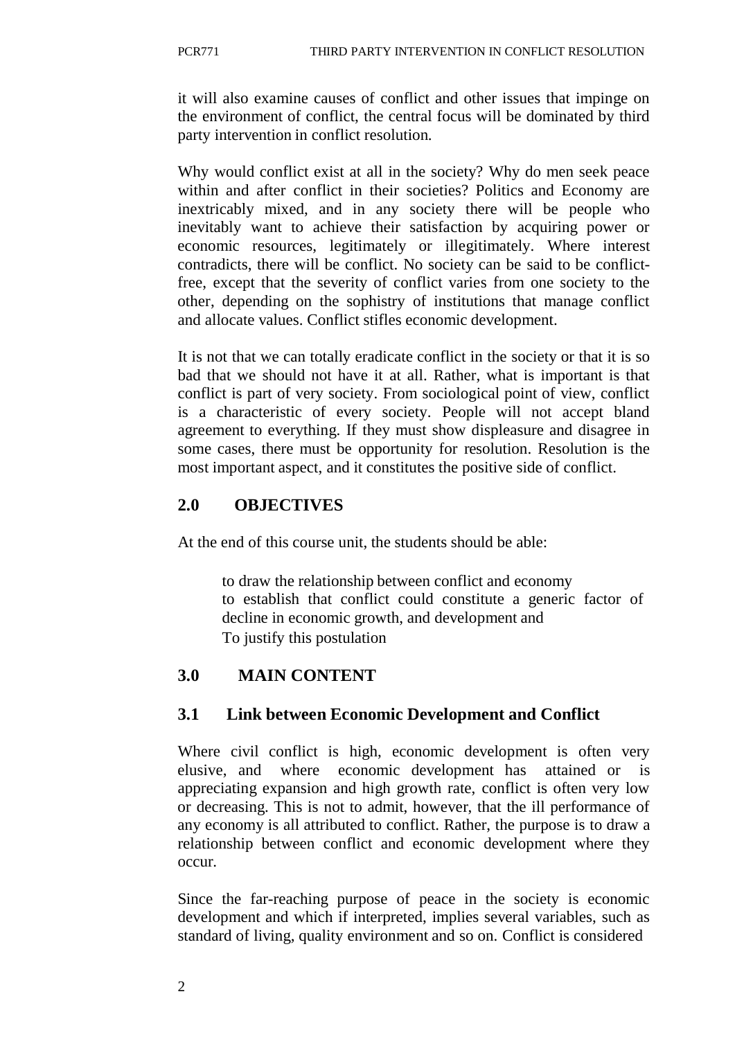it will also examine causes of conflict and other issues that impinge on the environment of conflict, the central focus will be dominated by third party intervention in conflict resolution.

Why would conflict exist at all in the society? Why do men seek peace within and after conflict in their societies? Politics and Economy are inextricably mixed, and in any society there will be people who inevitably want to achieve their satisfaction by acquiring power or economic resources, legitimately or illegitimately. Where interest contradicts, there will be conflict. No society can be said to be conflictfree, except that the severity of conflict varies from one society to the other, depending on the sophistry of institutions that manage conflict and allocate values. Conflict stifles economic development.

It is not that we can totally eradicate conflict in the society or that it is so bad that we should not have it at all. Rather, what is important is that conflict is part of very society. From sociological point of view, conflict is a characteristic of every society. People will not accept bland agreement to everything. If they must show displeasure and disagree in some cases, there must be opportunity for resolution. Resolution is the most important aspect, and it constitutes the positive side of conflict.

# **2.0 OBJECTIVES**

At the end of this course unit, the students should be able:

to draw the relationship between conflict and economy to establish that conflict could constitute a generic factor of decline in economic growth, and development and To justify this postulation

## **3.0 MAIN CONTENT**

## **3.1 Link between Economic Development and Conflict**

Where civil conflict is high, economic development is often very elusive, and where economic development has attained or is appreciating expansion and high growth rate, conflict is often very low or decreasing. This is not to admit, however, that the ill performance of any economy is all attributed to conflict. Rather, the purpose is to draw a relationship between conflict and economic development where they occur.

Since the far-reaching purpose of peace in the society is economic development and which if interpreted, implies several variables, such as standard of living, quality environment and so on. Conflict is considered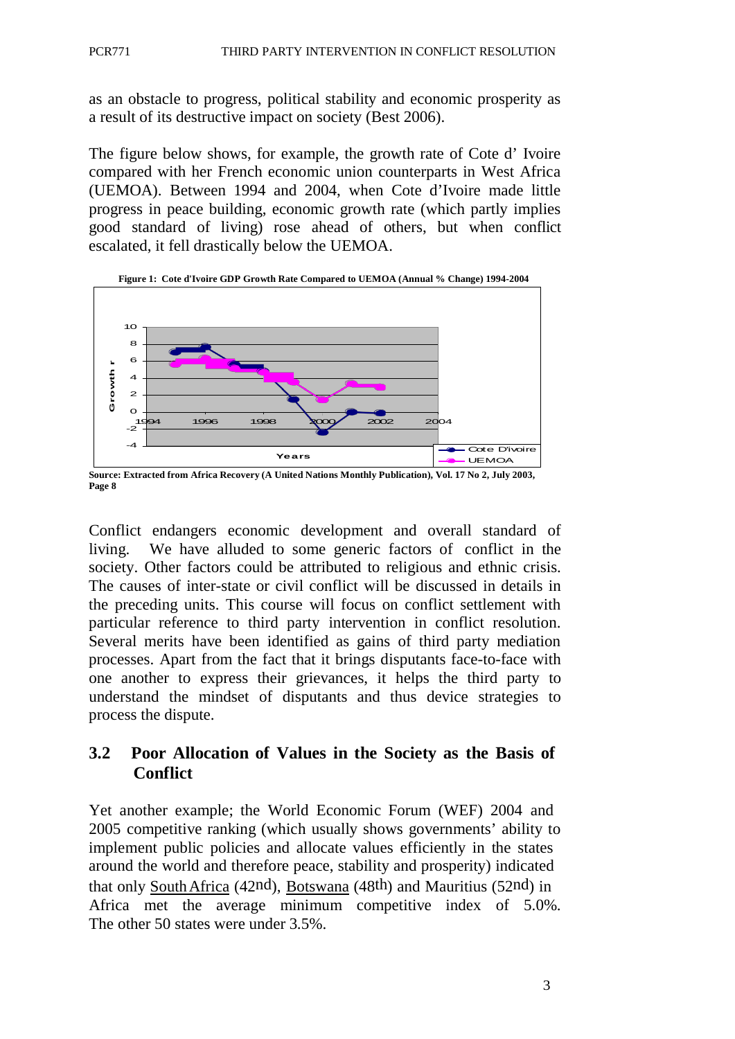as an obstacle to progress, political stability and economic prosperity as a result of its destructive impact on society (Best 2006).

The figure below shows, for example, the growth rate of Cote d' Ivoire compared with her French economic union counterparts in West Africa (UEMOA). Between 1994 and 2004, when Cote d'Ivoire made little progress in peace building, economic growth rate (which partly implies good standard of living) rose ahead of others, but when conflict escalated, it fell drastically below the UEMOA.



**Source: Extracted from Africa Recovery (A United Nations Monthly Publication), Vol. 17 No 2, July 2003, Page 8**

Conflict endangers economic development and overall standard of living. We have alluded to some generic factors of conflict in the society. Other factors could be attributed to religious and ethnic crisis. The causes of inter-state or civil conflict will be discussed in details in the preceding units. This course will focus on conflict settlement with particular reference to third party intervention in conflict resolution. Several merits have been identified as gains of third party mediation processes. Apart from the fact that it brings disputants face-to-face with one another to express their grievances, it helps the third party to understand the mindset of disputants and thus device strategies to process the dispute.

## **3.2 Poor Allocation of Values in the Society as the Basis of Conflict**

Yet another example; the World Economic Forum (WEF) 2004 and 2005 competitive ranking (which usually shows governments' ability to implement public policies and allocate values efficiently in the states around the world and therefore peace, stability and prosperity) indicated that only SouthAfrica (42nd), Botswana (48th) and Mauritius (52nd) in Africa met the average minimum competitive index of 5.0%. The other 50 states were under 3.5%.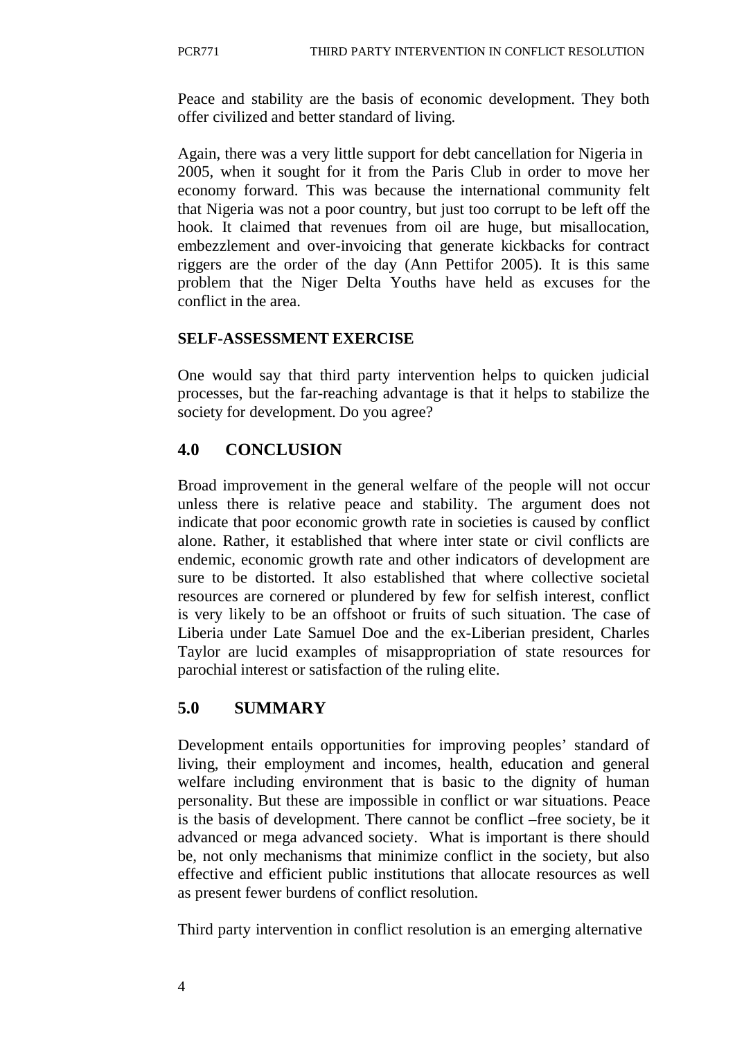Peace and stability are the basis of economic development. They both offer civilized and better standard of living.

Again, there was a very little support for debt cancellation for Nigeria in 2005, when it sought for it from the Paris Club in order to move her economy forward. This was because the international community felt that Nigeria was not a poor country, but just too corrupt to be left off the hook. It claimed that revenues from oil are huge, but misallocation, embezzlement and over-invoicing that generate kickbacks for contract riggers are the order of the day (Ann Pettifor 2005). It is this same problem that the Niger Delta Youths have held as excuses for the conflict in the area.

### **SELF-ASSESSMENT EXERCISE**

One would say that third party intervention helps to quicken judicial processes, but the far-reaching advantage is that it helps to stabilize the society for development. Do you agree?

# **4.0 CONCLUSION**

Broad improvement in the general welfare of the people will not occur unless there is relative peace and stability. The argument does not indicate that poor economic growth rate in societies is caused by conflict alone. Rather, it established that where inter state or civil conflicts are endemic, economic growth rate and other indicators of development are sure to be distorted. It also established that where collective societal resources are cornered or plundered by few for selfish interest, conflict is very likely to be an offshoot or fruits of such situation. The case of Liberia under Late Samuel Doe and the ex-Liberian president, Charles Taylor are lucid examples of misappropriation of state resources for parochial interest or satisfaction of the ruling elite.

# **5.0 SUMMARY**

Development entails opportunities for improving peoples' standard of living, their employment and incomes, health, education and general welfare including environment that is basic to the dignity of human personality. But these are impossible in conflict or war situations. Peace is the basis of development. There cannot be conflict –free society, be it advanced or mega advanced society. What is important is there should be, not only mechanisms that minimize conflict in the society, but also effective and efficient public institutions that allocate resources as well as present fewer burdens of conflict resolution.

Third party intervention in conflict resolution is an emerging alternative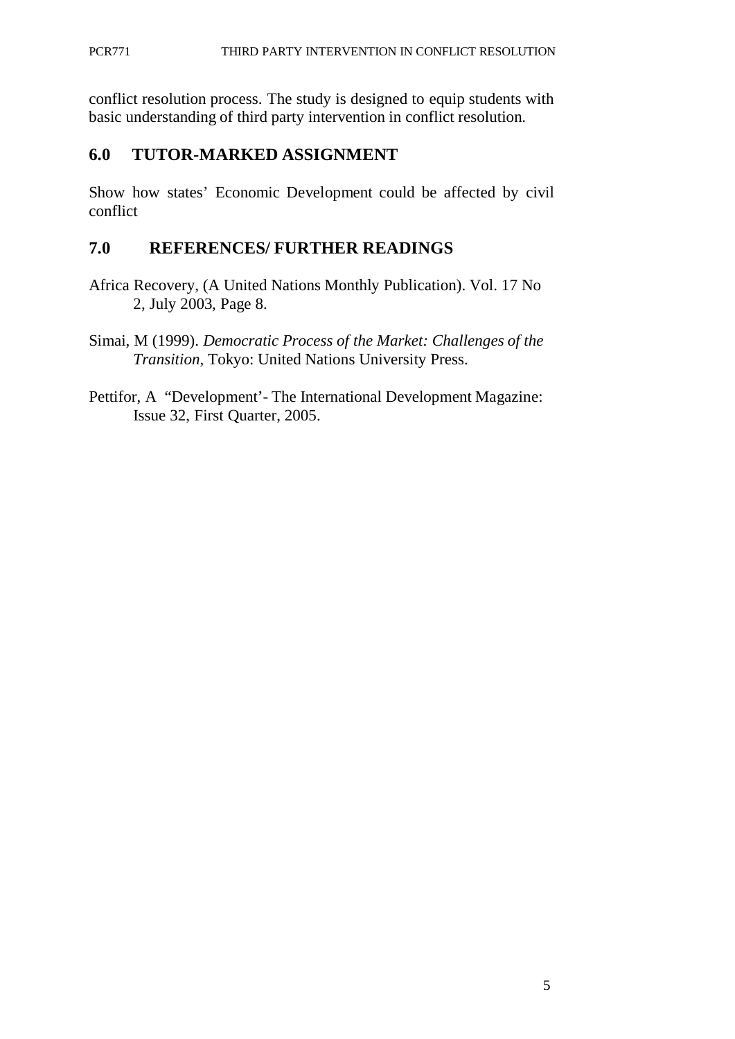conflict resolution process. The study is designed to equip students with basic understanding of third party intervention in conflict resolution.

# **6.0 TUTOR-MARKED ASSIGNMENT**

Show how states' Economic Development could be affected by civil conflict

# **7.0 REFERENCES/ FURTHER READINGS**

- Africa Recovery, (A United Nations Monthly Publication). Vol. 17 No 2, July 2003, Page 8.
- Simai, M (1999). *Democratic Process of the Market: Challenges of the Transition*, Tokyo: United Nations University Press.
- Pettifor, A "Development'- The International Development Magazine: Issue 32, First Quarter, 2005.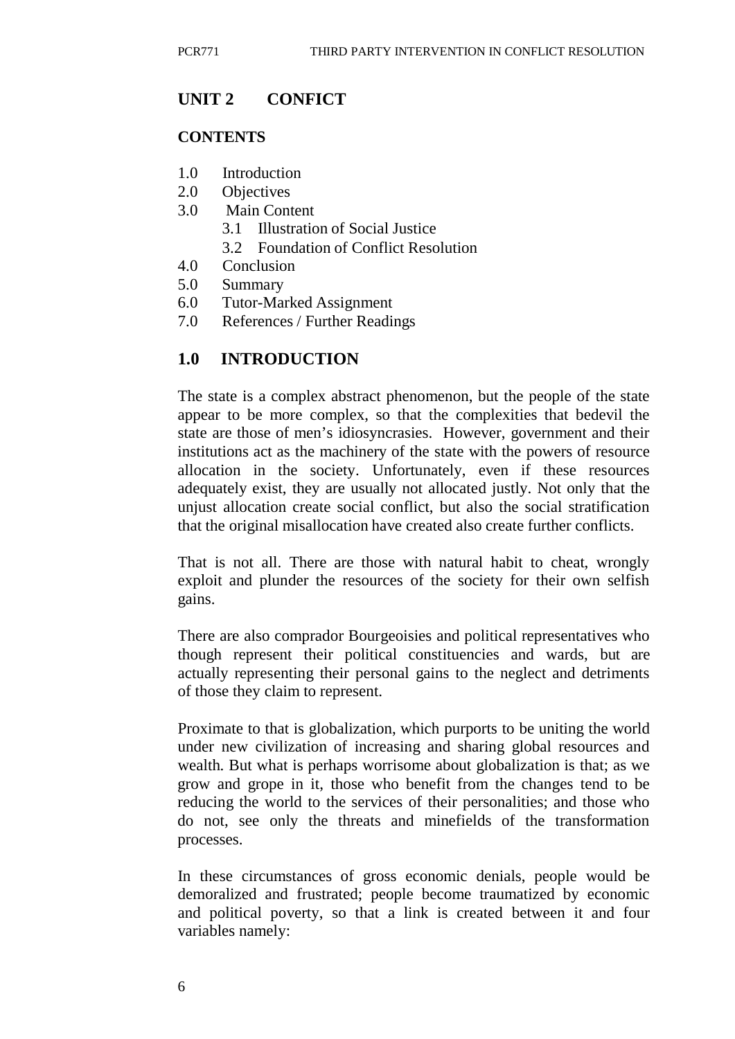### **UNIT 2 CONFICT**

#### **CONTENTS**

- 1.0 Introduction
- 2.0 Objectives
- 3.0 Main Content
	- 3.1 Illustration of Social Justice
	- 3.2 Foundation of Conflict Resolution
- 4.0 Conclusion
- 5.0 Summary
- 6.0 Tutor-Marked Assignment
- 7.0 References / Further Readings

#### **1.0 INTRODUCTION**

The state is a complex abstract phenomenon, but the people of the state appear to be more complex, so that the complexities that bedevil the state are those of men's idiosyncrasies. However, government and their institutions act as the machinery of the state with the powers of resource allocation in the society. Unfortunately, even if these resources adequately exist, they are usually not allocated justly. Not only that the unjust allocation create social conflict, but also the social stratification that the original misallocation have created also create further conflicts.

That is not all. There are those with natural habit to cheat, wrongly exploit and plunder the resources of the society for their own selfish gains.

There are also comprador Bourgeoisies and political representatives who though represent their political constituencies and wards, but are actually representing their personal gains to the neglect and detriments of those they claim to represent.

Proximate to that is globalization, which purports to be uniting the world under new civilization of increasing and sharing global resources and wealth. But what is perhaps worrisome about globalization is that; as we grow and grope in it, those who benefit from the changes tend to be reducing the world to the services of their personalities; and those who do not, see only the threats and minefields of the transformation processes.

In these circumstances of gross economic denials, people would be demoralized and frustrated; people become traumatized by economic and political poverty, so that a link is created between it and four variables namely: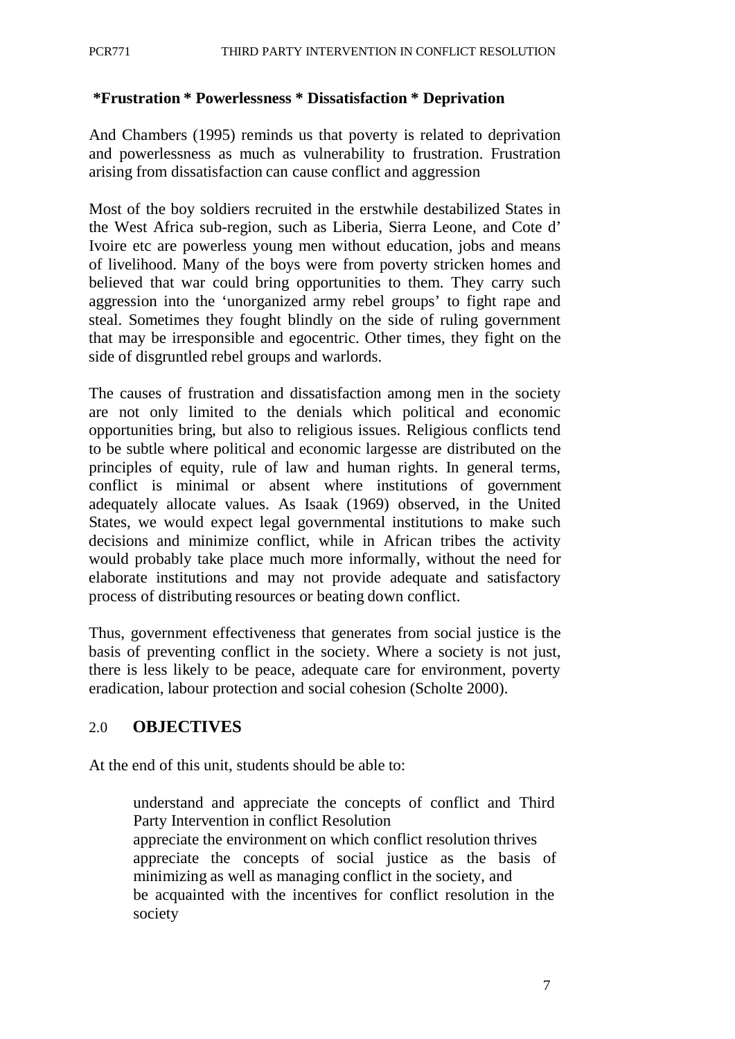#### **\*Frustration \* Powerlessness \* Dissatisfaction \* Deprivation**

And Chambers (1995) reminds us that poverty is related to deprivation and powerlessness as much as vulnerability to frustration. Frustration arising from dissatisfaction can cause conflict and aggression

Most of the boy soldiers recruited in the erstwhile destabilized States in the West Africa sub-region, such as Liberia, Sierra Leone, and Cote d' Ivoire etc are powerless young men without education, jobs and means of livelihood. Many of the boys were from poverty stricken homes and believed that war could bring opportunities to them. They carry such aggression into the 'unorganized army rebel groups' to fight rape and steal. Sometimes they fought blindly on the side of ruling government that may be irresponsible and egocentric. Other times, they fight on the side of disgruntled rebel groups and warlords.

The causes of frustration and dissatisfaction among men in the society are not only limited to the denials which political and economic opportunities bring, but also to religious issues. Religious conflicts tend to be subtle where political and economic largesse are distributed on the principles of equity, rule of law and human rights. In general terms, conflict is minimal or absent where institutions of government adequately allocate values. As Isaak (1969) observed, in the United States, we would expect legal governmental institutions to make such decisions and minimize conflict, while in African tribes the activity would probably take place much more informally, without the need for elaborate institutions and may not provide adequate and satisfactory process of distributing resources or beating down conflict.

Thus, government effectiveness that generates from social justice is the basis of preventing conflict in the society. Where a society is not just, there is less likely to be peace, adequate care for environment, poverty eradication, labour protection and social cohesion (Scholte 2000).

#### 2.0 **OBJECTIVES**

At the end of this unit, students should be able to:

understand and appreciate the concepts of conflict and Third Party Intervention in conflict Resolution appreciate the environment on which conflict resolution thrives appreciate the concepts of social justice as the basis of minimizing as well as managing conflict in the society, and be acquainted with the incentives for conflict resolution in the society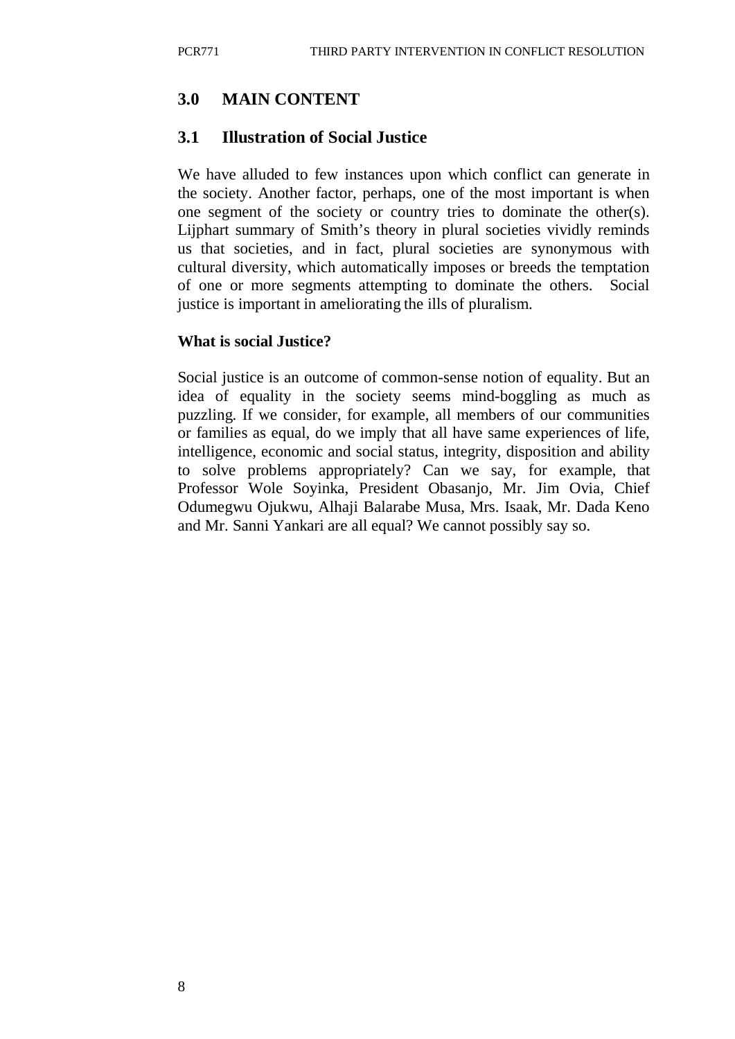# **3.0 MAIN CONTENT**

## **3.1 Illustration of Social Justice**

We have alluded to few instances upon which conflict can generate in the society. Another factor, perhaps, one of the most important is when one segment of the society or country tries to dominate the other(s). Lijphart summary of Smith's theory in plural societies vividly reminds us that societies, and in fact, plural societies are synonymous with cultural diversity, which automatically imposes or breeds the temptation of one or more segments attempting to dominate the others. Social justice is important in ameliorating the ills of pluralism.

### **What is social Justice?**

Social justice is an outcome of common-sense notion of equality. But an idea of equality in the society seems mind-boggling as much as puzzling. If we consider, for example, all members of our communities or families as equal, do we imply that all have same experiences of life, intelligence, economic and social status, integrity, disposition and ability to solve problems appropriately? Can we say, for example, that Professor Wole Soyinka, President Obasanjo, Mr. Jim Ovia, Chief Odumegwu Ojukwu, Alhaji Balarabe Musa, Mrs. Isaak, Mr. Dada Keno and Mr. Sanni Yankari are all equal? We cannot possibly say so.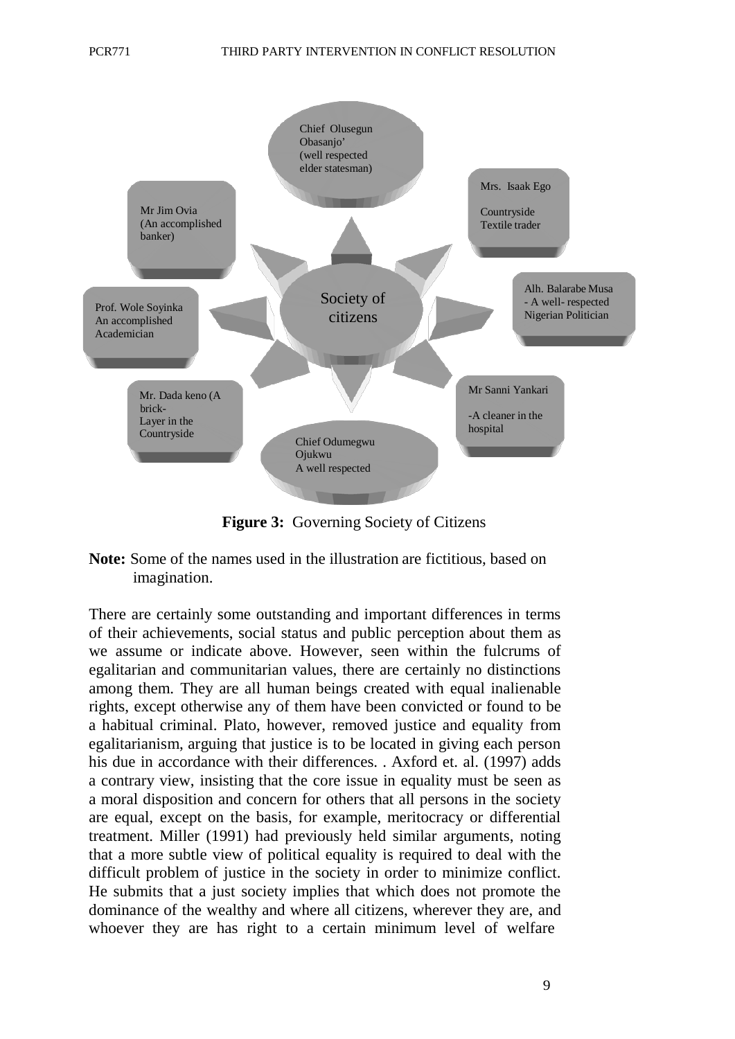

**Figure 3:** Governing Society of Citizens

**Note:** Some of the names used in the illustration are fictitious, based on imagination.

There are certainly some outstanding and important differences in terms of their achievements, social status and public perception about them as we assume or indicate above. However, seen within the fulcrums of egalitarian and communitarian values, there are certainly no distinctions among them. They are all human beings created with equal inalienable rights, except otherwise any of them have been convicted or found to be a habitual criminal. Plato, however, removed justice and equality from egalitarianism, arguing that justice is to be located in giving each person his due in accordance with their differences. . Axford et. al. (1997) adds a contrary view, insisting that the core issue in equality must be seen as a moral disposition and concern for others that all persons in the society are equal, except on the basis, for example, meritocracy or differential treatment. Miller (1991) had previously held similar arguments, noting that a more subtle view of political equality is required to deal with the difficult problem of justice in the society in order to minimize conflict. He submits that a just society implies that which does not promote the dominance of the wealthy and where all citizens, wherever they are, and whoever they are has right to a certain minimum level of welfare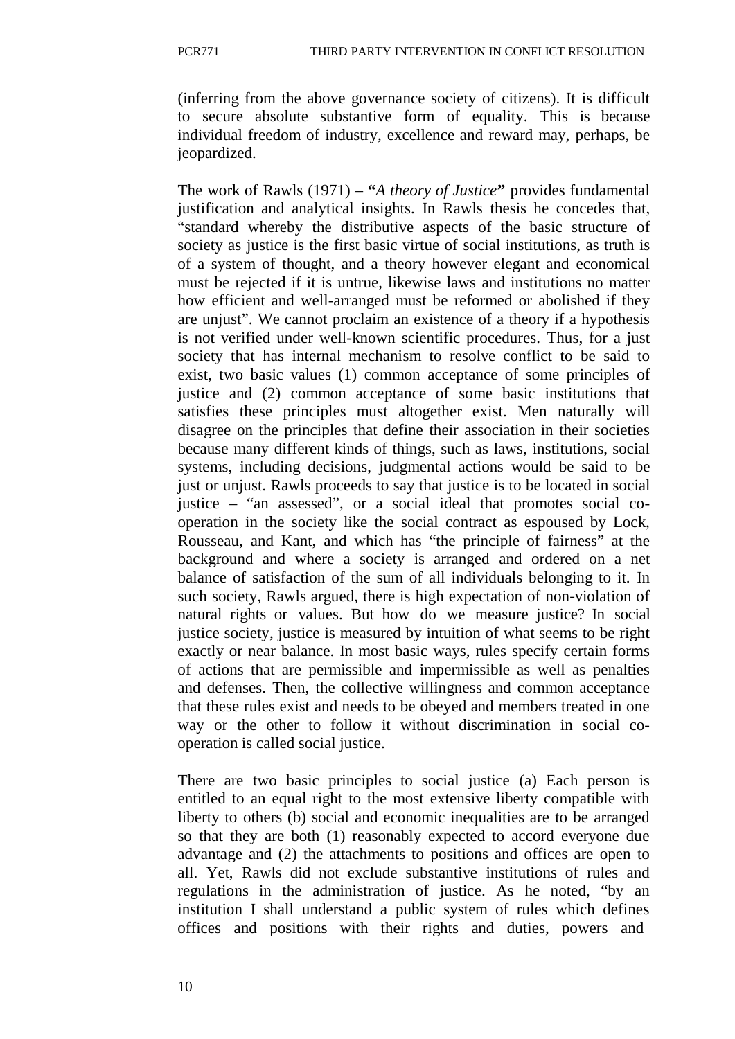(inferring from the above governance society of citizens). It is difficult to secure absolute substantive form of equality. This is because individual freedom of industry, excellence and reward may, perhaps, be jeopardized.

The work of Rawls (1971) – **"***A theory of Justice***"** provides fundamental justification and analytical insights. In Rawls thesis he concedes that, "standard whereby the distributive aspects of the basic structure of society as justice is the first basic virtue of social institutions, as truth is of a system of thought, and a theory however elegant and economical must be rejected if it is untrue, likewise laws and institutions no matter how efficient and well-arranged must be reformed or abolished if they are unjust". We cannot proclaim an existence of a theory if a hypothesis is not verified under well-known scientific procedures. Thus, for a just society that has internal mechanism to resolve conflict to be said to exist, two basic values (1) common acceptance of some principles of justice and (2) common acceptance of some basic institutions that satisfies these principles must altogether exist. Men naturally will disagree on the principles that define their association in their societies because many different kinds of things, such as laws, institutions, social systems, including decisions, judgmental actions would be said to be just or unjust. Rawls proceeds to say that justice is to be located in social justice – "an assessed", or a social ideal that promotes social cooperation in the society like the social contract as espoused by Lock, Rousseau, and Kant, and which has "the principle of fairness" at the background and where a society is arranged and ordered on a net balance of satisfaction of the sum of all individuals belonging to it. In such society, Rawls argued, there is high expectation of non-violation of natural rights or values. But how do we measure justice? In social justice society, justice is measured by intuition of what seems to be right exactly or near balance. In most basic ways, rules specify certain forms of actions that are permissible and impermissible as well as penalties and defenses. Then, the collective willingness and common acceptance that these rules exist and needs to be obeyed and members treated in one way or the other to follow it without discrimination in social cooperation is called social justice.

There are two basic principles to social justice (a) Each person is entitled to an equal right to the most extensive liberty compatible with liberty to others (b) social and economic inequalities are to be arranged so that they are both (1) reasonably expected to accord everyone due advantage and (2) the attachments to positions and offices are open to all. Yet, Rawls did not exclude substantive institutions of rules and regulations in the administration of justice. As he noted, "by an institution I shall understand a public system of rules which defines offices and positions with their rights and duties, powers and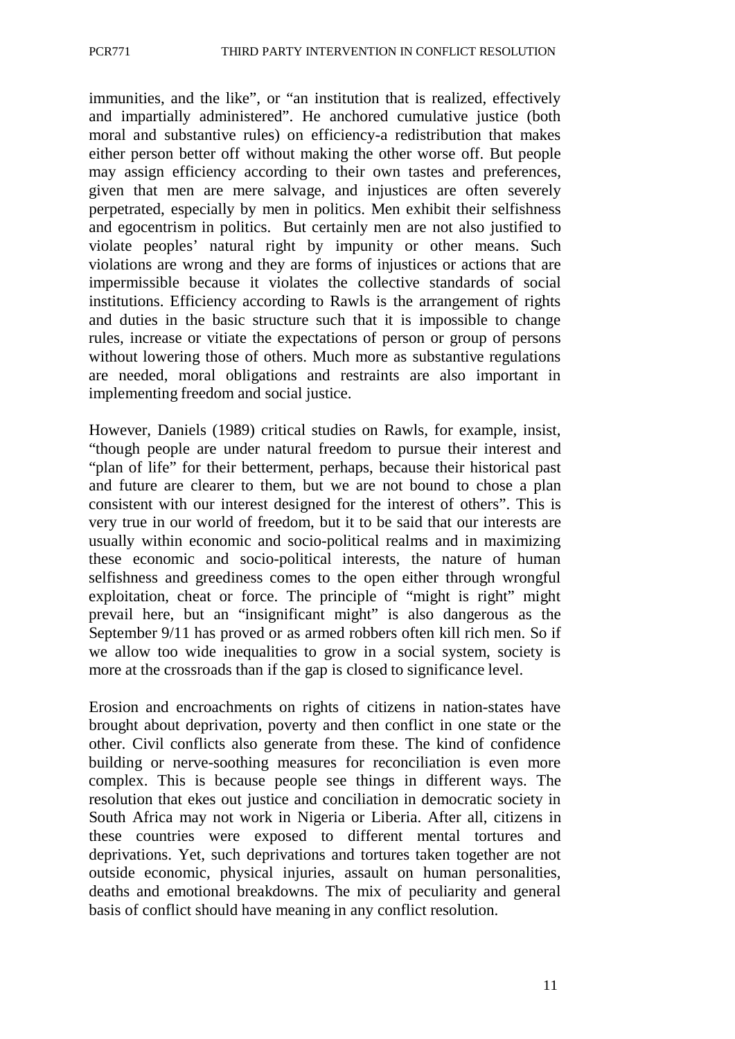immunities, and the like", or "an institution that is realized, effectively and impartially administered". He anchored cumulative justice (both moral and substantive rules) on efficiency-a redistribution that makes either person better off without making the other worse off. But people may assign efficiency according to their own tastes and preferences, given that men are mere salvage, and injustices are often severely perpetrated, especially by men in politics. Men exhibit their selfishness and egocentrism in politics. But certainly men are not also justified to violate peoples' natural right by impunity or other means. Such violations are wrong and they are forms of injustices or actions that are impermissible because it violates the collective standards of social institutions. Efficiency according to Rawls is the arrangement of rights and duties in the basic structure such that it is impossible to change rules, increase or vitiate the expectations of person or group of persons without lowering those of others. Much more as substantive regulations are needed, moral obligations and restraints are also important in implementing freedom and social justice.

However, Daniels (1989) critical studies on Rawls, for example, insist, "though people are under natural freedom to pursue their interest and "plan of life" for their betterment, perhaps, because their historical past and future are clearer to them, but we are not bound to chose a plan consistent with our interest designed for the interest of others". This is very true in our world of freedom, but it to be said that our interests are usually within economic and socio-political realms and in maximizing these economic and socio-political interests, the nature of human selfishness and greediness comes to the open either through wrongful exploitation, cheat or force. The principle of "might is right" might prevail here, but an "insignificant might" is also dangerous as the September 9/11 has proved or as armed robbers often kill rich men. So if we allow too wide inequalities to grow in a social system, society is more at the crossroads than if the gap is closed to significance level.

Erosion and encroachments on rights of citizens in nation-states have brought about deprivation, poverty and then conflict in one state or the other. Civil conflicts also generate from these. The kind of confidence building or nerve-soothing measures for reconciliation is even more complex. This is because people see things in different ways. The resolution that ekes out justice and conciliation in democratic society in South Africa may not work in Nigeria or Liberia. After all, citizens in these countries were exposed to different mental tortures and deprivations. Yet, such deprivations and tortures taken together are not outside economic, physical injuries, assault on human personalities, deaths and emotional breakdowns. The mix of peculiarity and general basis of conflict should have meaning in any conflict resolution.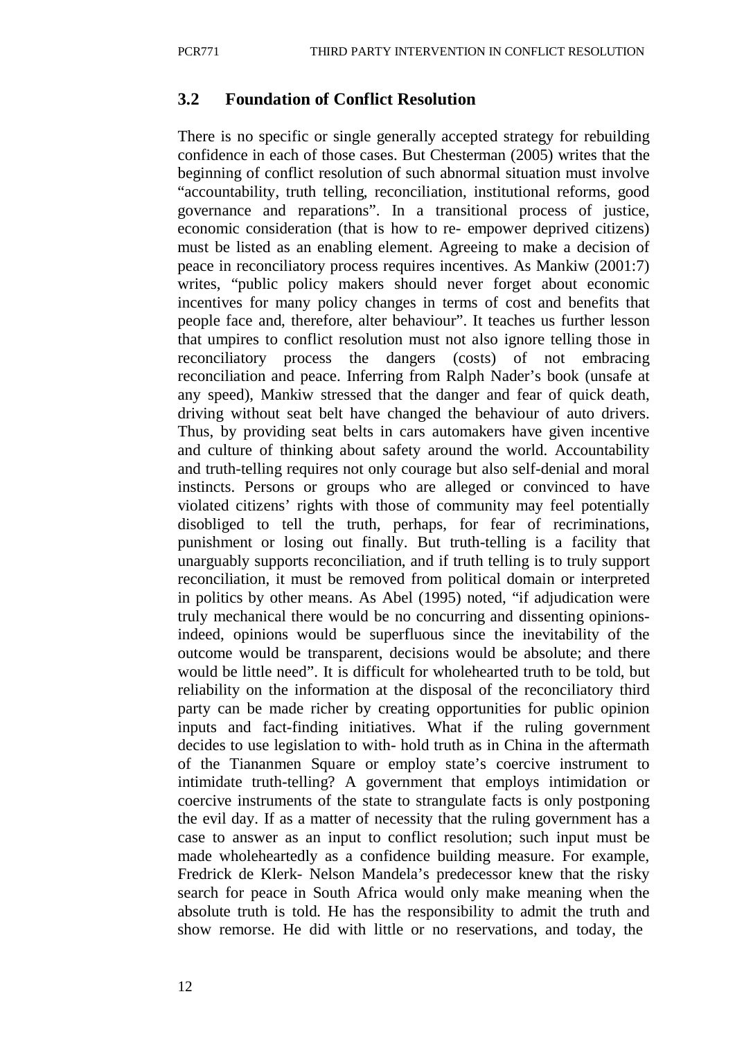#### **3.2 Foundation of Conflict Resolution**

There is no specific or single generally accepted strategy for rebuilding confidence in each of those cases. But Chesterman (2005) writes that the beginning of conflict resolution of such abnormal situation must involve "accountability, truth telling, reconciliation, institutional reforms, good governance and reparations". In a transitional process of justice, economic consideration (that is how to re- empower deprived citizens) must be listed as an enabling element. Agreeing to make a decision of peace in reconciliatory process requires incentives. As Mankiw (2001:7) writes, "public policy makers should never forget about economic incentives for many policy changes in terms of cost and benefits that people face and, therefore, alter behaviour". It teaches us further lesson that umpires to conflict resolution must not also ignore telling those in reconciliatory process the dangers (costs) of not embracing reconciliation and peace. Inferring from Ralph Nader's book (unsafe at any speed), Mankiw stressed that the danger and fear of quick death, driving without seat belt have changed the behaviour of auto drivers. Thus, by providing seat belts in cars automakers have given incentive and culture of thinking about safety around the world. Accountability and truth-telling requires not only courage but also self-denial and moral instincts. Persons or groups who are alleged or convinced to have violated citizens' rights with those of community may feel potentially disobliged to tell the truth, perhaps, for fear of recriminations, punishment or losing out finally. But truth-telling is a facility that unarguably supports reconciliation, and if truth telling is to truly support reconciliation, it must be removed from political domain or interpreted in politics by other means. As Abel (1995) noted, "if adjudication were truly mechanical there would be no concurring and dissenting opinionsindeed, opinions would be superfluous since the inevitability of the outcome would be transparent, decisions would be absolute; and there would be little need". It is difficult for wholehearted truth to be told, but reliability on the information at the disposal of the reconciliatory third party can be made richer by creating opportunities for public opinion inputs and fact-finding initiatives. What if the ruling government decides to use legislation to with- hold truth as in China in the aftermath of the Tiananmen Square or employ state's coercive instrument to intimidate truth-telling? A government that employs intimidation or coercive instruments of the state to strangulate facts is only postponing the evil day. If as a matter of necessity that the ruling government has a case to answer as an input to conflict resolution; such input must be made wholeheartedly as a confidence building measure. For example, Fredrick de Klerk- Nelson Mandela's predecessor knew that the risky search for peace in South Africa would only make meaning when the absolute truth is told. He has the responsibility to admit the truth and show remorse. He did with little or no reservations, and today, the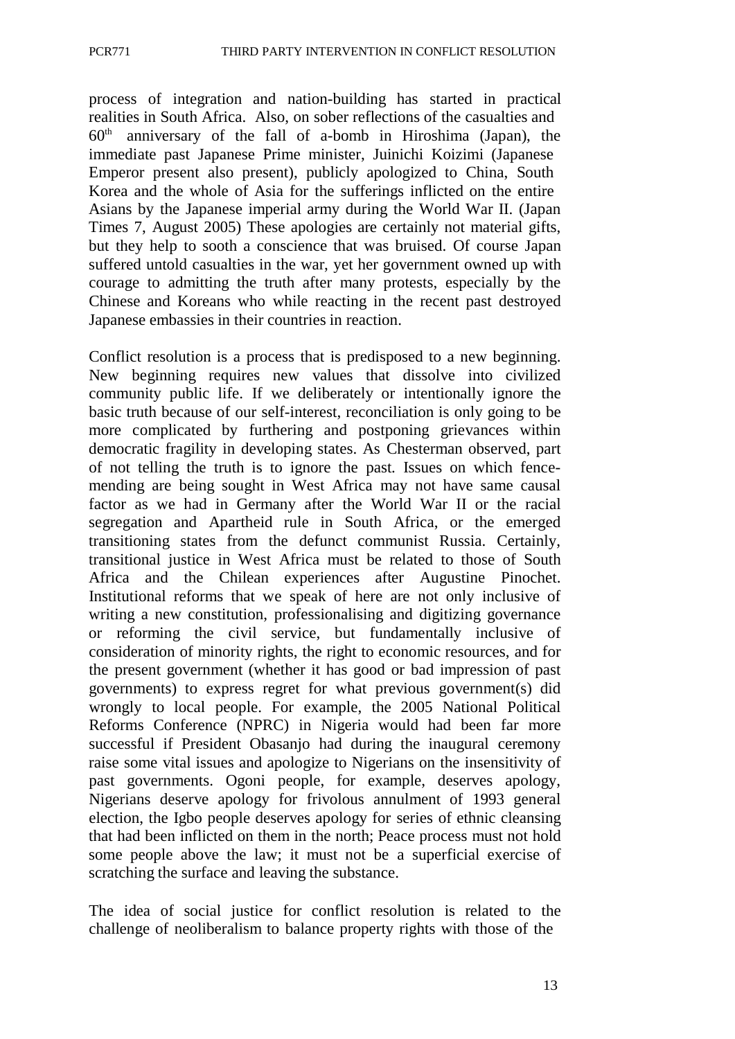process of integration and nation-building has started in practical realities in South Africa. Also, on sober reflections of the casualties and  $60<sup>th</sup>$  anniversary of the fall of a-bomb in Hiroshima (Japan), the immediate past Japanese Prime minister, Juinichi Koizimi (Japanese Emperor present also present), publicly apologized to China, South Korea and the whole of Asia for the sufferings inflicted on the entire Asians by the Japanese imperial army during the World War II. (Japan Times 7, August 2005) These apologies are certainly not material gifts, but they help to sooth a conscience that was bruised. Of course Japan suffered untold casualties in the war, yet her government owned up with courage to admitting the truth after many protests, especially by the Chinese and Koreans who while reacting in the recent past destroyed Japanese embassies in their countries in reaction.

Conflict resolution is a process that is predisposed to a new beginning. New beginning requires new values that dissolve into civilized community public life. If we deliberately or intentionally ignore the basic truth because of our self-interest, reconciliation is only going to be more complicated by furthering and postponing grievances within democratic fragility in developing states. As Chesterman observed, part of not telling the truth is to ignore the past. Issues on which fencemending are being sought in West Africa may not have same causal factor as we had in Germany after the World War II or the racial segregation and Apartheid rule in South Africa, or the emerged transitioning states from the defunct communist Russia. Certainly, transitional justice in West Africa must be related to those of South Africa and the Chilean experiences after Augustine Pinochet. Institutional reforms that we speak of here are not only inclusive of writing a new constitution, professionalising and digitizing governance or reforming the civil service, but fundamentally inclusive of consideration of minority rights, the right to economic resources, and for the present government (whether it has good or bad impression of past governments) to express regret for what previous government(s) did wrongly to local people. For example, the 2005 National Political Reforms Conference (NPRC) in Nigeria would had been far more successful if President Obasanjo had during the inaugural ceremony raise some vital issues and apologize to Nigerians on the insensitivity of past governments. Ogoni people, for example, deserves apology, Nigerians deserve apology for frivolous annulment of 1993 general election, the Igbo people deserves apology for series of ethnic cleansing that had been inflicted on them in the north; Peace process must not hold some people above the law; it must not be a superficial exercise of scratching the surface and leaving the substance.

The idea of social justice for conflict resolution is related to the challenge of neoliberalism to balance property rights with those of the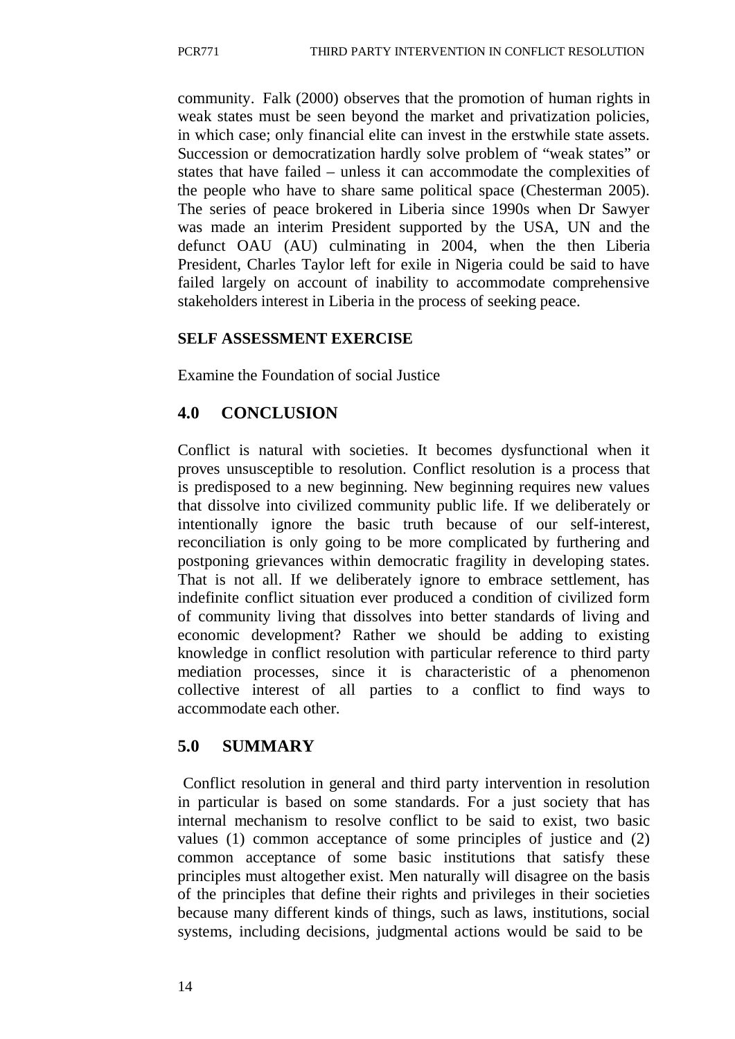community. Falk (2000) observes that the promotion of human rights in weak states must be seen beyond the market and privatization policies, in which case; only financial elite can invest in the erstwhile state assets. Succession or democratization hardly solve problem of "weak states" or states that have failed – unless it can accommodate the complexities of the people who have to share same political space (Chesterman 2005). The series of peace brokered in Liberia since 1990s when Dr Sawyer was made an interim President supported by the USA, UN and the defunct OAU (AU) culminating in 2004, when the then Liberia President, Charles Taylor left for exile in Nigeria could be said to have failed largely on account of inability to accommodate comprehensive stakeholders interest in Liberia in the process of seeking peace.

#### **SELF ASSESSMENT EXERCISE**

Examine the Foundation of social Justice

## **4.0 CONCLUSION**

Conflict is natural with societies. It becomes dysfunctional when it proves unsusceptible to resolution. Conflict resolution is a process that is predisposed to a new beginning. New beginning requires new values that dissolve into civilized community public life. If we deliberately or intentionally ignore the basic truth because of our self-interest, reconciliation is only going to be more complicated by furthering and postponing grievances within democratic fragility in developing states. That is not all. If we deliberately ignore to embrace settlement, has indefinite conflict situation ever produced a condition of civilized form of community living that dissolves into better standards of living and economic development? Rather we should be adding to existing knowledge in conflict resolution with particular reference to third party mediation processes, since it is characteristic of a phenomenon collective interest of all parties to a conflict to find ways to accommodate each other.

## **5.0 SUMMARY**

Conflict resolution in general and third party intervention in resolution in particular is based on some standards. For a just society that has internal mechanism to resolve conflict to be said to exist, two basic values (1) common acceptance of some principles of justice and (2) common acceptance of some basic institutions that satisfy these principles must altogether exist. Men naturally will disagree on the basis of the principles that define their rights and privileges in their societies because many different kinds of things, such as laws, institutions, social systems, including decisions, judgmental actions would be said to be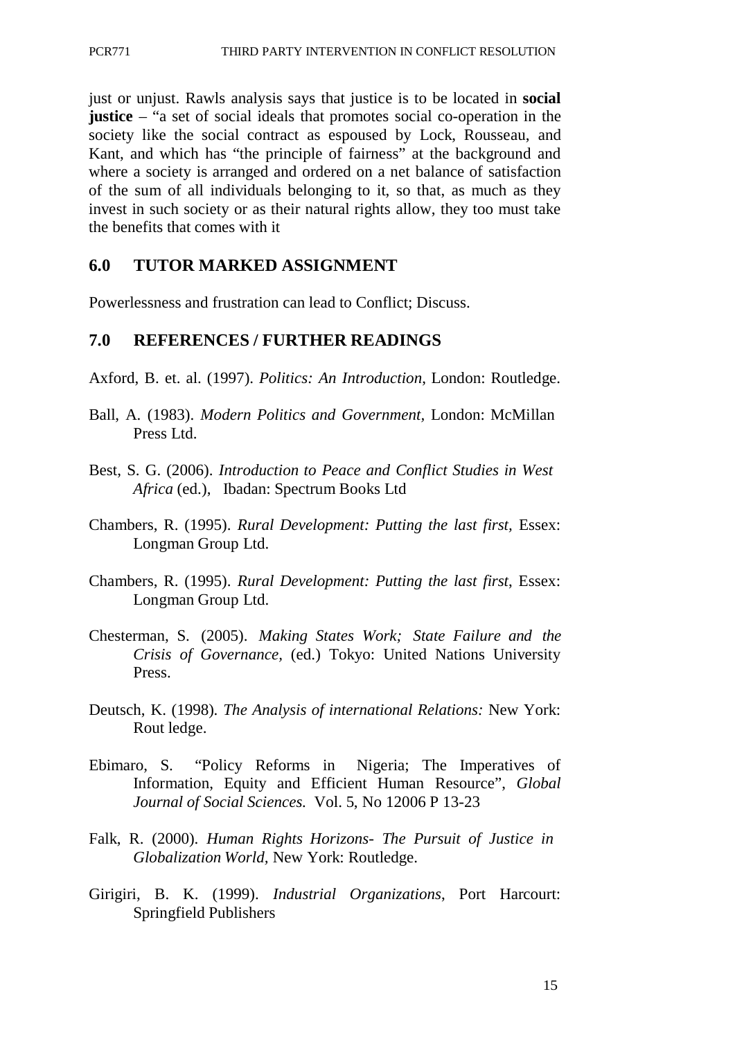just or unjust. Rawls analysis says that justice is to be located in **social justice** – "a set of social ideals that promotes social co-operation in the society like the social contract as espoused by Lock, Rousseau, and Kant, and which has "the principle of fairness" at the background and where a society is arranged and ordered on a net balance of satisfaction of the sum of all individuals belonging to it, so that, as much as they invest in such society or as their natural rights allow, they too must take the benefits that comes with it

### **6.0 TUTOR MARKED ASSIGNMENT**

Powerlessness and frustration can lead to Conflict; Discuss.

#### **7.0 REFERENCES / FURTHER READINGS**

- Axford, B. et. al. (1997). *Politics: An Introduction*, London: Routledge.
- Ball, A. (1983). *Modern Politics and Government,* London: McMillan Press Ltd.
- Best, S. G. (2006). *Introduction to Peace and Conflict Studies in West Africa* (ed.), Ibadan: Spectrum Books Ltd
- Chambers, R. (1995). *Rural Development: Putting the last first,* Essex: Longman Group Ltd.
- Chambers, R. (1995). *Rural Development: Putting the last first*, Essex: Longman Group Ltd.
- Chesterman, S. (2005). *Making States Work; State Failure and the Crisis of Governance,* (ed.) Tokyo: United Nations University Press.
- Deutsch, K. (1998). *The Analysis of international Relations:* New York: Rout ledge.
- Ebimaro, S. "Policy Reforms in Nigeria; The Imperatives of Information, Equity and Efficient Human Resource", *Global Journal of Social Sciences.* Vol. 5, No 12006 P 13-23
- Falk, R. (2000). *Human Rights Horizons- The Pursuit of Justice in Globalization World,* New York: Routledge.
- Girigiri, B. K. (1999). *Industrial Organizations*, Port Harcourt: Springfield Publishers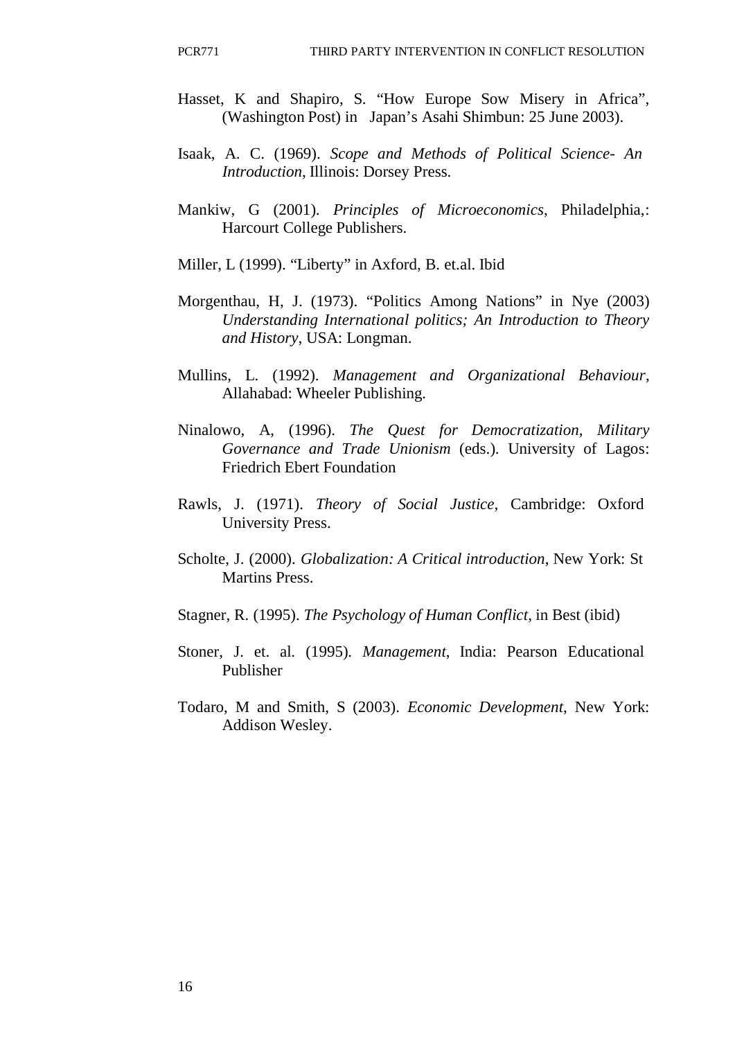- Hasset, K and Shapiro, S. "How Europe Sow Misery in Africa", (Washington Post) in Japan's Asahi Shimbun: 25 June 2003).
- Isaak, A. C. (1969). *Scope and Methods of Political Science- An Introduction*, Illinois: Dorsey Press.
- Mankiw, G (2001). *Principles of Microeconomics*, Philadelphia,: Harcourt College Publishers.
- Miller, L (1999). "Liberty" in Axford, B. et.al. Ibid
- Morgenthau, H, J. (1973). "Politics Among Nations" in Nye (2003) *Understanding International politics; An Introduction to Theory and History*, USA: Longman.
- Mullins, L. (1992). *Management and Organizational Behaviour*, Allahabad: Wheeler Publishing.
- Ninalowo, A, (1996). *The Quest for Democratization, Military Governance and Trade Unionism* (eds.). University of Lagos: Friedrich Ebert Foundation
- Rawls, J. (1971). *Theory of Social Justice*, Cambridge: Oxford University Press.
- Scholte, J. (2000). *Globalization: A Critical introduction*, New York: St Martins Press.
- Stagner, R. (1995). *The Psychology of Human Conflict*, in Best (ibid)
- Stoner, J. et. al. (1995). *Management*, India: Pearson Educational Publisher
- Todaro, M and Smith, S (2003). *Economic Development*, New York: Addison Wesley.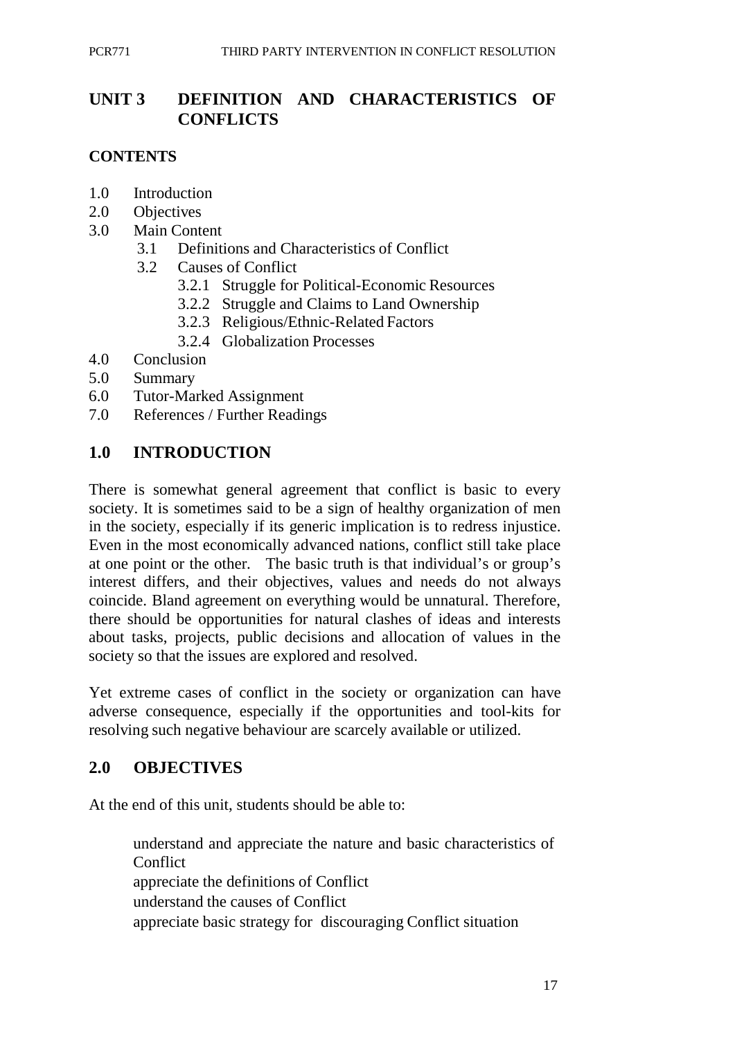# **UNIT 3 DEFINITION AND CHARACTERISTICS OF CONFLICTS**

#### **CONTENTS**

- 1.0 Introduction
- 2.0 Objectives
- 3.0 Main Content
	- 3.1 Definitions and Characteristics of Conflict
	- 3.2 Causes of Conflict
		- 3.2.1 Struggle for Political-Economic Resources
		- 3.2.2 Struggle and Claims to Land Ownership
		- 3.2.3 Religious/Ethnic-Related Factors
		- 3.2.4 Globalization Processes
- 4.0 Conclusion
- 5.0 Summary
- 6.0 Tutor-Marked Assignment
- 7.0 References / Further Readings

### **1.0 INTRODUCTION**

There is somewhat general agreement that conflict is basic to every society. It is sometimes said to be a sign of healthy organization of men in the society, especially if its generic implication is to redress injustice. Even in the most economically advanced nations, conflict still take place at one point or the other. The basic truth is that individual's or group's interest differs, and their objectives, values and needs do not always coincide. Bland agreement on everything would be unnatural. Therefore, there should be opportunities for natural clashes of ideas and interests about tasks, projects, public decisions and allocation of values in the society so that the issues are explored and resolved.

Yet extreme cases of conflict in the society or organization can have adverse consequence, especially if the opportunities and tool-kits for resolving such negative behaviour are scarcely available or utilized.

### **2.0 OBJECTIVES**

At the end of this unit, students should be able to:

understand and appreciate the nature and basic characteristics of **Conflict** appreciate the definitions of Conflict understand the causes of Conflict appreciate basic strategy for discouraging Conflict situation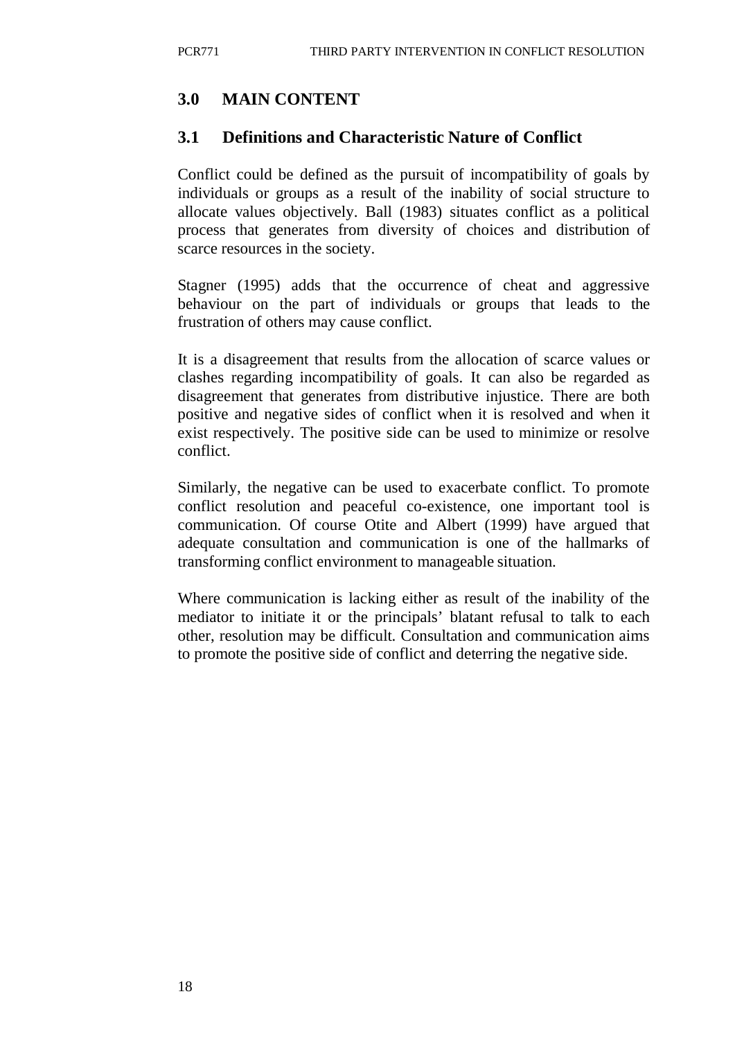# **3.0 MAIN CONTENT**

## **3.1 Definitions and Characteristic Nature of Conflict**

Conflict could be defined as the pursuit of incompatibility of goals by individuals or groups as a result of the inability of social structure to allocate values objectively. Ball (1983) situates conflict as a political process that generates from diversity of choices and distribution of scarce resources in the society.

Stagner (1995) adds that the occurrence of cheat and aggressive behaviour on the part of individuals or groups that leads to the frustration of others may cause conflict.

It is a disagreement that results from the allocation of scarce values or clashes regarding incompatibility of goals. It can also be regarded as disagreement that generates from distributive injustice. There are both positive and negative sides of conflict when it is resolved and when it exist respectively. The positive side can be used to minimize or resolve conflict.

Similarly, the negative can be used to exacerbate conflict. To promote conflict resolution and peaceful co-existence, one important tool is communication. Of course Otite and Albert (1999) have argued that adequate consultation and communication is one of the hallmarks of transforming conflict environment to manageable situation.

Where communication is lacking either as result of the inability of the mediator to initiate it or the principals' blatant refusal to talk to each other, resolution may be difficult. Consultation and communication aims to promote the positive side of conflict and deterring the negative side.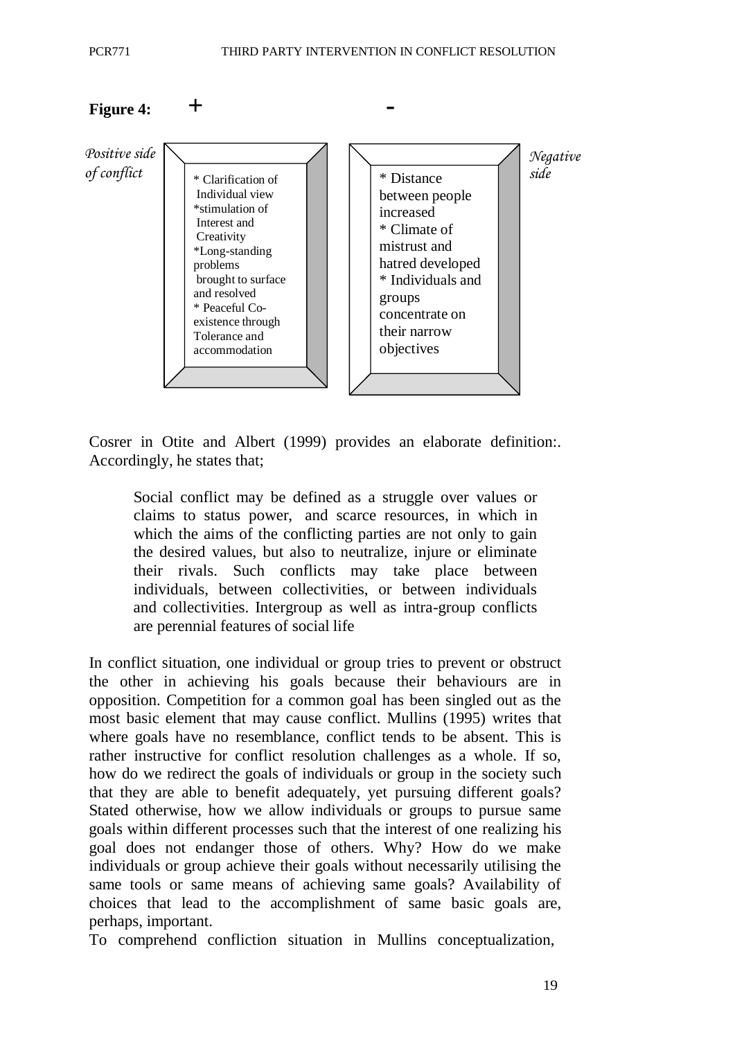

Cosrer in Otite and Albert (1999) provides an elaborate definition:. Accordingly, he states that;

Social conflict may be defined as a struggle over values or claims to status power, and scarce resources, in which in which the aims of the conflicting parties are not only to gain the desired values, but also to neutralize, injure or eliminate their rivals. Such conflicts may take place between individuals, between collectivities, or between individuals and collectivities. Intergroup as well as intra-group conflicts are perennial features of social life

In conflict situation, one individual or group tries to prevent or obstruct the other in achieving his goals because their behaviours are in opposition. Competition for a common goal has been singled out as the most basic element that may cause conflict. Mullins (1995) writes that where goals have no resemblance, conflict tends to be absent. This is rather instructive for conflict resolution challenges as a whole. If so, how do we redirect the goals of individuals or group in the society such that they are able to benefit adequately, yet pursuing different goals? Stated otherwise, how we allow individuals or groups to pursue same goals within different processes such that the interest of one realizing his goal does not endanger those of others. Why? How do we make individuals or group achieve their goals without necessarily utilising the same tools or same means of achieving same goals? Availability of choices that lead to the accomplishment of same basic goals are, perhaps, important.

To comprehend confliction situation in Mullins conceptualization,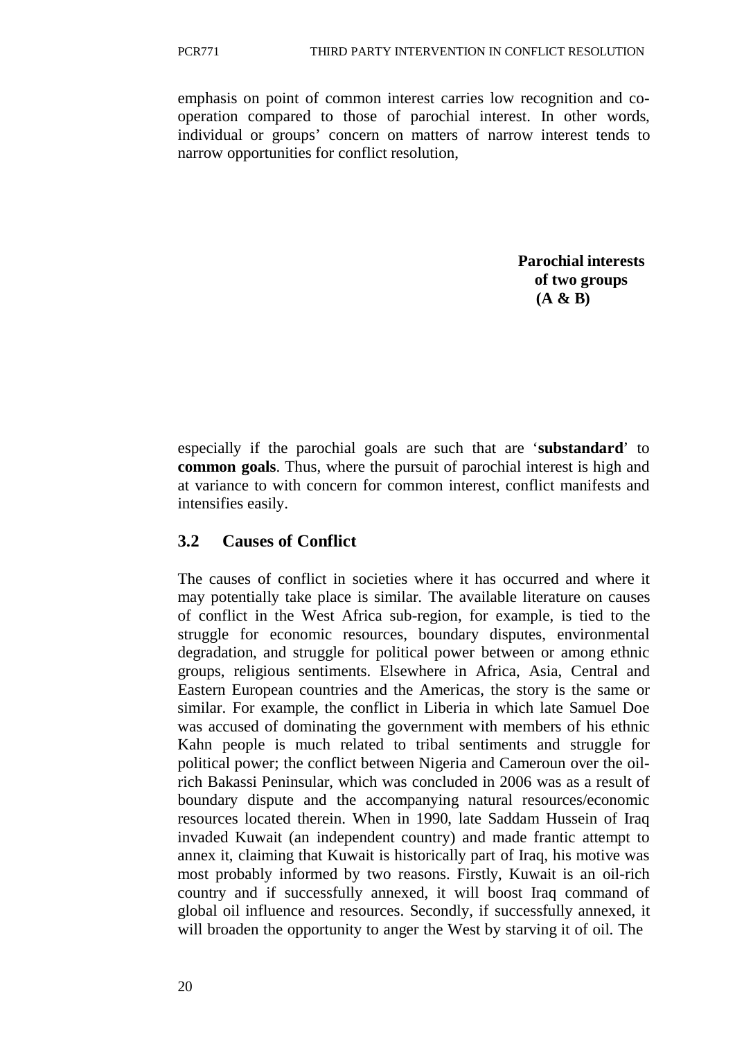emphasis on point of common interest carries low recognition and cooperation compared to those of parochial interest. In other words, individual or groups' concern on matters of narrow interest tends to narrow opportunities for conflict resolution,

> **Parochial interests of two groups (A & B)**

especially if the parochial goals are such that are '**substandard**' to **common goals**. Thus, where the pursuit of parochial interest is high and at variance to with concern for common interest, conflict manifests and intensifies easily.

#### **3.2 Causes of Conflict**

The causes of conflict in societies where it has occurred and where it may potentially take place is similar. The available literature on causes of conflict in the West Africa sub-region, for example, is tied to the struggle for economic resources, boundary disputes, environmental degradation, and struggle for political power between or among ethnic groups, religious sentiments. Elsewhere in Africa, Asia, Central and Eastern European countries and the Americas, the story is the same or similar. For example, the conflict in Liberia in which late Samuel Doe was accused of dominating the government with members of his ethnic Kahn people is much related to tribal sentiments and struggle for political power; the conflict between Nigeria and Cameroun over the oilrich Bakassi Peninsular, which was concluded in 2006 was as a result of boundary dispute and the accompanying natural resources/economic resources located therein. When in 1990, late Saddam Hussein of Iraq invaded Kuwait (an independent country) and made frantic attempt to annex it, claiming that Kuwait is historically part of Iraq, his motive was most probably informed by two reasons. Firstly, Kuwait is an oil-rich country and if successfully annexed, it will boost Iraq command of global oil influence and resources. Secondly, if successfully annexed, it will broaden the opportunity to anger the West by starving it of oil. The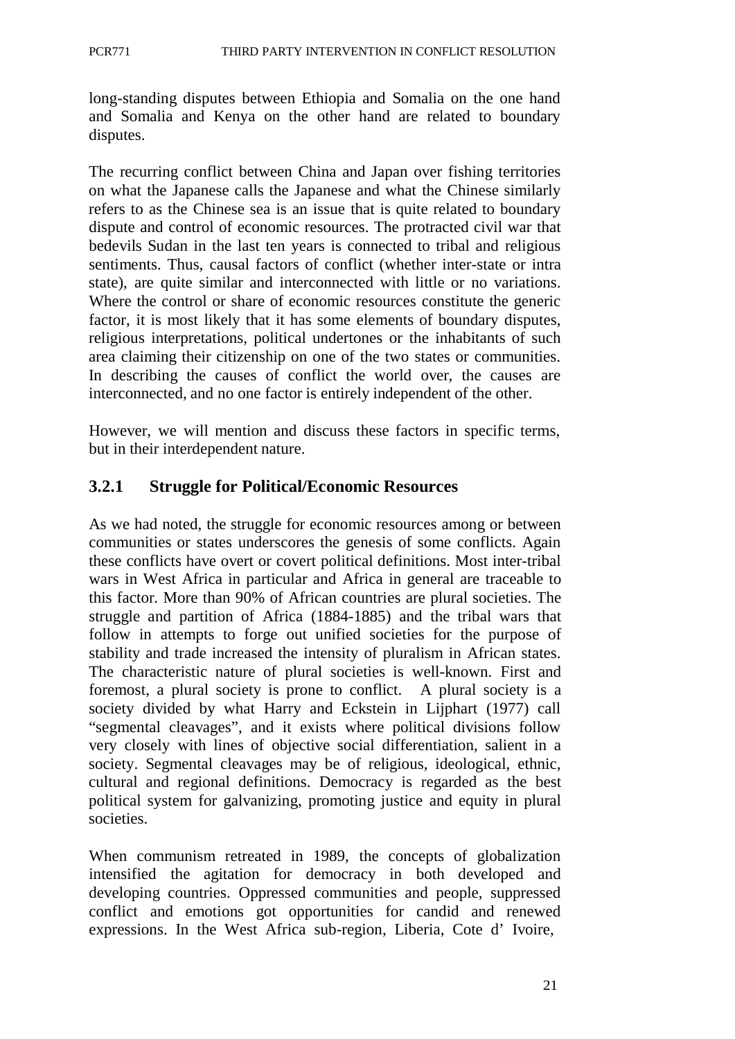long-standing disputes between Ethiopia and Somalia on the one hand and Somalia and Kenya on the other hand are related to boundary disputes.

The recurring conflict between China and Japan over fishing territories on what the Japanese calls the Japanese and what the Chinese similarly refers to as the Chinese sea is an issue that is quite related to boundary dispute and control of economic resources. The protracted civil war that bedevils Sudan in the last ten years is connected to tribal and religious sentiments. Thus, causal factors of conflict (whether inter-state or intra state), are quite similar and interconnected with little or no variations. Where the control or share of economic resources constitute the generic factor, it is most likely that it has some elements of boundary disputes, religious interpretations, political undertones or the inhabitants of such area claiming their citizenship on one of the two states or communities. In describing the causes of conflict the world over, the causes are interconnected, and no one factor is entirely independent of the other.

However, we will mention and discuss these factors in specific terms, but in their interdependent nature.

## **3.2.1 Struggle for Political/Economic Resources**

As we had noted, the struggle for economic resources among or between communities or states underscores the genesis of some conflicts. Again these conflicts have overt or covert political definitions. Most inter-tribal wars in West Africa in particular and Africa in general are traceable to this factor. More than 90% of African countries are plural societies. The struggle and partition of Africa (1884-1885) and the tribal wars that follow in attempts to forge out unified societies for the purpose of stability and trade increased the intensity of pluralism in African states. The characteristic nature of plural societies is well-known. First and foremost, a plural society is prone to conflict. A plural society is a society divided by what Harry and Eckstein in Lijphart (1977) call "segmental cleavages", and it exists where political divisions follow very closely with lines of objective social differentiation, salient in a society. Segmental cleavages may be of religious, ideological, ethnic, cultural and regional definitions. Democracy is regarded as the best political system for galvanizing, promoting justice and equity in plural societies.

When communism retreated in 1989, the concepts of globalization intensified the agitation for democracy in both developed and developing countries. Oppressed communities and people, suppressed conflict and emotions got opportunities for candid and renewed expressions. In the West Africa sub-region, Liberia, Cote d' Ivoire,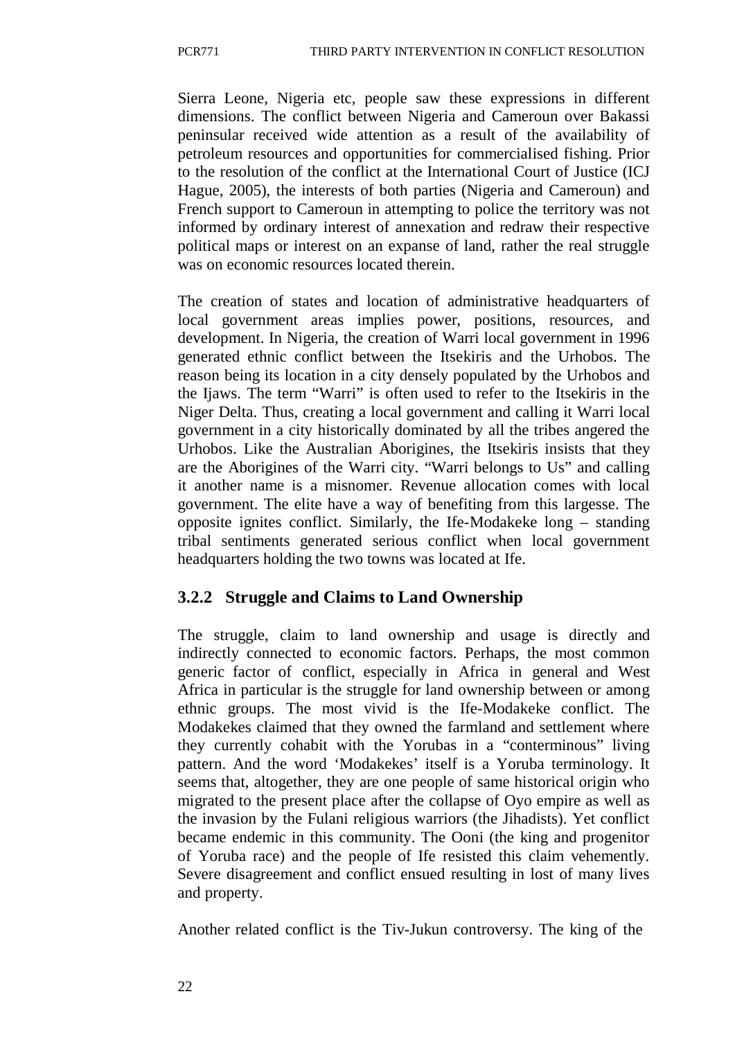Sierra Leone, Nigeria etc, people saw these expressions in different dimensions. The conflict between Nigeria and Cameroun over Bakassi peninsular received wide attention as a result of the availability of petroleum resources and opportunities for commercialised fishing. Prior to the resolution of the conflict at the International Court of Justice (ICJ Hague, 2005), the interests of both parties (Nigeria and Cameroun) and French support to Cameroun in attempting to police the territory was not informed by ordinary interest of annexation and redraw their respective political maps or interest on an expanse of land, rather the real struggle was on economic resources located therein.

The creation of states and location of administrative headquarters of local government areas implies power, positions, resources, and development. In Nigeria, the creation of Warri local government in 1996 generated ethnic conflict between the Itsekiris and the Urhobos. The reason being its location in a city densely populated by the Urhobos and the Ijaws. The term "Warri" is often used to refer to the Itsekiris in the Niger Delta. Thus, creating a local government and calling it Warri local government in a city historically dominated by all the tribes angered the Urhobos. Like the Australian Aborigines, the Itsekiris insists that they are the Aborigines of the Warri city. "Warri belongs to Us" and calling it another name is a misnomer. Revenue allocation comes with local government. The elite have a way of benefiting from this largesse. The opposite ignites conflict. Similarly, the Ife-Modakeke long – standing tribal sentiments generated serious conflict when local government headquarters holding the two towns was located at Ife.

# **3.2.2 Struggle and Claims to Land Ownership**

The struggle, claim to land ownership and usage is directly and indirectly connected to economic factors. Perhaps, the most common generic factor of conflict, especially in Africa in general and West Africa in particular is the struggle for land ownership between or among ethnic groups. The most vivid is the Ife-Modakeke conflict. The Modakekes claimed that they owned the farmland and settlement where they currently cohabit with the Yorubas in a "conterminous" living pattern. And the word 'Modakekes' itself is a Yoruba terminology. It seems that, altogether, they are one people of same historical origin who migrated to the present place after the collapse of Oyo empire as well as the invasion by the Fulani religious warriors (the Jihadists). Yet conflict became endemic in this community. The Ooni (the king and progenitor of Yoruba race) and the people of Ife resisted this claim vehemently. Severe disagreement and conflict ensued resulting in lost of many lives and property.

Another related conflict is the Tiv-Jukun controversy. The king of the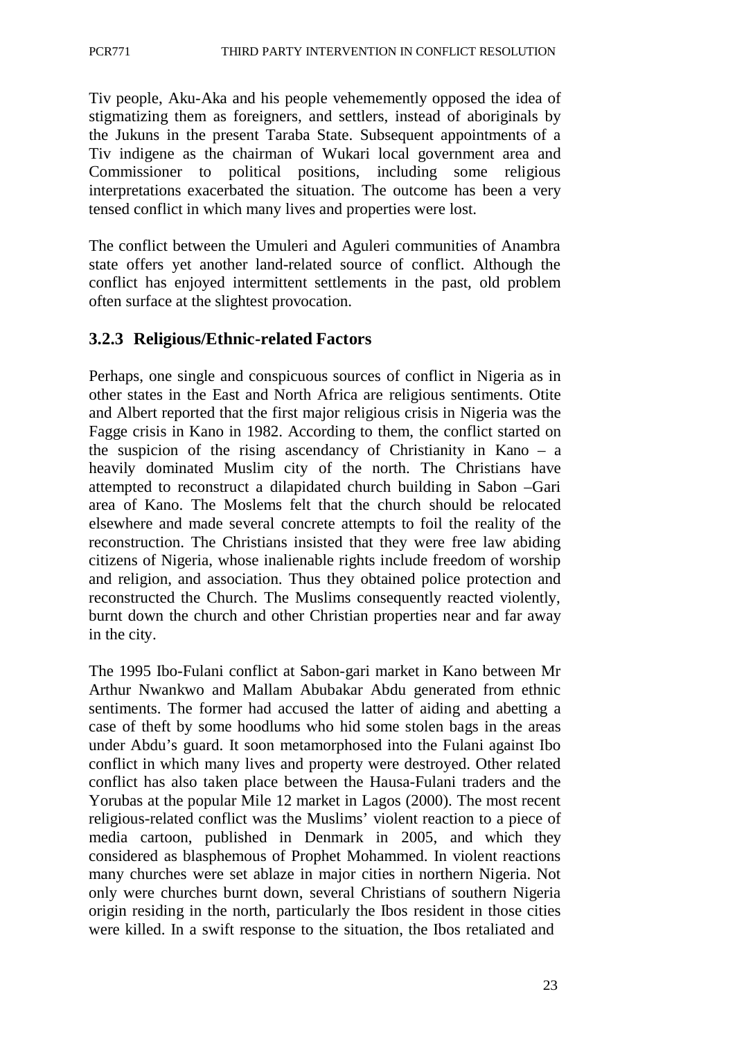Tiv people, Aku-Aka and his people vehememently opposed the idea of stigmatizing them as foreigners, and settlers, instead of aboriginals by the Jukuns in the present Taraba State. Subsequent appointments of a Tiv indigene as the chairman of Wukari local government area and Commissioner to political positions, including some religious interpretations exacerbated the situation. The outcome has been a very tensed conflict in which many lives and properties were lost.

The conflict between the Umuleri and Aguleri communities of Anambra state offers yet another land-related source of conflict. Although the conflict has enjoyed intermittent settlements in the past, old problem often surface at the slightest provocation.

# **3.2.3 Religious/Ethnic-related Factors**

Perhaps, one single and conspicuous sources of conflict in Nigeria as in other states in the East and North Africa are religious sentiments. Otite and Albert reported that the first major religious crisis in Nigeria was the Fagge crisis in Kano in 1982. According to them, the conflict started on the suspicion of the rising ascendancy of Christianity in Kano – a heavily dominated Muslim city of the north. The Christians have attempted to reconstruct a dilapidated church building in Sabon –Gari area of Kano. The Moslems felt that the church should be relocated elsewhere and made several concrete attempts to foil the reality of the reconstruction. The Christians insisted that they were free law abiding citizens of Nigeria, whose inalienable rights include freedom of worship and religion, and association. Thus they obtained police protection and reconstructed the Church. The Muslims consequently reacted violently, burnt down the church and other Christian properties near and far away in the city.

The 1995 Ibo-Fulani conflict at Sabon-gari market in Kano between Mr Arthur Nwankwo and Mallam Abubakar Abdu generated from ethnic sentiments. The former had accused the latter of aiding and abetting a case of theft by some hoodlums who hid some stolen bags in the areas under Abdu's guard. It soon metamorphosed into the Fulani against Ibo conflict in which many lives and property were destroyed. Other related conflict has also taken place between the Hausa-Fulani traders and the Yorubas at the popular Mile 12 market in Lagos (2000). The most recent religious-related conflict was the Muslims' violent reaction to a piece of media cartoon, published in Denmark in 2005, and which they considered as blasphemous of Prophet Mohammed. In violent reactions many churches were set ablaze in major cities in northern Nigeria. Not only were churches burnt down, several Christians of southern Nigeria origin residing in the north, particularly the Ibos resident in those cities were killed. In a swift response to the situation, the Ibos retaliated and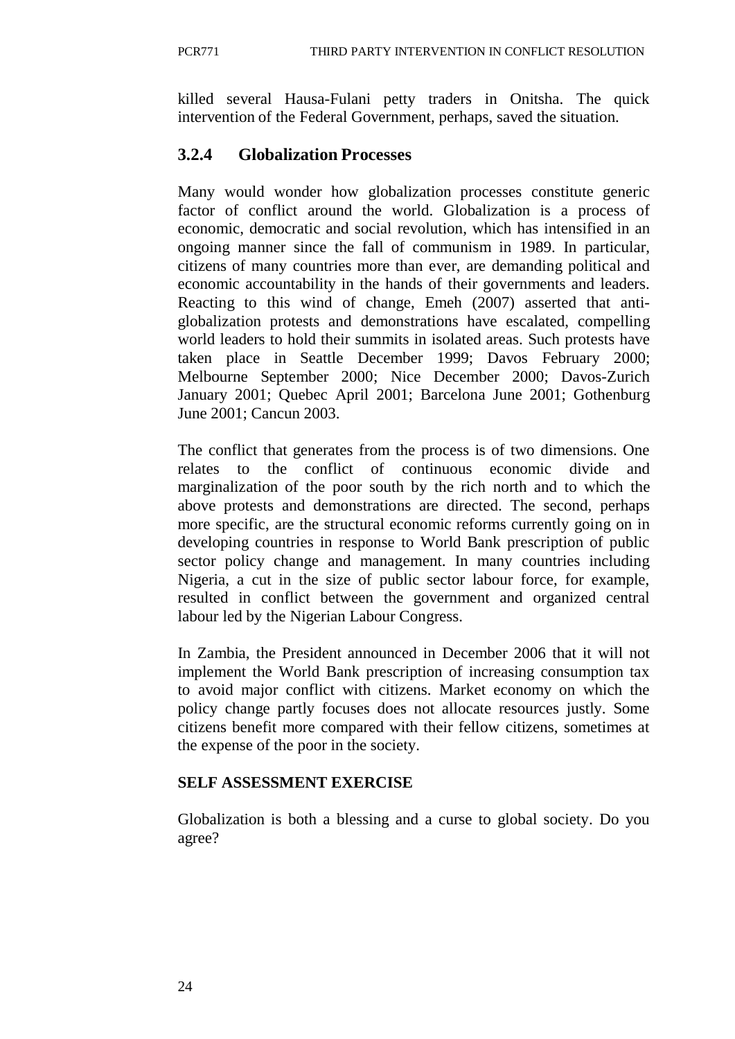killed several Hausa-Fulani petty traders in Onitsha. The quick intervention of the Federal Government, perhaps, saved the situation.

# **3.2.4 Globalization Processes**

Many would wonder how globalization processes constitute generic factor of conflict around the world. Globalization is a process of economic, democratic and social revolution, which has intensified in an ongoing manner since the fall of communism in 1989. In particular, citizens of many countries more than ever, are demanding political and economic accountability in the hands of their governments and leaders. Reacting to this wind of change, Emeh (2007) asserted that antiglobalization protests and demonstrations have escalated, compelling world leaders to hold their summits in isolated areas. Such protests have taken place in Seattle December 1999; Davos February 2000; Melbourne September 2000; Nice December 2000; Davos-Zurich January 2001; Quebec April 2001; Barcelona June 2001; Gothenburg June 2001; Cancun 2003.

The conflict that generates from the process is of two dimensions. One relates to the conflict of continuous economic divide and marginalization of the poor south by the rich north and to which the above protests and demonstrations are directed. The second, perhaps more specific, are the structural economic reforms currently going on in developing countries in response to World Bank prescription of public sector policy change and management. In many countries including Nigeria, a cut in the size of public sector labour force, for example, resulted in conflict between the government and organized central labour led by the Nigerian Labour Congress.

In Zambia, the President announced in December 2006 that it will not implement the World Bank prescription of increasing consumption tax to avoid major conflict with citizens. Market economy on which the policy change partly focuses does not allocate resources justly. Some citizens benefit more compared with their fellow citizens, sometimes at the expense of the poor in the society.

## **SELF ASSESSMENT EXERCISE**

Globalization is both a blessing and a curse to global society. Do you agree?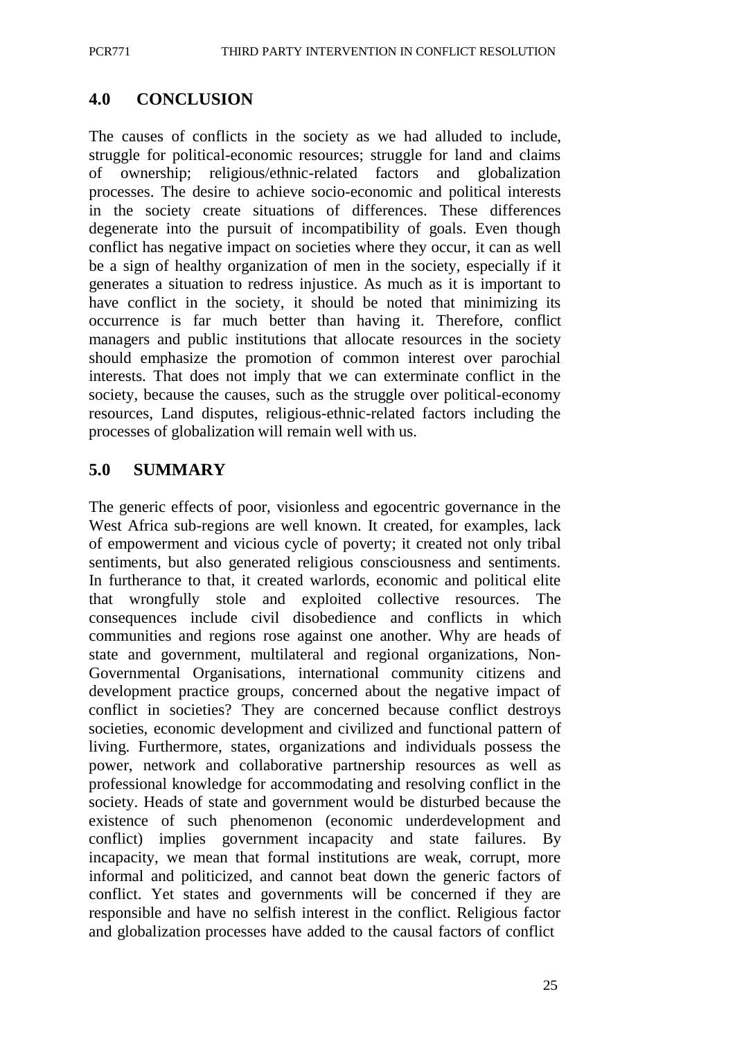#### **4.0 CONCLUSION**

The causes of conflicts in the society as we had alluded to include, struggle for political-economic resources; struggle for land and claims of ownership; religious/ethnic-related factors and globalization processes. The desire to achieve socio-economic and political interests in the society create situations of differences. These differences degenerate into the pursuit of incompatibility of goals. Even though conflict has negative impact on societies where they occur, it can as well be a sign of healthy organization of men in the society, especially if it generates a situation to redress injustice. As much as it is important to have conflict in the society, it should be noted that minimizing its occurrence is far much better than having it. Therefore, conflict managers and public institutions that allocate resources in the society should emphasize the promotion of common interest over parochial interests. That does not imply that we can exterminate conflict in the society, because the causes, such as the struggle over political-economy resources, Land disputes, religious-ethnic-related factors including the processes of globalization will remain well with us.

### **5.0 SUMMARY**

The generic effects of poor, visionless and egocentric governance in the West Africa sub-regions are well known. It created, for examples, lack of empowerment and vicious cycle of poverty; it created not only tribal sentiments, but also generated religious consciousness and sentiments. In furtherance to that, it created warlords, economic and political elite that wrongfully stole and exploited collective resources. The consequences include civil disobedience and conflicts in which communities and regions rose against one another. Why are heads of state and government, multilateral and regional organizations, Non-Governmental Organisations, international community citizens and development practice groups, concerned about the negative impact of conflict in societies? They are concerned because conflict destroys societies, economic development and civilized and functional pattern of living. Furthermore, states, organizations and individuals possess the power, network and collaborative partnership resources as well as professional knowledge for accommodating and resolving conflict in the society. Heads of state and government would be disturbed because the existence of such phenomenon (economic underdevelopment and conflict) implies government incapacity and state failures. By incapacity, we mean that formal institutions are weak, corrupt, more informal and politicized, and cannot beat down the generic factors of conflict. Yet states and governments will be concerned if they are responsible and have no selfish interest in the conflict. Religious factor and globalization processes have added to the causal factors of conflict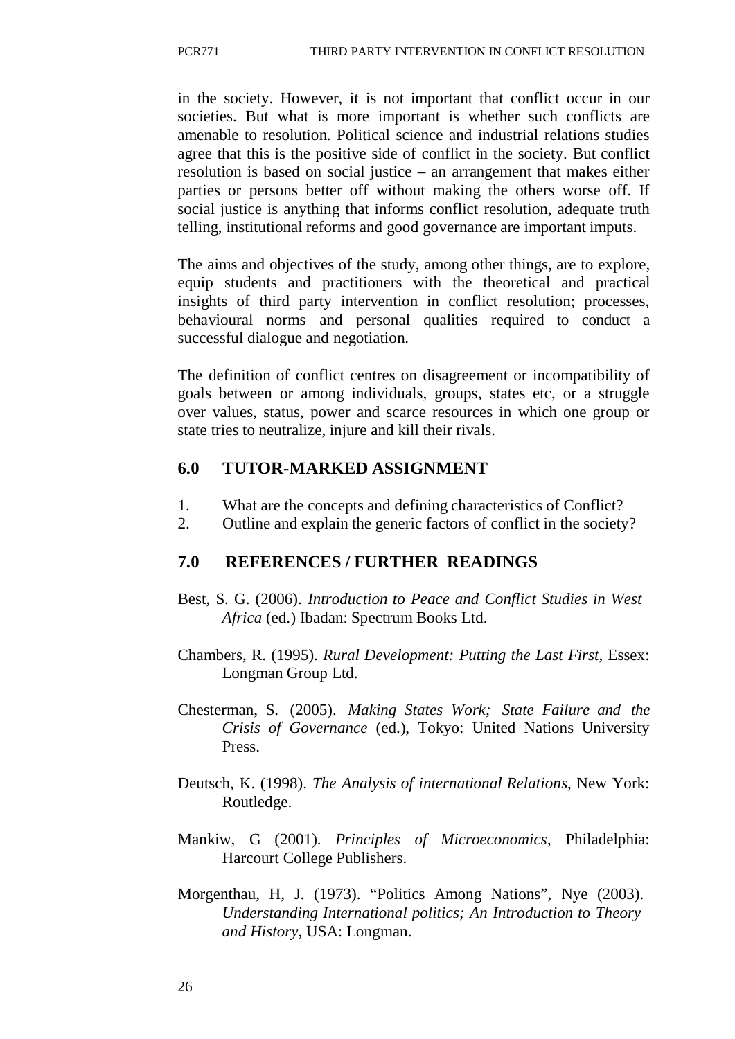in the society. However, it is not important that conflict occur in our societies. But what is more important is whether such conflicts are amenable to resolution. Political science and industrial relations studies agree that this is the positive side of conflict in the society. But conflict resolution is based on social justice – an arrangement that makes either parties or persons better off without making the others worse off. If social justice is anything that informs conflict resolution, adequate truth telling, institutional reforms and good governance are important imputs.

The aims and objectives of the study, among other things, are to explore, equip students and practitioners with the theoretical and practical insights of third party intervention in conflict resolution; processes, behavioural norms and personal qualities required to conduct a successful dialogue and negotiation.

The definition of conflict centres on disagreement or incompatibility of goals between or among individuals, groups, states etc, or a struggle over values, status, power and scarce resources in which one group or state tries to neutralize, injure and kill their rivals.

### **6.0 TUTOR-MARKED ASSIGNMENT**

- 1. What are the concepts and defining characteristics of Conflict?
- 2. Outline and explain the generic factors of conflict in the society?

### **7.0 REFERENCES / FURTHER READINGS**

- Best, S. G. (2006). *Introduction to Peace and Conflict Studies in West Africa* (ed.) Ibadan: Spectrum Books Ltd.
- Chambers, R. (1995). *Rural Development: Putting the Last First*, Essex: Longman Group Ltd.
- Chesterman, S. (2005). *Making States Work; State Failure and the Crisis of Governance* (ed.), Tokyo: United Nations University Press.
- Deutsch, K. (1998). *The Analysis of international Relations*, New York: Routledge.
- Mankiw, G (2001). *Principles of Microeconomics*, Philadelphia: Harcourt College Publishers.
- Morgenthau, H, J. (1973). "Politics Among Nations", Nye (2003). *Understanding International politics; An Introduction to Theory and History*, USA: Longman.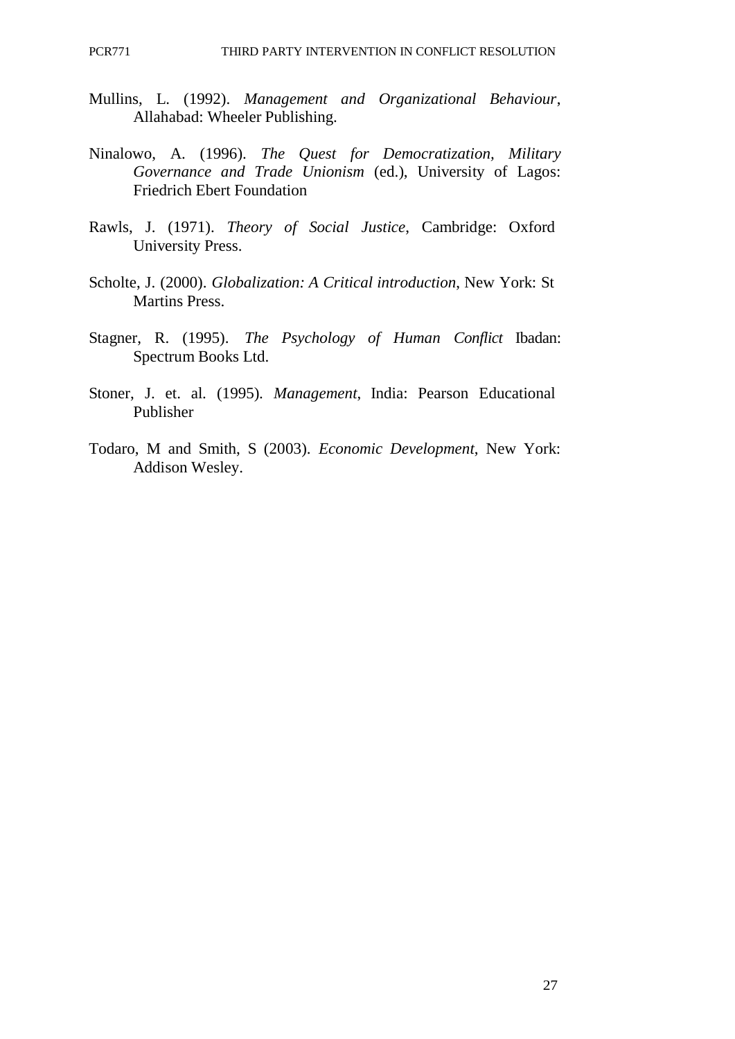- Mullins, L. (1992). *Management and Organizational Behaviour*, Allahabad: Wheeler Publishing.
- Ninalowo, A. (1996). *The Quest for Democratization, Military Governance and Trade Unionism* (ed.), University of Lagos: Friedrich Ebert Foundation
- Rawls, J. (1971). *Theory of Social Justice*, Cambridge: Oxford University Press.
- Scholte, J. (2000). *Globalization: A Critical introduction*, New York: St Martins Press.
- Stagner, R. (1995). *The Psychology of Human Conflict* Ibadan: Spectrum Books Ltd.
- Stoner, J. et. al. (1995). *Management*, India: Pearson Educational Publisher
- Todaro, M and Smith, S (2003). *Economic Development*, New York: Addison Wesley.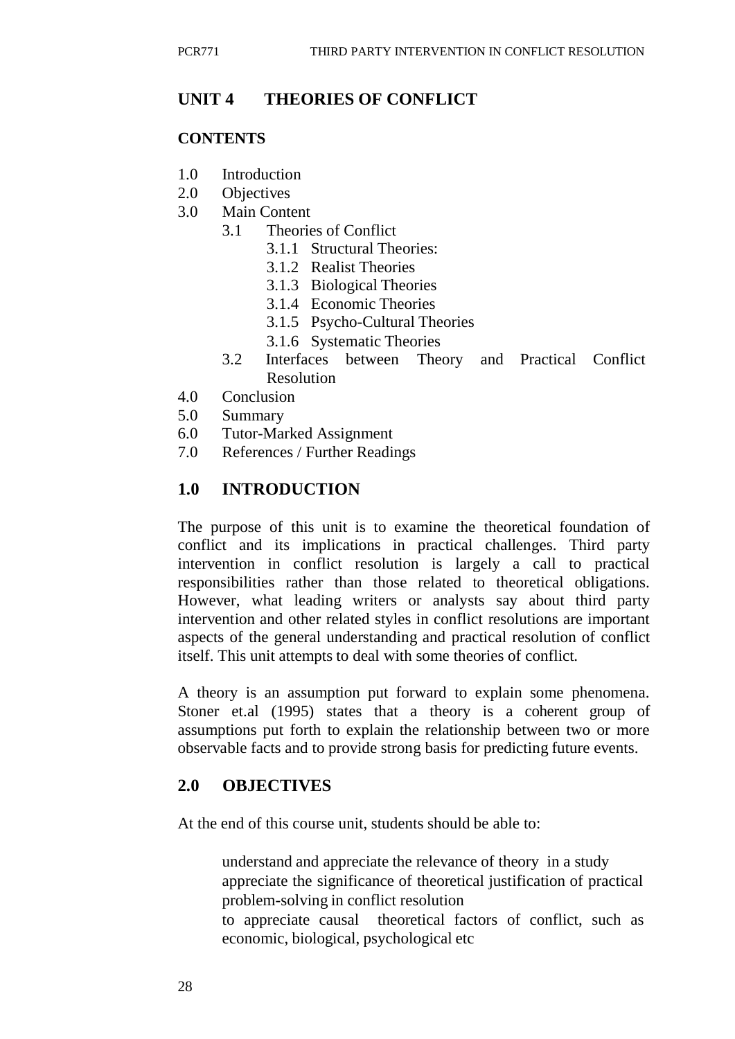### **UNIT 4 THEORIES OF CONFLICT**

#### **CONTENTS**

- 1.0 Introduction
- 2.0 Objectives
- 3.0 Main Content
	- 3.1 Theories of Conflict
		- 3.1.1 Structural Theories:
		- 3.1.2 Realist Theories
		- 3.1.3 Biological Theories
		- 3.1.4 Economic Theories
		- 3.1.5 Psycho-Cultural Theories
		- 3.1.6 Systematic Theories
	- 3.2 Interfaces between Theory and Practical Conflict Resolution
- 4.0 Conclusion
- 5.0 Summary
- 6.0 Tutor-Marked Assignment
- 7.0 References / Further Readings

### **1.0 INTRODUCTION**

The purpose of this unit is to examine the theoretical foundation of conflict and its implications in practical challenges. Third party intervention in conflict resolution is largely a call to practical responsibilities rather than those related to theoretical obligations. However, what leading writers or analysts say about third party intervention and other related styles in conflict resolutions are important aspects of the general understanding and practical resolution of conflict itself. This unit attempts to deal with some theories of conflict.

A theory is an assumption put forward to explain some phenomena. Stoner et.al (1995) states that a theory is a coherent group of assumptions put forth to explain the relationship between two or more observable facts and to provide strong basis for predicting future events.

#### **2.0 OBJECTIVES**

At the end of this course unit, students should be able to:

understand and appreciate the relevance of theory in a study appreciate the significance of theoretical justification of practical problem-solving in conflict resolution to appreciate causal theoretical factors of conflict, such as economic, biological, psychological etc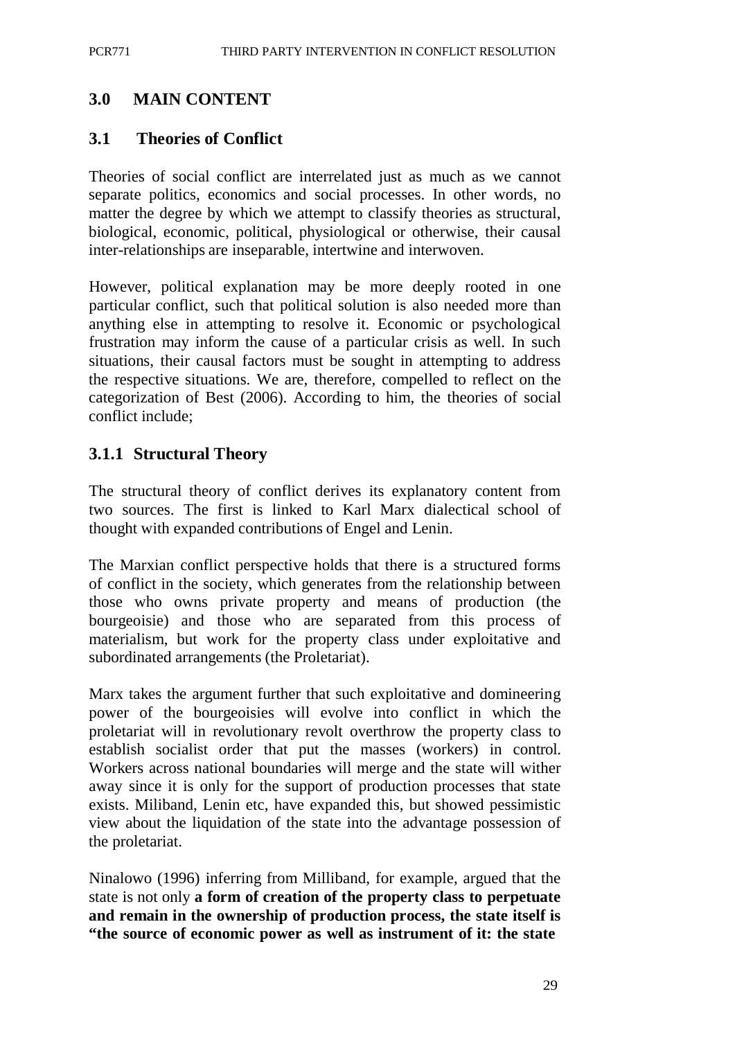### **3.0 MAIN CONTENT**

### **3.1 Theories of Conflict**

Theories of social conflict are interrelated just as much as we cannot separate politics, economics and social processes. In other words, no matter the degree by which we attempt to classify theories as structural, biological, economic, political, physiological or otherwise, their causal inter-relationships are inseparable, intertwine and interwoven.

However, political explanation may be more deeply rooted in one particular conflict, such that political solution is also needed more than anything else in attempting to resolve it. Economic or psychological frustration may inform the cause of a particular crisis as well. In such situations, their causal factors must be sought in attempting to address the respective situations. We are, therefore, compelled to reflect on the categorization of Best (2006). According to him, the theories of social conflict include;

#### **3.1.1 Structural Theory**

The structural theory of conflict derives its explanatory content from two sources. The first is linked to Karl Marx dialectical school of thought with expanded contributions of Engel and Lenin.

The Marxian conflict perspective holds that there is a structured forms of conflict in the society, which generates from the relationship between those who owns private property and means of production (the bourgeoisie) and those who are separated from this process of materialism, but work for the property class under exploitative and subordinated arrangements (the Proletariat).

Marx takes the argument further that such exploitative and domineering power of the bourgeoisies will evolve into conflict in which the proletariat will in revolutionary revolt overthrow the property class to establish socialist order that put the masses (workers) in control. Workers across national boundaries will merge and the state will wither away since it is only for the support of production processes that state exists. Miliband, Lenin etc, have expanded this, but showed pessimistic view about the liquidation of the state into the advantage possession of the proletariat.

Ninalowo (1996) inferring from Milliband, for example, argued that the state is not only **a form of creation of the property class to perpetuate and remain in the ownership of production process, the state itself is "the source of economic power as well as instrument of it: the state**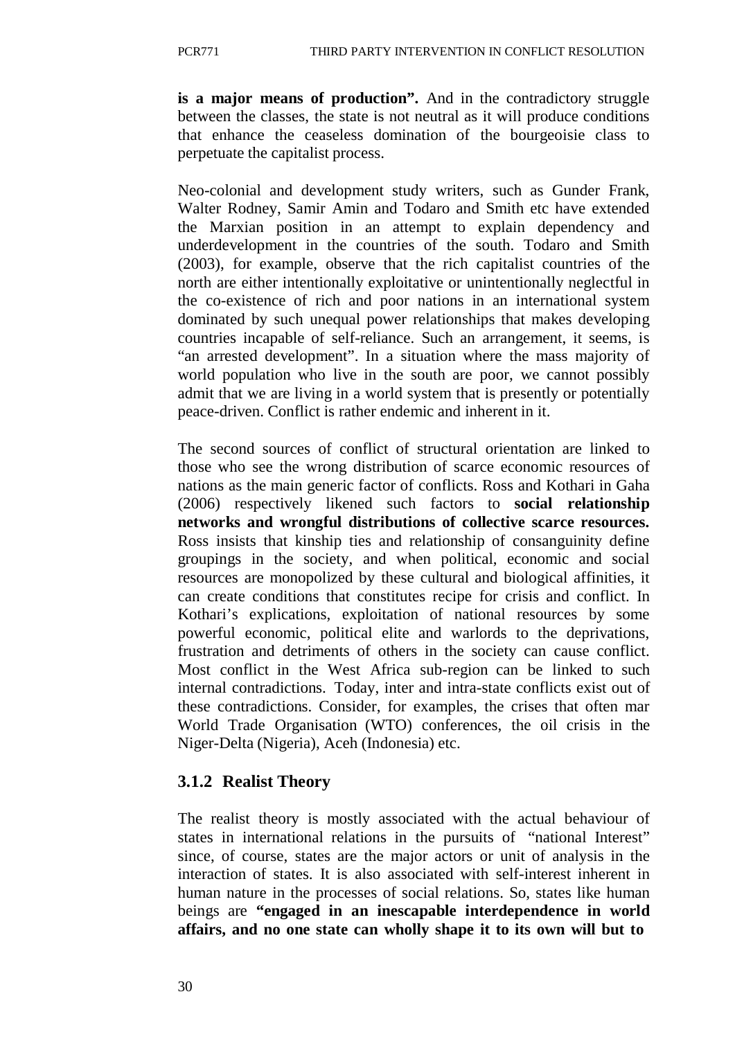**is a major means of production".** And in the contradictory struggle between the classes, the state is not neutral as it will produce conditions that enhance the ceaseless domination of the bourgeoisie class to perpetuate the capitalist process.

Neo-colonial and development study writers, such as Gunder Frank, Walter Rodney, Samir Amin and Todaro and Smith etc have extended the Marxian position in an attempt to explain dependency and underdevelopment in the countries of the south. Todaro and Smith (2003), for example, observe that the rich capitalist countries of the north are either intentionally exploitative or unintentionally neglectful in the co-existence of rich and poor nations in an international system dominated by such unequal power relationships that makes developing countries incapable of self-reliance. Such an arrangement, it seems, is "an arrested development". In a situation where the mass majority of world population who live in the south are poor, we cannot possibly admit that we are living in a world system that is presently or potentially peace-driven. Conflict is rather endemic and inherent in it.

The second sources of conflict of structural orientation are linked to those who see the wrong distribution of scarce economic resources of nations as the main generic factor of conflicts. Ross and Kothari in Gaha (2006) respectively likened such factors to **social relationship networks and wrongful distributions of collective scarce resources.**  Ross insists that kinship ties and relationship of consanguinity define groupings in the society, and when political, economic and social resources are monopolized by these cultural and biological affinities, it can create conditions that constitutes recipe for crisis and conflict. In Kothari's explications, exploitation of national resources by some powerful economic, political elite and warlords to the deprivations, frustration and detriments of others in the society can cause conflict. Most conflict in the West Africa sub-region can be linked to such internal contradictions. Today, inter and intra-state conflicts exist out of these contradictions. Consider, for examples, the crises that often mar World Trade Organisation (WTO) conferences, the oil crisis in the Niger-Delta (Nigeria), Aceh (Indonesia) etc.

### **3.1.2 Realist Theory**

The realist theory is mostly associated with the actual behaviour of states in international relations in the pursuits of "national Interest" since, of course, states are the major actors or unit of analysis in the interaction of states. It is also associated with self-interest inherent in human nature in the processes of social relations. So, states like human beings are **"engaged in an inescapable interdependence in world affairs, and no one state can wholly shape it to its own will but to**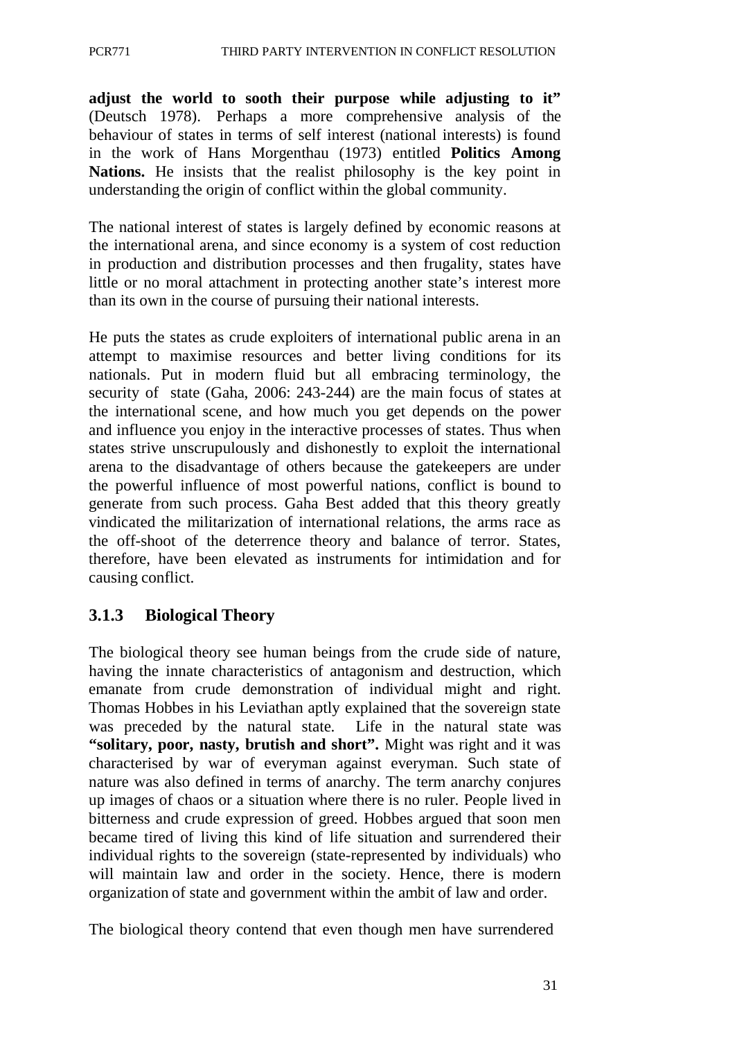**adjust the world to sooth their purpose while adjusting to it"**  (Deutsch 1978). Perhaps a more comprehensive analysis of the behaviour of states in terms of self interest (national interests) is found in the work of Hans Morgenthau (1973) entitled **Politics Among**  Nations. He insists that the realist philosophy is the key point in understanding the origin of conflict within the global community.

The national interest of states is largely defined by economic reasons at the international arena, and since economy is a system of cost reduction in production and distribution processes and then frugality, states have little or no moral attachment in protecting another state's interest more than its own in the course of pursuing their national interests.

He puts the states as crude exploiters of international public arena in an attempt to maximise resources and better living conditions for its nationals. Put in modern fluid but all embracing terminology, the security of state (Gaha, 2006: 243-244) are the main focus of states at the international scene, and how much you get depends on the power and influence you enjoy in the interactive processes of states. Thus when states strive unscrupulously and dishonestly to exploit the international arena to the disadvantage of others because the gatekeepers are under the powerful influence of most powerful nations, conflict is bound to generate from such process. Gaha Best added that this theory greatly vindicated the militarization of international relations, the arms race as the off-shoot of the deterrence theory and balance of terror. States, therefore, have been elevated as instruments for intimidation and for causing conflict.

## **3.1.3 Biological Theory**

The biological theory see human beings from the crude side of nature, having the innate characteristics of antagonism and destruction, which emanate from crude demonstration of individual might and right. Thomas Hobbes in his Leviathan aptly explained that the sovereign state was preceded by the natural state. Life in the natural state was **"solitary, poor, nasty, brutish and short".** Might was right and it was characterised by war of everyman against everyman. Such state of nature was also defined in terms of anarchy. The term anarchy conjures up images of chaos or a situation where there is no ruler. People lived in bitterness and crude expression of greed. Hobbes argued that soon men became tired of living this kind of life situation and surrendered their individual rights to the sovereign (state-represented by individuals) who will maintain law and order in the society. Hence, there is modern organization of state and government within the ambit of law and order.

The biological theory contend that even though men have surrendered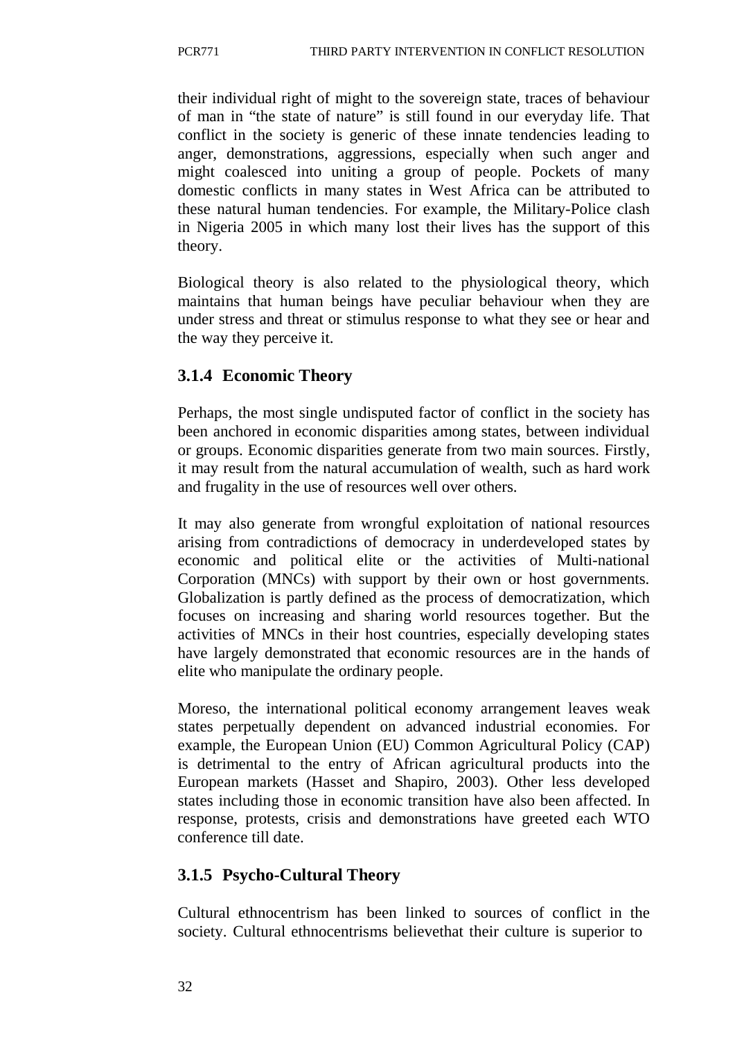their individual right of might to the sovereign state, traces of behaviour of man in "the state of nature" is still found in our everyday life. That conflict in the society is generic of these innate tendencies leading to anger, demonstrations, aggressions, especially when such anger and might coalesced into uniting a group of people. Pockets of many domestic conflicts in many states in West Africa can be attributed to these natural human tendencies. For example, the Military-Police clash in Nigeria 2005 in which many lost their lives has the support of this theory.

Biological theory is also related to the physiological theory, which maintains that human beings have peculiar behaviour when they are under stress and threat or stimulus response to what they see or hear and the way they perceive it.

# **3.1.4 Economic Theory**

Perhaps, the most single undisputed factor of conflict in the society has been anchored in economic disparities among states, between individual or groups. Economic disparities generate from two main sources. Firstly, it may result from the natural accumulation of wealth, such as hard work and frugality in the use of resources well over others.

It may also generate from wrongful exploitation of national resources arising from contradictions of democracy in underdeveloped states by economic and political elite or the activities of Multi-national Corporation (MNCs) with support by their own or host governments. Globalization is partly defined as the process of democratization, which focuses on increasing and sharing world resources together. But the activities of MNCs in their host countries, especially developing states have largely demonstrated that economic resources are in the hands of elite who manipulate the ordinary people.

Moreso, the international political economy arrangement leaves weak states perpetually dependent on advanced industrial economies. For example, the European Union (EU) Common Agricultural Policy (CAP) is detrimental to the entry of African agricultural products into the European markets (Hasset and Shapiro, 2003). Other less developed states including those in economic transition have also been affected. In response, protests, crisis and demonstrations have greeted each WTO conference till date.

# **3.1.5 Psycho-Cultural Theory**

Cultural ethnocentrism has been linked to sources of conflict in the society. Cultural ethnocentrisms believethat their culture is superior to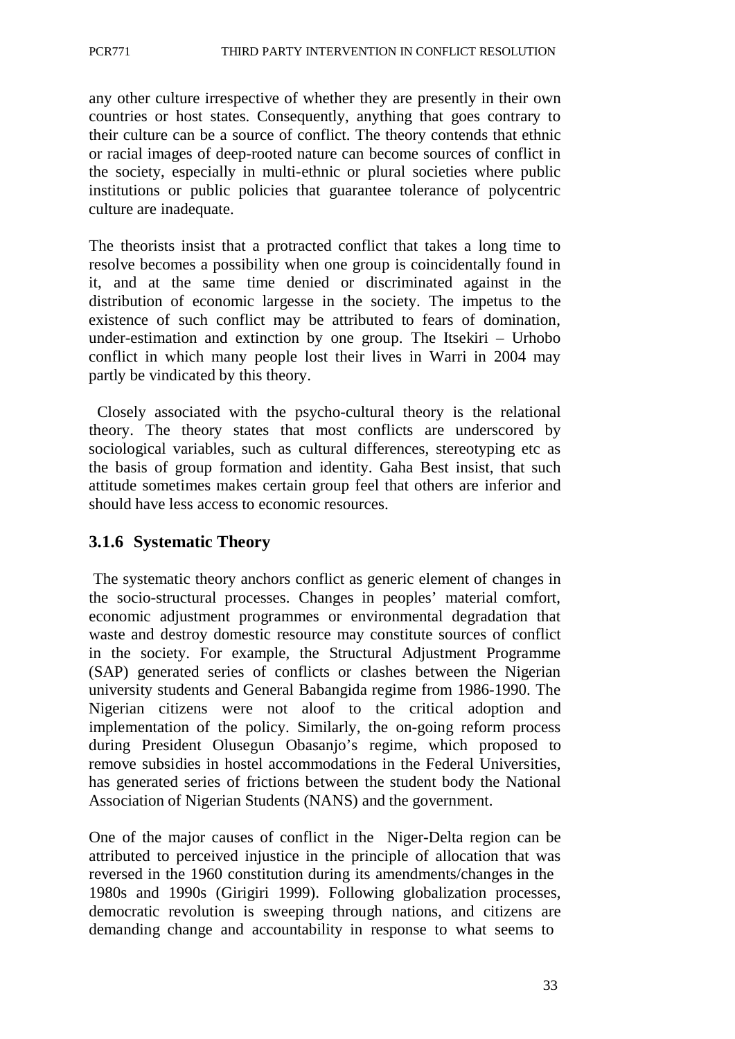any other culture irrespective of whether they are presently in their own countries or host states. Consequently, anything that goes contrary to their culture can be a source of conflict. The theory contends that ethnic or racial images of deep-rooted nature can become sources of conflict in the society, especially in multi-ethnic or plural societies where public institutions or public policies that guarantee tolerance of polycentric culture are inadequate.

The theorists insist that a protracted conflict that takes a long time to resolve becomes a possibility when one group is coincidentally found in it, and at the same time denied or discriminated against in the distribution of economic largesse in the society. The impetus to the existence of such conflict may be attributed to fears of domination, under-estimation and extinction by one group. The Itsekiri – Urhobo conflict in which many people lost their lives in Warri in 2004 may partly be vindicated by this theory.

Closely associated with the psycho-cultural theory is the relational theory. The theory states that most conflicts are underscored by sociological variables, such as cultural differences, stereotyping etc as the basis of group formation and identity. Gaha Best insist, that such attitude sometimes makes certain group feel that others are inferior and should have less access to economic resources.

## **3.1.6 Systematic Theory**

The systematic theory anchors conflict as generic element of changes in the socio-structural processes. Changes in peoples' material comfort, economic adjustment programmes or environmental degradation that waste and destroy domestic resource may constitute sources of conflict in the society. For example, the Structural Adjustment Programme (SAP) generated series of conflicts or clashes between the Nigerian university students and General Babangida regime from 1986-1990. The Nigerian citizens were not aloof to the critical adoption and implementation of the policy. Similarly, the on-going reform process during President Olusegun Obasanjo's regime, which proposed to remove subsidies in hostel accommodations in the Federal Universities, has generated series of frictions between the student body the National Association of Nigerian Students (NANS) and the government.

One of the major causes of conflict in the Niger-Delta region can be attributed to perceived injustice in the principle of allocation that was reversed in the 1960 constitution during its amendments/changes in the 1980s and 1990s (Girigiri 1999). Following globalization processes, democratic revolution is sweeping through nations, and citizens are demanding change and accountability in response to what seems to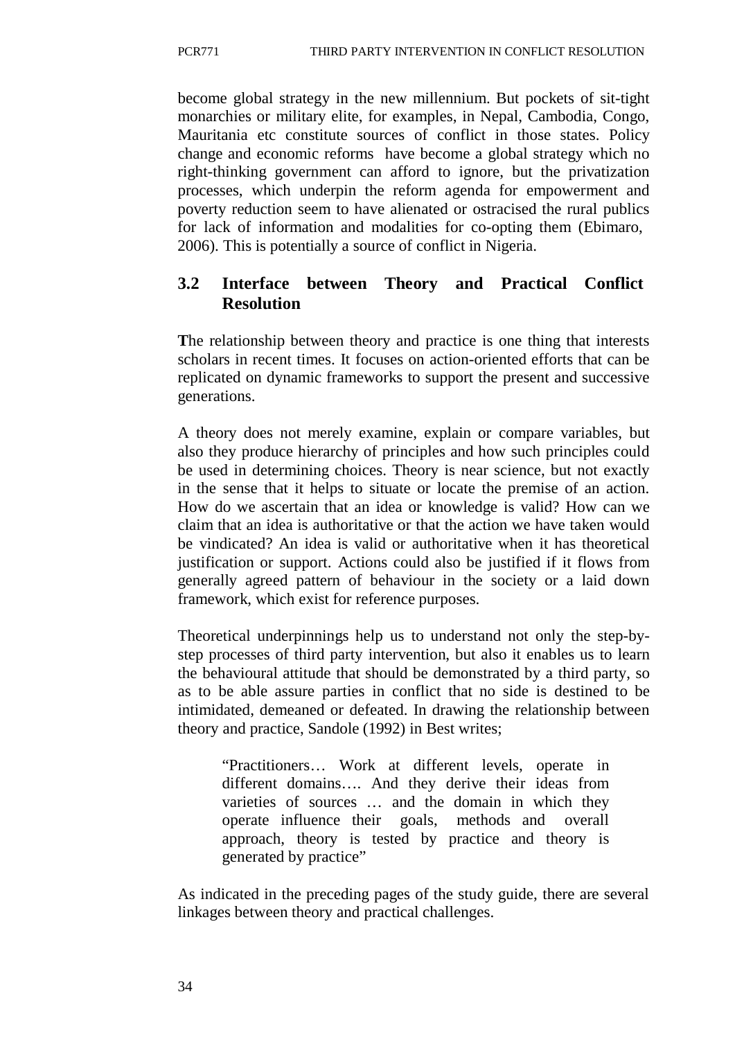become global strategy in the new millennium. But pockets of sit-tight monarchies or military elite, for examples, in Nepal, Cambodia, Congo, Mauritania etc constitute sources of conflict in those states. Policy change and economic reforms have become a global strategy which no right-thinking government can afford to ignore, but the privatization processes, which underpin the reform agenda for empowerment and poverty reduction seem to have alienated or ostracised the rural publics for lack of information and modalities for co-opting them (Ebimaro, 2006). This is potentially a source of conflict in Nigeria.

# **3.2 Interface between Theory and Practical Conflict Resolution**

**T**he relationship between theory and practice is one thing that interests scholars in recent times. It focuses on action-oriented efforts that can be replicated on dynamic frameworks to support the present and successive generations.

A theory does not merely examine, explain or compare variables, but also they produce hierarchy of principles and how such principles could be used in determining choices. Theory is near science, but not exactly in the sense that it helps to situate or locate the premise of an action. How do we ascertain that an idea or knowledge is valid? How can we claim that an idea is authoritative or that the action we have taken would be vindicated? An idea is valid or authoritative when it has theoretical justification or support. Actions could also be justified if it flows from generally agreed pattern of behaviour in the society or a laid down framework, which exist for reference purposes.

Theoretical underpinnings help us to understand not only the step-bystep processes of third party intervention, but also it enables us to learn the behavioural attitude that should be demonstrated by a third party, so as to be able assure parties in conflict that no side is destined to be intimidated, demeaned or defeated. In drawing the relationship between theory and practice, Sandole (1992) in Best writes;

"Practitioners… Work at different levels, operate in different domains…. And they derive their ideas from varieties of sources … and the domain in which they operate influence their goals, methods and overall approach, theory is tested by practice and theory is generated by practice"

As indicated in the preceding pages of the study guide, there are several linkages between theory and practical challenges.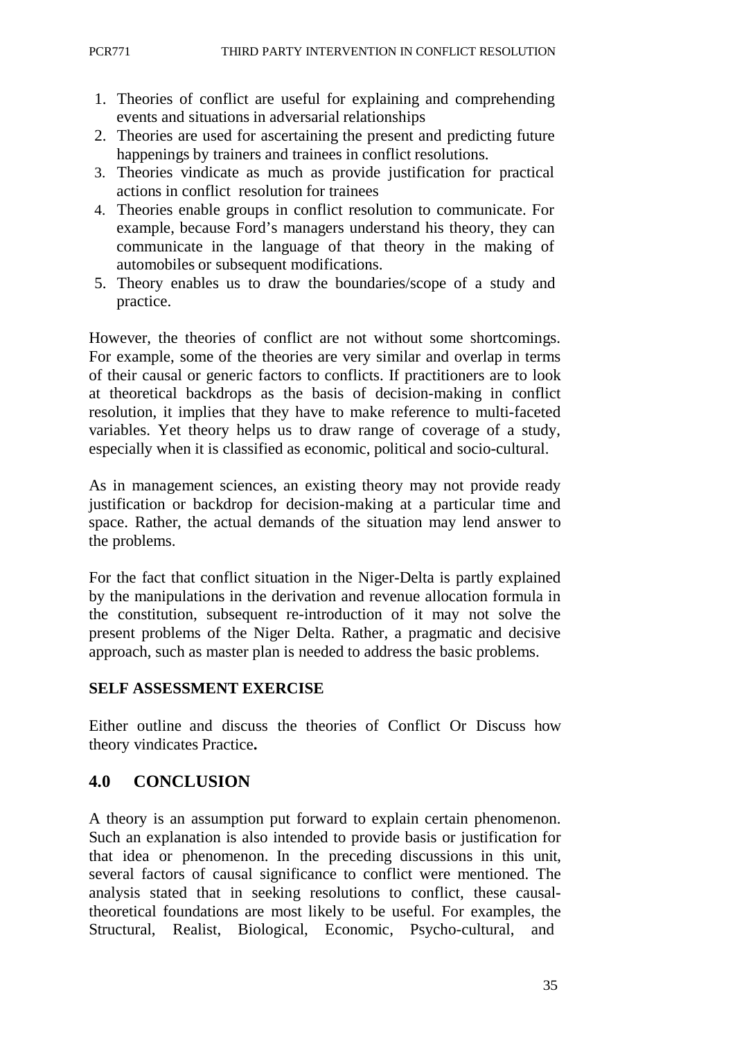- 1. Theories of conflict are useful for explaining and comprehending events and situations in adversarial relationships
- 2. Theories are used for ascertaining the present and predicting future happenings by trainers and trainees in conflict resolutions.
- 3. Theories vindicate as much as provide justification for practical actions in conflict resolution for trainees
- 4. Theories enable groups in conflict resolution to communicate. For example, because Ford's managers understand his theory, they can communicate in the language of that theory in the making of automobiles or subsequent modifications.
- 5. Theory enables us to draw the boundaries/scope of a study and practice.

However, the theories of conflict are not without some shortcomings. For example, some of the theories are very similar and overlap in terms of their causal or generic factors to conflicts. If practitioners are to look at theoretical backdrops as the basis of decision-making in conflict resolution, it implies that they have to make reference to multi-faceted variables. Yet theory helps us to draw range of coverage of a study, especially when it is classified as economic, political and socio-cultural.

As in management sciences, an existing theory may not provide ready justification or backdrop for decision-making at a particular time and space. Rather, the actual demands of the situation may lend answer to the problems.

For the fact that conflict situation in the Niger-Delta is partly explained by the manipulations in the derivation and revenue allocation formula in the constitution, subsequent re-introduction of it may not solve the present problems of the Niger Delta. Rather, a pragmatic and decisive approach, such as master plan is needed to address the basic problems.

## **SELF ASSESSMENT EXERCISE**

Either outline and discuss the theories of Conflict Or Discuss how theory vindicates Practice**.**

# **4.0 CONCLUSION**

A theory is an assumption put forward to explain certain phenomenon. Such an explanation is also intended to provide basis or justification for that idea or phenomenon. In the preceding discussions in this unit, several factors of causal significance to conflict were mentioned. The analysis stated that in seeking resolutions to conflict, these causaltheoretical foundations are most likely to be useful. For examples, the Structural, Realist, Biological, Economic, Psycho-cultural, and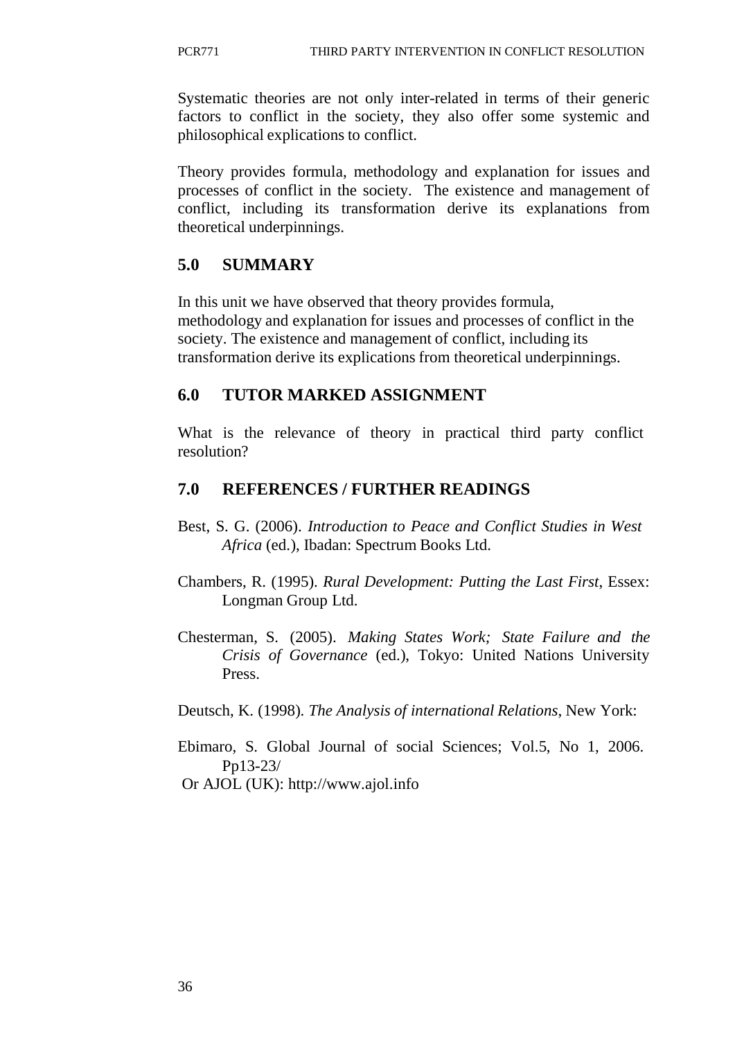Systematic theories are not only inter-related in terms of their generic factors to conflict in the society, they also offer some systemic and philosophical explications to conflict.

Theory provides formula, methodology and explanation for issues and processes of conflict in the society. The existence and management of conflict, including its transformation derive its explanations from theoretical underpinnings.

### **5.0 SUMMARY**

In this unit we have observed that theory provides formula, methodology and explanation for issues and processes of conflict in the society. The existence and management of conflict, including its transformation derive its explications from theoretical underpinnings.

### **6.0 TUTOR MARKED ASSIGNMENT**

What is the relevance of theory in practical third party conflict resolution?

### **7.0 REFERENCES / FURTHER READINGS**

- Best, S. G. (2006). *Introduction to Peace and Conflict Studies in West Africa* (ed.), Ibadan: Spectrum Books Ltd.
- Chambers, R. (1995). *Rural Development: Putting the Last First*, Essex: Longman Group Ltd.
- Chesterman, S. (2005). *Making States Work; State Failure and the Crisis of Governance* (ed.), Tokyo: United Nations University Press.

Deutsch, K. (1998). *The Analysis of international Relations*, New York:

Ebimaro, S. Global Journal of social Sciences; Vol.5, No 1, 2006. Pp13-23/

Or AJOL (UK): [http://www.ajol.info](http://www.ajol.info/)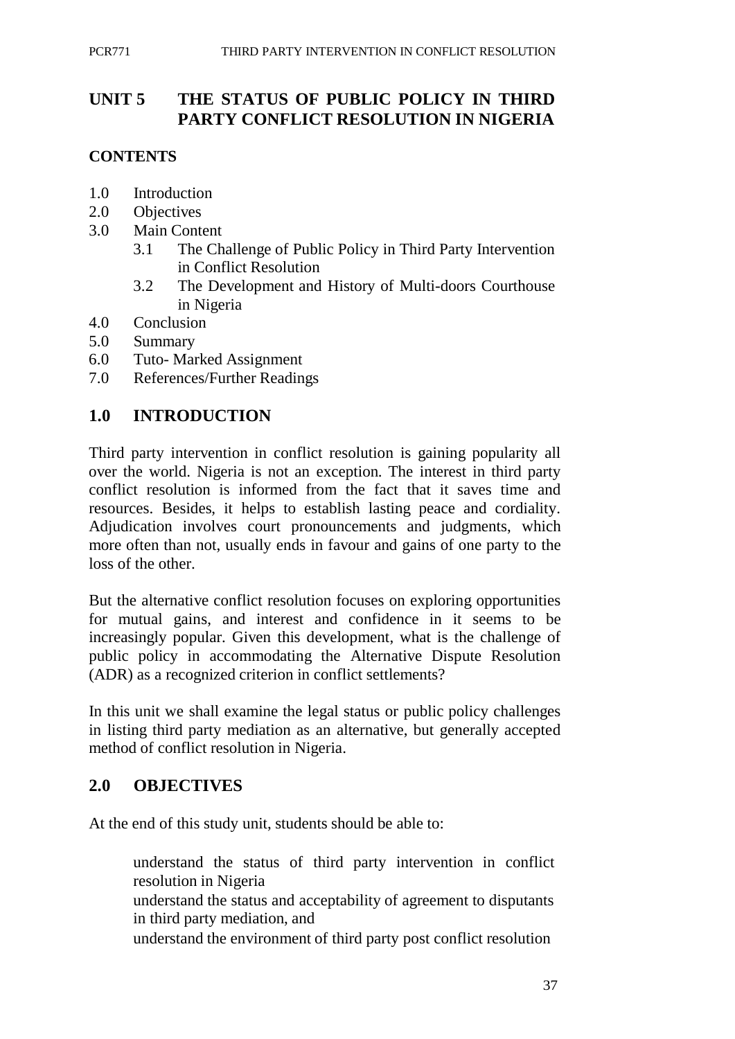# **UNIT 5 THE STATUS OF PUBLIC POLICY IN THIRD PARTY CONFLICT RESOLUTION IN NIGERIA**

## **CONTENTS**

- 1.0 Introduction
- 2.0 Objectives
- 3.0 Main Content
	- 3.1 The Challenge of Public Policy in Third Party Intervention in Conflict Resolution
	- 3.2 The Development and History of Multi-doors Courthouse in Nigeria
- 4.0 Conclusion
- 5.0 Summary
- 6.0 Tuto- Marked Assignment
- 7.0 References/Further Readings

## **1.0 INTRODUCTION**

Third party intervention in conflict resolution is gaining popularity all over the world. Nigeria is not an exception. The interest in third party conflict resolution is informed from the fact that it saves time and resources. Besides, it helps to establish lasting peace and cordiality. Adjudication involves court pronouncements and judgments, which more often than not, usually ends in favour and gains of one party to the loss of the other.

But the alternative conflict resolution focuses on exploring opportunities for mutual gains, and interest and confidence in it seems to be increasingly popular. Given this development, what is the challenge of public policy in accommodating the Alternative Dispute Resolution (ADR) as a recognized criterion in conflict settlements?

In this unit we shall examine the legal status or public policy challenges in listing third party mediation as an alternative, but generally accepted method of conflict resolution in Nigeria.

# **2.0 OBJECTIVES**

At the end of this study unit, students should be able to:

understand the status of third party intervention in conflict resolution in Nigeria

understand the status and acceptability of agreement to disputants in third party mediation, and

understand the environment of third party post conflict resolution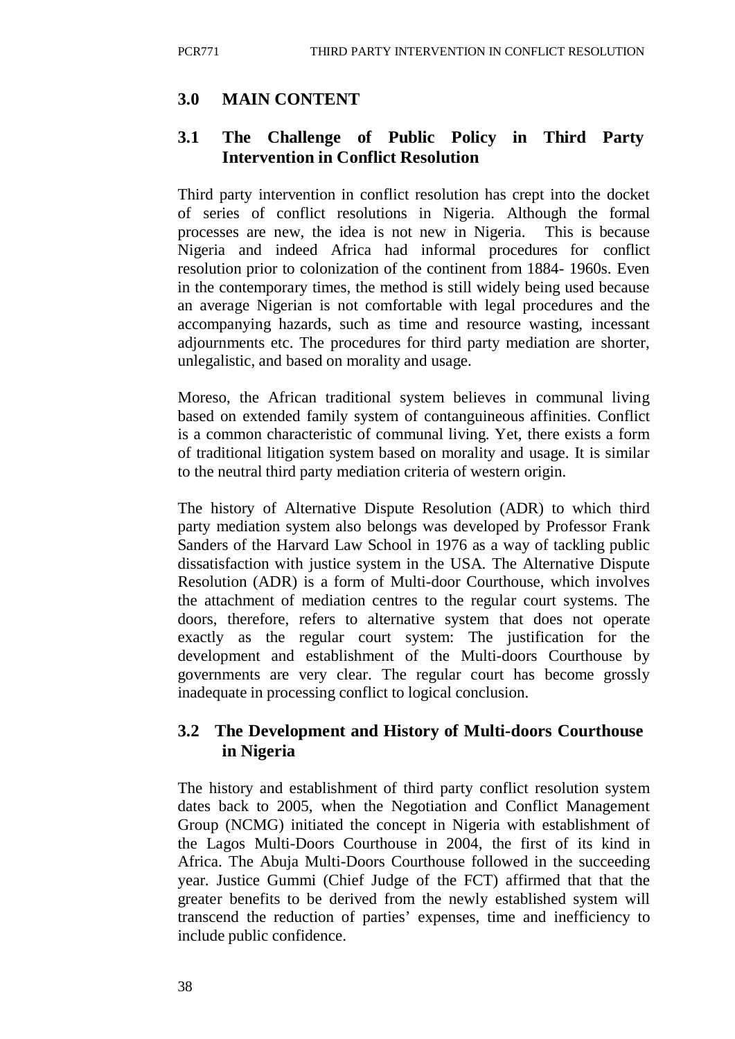## **3.0 MAIN CONTENT**

### **3.1 The Challenge of Public Policy in Third Party Intervention in Conflict Resolution**

Third party intervention in conflict resolution has crept into the docket of series of conflict resolutions in Nigeria. Although the formal processes are new, the idea is not new in Nigeria. This is because Nigeria and indeed Africa had informal procedures for conflict resolution prior to colonization of the continent from 1884- 1960s. Even in the contemporary times, the method is still widely being used because an average Nigerian is not comfortable with legal procedures and the accompanying hazards, such as time and resource wasting, incessant adjournments etc. The procedures for third party mediation are shorter, unlegalistic, and based on morality and usage.

Moreso, the African traditional system believes in communal living based on extended family system of contanguineous affinities. Conflict is a common characteristic of communal living. Yet, there exists a form of traditional litigation system based on morality and usage. It is similar to the neutral third party mediation criteria of western origin.

The history of Alternative Dispute Resolution (ADR) to which third party mediation system also belongs was developed by Professor Frank Sanders of the Harvard Law School in 1976 as a way of tackling public dissatisfaction with justice system in the USA. The Alternative Dispute Resolution (ADR) is a form of Multi-door Courthouse, which involves the attachment of mediation centres to the regular court systems. The doors, therefore, refers to alternative system that does not operate exactly as the regular court system: The justification for the development and establishment of the Multi-doors Courthouse by governments are very clear. The regular court has become grossly inadequate in processing conflict to logical conclusion.

# **3.2 The Development and History of Multi-doors Courthouse in Nigeria**

The history and establishment of third party conflict resolution system dates back to 2005, when the Negotiation and Conflict Management Group (NCMG) initiated the concept in Nigeria with establishment of the Lagos Multi-Doors Courthouse in 2004, the first of its kind in Africa. The Abuja Multi-Doors Courthouse followed in the succeeding year. Justice Gummi (Chief Judge of the FCT) affirmed that that the greater benefits to be derived from the newly established system will transcend the reduction of parties' expenses, time and inefficiency to include public confidence.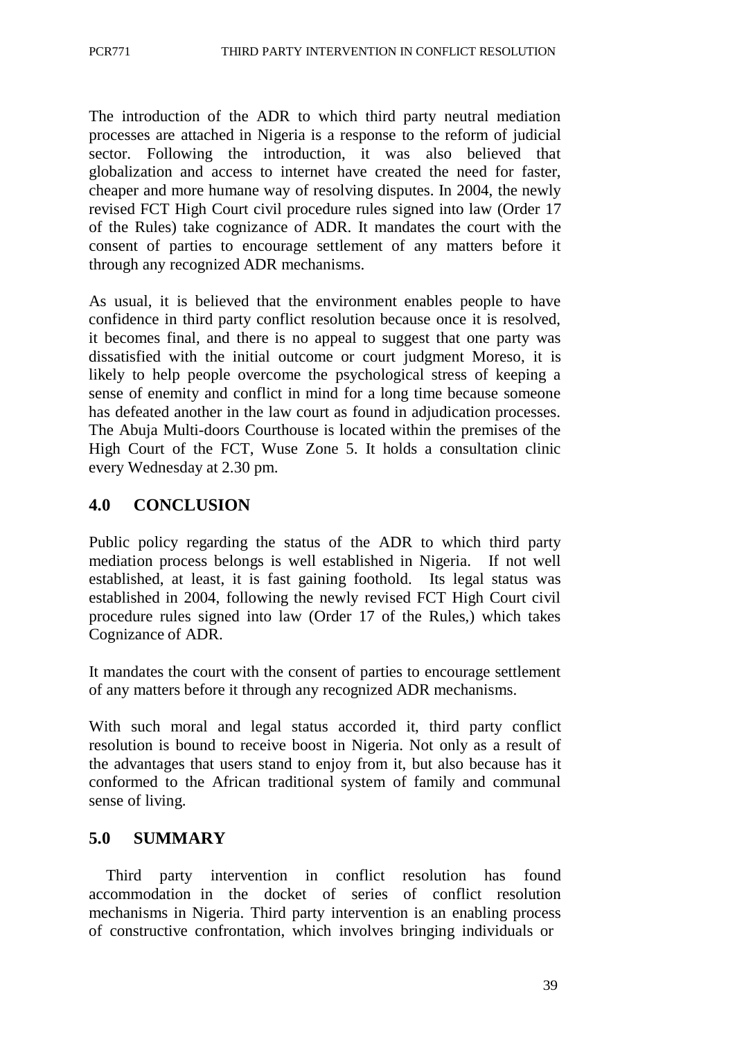The introduction of the ADR to which third party neutral mediation processes are attached in Nigeria is a response to the reform of judicial sector. Following the introduction, it was also believed that globalization and access to internet have created the need for faster, cheaper and more humane way of resolving disputes. In 2004, the newly revised FCT High Court civil procedure rules signed into law (Order 17 of the Rules) take cognizance of ADR. It mandates the court with the consent of parties to encourage settlement of any matters before it through any recognized ADR mechanisms.

As usual, it is believed that the environment enables people to have confidence in third party conflict resolution because once it is resolved, it becomes final, and there is no appeal to suggest that one party was dissatisfied with the initial outcome or court judgment Moreso, it is likely to help people overcome the psychological stress of keeping a sense of enemity and conflict in mind for a long time because someone has defeated another in the law court as found in adjudication processes. The Abuja Multi-doors Courthouse is located within the premises of the High Court of the FCT, Wuse Zone 5. It holds a consultation clinic every Wednesday at 2.30 pm.

## **4.0 CONCLUSION**

Public policy regarding the status of the ADR to which third party mediation process belongs is well established in Nigeria. If not well established, at least, it is fast gaining foothold. Its legal status was established in 2004, following the newly revised FCT High Court civil procedure rules signed into law (Order 17 of the Rules,) which takes Cognizance of ADR.

It mandates the court with the consent of parties to encourage settlement of any matters before it through any recognized ADR mechanisms.

With such moral and legal status accorded it, third party conflict resolution is bound to receive boost in Nigeria. Not only as a result of the advantages that users stand to enjoy from it, but also because has it conformed to the African traditional system of family and communal sense of living.

### **5.0 SUMMARY**

Third party intervention in conflict resolution has found accommodation in the docket of series of conflict resolution mechanisms in Nigeria. Third party intervention is an enabling process of constructive confrontation, which involves bringing individuals or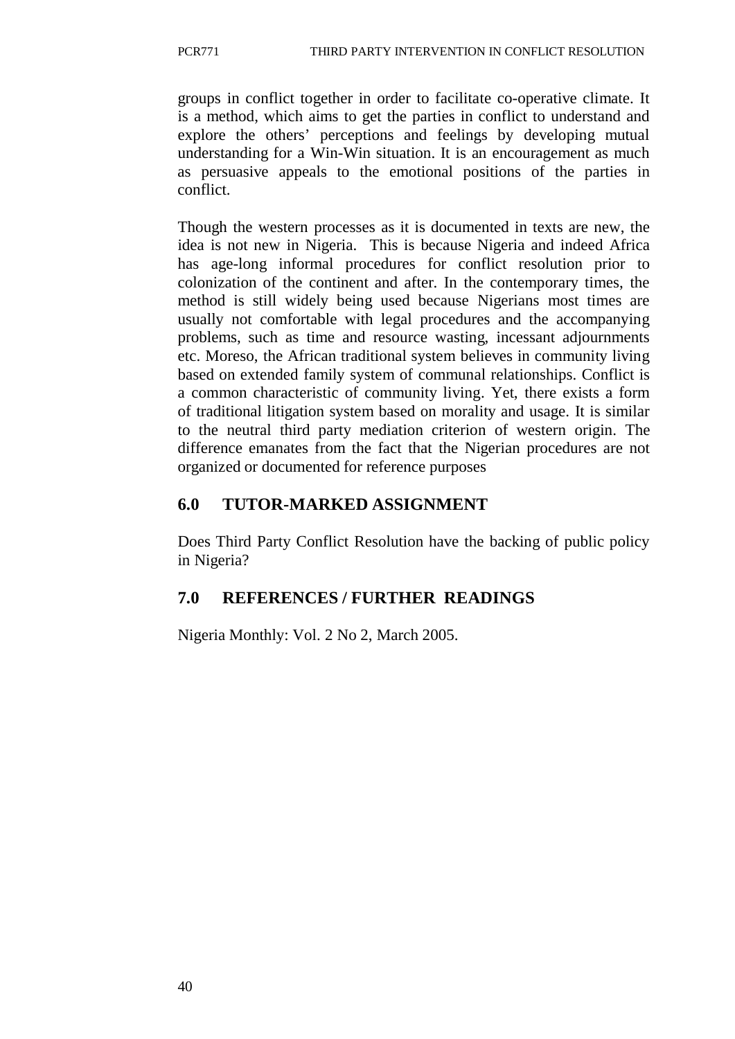groups in conflict together in order to facilitate co-operative climate. It is a method, which aims to get the parties in conflict to understand and explore the others' perceptions and feelings by developing mutual understanding for a Win-Win situation. It is an encouragement as much as persuasive appeals to the emotional positions of the parties in conflict.

Though the western processes as it is documented in texts are new, the idea is not new in Nigeria. This is because Nigeria and indeed Africa has age-long informal procedures for conflict resolution prior to colonization of the continent and after. In the contemporary times, the method is still widely being used because Nigerians most times are usually not comfortable with legal procedures and the accompanying problems, such as time and resource wasting, incessant adjournments etc. Moreso, the African traditional system believes in community living based on extended family system of communal relationships. Conflict is a common characteristic of community living. Yet, there exists a form of traditional litigation system based on morality and usage. It is similar to the neutral third party mediation criterion of western origin. The difference emanates from the fact that the Nigerian procedures are not organized or documented for reference purposes

# **6.0 TUTOR-MARKED ASSIGNMENT**

Does Third Party Conflict Resolution have the backing of public policy in Nigeria?

# **7.0 REFERENCES / FURTHER READINGS**

Nigeria Monthly: Vol. 2 No 2, March 2005.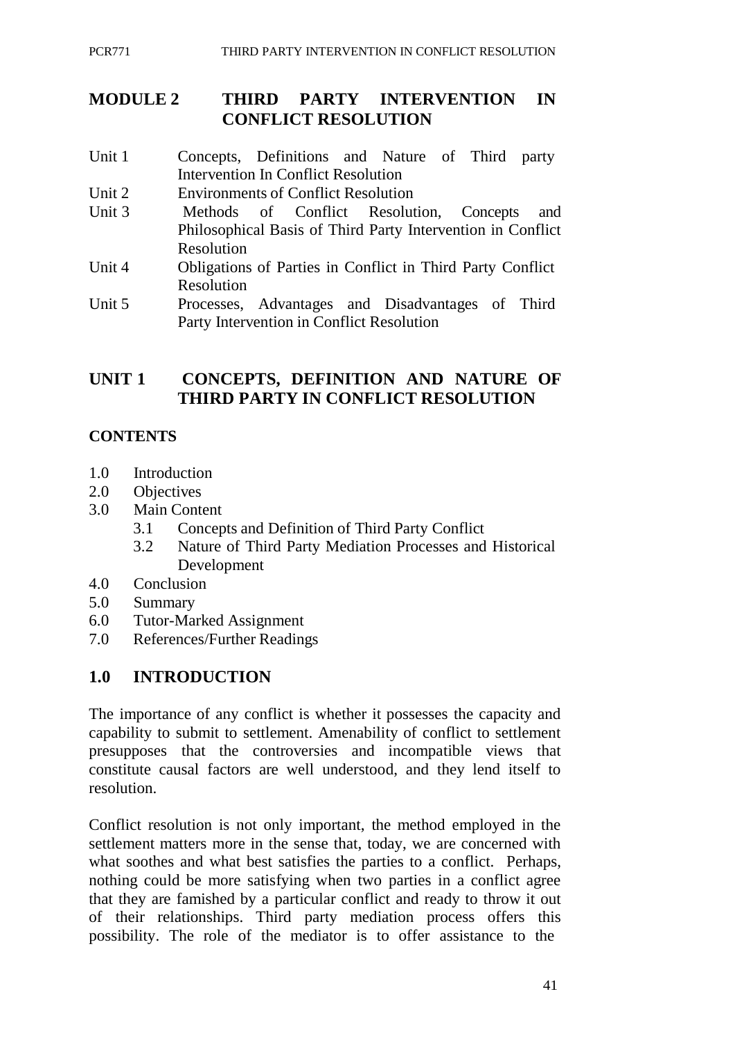## **MODULE 2 THIRD PARTY INTERVENTION IN CONFLICT RESOLUTION**

- Unit 1 Concepts, Definitions and Nature of Third party Intervention In Conflict Resolution
- Unit 2 Environments of Conflict Resolution
- Unit 3 Methods of Conflict Resolution, Concepts and Philosophical Basis of Third Party Intervention in Conflict Resolution
- Unit 4 Obligations of Parties in Conflict in Third Party Conflict Resolution
- Unit 5 Processes, Advantages and Disadvantages of Third Party Intervention in Conflict Resolution

## **UNIT 1 CONCEPTS, DEFINITION AND NATURE OF THIRD PARTY IN CONFLICT RESOLUTION**

### **CONTENTS**

- 1.0 Introduction
- 2.0 Objectives
- 3.0 Main Content
	- 3.1 Concepts and Definition of Third Party Conflict
	- 3.2 Nature of Third Party Mediation Processes and Historical Development
- 4.0 Conclusion
- 5.0 Summary
- 6.0 Tutor-Marked Assignment
- 7.0 References/Further Readings

## **1.0 INTRODUCTION**

The importance of any conflict is whether it possesses the capacity and capability to submit to settlement. Amenability of conflict to settlement presupposes that the controversies and incompatible views that constitute causal factors are well understood, and they lend itself to resolution.

Conflict resolution is not only important, the method employed in the settlement matters more in the sense that, today, we are concerned with what soothes and what best satisfies the parties to a conflict. Perhaps, nothing could be more satisfying when two parties in a conflict agree that they are famished by a particular conflict and ready to throw it out of their relationships. Third party mediation process offers this possibility. The role of the mediator is to offer assistance to the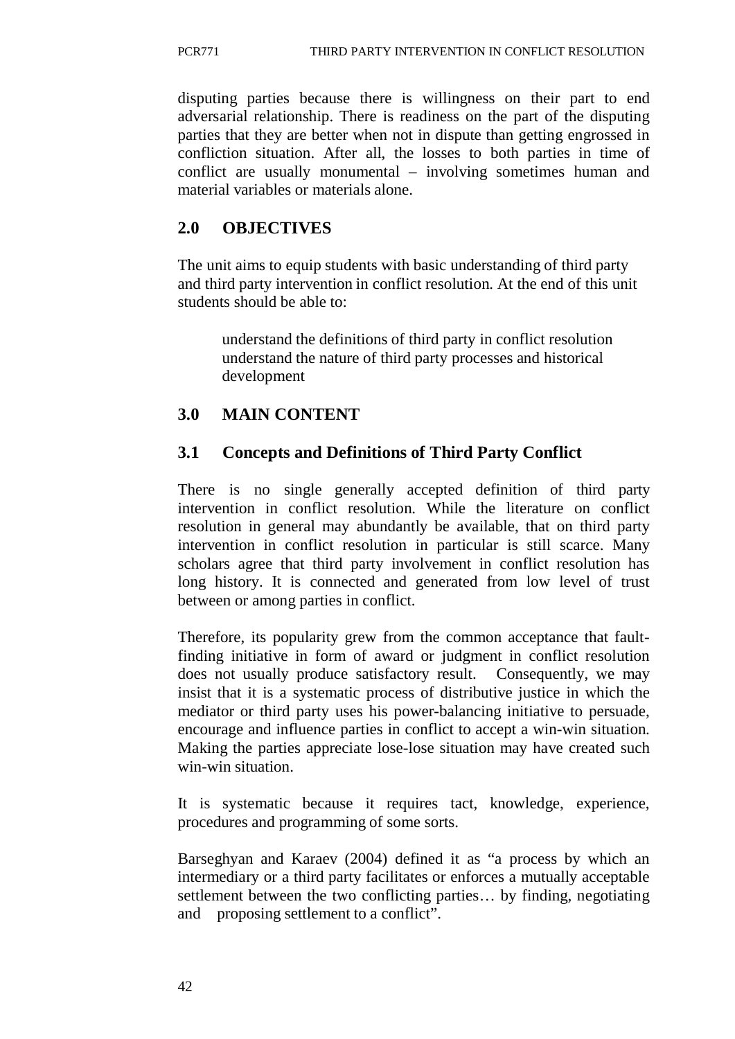disputing parties because there is willingness on their part to end adversarial relationship. There is readiness on the part of the disputing parties that they are better when not in dispute than getting engrossed in confliction situation. After all, the losses to both parties in time of conflict are usually monumental – involving sometimes human and material variables or materials alone.

# **2.0 OBJECTIVES**

The unit aims to equip students with basic understanding of third party and third party intervention in conflict resolution. At the end of this unit students should be able to:

understand the definitions of third party in conflict resolution understand the nature of third party processes and historical development

# **3.0 MAIN CONTENT**

# **3.1 Concepts and Definitions of Third Party Conflict**

There is no single generally accepted definition of third party intervention in conflict resolution. While the literature on conflict resolution in general may abundantly be available, that on third party intervention in conflict resolution in particular is still scarce. Many scholars agree that third party involvement in conflict resolution has long history. It is connected and generated from low level of trust between or among parties in conflict.

Therefore, its popularity grew from the common acceptance that faultfinding initiative in form of award or judgment in conflict resolution does not usually produce satisfactory result. Consequently, we may insist that it is a systematic process of distributive justice in which the mediator or third party uses his power-balancing initiative to persuade, encourage and influence parties in conflict to accept a win-win situation. Making the parties appreciate lose-lose situation may have created such win-win situation.

It is systematic because it requires tact, knowledge, experience, procedures and programming of some sorts.

Barseghyan and Karaev (2004) defined it as "a process by which an intermediary or a third party facilitates or enforces a mutually acceptable settlement between the two conflicting parties… by finding, negotiating and proposing settlement to a conflict".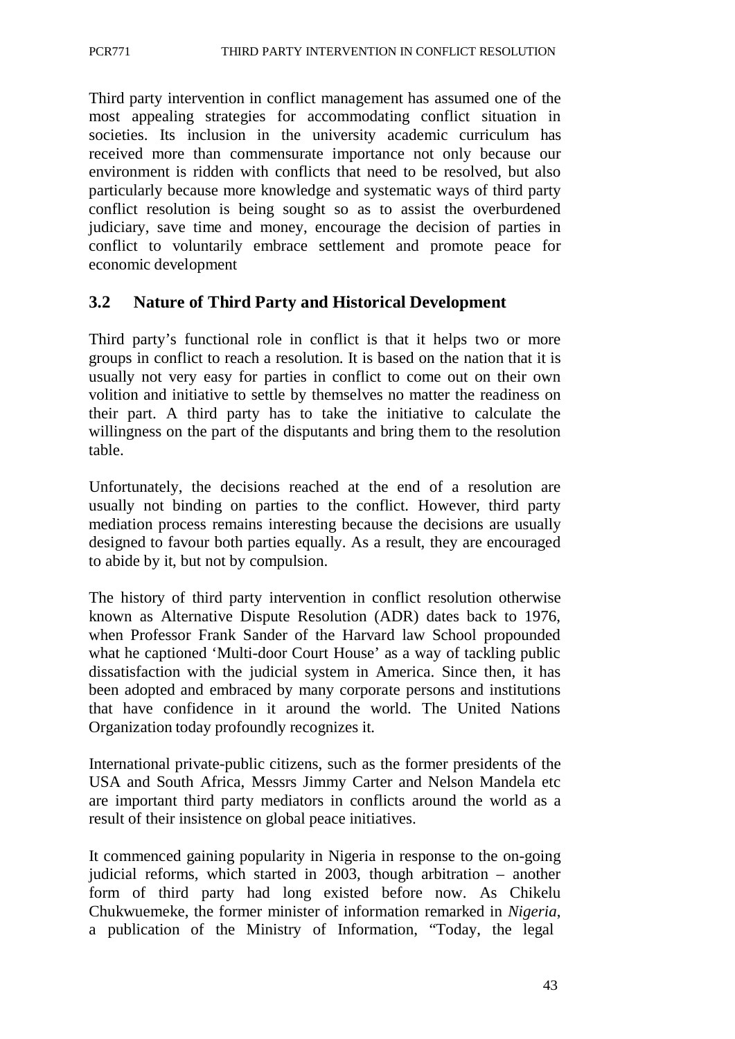Third party intervention in conflict management has assumed one of the most appealing strategies for accommodating conflict situation in societies. Its inclusion in the university academic curriculum has received more than commensurate importance not only because our environment is ridden with conflicts that need to be resolved, but also particularly because more knowledge and systematic ways of third party conflict resolution is being sought so as to assist the overburdened judiciary, save time and money, encourage the decision of parties in conflict to voluntarily embrace settlement and promote peace for economic development

## **3.2 Nature of Third Party and Historical Development**

Third party's functional role in conflict is that it helps two or more groups in conflict to reach a resolution. It is based on the nation that it is usually not very easy for parties in conflict to come out on their own volition and initiative to settle by themselves no matter the readiness on their part. A third party has to take the initiative to calculate the willingness on the part of the disputants and bring them to the resolution table.

Unfortunately, the decisions reached at the end of a resolution are usually not binding on parties to the conflict. However, third party mediation process remains interesting because the decisions are usually designed to favour both parties equally. As a result, they are encouraged to abide by it, but not by compulsion.

The history of third party intervention in conflict resolution otherwise known as Alternative Dispute Resolution (ADR) dates back to 1976, when Professor Frank Sander of the Harvard law School propounded what he captioned 'Multi-door Court House' as a way of tackling public dissatisfaction with the judicial system in America. Since then, it has been adopted and embraced by many corporate persons and institutions that have confidence in it around the world. The United Nations Organization today profoundly recognizes it.

International private-public citizens, such as the former presidents of the USA and South Africa, Messrs Jimmy Carter and Nelson Mandela etc are important third party mediators in conflicts around the world as a result of their insistence on global peace initiatives.

It commenced gaining popularity in Nigeria in response to the on-going judicial reforms, which started in 2003, though arbitration – another form of third party had long existed before now. As Chikelu Chukwuemeke, the former minister of information remarked in *Nigeria*, a publication of the Ministry of Information, "Today, the legal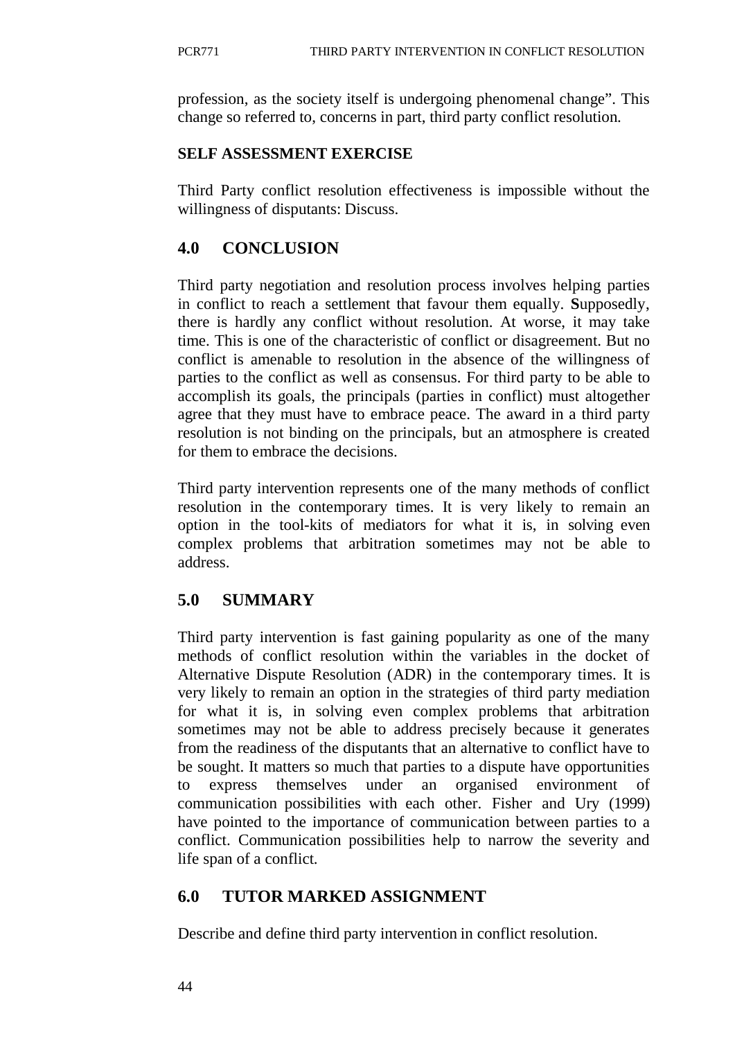profession, as the society itself is undergoing phenomenal change". This change so referred to, concerns in part, third party conflict resolution.

### **SELF ASSESSMENT EXERCISE**

Third Party conflict resolution effectiveness is impossible without the willingness of disputants: Discuss.

# **4.0 CONCLUSION**

Third party negotiation and resolution process involves helping parties in conflict to reach a settlement that favour them equally. **S**upposedly, there is hardly any conflict without resolution. At worse, it may take time. This is one of the characteristic of conflict or disagreement. But no conflict is amenable to resolution in the absence of the willingness of parties to the conflict as well as consensus. For third party to be able to accomplish its goals, the principals (parties in conflict) must altogether agree that they must have to embrace peace. The award in a third party resolution is not binding on the principals, but an atmosphere is created for them to embrace the decisions.

Third party intervention represents one of the many methods of conflict resolution in the contemporary times. It is very likely to remain an option in the tool-kits of mediators for what it is, in solving even complex problems that arbitration sometimes may not be able to address.

# **5.0 SUMMARY**

Third party intervention is fast gaining popularity as one of the many methods of conflict resolution within the variables in the docket of Alternative Dispute Resolution (ADR) in the contemporary times. It is very likely to remain an option in the strategies of third party mediation for what it is, in solving even complex problems that arbitration sometimes may not be able to address precisely because it generates from the readiness of the disputants that an alternative to conflict have to be sought. It matters so much that parties to a dispute have opportunities to express themselves under an organised environment of communication possibilities with each other. Fisher and Ury (1999) have pointed to the importance of communication between parties to a conflict. Communication possibilities help to narrow the severity and life span of a conflict.

# **6.0 TUTOR MARKED ASSIGNMENT**

Describe and define third party intervention in conflict resolution.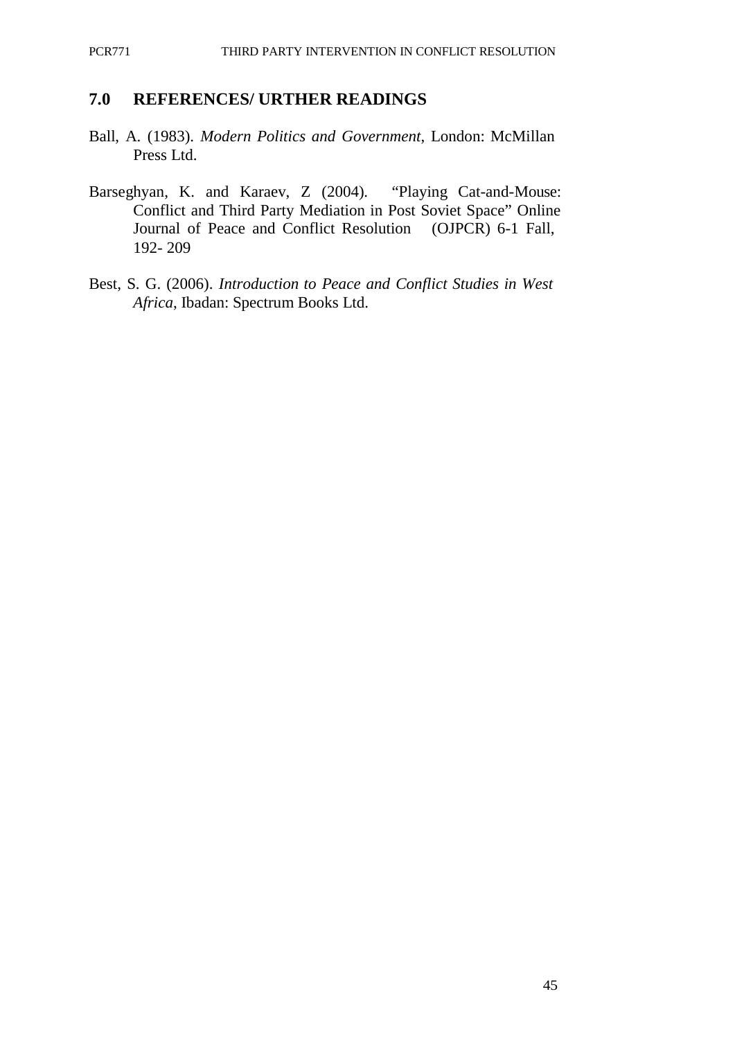#### **7.0 REFERENCES/ URTHER READINGS**

- Ball, A. (1983). *Modern Politics and Government*, London: McMillan Press Ltd.
- Barseghyan, K. and Karaev, Z (2004). "Playing Cat-and-Mouse: Conflict and Third Party Mediation in Post Soviet Space" Online Journal of Peace and Conflict Resolution (OJPCR) 6-1 Fall, 192- 209
- Best, S. G. (2006). *Introduction to Peace and Conflict Studies in West Africa*, Ibadan: Spectrum Books Ltd.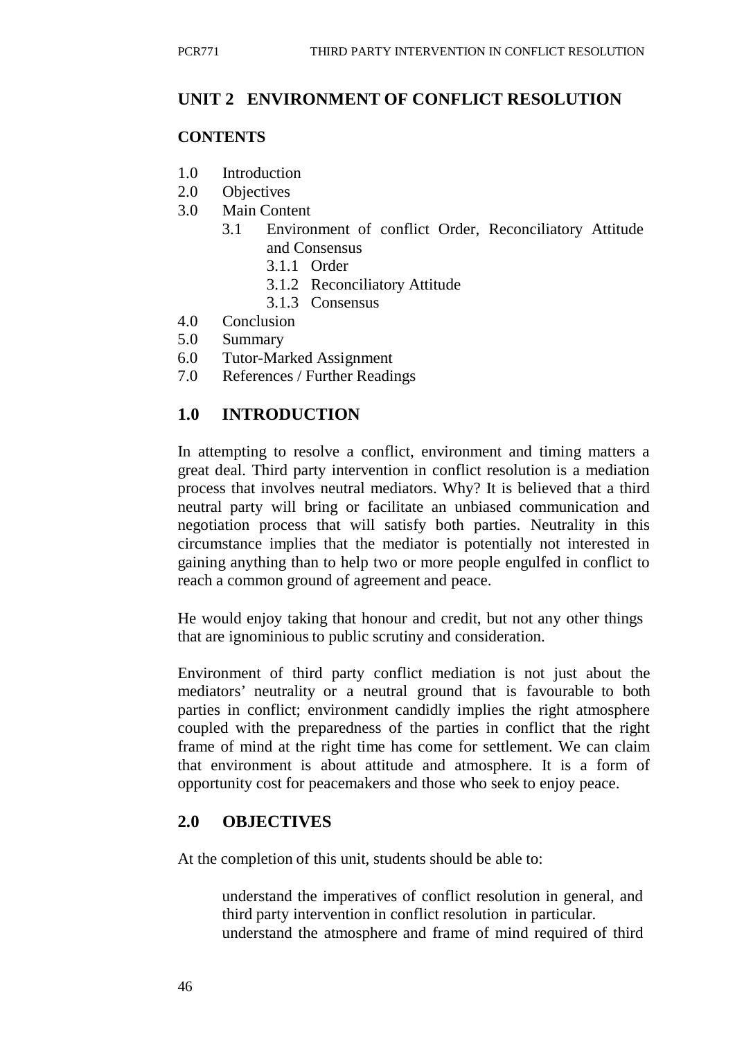## **UNIT 2 ENVIRONMENT OF CONFLICT RESOLUTION**

### **CONTENTS**

- 1.0 Introduction
- 2.0 Objectives
- 3.0 Main Content
	- 3.1 Environment of conflict Order, Reconciliatory Attitude and Consensus
		- 3.1.1 Order
		- 3.1.2 Reconciliatory Attitude
		- 3.1.3 Consensus
- 4.0 Conclusion
- 5.0 Summary
- 6.0 Tutor-Marked Assignment
- 7.0 References / Further Readings

### **1.0 INTRODUCTION**

In attempting to resolve a conflict, environment and timing matters a great deal. Third party intervention in conflict resolution is a mediation process that involves neutral mediators. Why? It is believed that a third neutral party will bring or facilitate an unbiased communication and negotiation process that will satisfy both parties. Neutrality in this circumstance implies that the mediator is potentially not interested in gaining anything than to help two or more people engulfed in conflict to reach a common ground of agreement and peace.

He would enjoy taking that honour and credit, but not any other things that are ignominious to public scrutiny and consideration.

Environment of third party conflict mediation is not just about the mediators' neutrality or a neutral ground that is favourable to both parties in conflict; environment candidly implies the right atmosphere coupled with the preparedness of the parties in conflict that the right frame of mind at the right time has come for settlement. We can claim that environment is about attitude and atmosphere. It is a form of opportunity cost for peacemakers and those who seek to enjoy peace.

### **2.0 OBJECTIVES**

At the completion of this unit, students should be able to:

understand the imperatives of conflict resolution in general, and third party intervention in conflict resolution in particular. understand the atmosphere and frame of mind required of third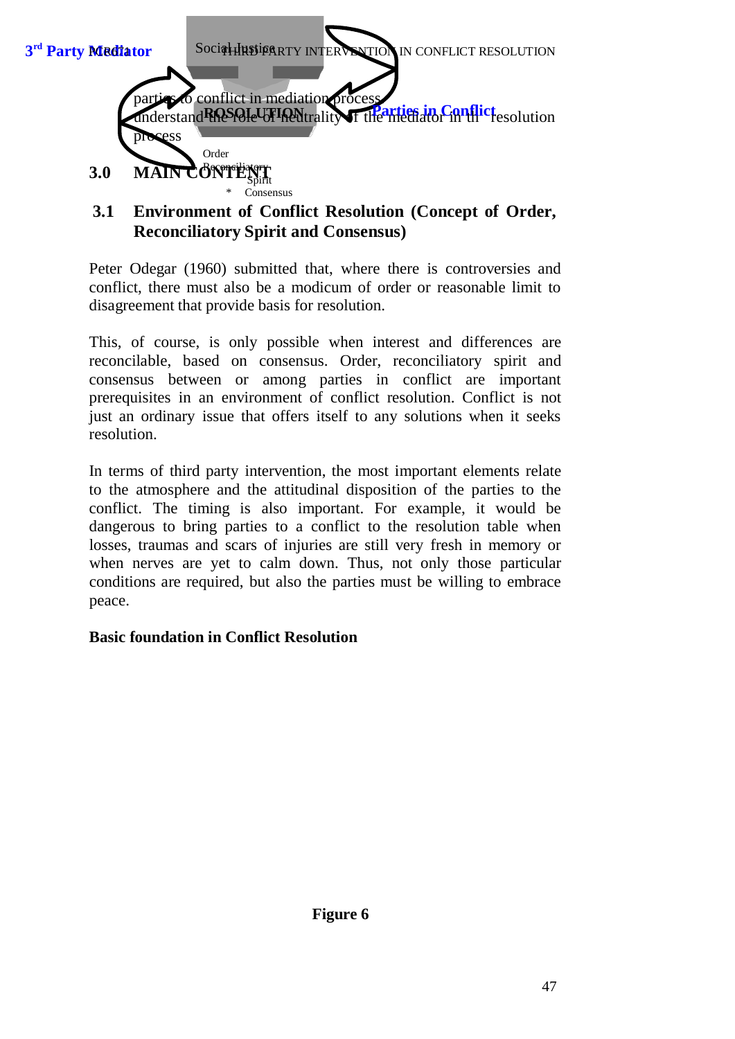

## **3.1 Environment of Conflict Resolution (Concept of Order, Reconciliatory Spirit and Consensus)**

Peter Odegar (1960) submitted that, where there is controversies and conflict, there must also be a modicum of order or reasonable limit to disagreement that provide basis for resolution.

This, of course, is only possible when interest and differences are reconcilable, based on consensus. Order, reconciliatory spirit and consensus between or among parties in conflict are important prerequisites in an environment of conflict resolution. Conflict is not just an ordinary issue that offers itself to any solutions when it seeks resolution.

In terms of third party intervention, the most important elements relate to the atmosphere and the attitudinal disposition of the parties to the conflict. The timing is also important. For example, it would be dangerous to bring parties to a conflict to the resolution table when losses, traumas and scars of injuries are still very fresh in memory or when nerves are yet to calm down. Thus, not only those particular conditions are required, but also the parties must be willing to embrace peace.

#### **Basic foundation in Conflict Resolution**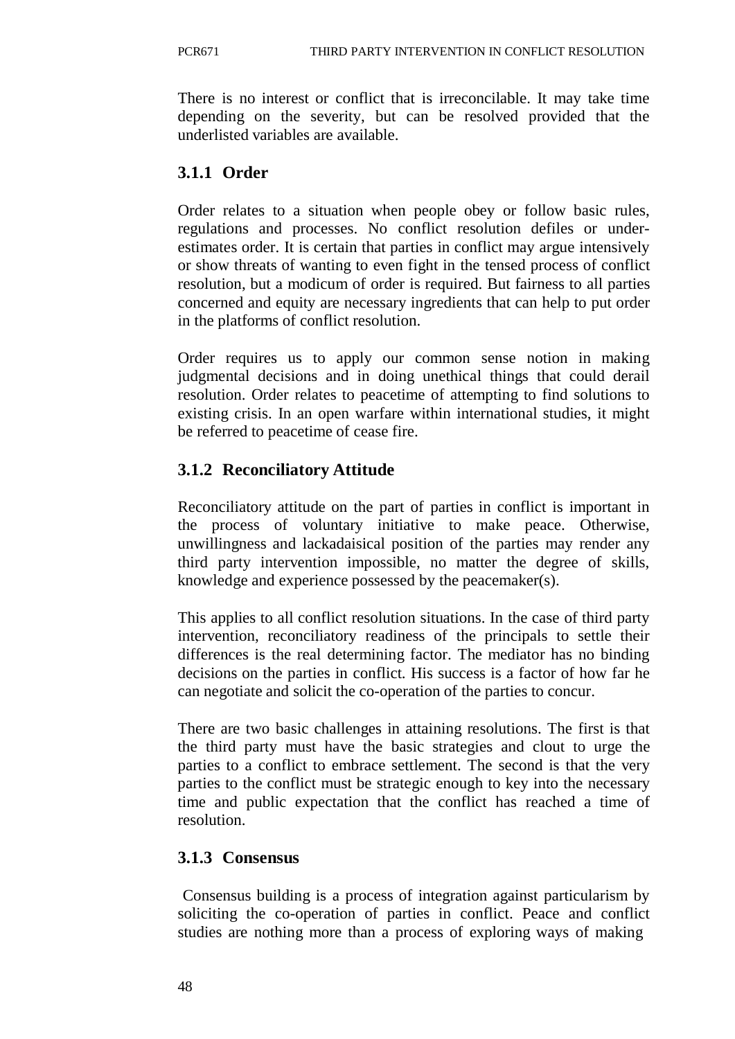There is no interest or conflict that is irreconcilable. It may take time depending on the severity, but can be resolved provided that the underlisted variables are available.

## **3.1.1 Order**

Order relates to a situation when people obey or follow basic rules, regulations and processes. No conflict resolution defiles or underestimates order. It is certain that parties in conflict may argue intensively or show threats of wanting to even fight in the tensed process of conflict resolution, but a modicum of order is required. But fairness to all parties concerned and equity are necessary ingredients that can help to put order in the platforms of conflict resolution.

Order requires us to apply our common sense notion in making judgmental decisions and in doing unethical things that could derail resolution. Order relates to peacetime of attempting to find solutions to existing crisis. In an open warfare within international studies, it might be referred to peacetime of cease fire.

# **3.1.2 Reconciliatory Attitude**

Reconciliatory attitude on the part of parties in conflict is important in the process of voluntary initiative to make peace. Otherwise, unwillingness and lackadaisical position of the parties may render any third party intervention impossible, no matter the degree of skills, knowledge and experience possessed by the peacemaker(s).

This applies to all conflict resolution situations. In the case of third party intervention, reconciliatory readiness of the principals to settle their differences is the real determining factor. The mediator has no binding decisions on the parties in conflict. His success is a factor of how far he can negotiate and solicit the co-operation of the parties to concur.

There are two basic challenges in attaining resolutions. The first is that the third party must have the basic strategies and clout to urge the parties to a conflict to embrace settlement. The second is that the very parties to the conflict must be strategic enough to key into the necessary time and public expectation that the conflict has reached a time of resolution.

## **3.1.3 Consensus**

Consensus building is a process of integration against particularism by soliciting the co-operation of parties in conflict. Peace and conflict studies are nothing more than a process of exploring ways of making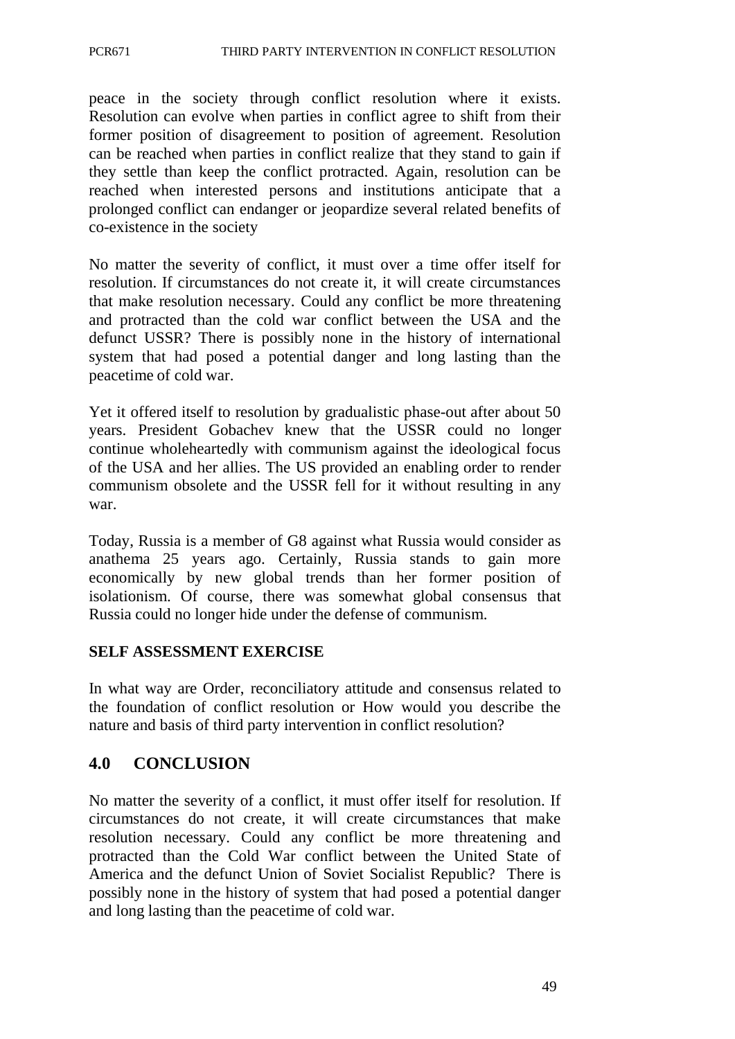peace in the society through conflict resolution where it exists. Resolution can evolve when parties in conflict agree to shift from their former position of disagreement to position of agreement. Resolution can be reached when parties in conflict realize that they stand to gain if they settle than keep the conflict protracted. Again, resolution can be reached when interested persons and institutions anticipate that a prolonged conflict can endanger or jeopardize several related benefits of co-existence in the society

No matter the severity of conflict, it must over a time offer itself for resolution. If circumstances do not create it, it will create circumstances that make resolution necessary. Could any conflict be more threatening and protracted than the cold war conflict between the USA and the defunct USSR? There is possibly none in the history of international system that had posed a potential danger and long lasting than the peacetime of cold war.

Yet it offered itself to resolution by gradualistic phase-out after about 50 years. President Gobachev knew that the USSR could no longer continue wholeheartedly with communism against the ideological focus of the USA and her allies. The US provided an enabling order to render communism obsolete and the USSR fell for it without resulting in any war.

Today, Russia is a member of G8 against what Russia would consider as anathema 25 years ago. Certainly, Russia stands to gain more economically by new global trends than her former position of isolationism. Of course, there was somewhat global consensus that Russia could no longer hide under the defense of communism.

## **SELF ASSESSMENT EXERCISE**

In what way are Order, reconciliatory attitude and consensus related to the foundation of conflict resolution or How would you describe the nature and basis of third party intervention in conflict resolution?

## **4.0 CONCLUSION**

No matter the severity of a conflict, it must offer itself for resolution. If circumstances do not create, it will create circumstances that make resolution necessary. Could any conflict be more threatening and protracted than the Cold War conflict between the United State of America and the defunct Union of Soviet Socialist Republic? There is possibly none in the history of system that had posed a potential danger and long lasting than the peacetime of cold war.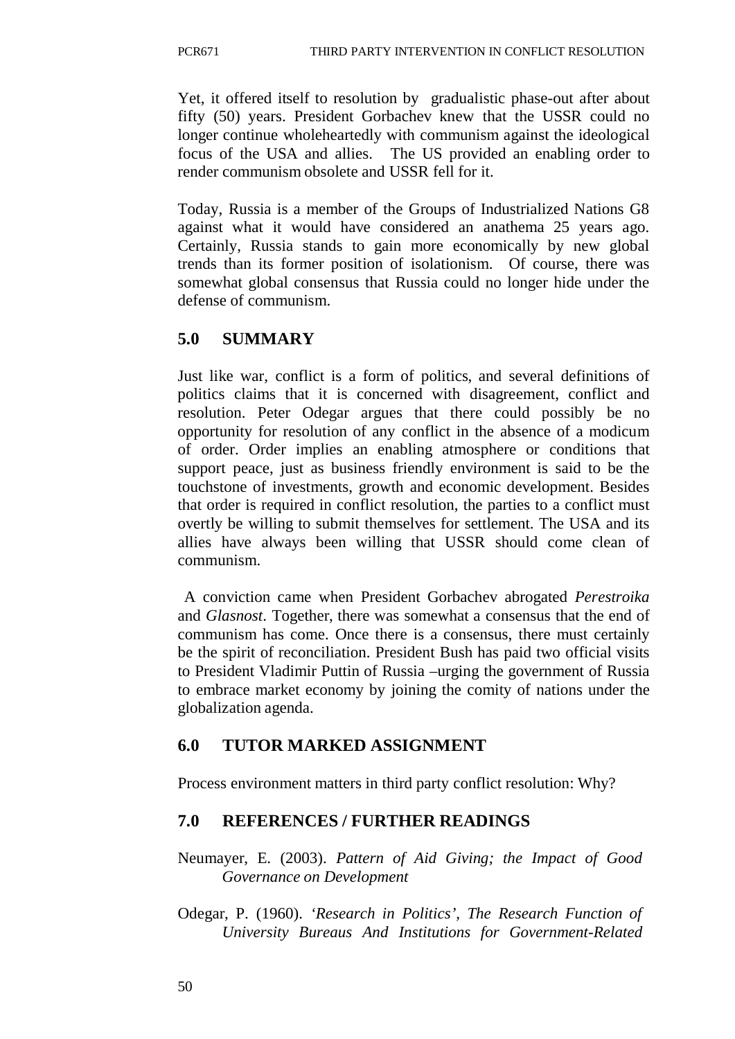Yet, it offered itself to resolution by gradualistic phase-out after about fifty (50) years. President Gorbachev knew that the USSR could no longer continue wholeheartedly with communism against the ideological focus of the USA and allies. The US provided an enabling order to render communism obsolete and USSR fell for it.

Today, Russia is a member of the Groups of Industrialized Nations G8 against what it would have considered an anathema 25 years ago. Certainly, Russia stands to gain more economically by new global trends than its former position of isolationism. Of course, there was somewhat global consensus that Russia could no longer hide under the defense of communism.

# **5.0 SUMMARY**

Just like war, conflict is a form of politics, and several definitions of politics claims that it is concerned with disagreement, conflict and resolution. Peter Odegar argues that there could possibly be no opportunity for resolution of any conflict in the absence of a modicum of order. Order implies an enabling atmosphere or conditions that support peace, just as business friendly environment is said to be the touchstone of investments, growth and economic development. Besides that order is required in conflict resolution, the parties to a conflict must overtly be willing to submit themselves for settlement. The USA and its allies have always been willing that USSR should come clean of communism.

A conviction came when President Gorbachev abrogated *Perestroika*  and *Glasnost*. Together, there was somewhat a consensus that the end of communism has come. Once there is a consensus, there must certainly be the spirit of reconciliation. President Bush has paid two official visits to President Vladimir Puttin of Russia –urging the government of Russia to embrace market economy by joining the comity of nations under the globalization agenda.

# **6.0 TUTOR MARKED ASSIGNMENT**

Process environment matters in third party conflict resolution: Why?

# **7.0 REFERENCES / FURTHER READINGS**

Neumayer, E. (2003). *Pattern of Aid Giving; the Impact of Good Governance on Development*

Odegar, P. (1960). *'Research in Politics', The Research Function of University Bureaus And Institutions for Government-Related*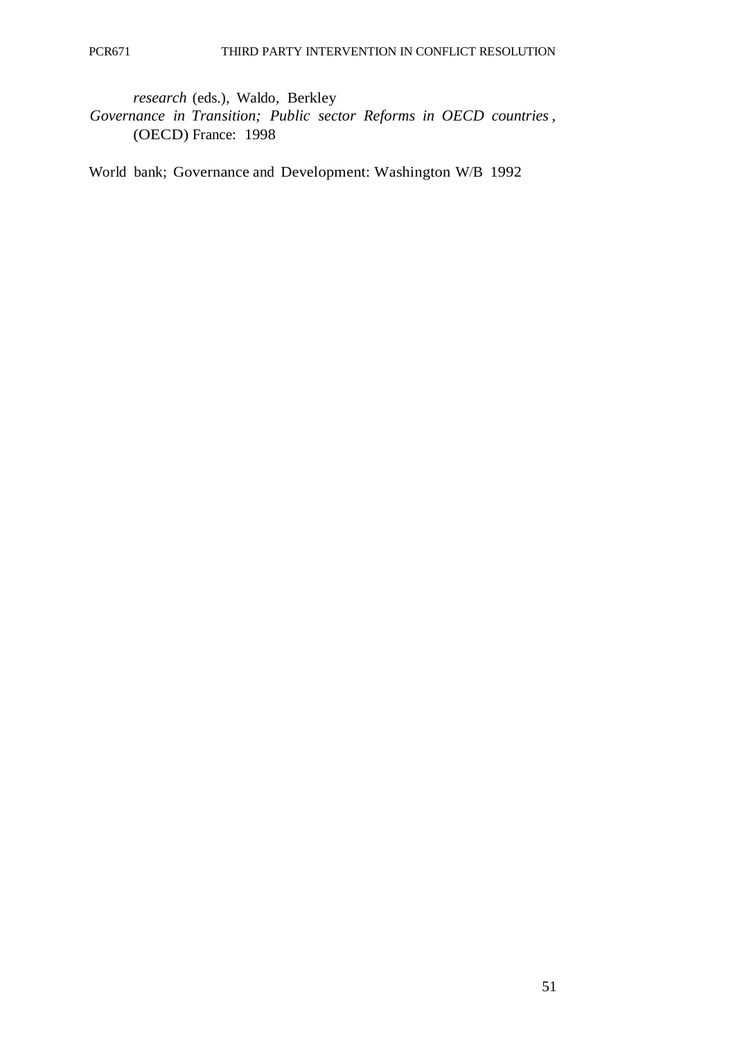*research* (eds.), Waldo, Berkley *Governance in Transition; Public sector Reforms in OECD countries,* (OECD) France: 1998

World bank; Governance and Development: Washington W/B 1992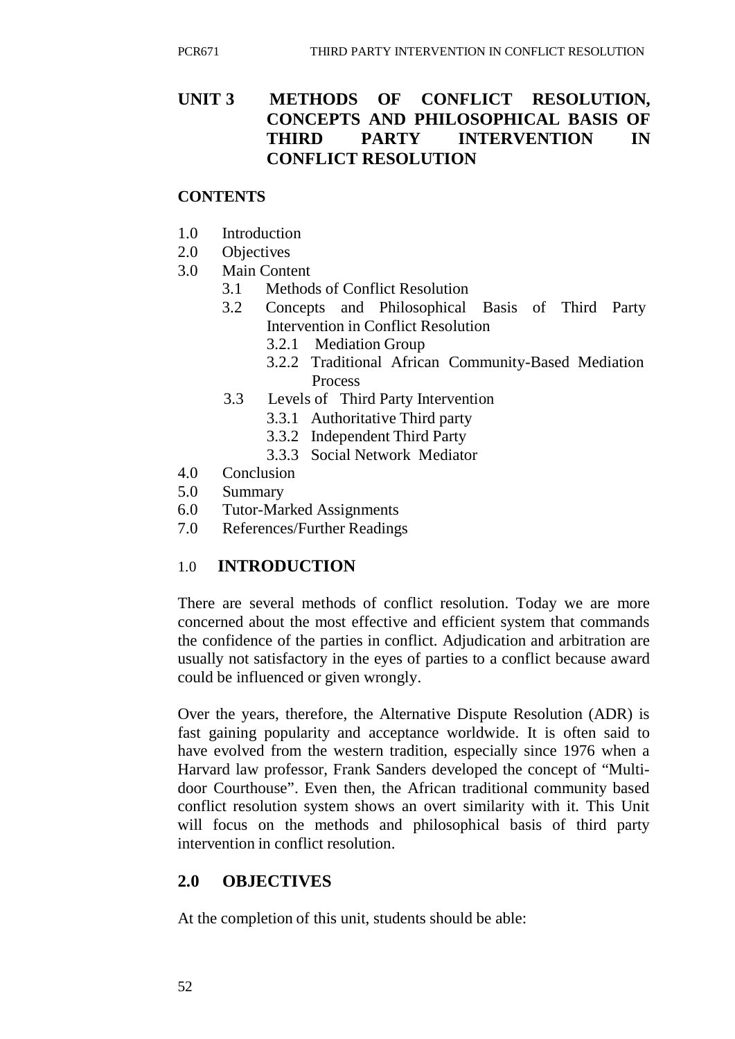# **UNIT 3 METHODS OF CONFLICT RESOLUTION, CONCEPTS AND PHILOSOPHICAL BASIS OF THIRD PARTY INTERVENTION IN CONFLICT RESOLUTION**

### **CONTENTS**

- 1.0 Introduction
- 2.0 Objectives
- 3.0 Main Content
	- 3.1 Methods of Conflict Resolution
	- 3.2 Concepts and Philosophical Basis of Third Party Intervention in Conflict Resolution
		- 3.2.1 Mediation Group
		- 3.2.2 Traditional African Community-Based Mediation Process
	- 3.3 Levels of Third Party Intervention
		- 3.3.1 Authoritative Third party
		- 3.3.2 Independent Third Party
		- 3.3.3 Social Network Mediator
- 4.0 Conclusion
- 5.0 Summary
- 6.0 Tutor-Marked Assignments
- 7.0 References/Further Readings

# 1.0 **INTRODUCTION**

There are several methods of conflict resolution. Today we are more concerned about the most effective and efficient system that commands the confidence of the parties in conflict. Adjudication and arbitration are usually not satisfactory in the eyes of parties to a conflict because award could be influenced or given wrongly.

Over the years, therefore, the Alternative Dispute Resolution (ADR) is fast gaining popularity and acceptance worldwide. It is often said to have evolved from the western tradition, especially since 1976 when a Harvard law professor, Frank Sanders developed the concept of "Multidoor Courthouse". Even then, the African traditional community based conflict resolution system shows an overt similarity with it. This Unit will focus on the methods and philosophical basis of third party intervention in conflict resolution.

# **2.0 OBJECTIVES**

At the completion of this unit, students should be able: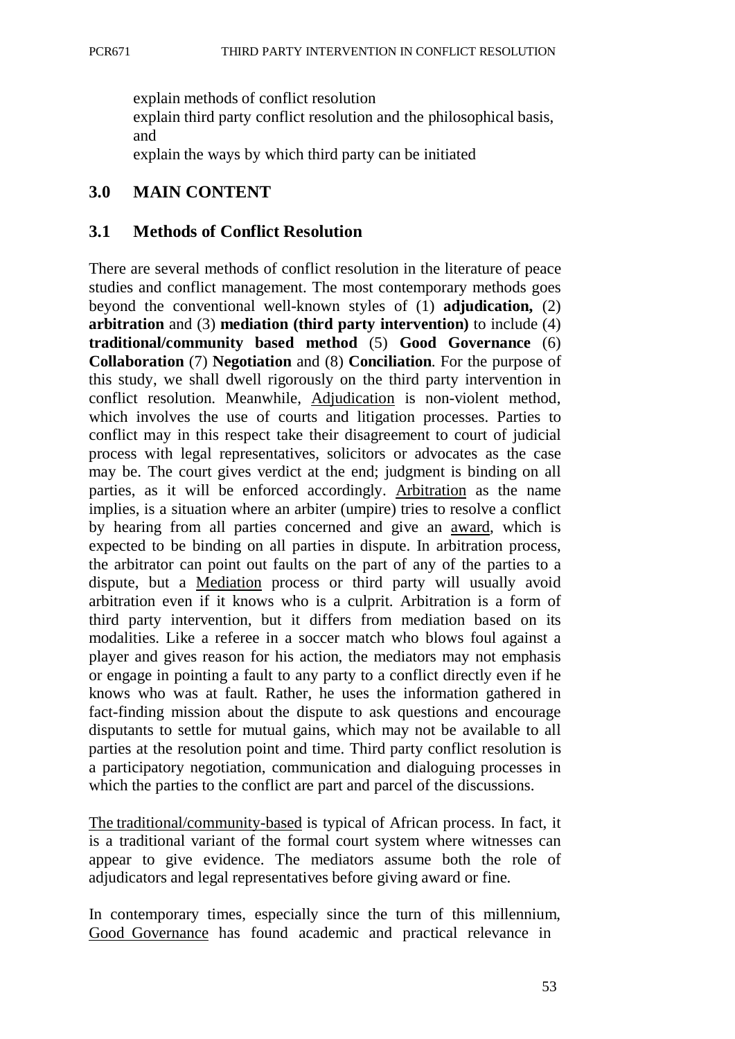explain methods of conflict resolution

explain third party conflict resolution and the philosophical basis, and

explain the ways by which third party can be initiated

### **3.0 MAIN CONTENT**

### **3.1 Methods of Conflict Resolution**

There are several methods of conflict resolution in the literature of peace studies and conflict management. The most contemporary methods goes beyond the conventional well-known styles of (1) **adjudication,** (2) **arbitration** and (3) **mediation (third party intervention)** to include (4) **traditional/community based method** (5) **Good Governance** (6) **Collaboration** (7) **Negotiation** and (8) **Conciliation**. For the purpose of this study, we shall dwell rigorously on the third party intervention in conflict resolution. Meanwhile, Adjudication is non-violent method, which involves the use of courts and litigation processes. Parties to conflict may in this respect take their disagreement to court of judicial process with legal representatives, solicitors or advocates as the case may be. The court gives verdict at the end; judgment is binding on all parties, as it will be enforced accordingly. Arbitration as the name implies, is a situation where an arbiter (umpire) tries to resolve a conflict by hearing from all parties concerned and give an award, which is expected to be binding on all parties in dispute. In arbitration process, the arbitrator can point out faults on the part of any of the parties to a dispute, but a Mediation process or third party will usually avoid arbitration even if it knows who is a culprit. Arbitration is a form of third party intervention, but it differs from mediation based on its modalities. Like a referee in a soccer match who blows foul against a player and gives reason for his action, the mediators may not emphasis or engage in pointing a fault to any party to a conflict directly even if he knows who was at fault. Rather, he uses the information gathered in fact-finding mission about the dispute to ask questions and encourage disputants to settle for mutual gains, which may not be available to all parties at the resolution point and time. Third party conflict resolution is a participatory negotiation, communication and dialoguing processes in which the parties to the conflict are part and parcel of the discussions.

The traditional/community-based is typical of African process. In fact, it is a traditional variant of the formal court system where witnesses can appear to give evidence. The mediators assume both the role of adjudicators and legal representatives before giving award or fine.

In contemporary times, especially since the turn of this millennium, Good Governance has found academic and practical relevance in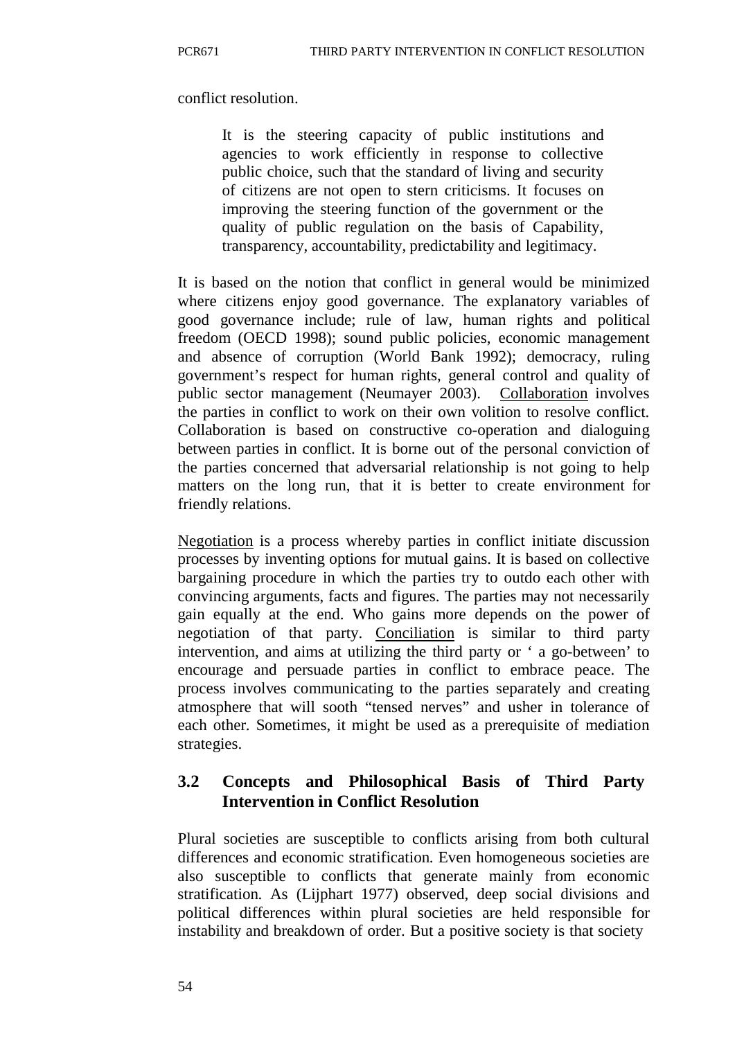conflict resolution.

It is the steering capacity of public institutions and agencies to work efficiently in response to collective public choice, such that the standard of living and security of citizens are not open to stern criticisms. It focuses on improving the steering function of the government or the quality of public regulation on the basis of Capability, transparency, accountability, predictability and legitimacy.

It is based on the notion that conflict in general would be minimized where citizens enjoy good governance. The explanatory variables of good governance include; rule of law, human rights and political freedom (OECD 1998); sound public policies, economic management and absence of corruption (World Bank 1992); democracy, ruling government's respect for human rights, general control and quality of public sector management (Neumayer 2003). Collaboration involves the parties in conflict to work on their own volition to resolve conflict. Collaboration is based on constructive co-operation and dialoguing between parties in conflict. It is borne out of the personal conviction of the parties concerned that adversarial relationship is not going to help matters on the long run, that it is better to create environment for friendly relations.

Negotiation is a process whereby parties in conflict initiate discussion processes by inventing options for mutual gains. It is based on collective bargaining procedure in which the parties try to outdo each other with convincing arguments, facts and figures. The parties may not necessarily gain equally at the end. Who gains more depends on the power of negotiation of that party. Conciliation is similar to third party intervention, and aims at utilizing the third party or ' a go-between' to encourage and persuade parties in conflict to embrace peace. The process involves communicating to the parties separately and creating atmosphere that will sooth "tensed nerves" and usher in tolerance of each other. Sometimes, it might be used as a prerequisite of mediation strategies.

# **3.2 Concepts and Philosophical Basis of Third Party Intervention in Conflict Resolution**

Plural societies are susceptible to conflicts arising from both cultural differences and economic stratification. Even homogeneous societies are also susceptible to conflicts that generate mainly from economic stratification. As (Lijphart 1977) observed, deep social divisions and political differences within plural societies are held responsible for instability and breakdown of order. But a positive society is that society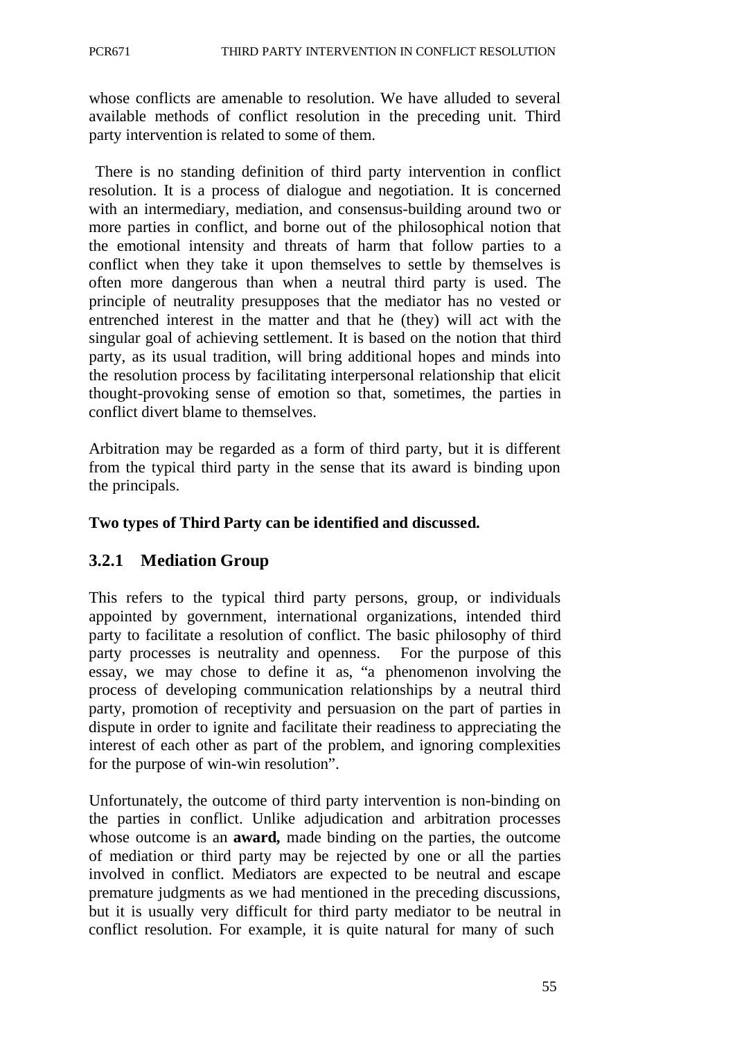whose conflicts are amenable to resolution. We have alluded to several available methods of conflict resolution in the preceding unit. Third party intervention is related to some of them.

There is no standing definition of third party intervention in conflict resolution. It is a process of dialogue and negotiation. It is concerned with an intermediary, mediation, and consensus-building around two or more parties in conflict, and borne out of the philosophical notion that the emotional intensity and threats of harm that follow parties to a conflict when they take it upon themselves to settle by themselves is often more dangerous than when a neutral third party is used. The principle of neutrality presupposes that the mediator has no vested or entrenched interest in the matter and that he (they) will act with the singular goal of achieving settlement. It is based on the notion that third party, as its usual tradition, will bring additional hopes and minds into the resolution process by facilitating interpersonal relationship that elicit thought-provoking sense of emotion so that, sometimes, the parties in conflict divert blame to themselves.

Arbitration may be regarded as a form of third party, but it is different from the typical third party in the sense that its award is binding upon the principals.

### **Two types of Third Party can be identified and discussed.**

## **3.2.1 Mediation Group**

This refers to the typical third party persons, group, or individuals appointed by government, international organizations, intended third party to facilitate a resolution of conflict. The basic philosophy of third party processes is neutrality and openness. For the purpose of this essay, we may chose to define it as, "a phenomenon involving the process of developing communication relationships by a neutral third party, promotion of receptivity and persuasion on the part of parties in dispute in order to ignite and facilitate their readiness to appreciating the interest of each other as part of the problem, and ignoring complexities for the purpose of win-win resolution".

Unfortunately, the outcome of third party intervention is non-binding on the parties in conflict. Unlike adjudication and arbitration processes whose outcome is an **award,** made binding on the parties, the outcome of mediation or third party may be rejected by one or all the parties involved in conflict. Mediators are expected to be neutral and escape premature judgments as we had mentioned in the preceding discussions, but it is usually very difficult for third party mediator to be neutral in conflict resolution. For example, it is quite natural for many of such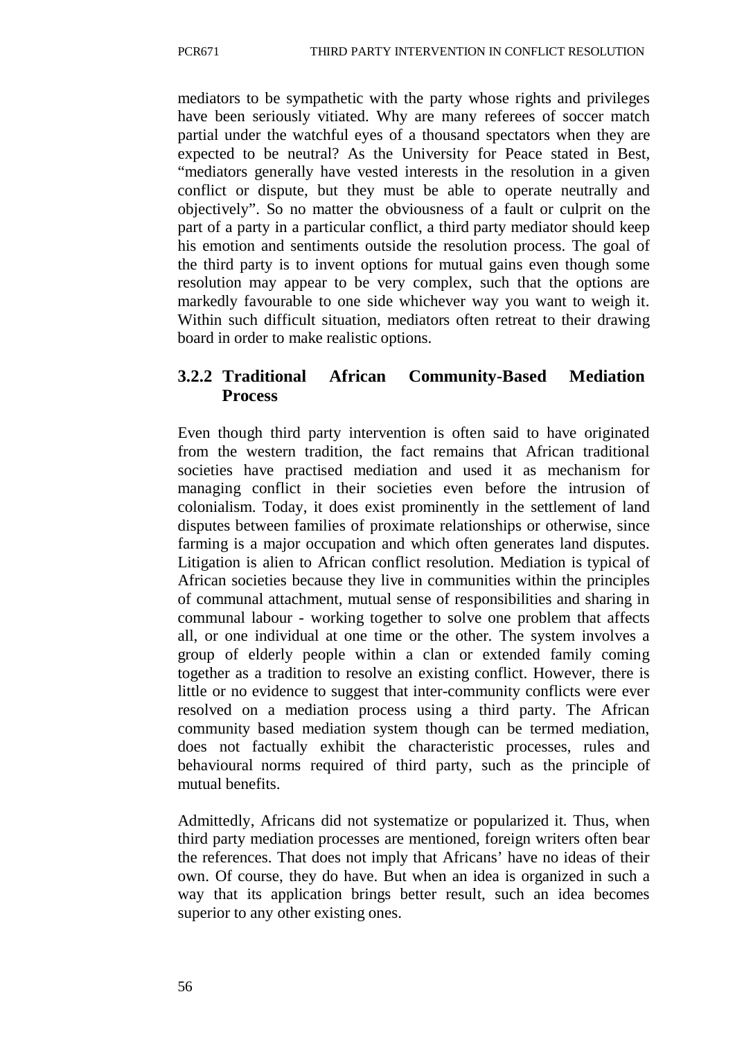mediators to be sympathetic with the party whose rights and privileges have been seriously vitiated. Why are many referees of soccer match partial under the watchful eyes of a thousand spectators when they are expected to be neutral? As the University for Peace stated in Best, "mediators generally have vested interests in the resolution in a given conflict or dispute, but they must be able to operate neutrally and objectively". So no matter the obviousness of a fault or culprit on the part of a party in a particular conflict, a third party mediator should keep his emotion and sentiments outside the resolution process. The goal of the third party is to invent options for mutual gains even though some resolution may appear to be very complex, such that the options are markedly favourable to one side whichever way you want to weigh it. Within such difficult situation, mediators often retreat to their drawing board in order to make realistic options.

# **3.2.2 Traditional African Community-Based Mediation Process**

Even though third party intervention is often said to have originated from the western tradition, the fact remains that African traditional societies have practised mediation and used it as mechanism for managing conflict in their societies even before the intrusion of colonialism. Today, it does exist prominently in the settlement of land disputes between families of proximate relationships or otherwise, since farming is a major occupation and which often generates land disputes. Litigation is alien to African conflict resolution. Mediation is typical of African societies because they live in communities within the principles of communal attachment, mutual sense of responsibilities and sharing in communal labour - working together to solve one problem that affects all, or one individual at one time or the other. The system involves a group of elderly people within a clan or extended family coming together as a tradition to resolve an existing conflict. However, there is little or no evidence to suggest that inter-community conflicts were ever resolved on a mediation process using a third party. The African community based mediation system though can be termed mediation, does not factually exhibit the characteristic processes, rules and behavioural norms required of third party, such as the principle of mutual benefits.

Admittedly, Africans did not systematize or popularized it. Thus, when third party mediation processes are mentioned, foreign writers often bear the references. That does not imply that Africans' have no ideas of their own. Of course, they do have. But when an idea is organized in such a way that its application brings better result, such an idea becomes superior to any other existing ones.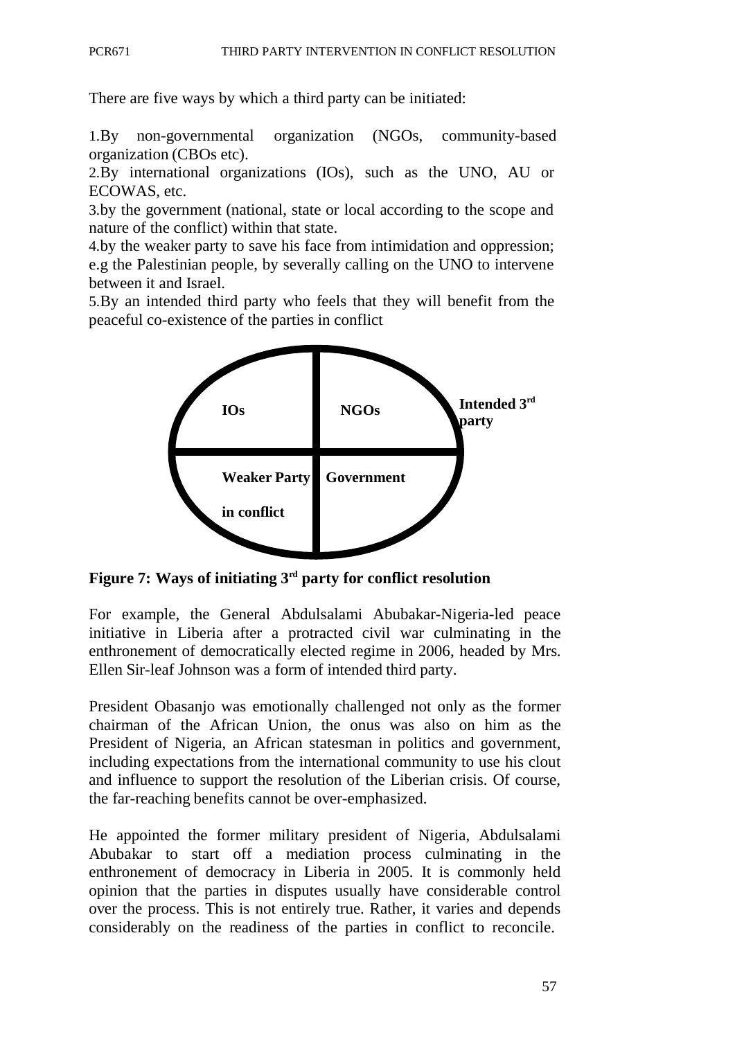There are five ways by which a third party can be initiated:

1.By non-governmental organization (NGOs, community-based organization (CBOs etc).

2.By international organizations (IOs), such as the UNO, AU or ECOWAS, etc.

3.by the government (national, state or local according to the scope and nature of the conflict) within that state.

4.by the weaker party to save his face from intimidation and oppression; e.g the Palestinian people, by severally calling on the UNO to intervene between it and Israel.

5.By an intended third party who feels that they will benefit from the peaceful co-existence of the parties in conflict



**Figure 7: Ways of initiating 3rd party for conflict resolution**

For example, the General Abdulsalami Abubakar-Nigeria-led peace initiative in Liberia after a protracted civil war culminating in the enthronement of democratically elected regime in 2006, headed by Mrs. Ellen Sir-leaf Johnson was a form of intended third party.

President Obasanjo was emotionally challenged not only as the former chairman of the African Union, the onus was also on him as the President of Nigeria, an African statesman in politics and government, including expectations from the international community to use his clout and influence to support the resolution of the Liberian crisis. Of course, the far-reaching benefits cannot be over-emphasized.

He appointed the former military president of Nigeria, Abdulsalami Abubakar to start off a mediation process culminating in the enthronement of democracy in Liberia in 2005. It is commonly held opinion that the parties in disputes usually have considerable control over the process. This is not entirely true. Rather, it varies and depends considerably on the readiness of the parties in conflict to reconcile.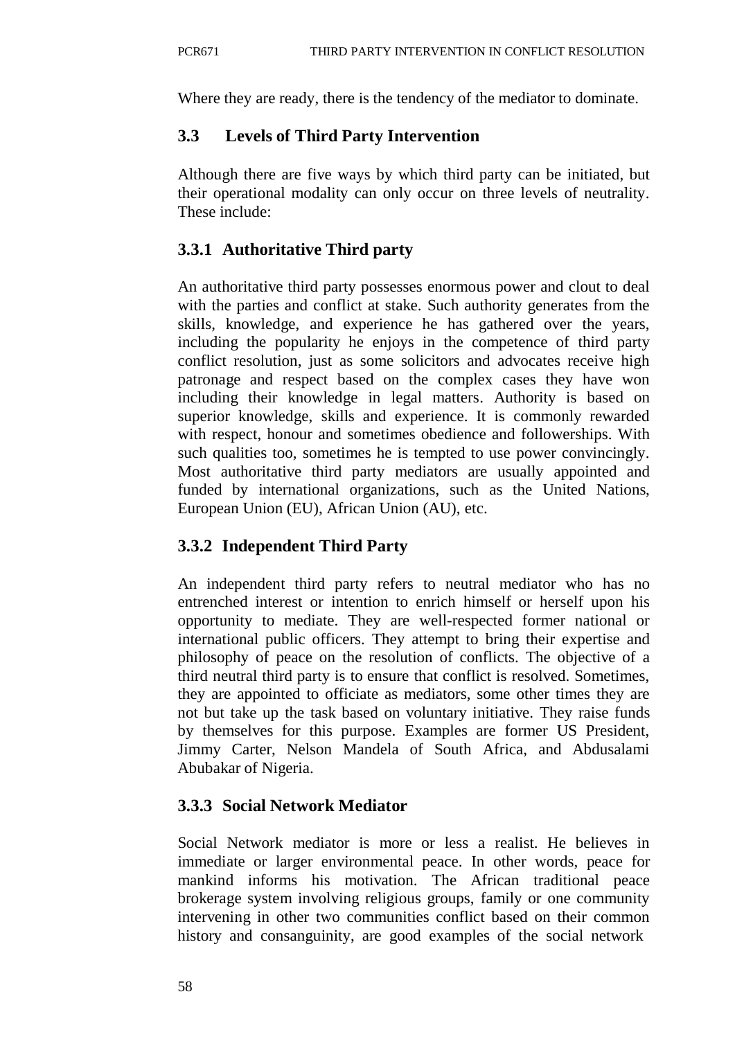Where they are ready, there is the tendency of the mediator to dominate.

# **3.3 Levels of Third Party Intervention**

Although there are five ways by which third party can be initiated, but their operational modality can only occur on three levels of neutrality. These include:

# **3.3.1 Authoritative Third party**

An authoritative third party possesses enormous power and clout to deal with the parties and conflict at stake. Such authority generates from the skills, knowledge, and experience he has gathered over the years, including the popularity he enjoys in the competence of third party conflict resolution, just as some solicitors and advocates receive high patronage and respect based on the complex cases they have won including their knowledge in legal matters. Authority is based on superior knowledge, skills and experience. It is commonly rewarded with respect, honour and sometimes obedience and followerships. With such qualities too, sometimes he is tempted to use power convincingly. Most authoritative third party mediators are usually appointed and funded by international organizations, such as the United Nations, European Union (EU), African Union (AU), etc.

# **3.3.2 Independent Third Party**

An independent third party refers to neutral mediator who has no entrenched interest or intention to enrich himself or herself upon his opportunity to mediate. They are well-respected former national or international public officers. They attempt to bring their expertise and philosophy of peace on the resolution of conflicts. The objective of a third neutral third party is to ensure that conflict is resolved. Sometimes, they are appointed to officiate as mediators, some other times they are not but take up the task based on voluntary initiative. They raise funds by themselves for this purpose. Examples are former US President, Jimmy Carter, Nelson Mandela of South Africa, and Abdusalami Abubakar of Nigeria.

## **3.3.3 Social Network Mediator**

Social Network mediator is more or less a realist. He believes in immediate or larger environmental peace. In other words, peace for mankind informs his motivation. The African traditional peace brokerage system involving religious groups, family or one community intervening in other two communities conflict based on their common history and consanguinity, are good examples of the social network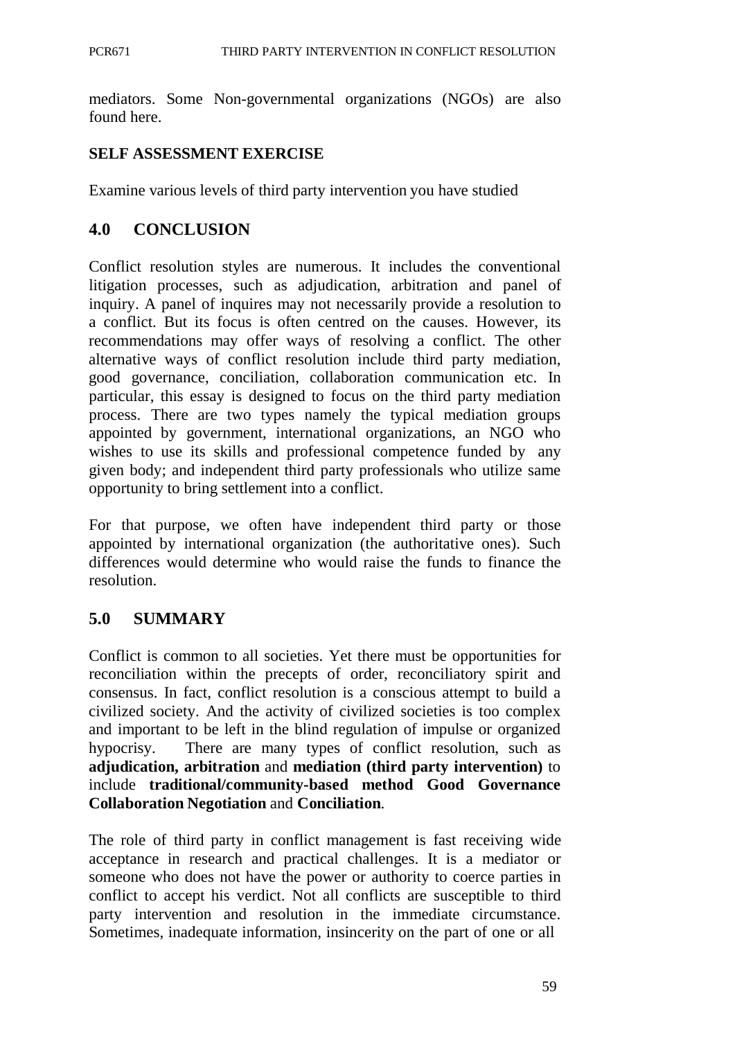mediators. Some Non-governmental organizations (NGOs) are also found here.

### **SELF ASSESSMENT EXERCISE**

Examine various levels of third party intervention you have studied

## **4.0 CONCLUSION**

Conflict resolution styles are numerous. It includes the conventional litigation processes, such as adjudication, arbitration and panel of inquiry. A panel of inquires may not necessarily provide a resolution to a conflict. But its focus is often centred on the causes. However, its recommendations may offer ways of resolving a conflict. The other alternative ways of conflict resolution include third party mediation, good governance, conciliation, collaboration communication etc. In particular, this essay is designed to focus on the third party mediation process. There are two types namely the typical mediation groups appointed by government, international organizations, an NGO who wishes to use its skills and professional competence funded by any given body; and independent third party professionals who utilize same opportunity to bring settlement into a conflict.

For that purpose, we often have independent third party or those appointed by international organization (the authoritative ones). Such differences would determine who would raise the funds to finance the resolution.

## **5.0 SUMMARY**

Conflict is common to all societies. Yet there must be opportunities for reconciliation within the precepts of order, reconciliatory spirit and consensus. In fact, conflict resolution is a conscious attempt to build a civilized society. And the activity of civilized societies is too complex and important to be left in the blind regulation of impulse or organized hypocrisy. There are many types of conflict resolution, such as **adjudication, arbitration** and **mediation (third party intervention)** to include **traditional/community-based method Good Governance Collaboration Negotiation** and **Conciliation**.

The role of third party in conflict management is fast receiving wide acceptance in research and practical challenges. It is a mediator or someone who does not have the power or authority to coerce parties in conflict to accept his verdict. Not all conflicts are susceptible to third party intervention and resolution in the immediate circumstance. Sometimes, inadequate information, insincerity on the part of one or all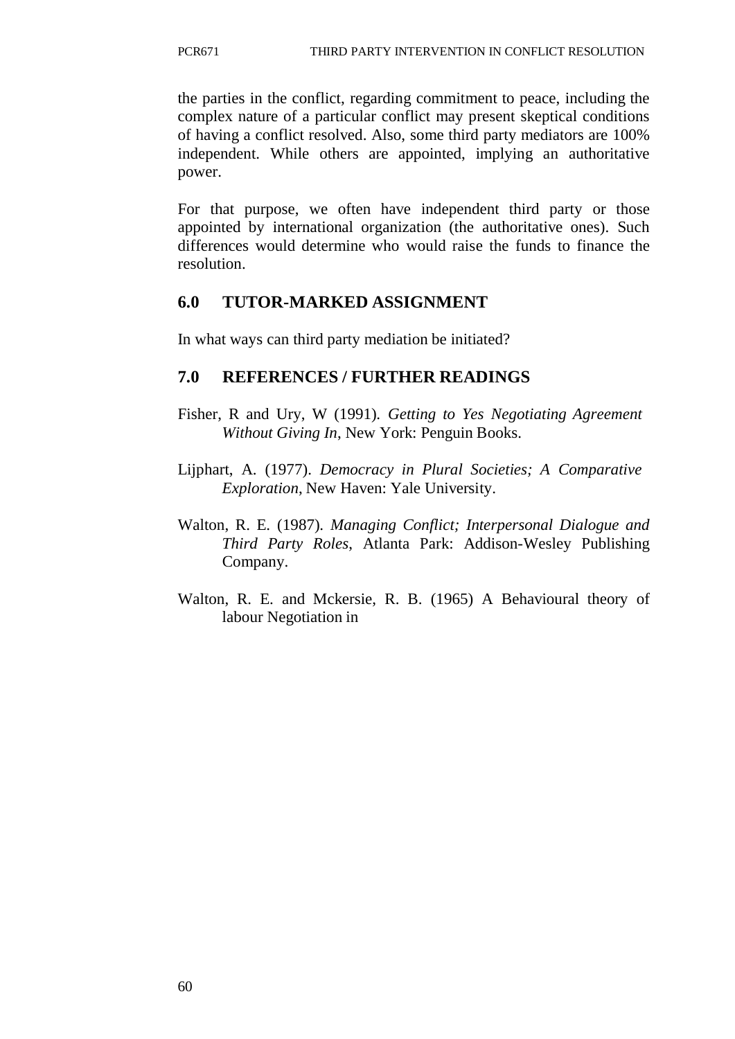the parties in the conflict, regarding commitment to peace, including the complex nature of a particular conflict may present skeptical conditions of having a conflict resolved. Also, some third party mediators are 100% independent. While others are appointed, implying an authoritative power.

For that purpose, we often have independent third party or those appointed by international organization (the authoritative ones). Such differences would determine who would raise the funds to finance the resolution.

# **6.0 TUTOR-MARKED ASSIGNMENT**

In what ways can third party mediation be initiated?

## **7.0 REFERENCES / FURTHER READINGS**

- Fisher, R and Ury, W (1991). *Getting to Yes Negotiating Agreement Without Giving In*, New York: Penguin Books.
- Lijphart, A. (1977). *Democracy in Plural Societies; A Comparative Exploration*, New Haven: Yale University.
- Walton, R. E. (1987). *Managing Conflict; Interpersonal Dialogue and Third Party Roles*, Atlanta Park: Addison-Wesley Publishing Company.
- Walton, R. E. and Mckersie, R. B. (1965) A Behavioural theory of labour Negotiation in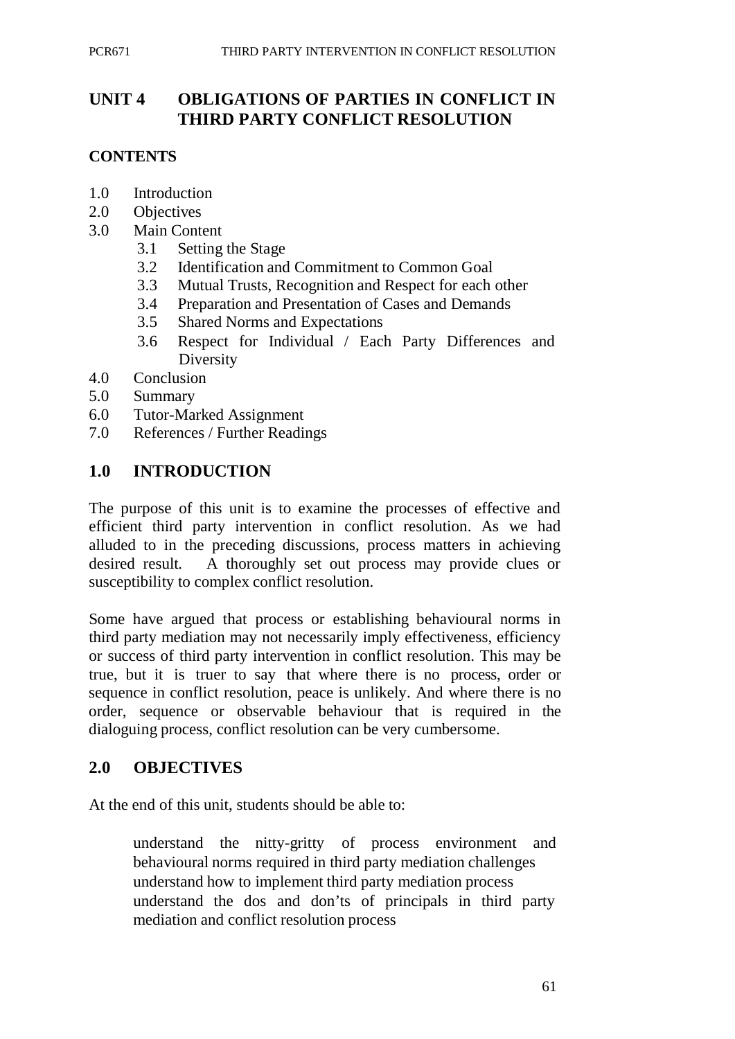# **UNIT 4 OBLIGATIONS OF PARTIES IN CONFLICT IN THIRD PARTY CONFLICT RESOLUTION**

### **CONTENTS**

- 1.0 Introduction
- 2.0 Objectives
- 3.0 Main Content
	- 3.1 Setting the Stage
	- 3.2 Identification and Commitment to Common Goal
	- 3.3 Mutual Trusts, Recognition and Respect for each other
	- 3.4 Preparation and Presentation of Cases and Demands
	- 3.5 Shared Norms and Expectations
	- 3.6 Respect for Individual / Each Party Differences and Diversity
- 4.0 Conclusion
- 5.0 Summary
- 6.0 Tutor-Marked Assignment
- 7.0 References / Further Readings

### **1.0 INTRODUCTION**

The purpose of this unit is to examine the processes of effective and efficient third party intervention in conflict resolution. As we had alluded to in the preceding discussions, process matters in achieving desired result. A thoroughly set out process may provide clues or susceptibility to complex conflict resolution.

Some have argued that process or establishing behavioural norms in third party mediation may not necessarily imply effectiveness, efficiency or success of third party intervention in conflict resolution. This may be true, but it is truer to say that where there is no process, order or sequence in conflict resolution, peace is unlikely. And where there is no order, sequence or observable behaviour that is required in the dialoguing process, conflict resolution can be very cumbersome.

## **2.0 OBJECTIVES**

At the end of this unit, students should be able to:

understand the nitty-gritty of process environment and behavioural norms required in third party mediation challenges understand how to implement third party mediation process understand the dos and don'ts of principals in third party mediation and conflict resolution process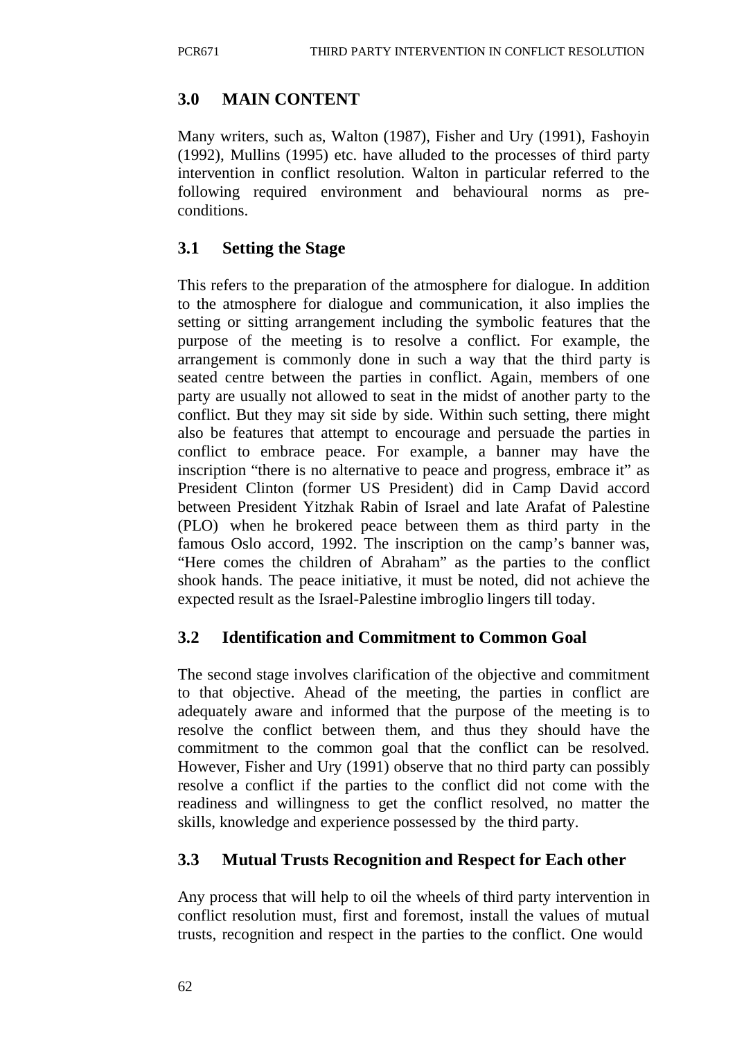# **3.0 MAIN CONTENT**

Many writers, such as, Walton (1987), Fisher and Ury (1991), Fashoyin (1992), Mullins (1995) etc. have alluded to the processes of third party intervention in conflict resolution. Walton in particular referred to the following required environment and behavioural norms as preconditions.

# **3.1 Setting the Stage**

This refers to the preparation of the atmosphere for dialogue. In addition to the atmosphere for dialogue and communication, it also implies the setting or sitting arrangement including the symbolic features that the purpose of the meeting is to resolve a conflict. For example, the arrangement is commonly done in such a way that the third party is seated centre between the parties in conflict. Again, members of one party are usually not allowed to seat in the midst of another party to the conflict. But they may sit side by side. Within such setting, there might also be features that attempt to encourage and persuade the parties in conflict to embrace peace. For example, a banner may have the inscription "there is no alternative to peace and progress, embrace it" as President Clinton (former US President) did in Camp David accord between President Yitzhak Rabin of Israel and late Arafat of Palestine (PLO) when he brokered peace between them as third party in the famous Oslo accord, 1992. The inscription on the camp's banner was, "Here comes the children of Abraham" as the parties to the conflict shook hands. The peace initiative, it must be noted, did not achieve the expected result as the Israel-Palestine imbroglio lingers till today.

## **3.2 Identification and Commitment to Common Goal**

The second stage involves clarification of the objective and commitment to that objective. Ahead of the meeting, the parties in conflict are adequately aware and informed that the purpose of the meeting is to resolve the conflict between them, and thus they should have the commitment to the common goal that the conflict can be resolved. However, Fisher and Ury (1991) observe that no third party can possibly resolve a conflict if the parties to the conflict did not come with the readiness and willingness to get the conflict resolved, no matter the skills, knowledge and experience possessed by the third party.

# **3.3 Mutual Trusts Recognition and Respect for Each other**

Any process that will help to oil the wheels of third party intervention in conflict resolution must, first and foremost, install the values of mutual trusts, recognition and respect in the parties to the conflict. One would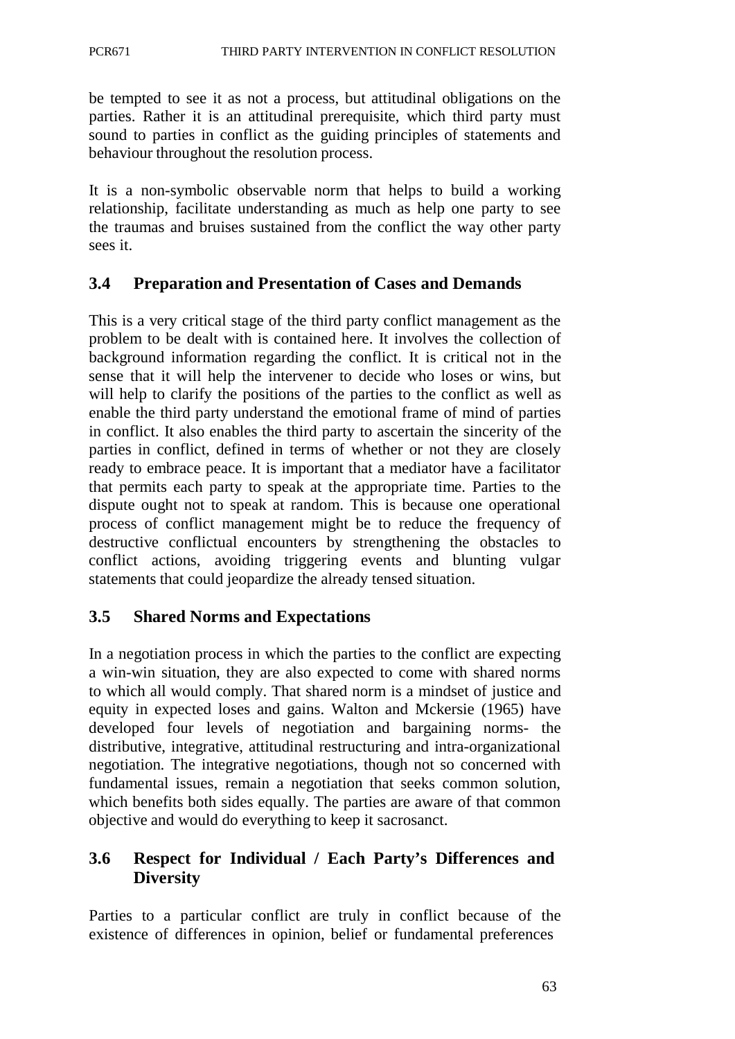be tempted to see it as not a process, but attitudinal obligations on the parties. Rather it is an attitudinal prerequisite, which third party must sound to parties in conflict as the guiding principles of statements and behaviour throughout the resolution process.

It is a non-symbolic observable norm that helps to build a working relationship, facilitate understanding as much as help one party to see the traumas and bruises sustained from the conflict the way other party sees it.

## **3.4 Preparation and Presentation of Cases and Demands**

This is a very critical stage of the third party conflict management as the problem to be dealt with is contained here. It involves the collection of background information regarding the conflict. It is critical not in the sense that it will help the intervener to decide who loses or wins, but will help to clarify the positions of the parties to the conflict as well as enable the third party understand the emotional frame of mind of parties in conflict. It also enables the third party to ascertain the sincerity of the parties in conflict, defined in terms of whether or not they are closely ready to embrace peace. It is important that a mediator have a facilitator that permits each party to speak at the appropriate time. Parties to the dispute ought not to speak at random. This is because one operational process of conflict management might be to reduce the frequency of destructive conflictual encounters by strengthening the obstacles to conflict actions, avoiding triggering events and blunting vulgar statements that could jeopardize the already tensed situation.

## **3.5 Shared Norms and Expectations**

In a negotiation process in which the parties to the conflict are expecting a win-win situation, they are also expected to come with shared norms to which all would comply. That shared norm is a mindset of justice and equity in expected loses and gains. Walton and Mckersie (1965) have developed four levels of negotiation and bargaining norms- the distributive, integrative, attitudinal restructuring and intra-organizational negotiation. The integrative negotiations, though not so concerned with fundamental issues, remain a negotiation that seeks common solution, which benefits both sides equally. The parties are aware of that common objective and would do everything to keep it sacrosanct.

### **3.6 Respect for Individual / Each Party's Differences and Diversity**

Parties to a particular conflict are truly in conflict because of the existence of differences in opinion, belief or fundamental preferences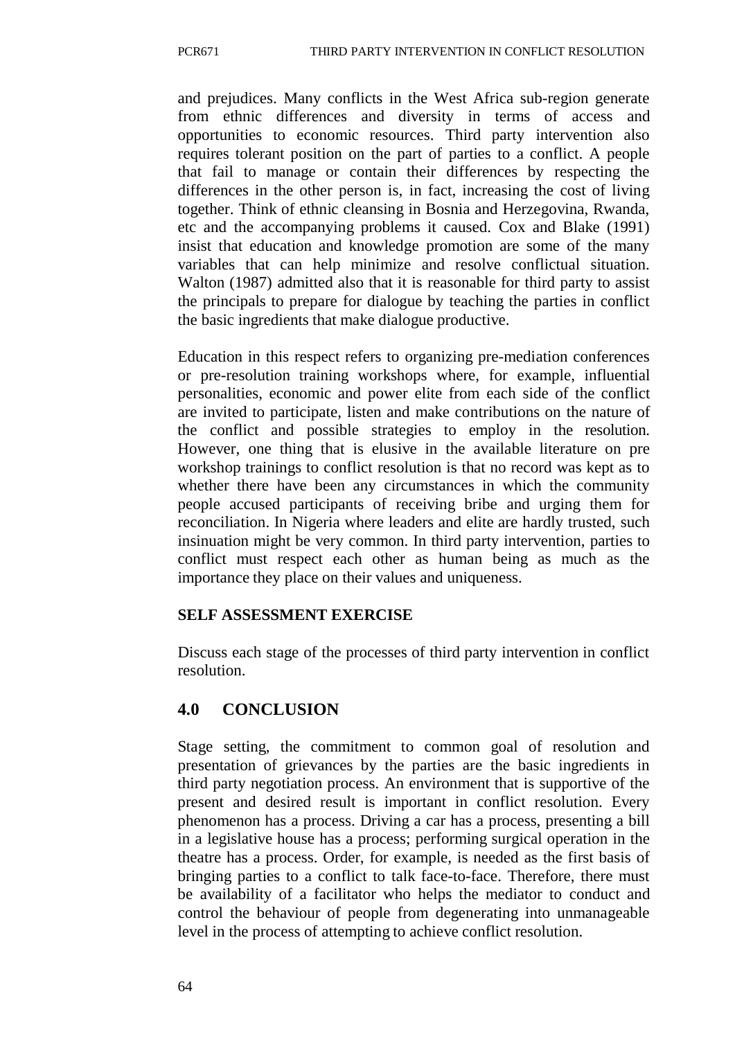and prejudices. Many conflicts in the West Africa sub-region generate from ethnic differences and diversity in terms of access and opportunities to economic resources. Third party intervention also requires tolerant position on the part of parties to a conflict. A people that fail to manage or contain their differences by respecting the differences in the other person is, in fact, increasing the cost of living together. Think of ethnic cleansing in Bosnia and Herzegovina, Rwanda, etc and the accompanying problems it caused. Cox and Blake (1991) insist that education and knowledge promotion are some of the many variables that can help minimize and resolve conflictual situation. Walton (1987) admitted also that it is reasonable for third party to assist the principals to prepare for dialogue by teaching the parties in conflict the basic ingredients that make dialogue productive.

Education in this respect refers to organizing pre-mediation conferences or pre-resolution training workshops where, for example, influential personalities, economic and power elite from each side of the conflict are invited to participate, listen and make contributions on the nature of the conflict and possible strategies to employ in the resolution. However, one thing that is elusive in the available literature on pre workshop trainings to conflict resolution is that no record was kept as to whether there have been any circumstances in which the community people accused participants of receiving bribe and urging them for reconciliation. In Nigeria where leaders and elite are hardly trusted, such insinuation might be very common. In third party intervention, parties to conflict must respect each other as human being as much as the importance they place on their values and uniqueness.

#### **SELF ASSESSMENT EXERCISE**

Discuss each stage of the processes of third party intervention in conflict resolution.

## **4.0 CONCLUSION**

Stage setting, the commitment to common goal of resolution and presentation of grievances by the parties are the basic ingredients in third party negotiation process. An environment that is supportive of the present and desired result is important in conflict resolution. Every phenomenon has a process. Driving a car has a process, presenting a bill in a legislative house has a process; performing surgical operation in the theatre has a process. Order, for example, is needed as the first basis of bringing parties to a conflict to talk face-to-face. Therefore, there must be availability of a facilitator who helps the mediator to conduct and control the behaviour of people from degenerating into unmanageable level in the process of attempting to achieve conflict resolution.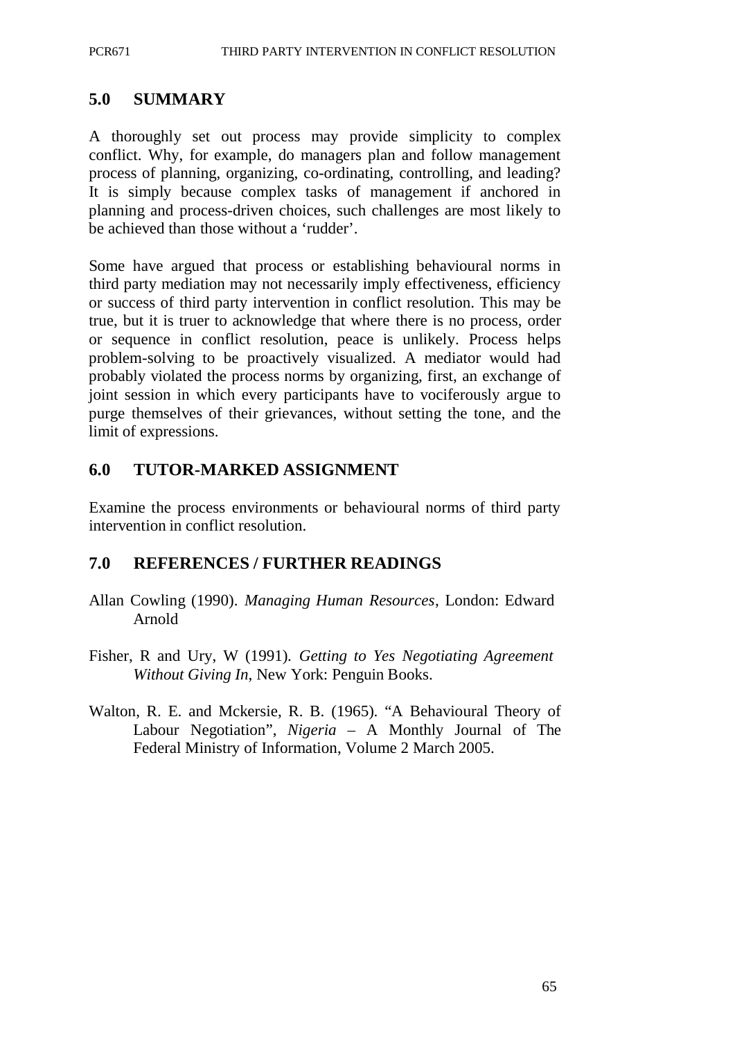### **5.0 SUMMARY**

A thoroughly set out process may provide simplicity to complex conflict. Why, for example, do managers plan and follow management process of planning, organizing, co-ordinating, controlling, and leading? It is simply because complex tasks of management if anchored in planning and process-driven choices, such challenges are most likely to be achieved than those without a 'rudder'.

Some have argued that process or establishing behavioural norms in third party mediation may not necessarily imply effectiveness, efficiency or success of third party intervention in conflict resolution. This may be true, but it is truer to acknowledge that where there is no process, order or sequence in conflict resolution, peace is unlikely. Process helps problem-solving to be proactively visualized. A mediator would had probably violated the process norms by organizing, first, an exchange of joint session in which every participants have to vociferously argue to purge themselves of their grievances, without setting the tone, and the limit of expressions.

### **6.0 TUTOR-MARKED ASSIGNMENT**

Examine the process environments or behavioural norms of third party intervention in conflict resolution.

### **7.0 REFERENCES / FURTHER READINGS**

- Allan Cowling (1990). *Managing Human Resources*, London: Edward Arnold
- Fisher, R and Ury, W (1991). *Getting to Yes Negotiating Agreement Without Giving In*, New York: Penguin Books.
- Walton, R. E. and Mckersie, R. B. (1965). "A Behavioural Theory of Labour Negotiation", *Nigeria* – A Monthly Journal of The Federal Ministry of Information, Volume 2 March 2005.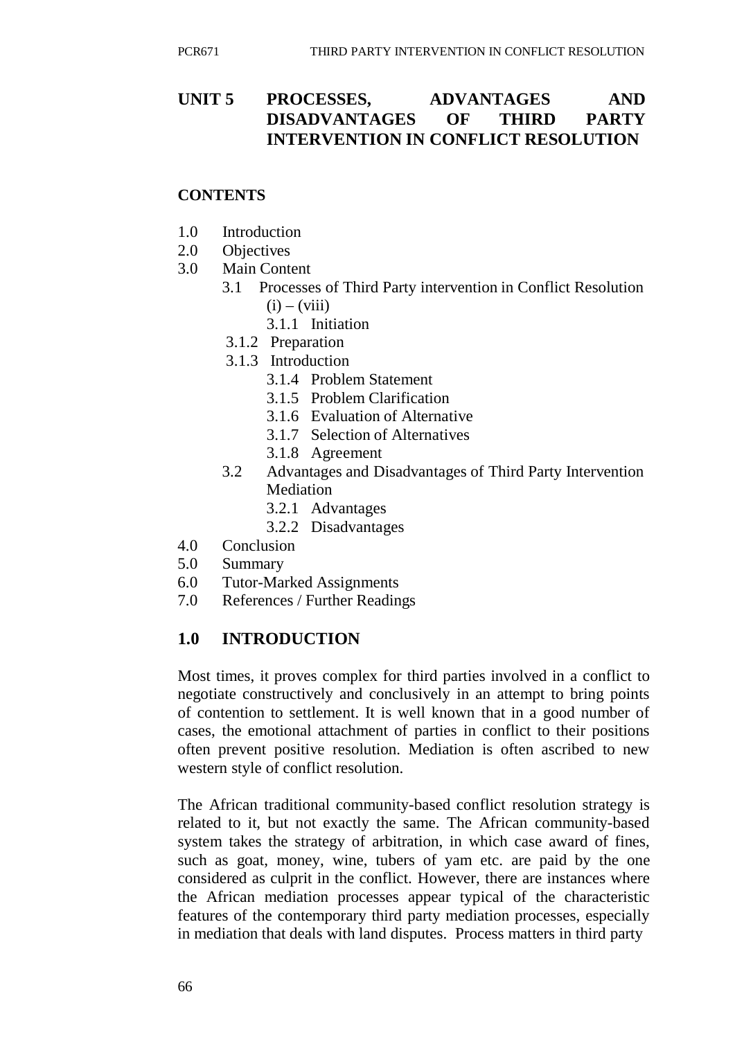# **UNIT 5 PROCESSES, ADVANTAGES AND DISADVANTAGES OF THIRD PARTY INTERVENTION IN CONFLICT RESOLUTION**

#### **CONTENTS**

- 1.0 Introduction
- 2.0 Objectives
- 3.0 Main Content
	- 3.1 Processes of Third Party intervention in Conflict Resolution  $(i) - (viii)$ 
		- 3.1.1 Initiation
		- 3.1.2 Preparation
		- 3.1.3 Introduction
			- 3.1.4 Problem Statement
			- 3.1.5 Problem Clarification
			- 3.1.6 Evaluation of Alternative
			- 3.1.7 Selection of Alternatives
			- 3.1.8 Agreement
	- 3.2 Advantages and Disadvantages of Third Party Intervention Mediation
		- 3.2.1 Advantages
		- 3.2.2 Disadvantages
- 4.0 Conclusion
- 5.0 Summary
- 6.0 Tutor-Marked Assignments
- 7.0 References / Further Readings

## **1.0 INTRODUCTION**

Most times, it proves complex for third parties involved in a conflict to negotiate constructively and conclusively in an attempt to bring points of contention to settlement. It is well known that in a good number of cases, the emotional attachment of parties in conflict to their positions often prevent positive resolution. Mediation is often ascribed to new western style of conflict resolution.

The African traditional community-based conflict resolution strategy is related to it, but not exactly the same. The African community-based system takes the strategy of arbitration, in which case award of fines, such as goat, money, wine, tubers of yam etc. are paid by the one considered as culprit in the conflict. However, there are instances where the African mediation processes appear typical of the characteristic features of the contemporary third party mediation processes, especially in mediation that deals with land disputes. Process matters in third party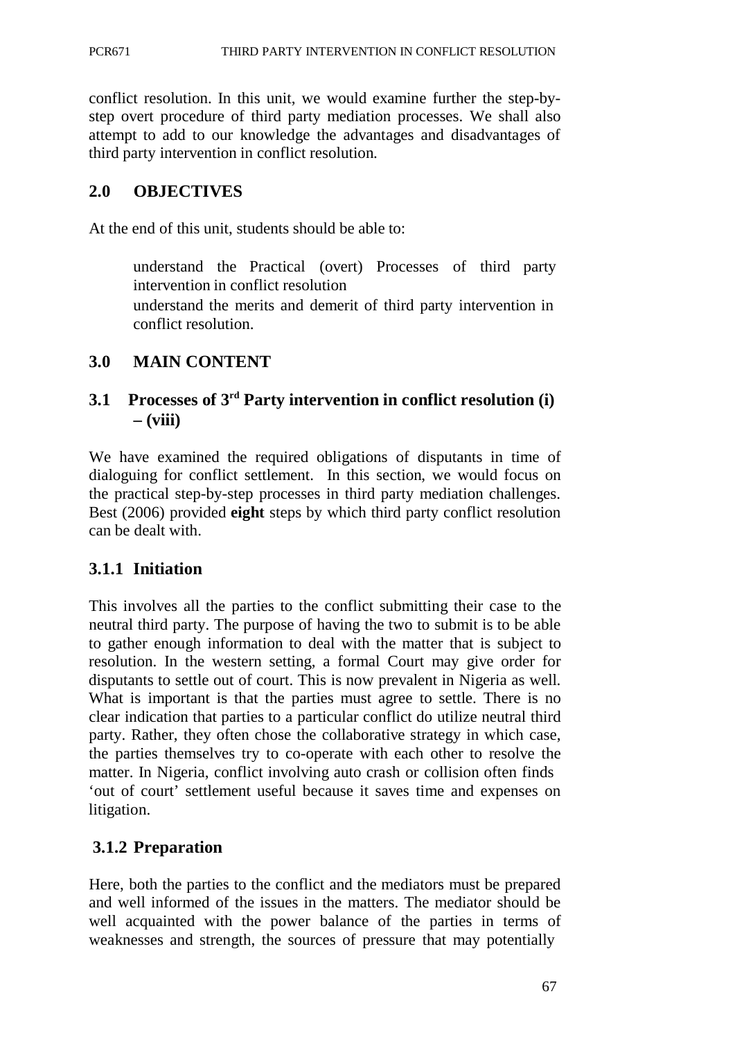conflict resolution. In this unit, we would examine further the step-bystep overt procedure of third party mediation processes. We shall also attempt to add to our knowledge the advantages and disadvantages of third party intervention in conflict resolution.

## **2.0 OBJECTIVES**

At the end of this unit, students should be able to:

understand the Practical (overt) Processes of third party intervention in conflict resolution

understand the merits and demerit of third party intervention in conflict resolution.

## **3.0 MAIN CONTENT**

# **3.1 Processes of 3rd Party intervention in conflict resolution (i) – (viii)**

We have examined the required obligations of disputants in time of dialoguing for conflict settlement. In this section, we would focus on the practical step-by-step processes in third party mediation challenges. Best (2006) provided **eight** steps by which third party conflict resolution can be dealt with.

# **3.1.1 Initiation**

This involves all the parties to the conflict submitting their case to the neutral third party. The purpose of having the two to submit is to be able to gather enough information to deal with the matter that is subject to resolution. In the western setting, a formal Court may give order for disputants to settle out of court. This is now prevalent in Nigeria as well. What is important is that the parties must agree to settle. There is no clear indication that parties to a particular conflict do utilize neutral third party. Rather, they often chose the collaborative strategy in which case, the parties themselves try to co-operate with each other to resolve the matter. In Nigeria, conflict involving auto crash or collision often finds 'out of court' settlement useful because it saves time and expenses on litigation.

# **3.1.2 Preparation**

Here, both the parties to the conflict and the mediators must be prepared and well informed of the issues in the matters. The mediator should be well acquainted with the power balance of the parties in terms of weaknesses and strength, the sources of pressure that may potentially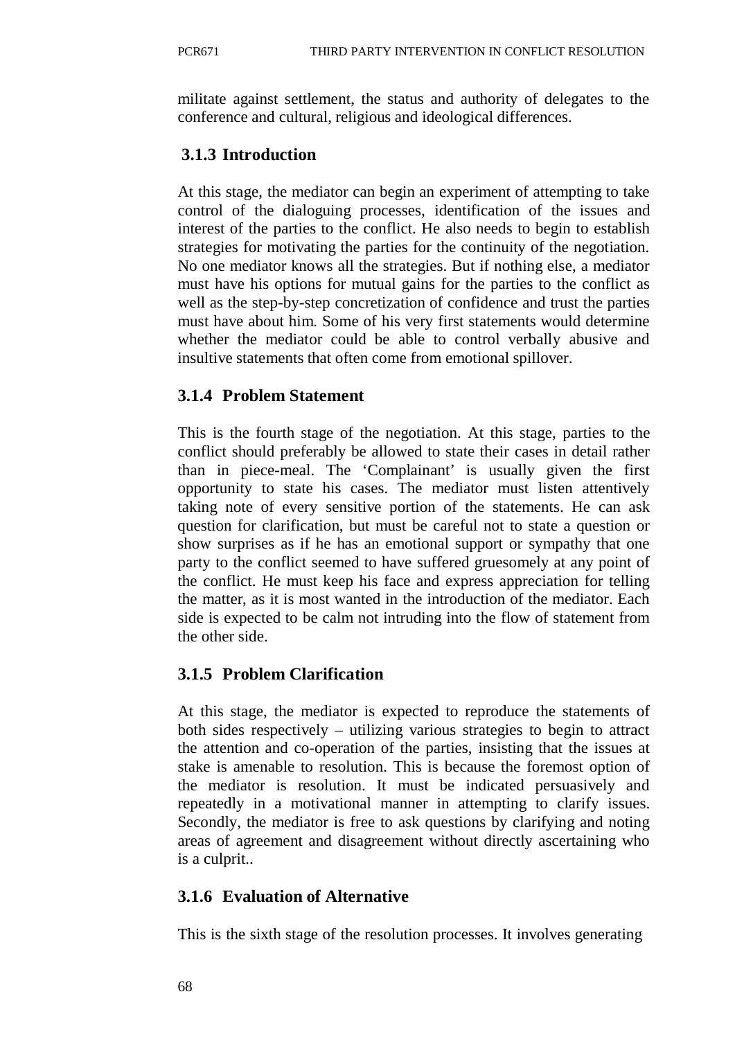militate against settlement, the status and authority of delegates to the conference and cultural, religious and ideological differences.

# **3.1.3 Introduction**

At this stage, the mediator can begin an experiment of attempting to take control of the dialoguing processes, identification of the issues and interest of the parties to the conflict. He also needs to begin to establish strategies for motivating the parties for the continuity of the negotiation. No one mediator knows all the strategies. But if nothing else, a mediator must have his options for mutual gains for the parties to the conflict as well as the step-by-step concretization of confidence and trust the parties must have about him. Some of his very first statements would determine whether the mediator could be able to control verbally abusive and insultive statements that often come from emotional spillover.

# **3.1.4 Problem Statement**

This is the fourth stage of the negotiation. At this stage, parties to the conflict should preferably be allowed to state their cases in detail rather than in piece-meal. The 'Complainant' is usually given the first opportunity to state his cases. The mediator must listen attentively taking note of every sensitive portion of the statements. He can ask question for clarification, but must be careful not to state a question or show surprises as if he has an emotional support or sympathy that one party to the conflict seemed to have suffered gruesomely at any point of the conflict. He must keep his face and express appreciation for telling the matter, as it is most wanted in the introduction of the mediator. Each side is expected to be calm not intruding into the flow of statement from the other side.

# **3.1.5 Problem Clarification**

At this stage, the mediator is expected to reproduce the statements of both sides respectively – utilizing various strategies to begin to attract the attention and co-operation of the parties, insisting that the issues at stake is amenable to resolution. This is because the foremost option of the mediator is resolution. It must be indicated persuasively and repeatedly in a motivational manner in attempting to clarify issues. Secondly, the mediator is free to ask questions by clarifying and noting areas of agreement and disagreement without directly ascertaining who is a culprit..

# **3.1.6 Evaluation of Alternative**

This is the sixth stage of the resolution processes. It involves generating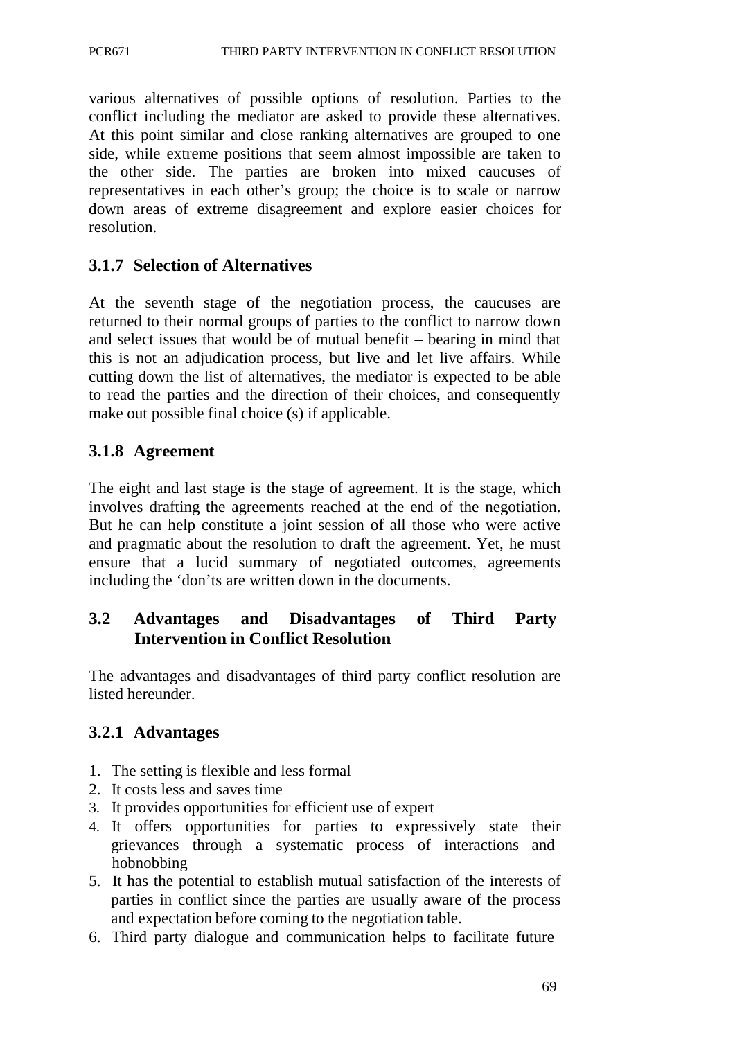various alternatives of possible options of resolution. Parties to the conflict including the mediator are asked to provide these alternatives. At this point similar and close ranking alternatives are grouped to one side, while extreme positions that seem almost impossible are taken to the other side. The parties are broken into mixed caucuses of representatives in each other's group; the choice is to scale or narrow down areas of extreme disagreement and explore easier choices for resolution.

# **3.1.7 Selection of Alternatives**

At the seventh stage of the negotiation process, the caucuses are returned to their normal groups of parties to the conflict to narrow down and select issues that would be of mutual benefit – bearing in mind that this is not an adjudication process, but live and let live affairs. While cutting down the list of alternatives, the mediator is expected to be able to read the parties and the direction of their choices, and consequently make out possible final choice (s) if applicable.

# **3.1.8 Agreement**

The eight and last stage is the stage of agreement. It is the stage, which involves drafting the agreements reached at the end of the negotiation. But he can help constitute a joint session of all those who were active and pragmatic about the resolution to draft the agreement. Yet, he must ensure that a lucid summary of negotiated outcomes, agreements including the 'don'ts are written down in the documents.

# **3.2 Advantages and Disadvantages of Third Party Intervention in Conflict Resolution**

The advantages and disadvantages of third party conflict resolution are listed hereunder.

# **3.2.1 Advantages**

- 1. The setting is flexible and less formal
- 2. It costs less and saves time
- 3. It provides opportunities for efficient use of expert
- 4. It offers opportunities for parties to expressively state their grievances through a systematic process of interactions and hobnobbing
- 5. It has the potential to establish mutual satisfaction of the interests of parties in conflict since the parties are usually aware of the process and expectation before coming to the negotiation table.
- 6. Third party dialogue and communication helps to facilitate future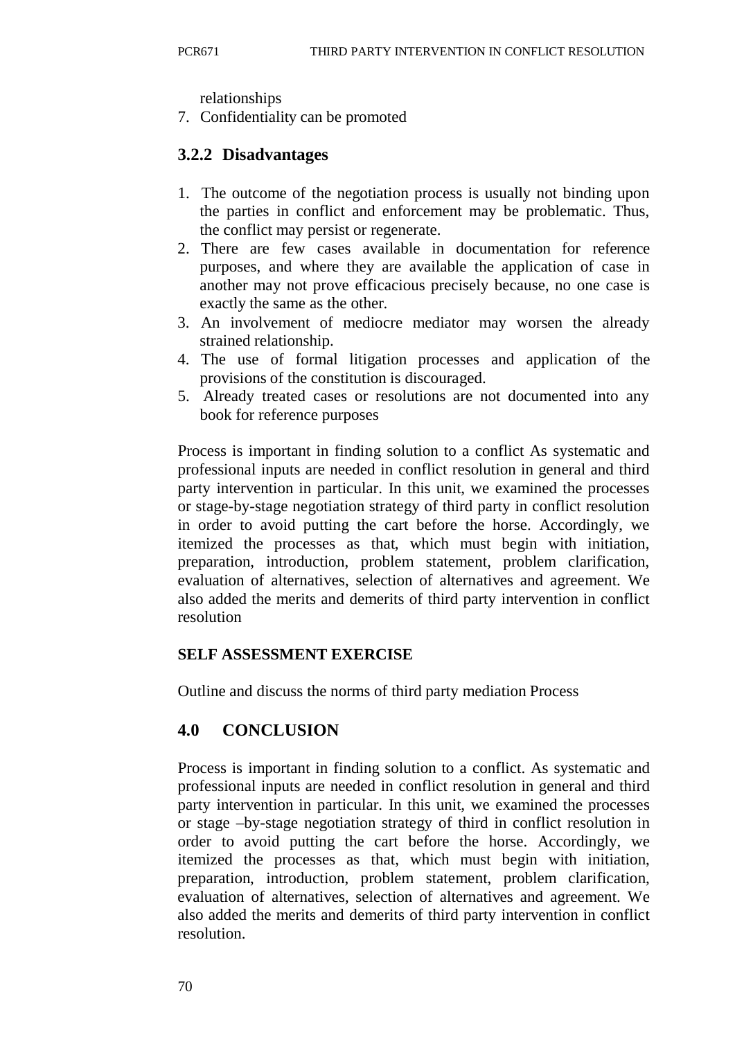relationships

7. Confidentiality can be promoted

## **3.2.2 Disadvantages**

- 1. The outcome of the negotiation process is usually not binding upon the parties in conflict and enforcement may be problematic. Thus, the conflict may persist or regenerate.
- 2. There are few cases available in documentation for reference purposes, and where they are available the application of case in another may not prove efficacious precisely because, no one case is exactly the same as the other.
- 3. An involvement of mediocre mediator may worsen the already strained relationship.
- 4. The use of formal litigation processes and application of the provisions of the constitution is discouraged.
- 5. Already treated cases or resolutions are not documented into any book for reference purposes

Process is important in finding solution to a conflict As systematic and professional inputs are needed in conflict resolution in general and third party intervention in particular. In this unit, we examined the processes or stage-by-stage negotiation strategy of third party in conflict resolution in order to avoid putting the cart before the horse. Accordingly, we itemized the processes as that, which must begin with initiation, preparation, introduction, problem statement, problem clarification, evaluation of alternatives, selection of alternatives and agreement. We also added the merits and demerits of third party intervention in conflict resolution

#### **SELF ASSESSMENT EXERCISE**

Outline and discuss the norms of third party mediation Process

## **4.0 CONCLUSION**

Process is important in finding solution to a conflict. As systematic and professional inputs are needed in conflict resolution in general and third party intervention in particular. In this unit, we examined the processes or stage –by-stage negotiation strategy of third in conflict resolution in order to avoid putting the cart before the horse. Accordingly, we itemized the processes as that, which must begin with initiation, preparation, introduction, problem statement, problem clarification, evaluation of alternatives, selection of alternatives and agreement. We also added the merits and demerits of third party intervention in conflict resolution.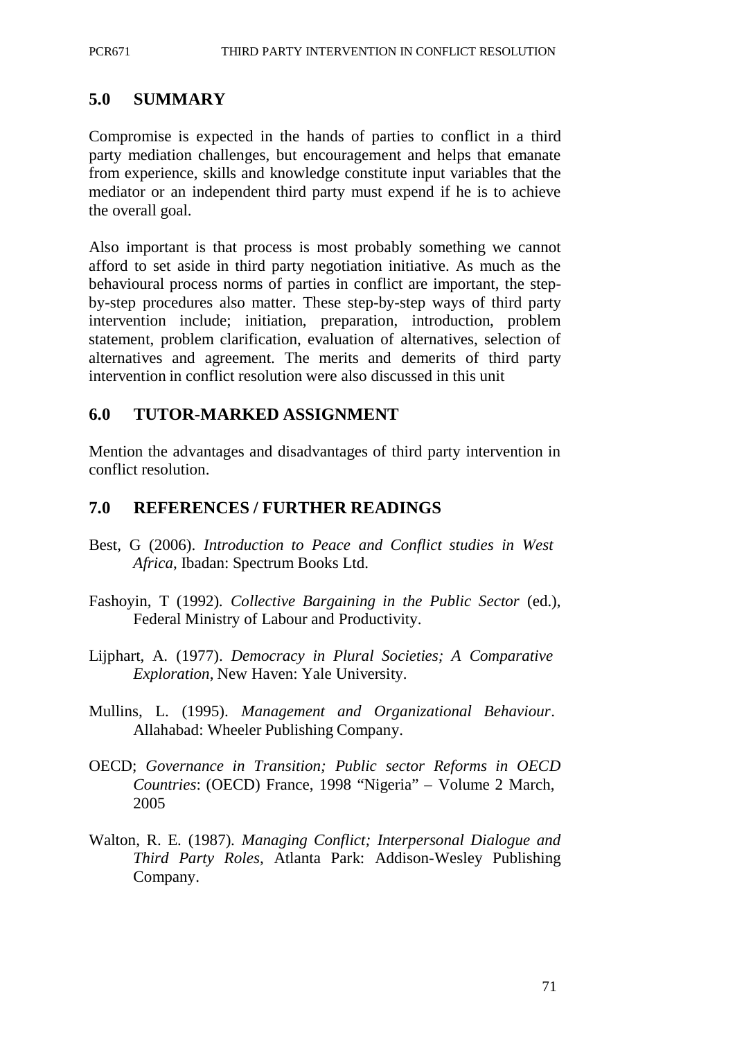#### **5.0 SUMMARY**

Compromise is expected in the hands of parties to conflict in a third party mediation challenges, but encouragement and helps that emanate from experience, skills and knowledge constitute input variables that the mediator or an independent third party must expend if he is to achieve the overall goal.

Also important is that process is most probably something we cannot afford to set aside in third party negotiation initiative. As much as the behavioural process norms of parties in conflict are important, the stepby-step procedures also matter. These step-by-step ways of third party intervention include; initiation, preparation, introduction, problem statement, problem clarification, evaluation of alternatives, selection of alternatives and agreement. The merits and demerits of third party intervention in conflict resolution were also discussed in this unit

#### **6.0 TUTOR-MARKED ASSIGNMENT**

Mention the advantages and disadvantages of third party intervention in conflict resolution.

#### **7.0 REFERENCES / FURTHER READINGS**

- Best, G (2006). *Introduction to Peace and Conflict studies in West Africa*, Ibadan: Spectrum Books Ltd.
- Fashoyin, T (1992). *Collective Bargaining in the Public Sector* (ed.), Federal Ministry of Labour and Productivity.
- Lijphart, A. (1977). *Democracy in Plural Societies; A Comparative Exploration*, New Haven: Yale University.
- Mullins, L. (1995). *Management and Organizational Behaviour*. Allahabad: Wheeler Publishing Company.
- OECD; *Governance in Transition; Public sector Reforms in OECD Countries*: (OECD) France, 1998 "Nigeria" – Volume 2 March, 2005
- Walton, R. E. (1987). *Managing Conflict; Interpersonal Dialogue and Third Party Roles*, Atlanta Park: Addison-Wesley Publishing Company.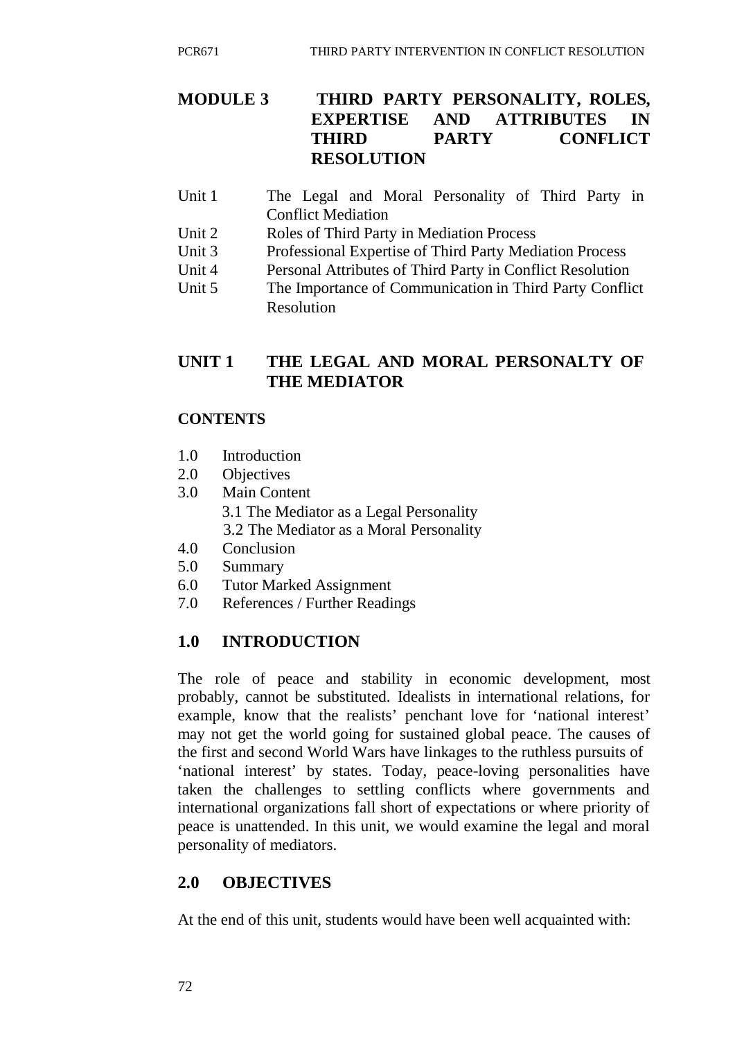# **MODULE 3 THIRD PARTY PERSONALITY, ROLES, EXPERTISE AND ATTRIBUTES IN THIRD PARTY CONFLICT RESOLUTION**

- Unit 1 The Legal and Moral Personality of Third Party in Conflict Mediation
- Unit 2 Roles of Third Party in Mediation Process
- Unit 3 Professional Expertise of Third Party Mediation Process
- Unit 4 Personal Attributes of Third Party in Conflict Resolution
- Unit 5 The Importance of Communication in Third Party Conflict Resolution

# **UNIT 1 THE LEGAL AND MORAL PERSONALTY OF THE MEDIATOR**

## **CONTENTS**

- 1.0 Introduction
- 2.0 Objectives
- 3.0 Main Content 3.1 The Mediator as a Legal Personality 3.2 The Mediator as a Moral Personality
- 4.0 Conclusion
- 5.0 Summary
- 6.0 Tutor Marked Assignment
- 7.0 References / Further Readings

# **1.0 INTRODUCTION**

The role of peace and stability in economic development, most probably, cannot be substituted. Idealists in international relations, for example, know that the realists' penchant love for 'national interest' may not get the world going for sustained global peace. The causes of the first and second World Wars have linkages to the ruthless pursuits of 'national interest' by states. Today, peace-loving personalities have taken the challenges to settling conflicts where governments and international organizations fall short of expectations or where priority of peace is unattended. In this unit, we would examine the legal and moral personality of mediators.

# **2.0 OBJECTIVES**

At the end of this unit, students would have been well acquainted with: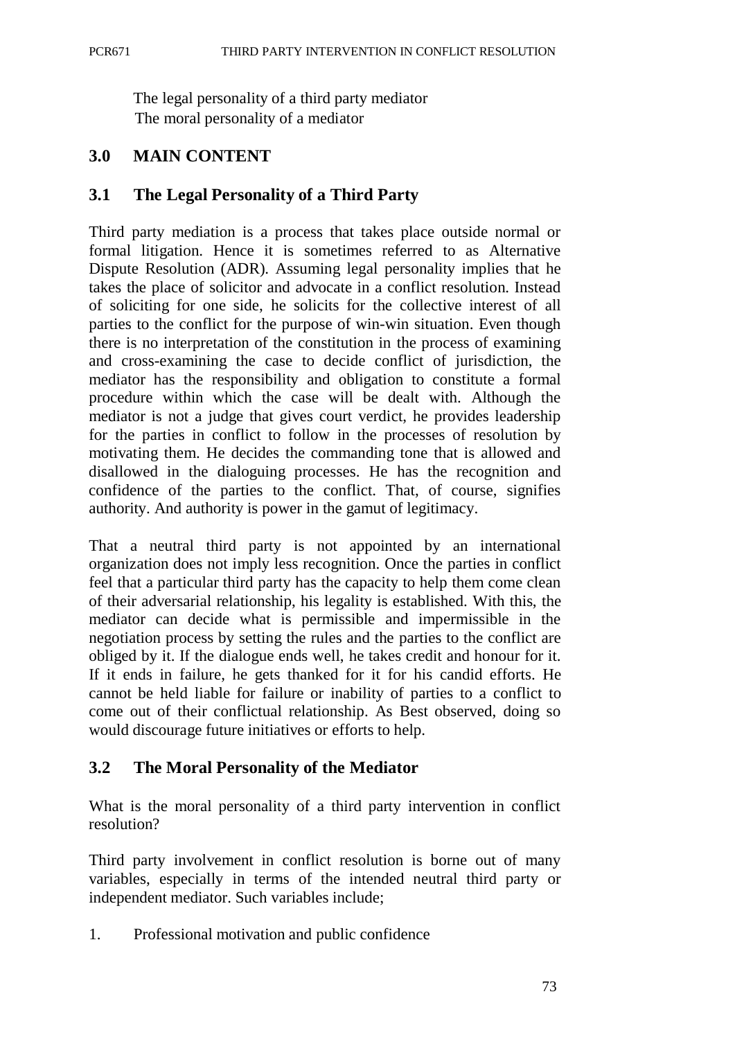The legal personality of a third party mediator The moral personality of a mediator

# **3.0 MAIN CONTENT**

## **3.1 The Legal Personality of a Third Party**

Third party mediation is a process that takes place outside normal or formal litigation. Hence it is sometimes referred to as Alternative Dispute Resolution (ADR). Assuming legal personality implies that he takes the place of solicitor and advocate in a conflict resolution. Instead of soliciting for one side, he solicits for the collective interest of all parties to the conflict for the purpose of win-win situation. Even though there is no interpretation of the constitution in the process of examining and cross-examining the case to decide conflict of jurisdiction, the mediator has the responsibility and obligation to constitute a formal procedure within which the case will be dealt with. Although the mediator is not a judge that gives court verdict, he provides leadership for the parties in conflict to follow in the processes of resolution by motivating them. He decides the commanding tone that is allowed and disallowed in the dialoguing processes. He has the recognition and confidence of the parties to the conflict. That, of course, signifies authority. And authority is power in the gamut of legitimacy.

That a neutral third party is not appointed by an international organization does not imply less recognition. Once the parties in conflict feel that a particular third party has the capacity to help them come clean of their adversarial relationship, his legality is established. With this, the mediator can decide what is permissible and impermissible in the negotiation process by setting the rules and the parties to the conflict are obliged by it. If the dialogue ends well, he takes credit and honour for it. If it ends in failure, he gets thanked for it for his candid efforts. He cannot be held liable for failure or inability of parties to a conflict to come out of their conflictual relationship. As Best observed, doing so would discourage future initiatives or efforts to help.

# **3.2 The Moral Personality of the Mediator**

What is the moral personality of a third party intervention in conflict resolution?

Third party involvement in conflict resolution is borne out of many variables, especially in terms of the intended neutral third party or independent mediator. Such variables include;

1. Professional motivation and public confidence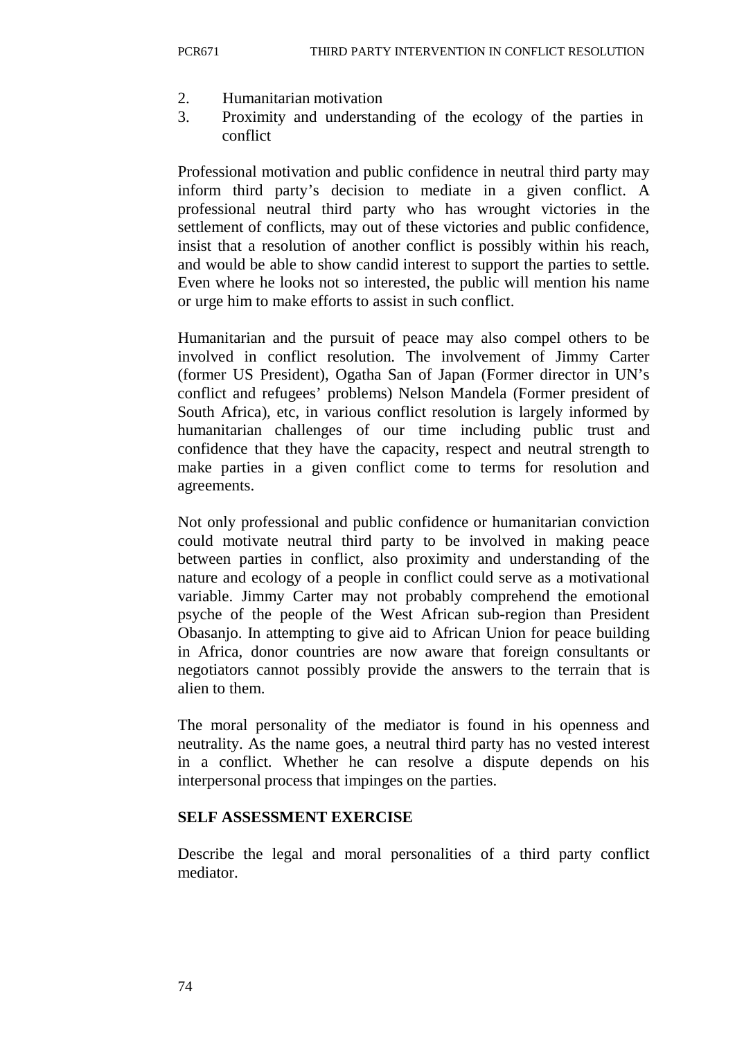- 2. Humanitarian motivation
- 3. Proximity and understanding of the ecology of the parties in conflict

Professional motivation and public confidence in neutral third party may inform third party's decision to mediate in a given conflict. A professional neutral third party who has wrought victories in the settlement of conflicts, may out of these victories and public confidence, insist that a resolution of another conflict is possibly within his reach, and would be able to show candid interest to support the parties to settle. Even where he looks not so interested, the public will mention his name or urge him to make efforts to assist in such conflict.

Humanitarian and the pursuit of peace may also compel others to be involved in conflict resolution. The involvement of Jimmy Carter (former US President), Ogatha San of Japan (Former director in UN's conflict and refugees' problems) Nelson Mandela (Former president of South Africa), etc, in various conflict resolution is largely informed by humanitarian challenges of our time including public trust and confidence that they have the capacity, respect and neutral strength to make parties in a given conflict come to terms for resolution and agreements.

Not only professional and public confidence or humanitarian conviction could motivate neutral third party to be involved in making peace between parties in conflict, also proximity and understanding of the nature and ecology of a people in conflict could serve as a motivational variable. Jimmy Carter may not probably comprehend the emotional psyche of the people of the West African sub-region than President Obasanjo. In attempting to give aid to African Union for peace building in Africa, donor countries are now aware that foreign consultants or negotiators cannot possibly provide the answers to the terrain that is alien to them.

The moral personality of the mediator is found in his openness and neutrality. As the name goes, a neutral third party has no vested interest in a conflict. Whether he can resolve a dispute depends on his interpersonal process that impinges on the parties.

#### **SELF ASSESSMENT EXERCISE**

Describe the legal and moral personalities of a third party conflict mediator.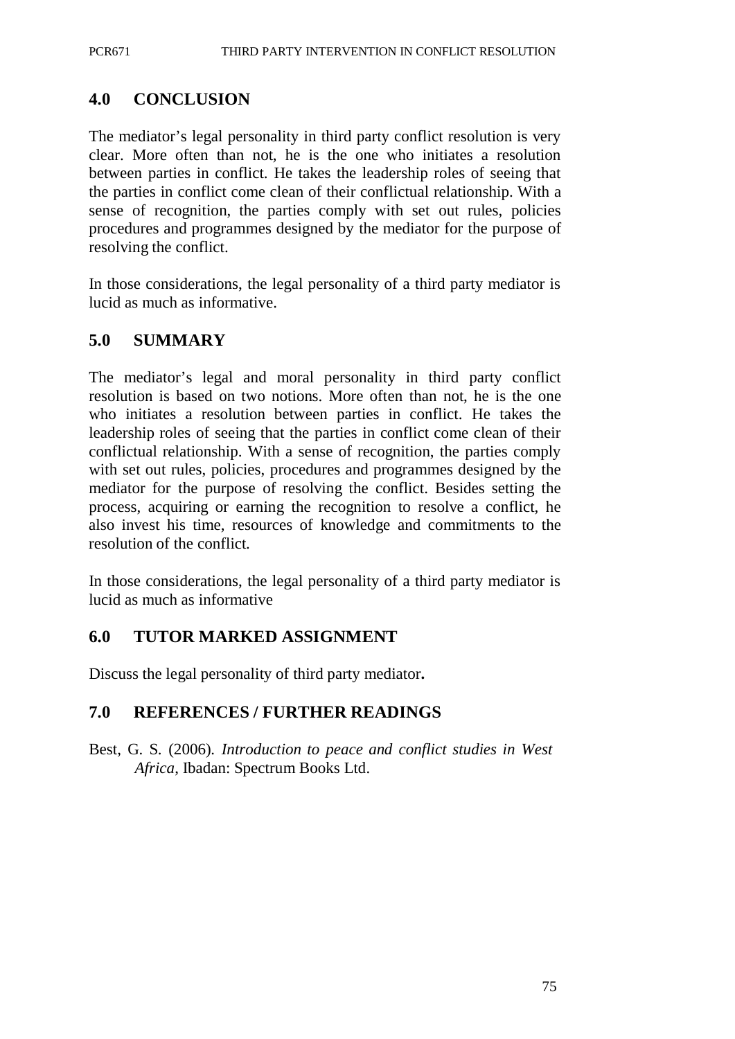# **4.0 CONCLUSION**

The mediator's legal personality in third party conflict resolution is very clear. More often than not, he is the one who initiates a resolution between parties in conflict. He takes the leadership roles of seeing that the parties in conflict come clean of their conflictual relationship. With a sense of recognition, the parties comply with set out rules, policies procedures and programmes designed by the mediator for the purpose of resolving the conflict.

In those considerations, the legal personality of a third party mediator is lucid as much as informative.

# **5.0 SUMMARY**

The mediator's legal and moral personality in third party conflict resolution is based on two notions. More often than not, he is the one who initiates a resolution between parties in conflict. He takes the leadership roles of seeing that the parties in conflict come clean of their conflictual relationship. With a sense of recognition, the parties comply with set out rules, policies, procedures and programmes designed by the mediator for the purpose of resolving the conflict. Besides setting the process, acquiring or earning the recognition to resolve a conflict, he also invest his time, resources of knowledge and commitments to the resolution of the conflict.

In those considerations, the legal personality of a third party mediator is lucid as much as informative

## **6.0 TUTOR MARKED ASSIGNMENT**

Discuss the legal personality of third party mediator**.**

## **7.0 REFERENCES / FURTHER READINGS**

Best, G. S. (2006). *Introduction to peace and conflict studies in West Africa*, Ibadan: Spectrum Books Ltd.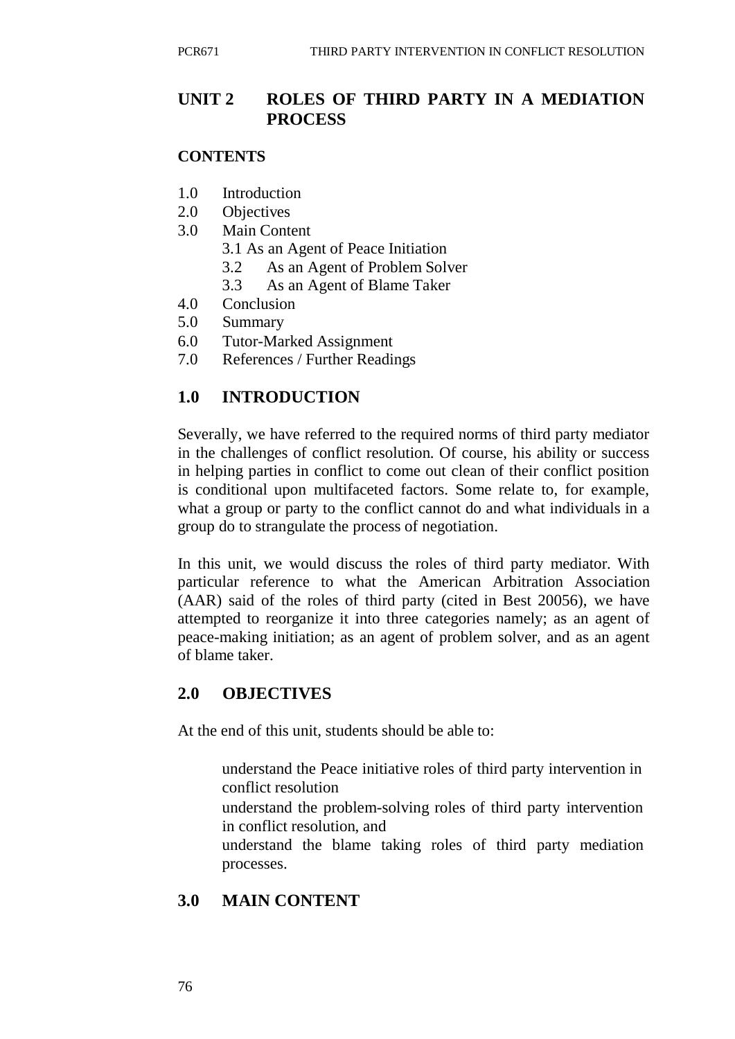# **UNIT 2 ROLES OF THIRD PARTY IN A MEDIATION PROCESS**

#### **CONTENTS**

- 1.0 Introduction
- 2.0 Objectives
- 3.0 Main Content
	- 3.1 As an Agent of Peace Initiation
	- 3.2 As an Agent of Problem Solver
	- 3.3 As an Agent of Blame Taker
- 4.0 Conclusion
- 5.0 Summary
- 6.0 Tutor-Marked Assignment
- 7.0 References / Further Readings

# **1.0 INTRODUCTION**

Severally, we have referred to the required norms of third party mediator in the challenges of conflict resolution. Of course, his ability or success in helping parties in conflict to come out clean of their conflict position is conditional upon multifaceted factors. Some relate to, for example, what a group or party to the conflict cannot do and what individuals in a group do to strangulate the process of negotiation.

In this unit, we would discuss the roles of third party mediator. With particular reference to what the American Arbitration Association (AAR) said of the roles of third party (cited in Best 20056), we have attempted to reorganize it into three categories namely; as an agent of peace-making initiation; as an agent of problem solver, and as an agent of blame taker.

# **2.0 OBJECTIVES**

At the end of this unit, students should be able to:

- understand the Peace initiative roles of third party intervention in conflict resolution
- understand the problem-solving roles of third party intervention in conflict resolution, and
- understand the blame taking roles of third party mediation processes.

# **3.0 MAIN CONTENT**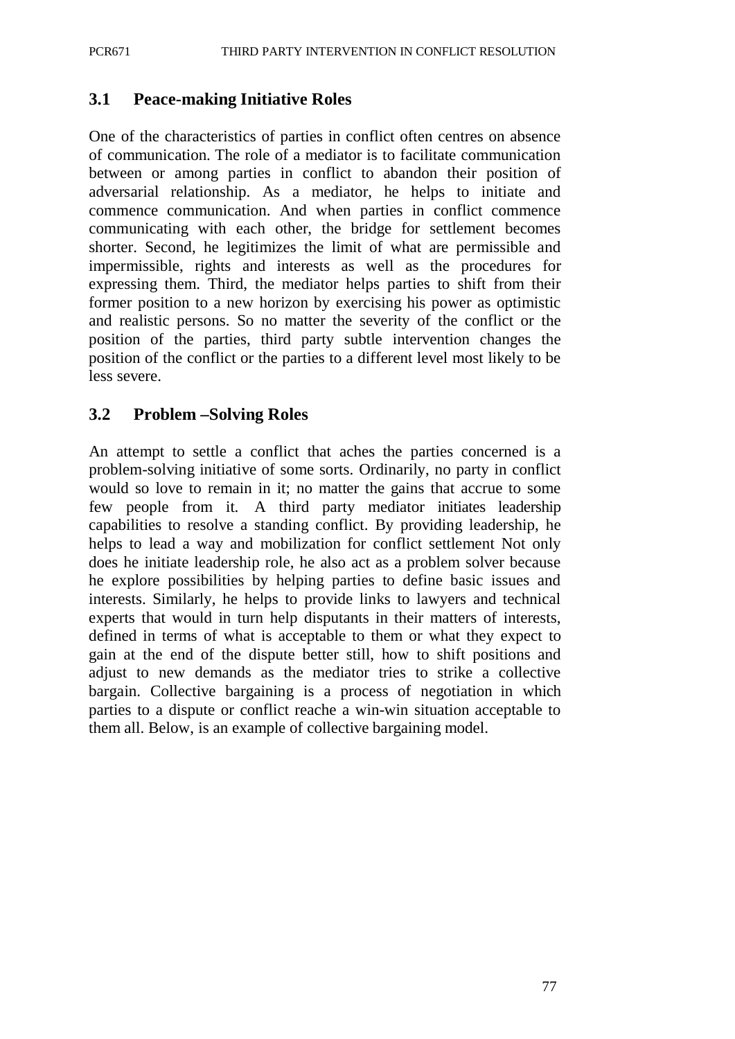#### **3.1 Peace-making Initiative Roles**

One of the characteristics of parties in conflict often centres on absence of communication. The role of a mediator is to facilitate communication between or among parties in conflict to abandon their position of adversarial relationship. As a mediator, he helps to initiate and commence communication. And when parties in conflict commence communicating with each other, the bridge for settlement becomes shorter. Second, he legitimizes the limit of what are permissible and impermissible, rights and interests as well as the procedures for expressing them. Third, the mediator helps parties to shift from their former position to a new horizon by exercising his power as optimistic and realistic persons. So no matter the severity of the conflict or the position of the parties, third party subtle intervention changes the position of the conflict or the parties to a different level most likely to be less severe.

#### **3.2 Problem –Solving Roles**

An attempt to settle a conflict that aches the parties concerned is a problem-solving initiative of some sorts. Ordinarily, no party in conflict would so love to remain in it; no matter the gains that accrue to some few people from it. A third party mediator initiates leadership capabilities to resolve a standing conflict. By providing leadership, he helps to lead a way and mobilization for conflict settlement Not only does he initiate leadership role, he also act as a problem solver because he explore possibilities by helping parties to define basic issues and interests. Similarly, he helps to provide links to lawyers and technical experts that would in turn help disputants in their matters of interests, defined in terms of what is acceptable to them or what they expect to gain at the end of the dispute better still, how to shift positions and adjust to new demands as the mediator tries to strike a collective bargain. Collective bargaining is a process of negotiation in which parties to a dispute or conflict reache a win-win situation acceptable to them all. Below, is an example of collective bargaining model.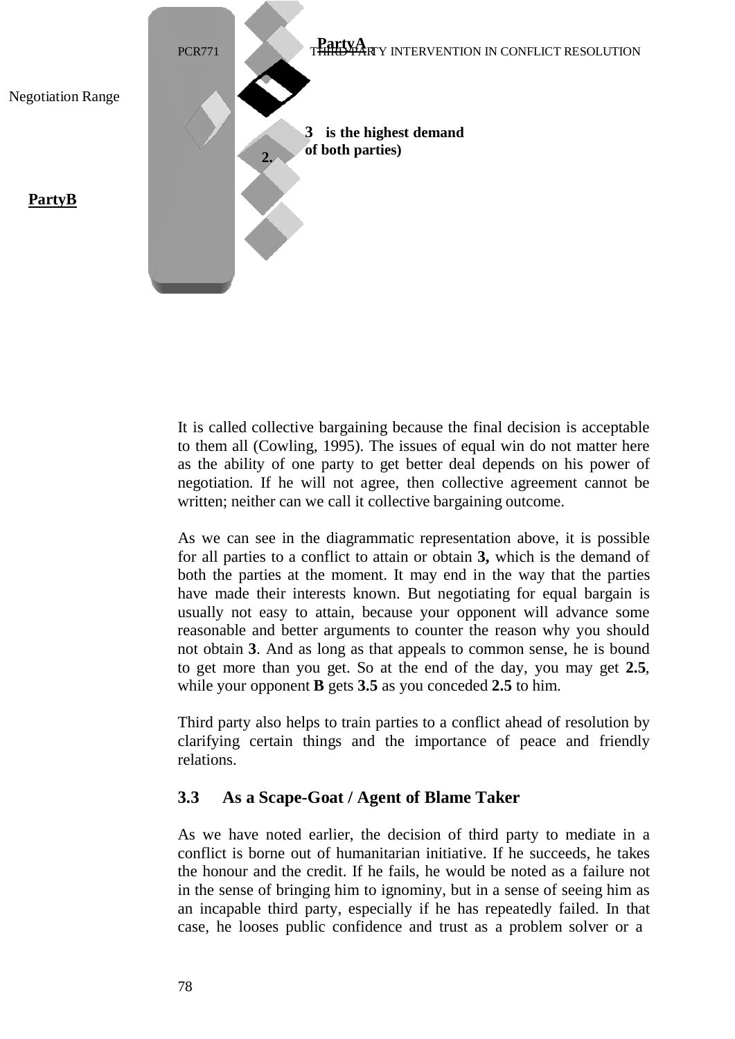

It is called collective bargaining because the final decision is acceptable to them all (Cowling, 1995). The issues of equal win do not matter here as the ability of one party to get better deal depends on his power of negotiation. If he will not agree, then collective agreement cannot be written; neither can we call it collective bargaining outcome.

As we can see in the diagrammatic representation above, it is possible for all parties to a conflict to attain or obtain **3,** which is the demand of both the parties at the moment. It may end in the way that the parties have made their interests known. But negotiating for equal bargain is usually not easy to attain, because your opponent will advance some reasonable and better arguments to counter the reason why you should not obtain **3**. And as long as that appeals to common sense, he is bound to get more than you get. So at the end of the day, you may get **2.5**, while your opponent **B** gets **3.5** as you conceded **2.5** to him.

Third party also helps to train parties to a conflict ahead of resolution by clarifying certain things and the importance of peace and friendly relations.

## **3.3 As a Scape-Goat / Agent of Blame Taker**

As we have noted earlier, the decision of third party to mediate in a conflict is borne out of humanitarian initiative. If he succeeds, he takes the honour and the credit. If he fails, he would be noted as a failure not in the sense of bringing him to ignominy, but in a sense of seeing him as an incapable third party, especially if he has repeatedly failed. In that case, he looses public confidence and trust as a problem solver or a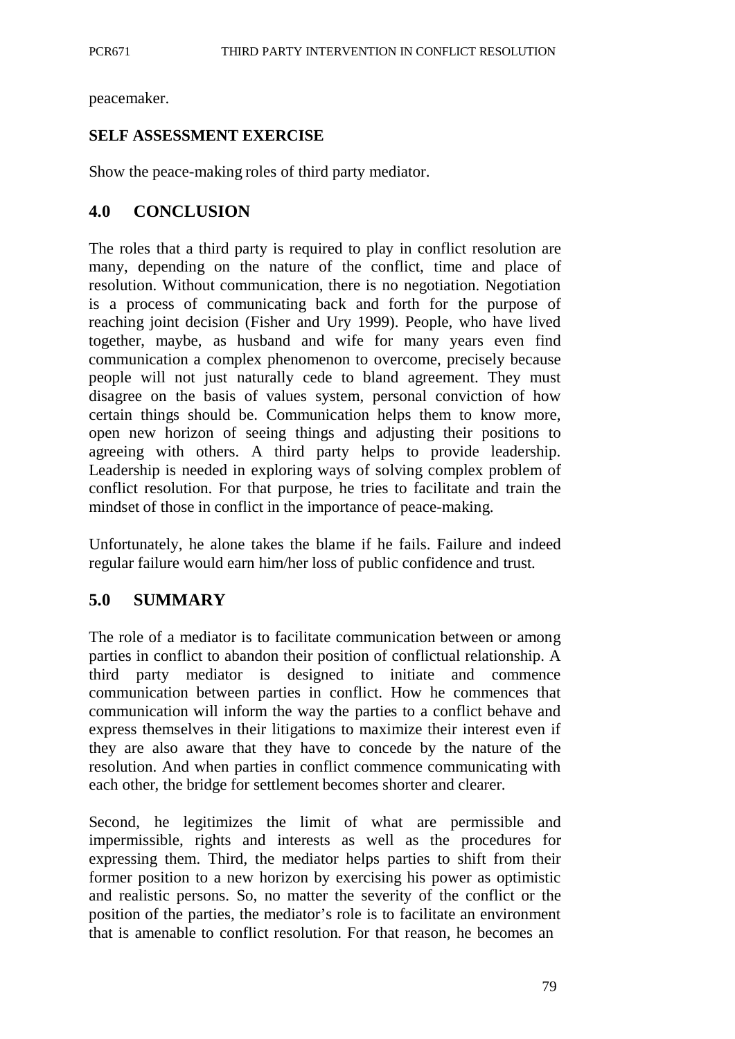peacemaker.

#### **SELF ASSESSMENT EXERCISE**

Show the peace-making roles of third party mediator.

#### **4.0 CONCLUSION**

The roles that a third party is required to play in conflict resolution are many, depending on the nature of the conflict, time and place of resolution. Without communication, there is no negotiation. Negotiation is a process of communicating back and forth for the purpose of reaching joint decision (Fisher and Ury 1999). People, who have lived together, maybe, as husband and wife for many years even find communication a complex phenomenon to overcome, precisely because people will not just naturally cede to bland agreement. They must disagree on the basis of values system, personal conviction of how certain things should be. Communication helps them to know more, open new horizon of seeing things and adjusting their positions to agreeing with others. A third party helps to provide leadership. Leadership is needed in exploring ways of solving complex problem of conflict resolution. For that purpose, he tries to facilitate and train the mindset of those in conflict in the importance of peace-making.

Unfortunately, he alone takes the blame if he fails. Failure and indeed regular failure would earn him/her loss of public confidence and trust.

## **5.0 SUMMARY**

The role of a mediator is to facilitate communication between or among parties in conflict to abandon their position of conflictual relationship. A third party mediator is designed to initiate and commence communication between parties in conflict. How he commences that communication will inform the way the parties to a conflict behave and express themselves in their litigations to maximize their interest even if they are also aware that they have to concede by the nature of the resolution. And when parties in conflict commence communicating with each other, the bridge for settlement becomes shorter and clearer.

Second, he legitimizes the limit of what are permissible and impermissible, rights and interests as well as the procedures for expressing them. Third, the mediator helps parties to shift from their former position to a new horizon by exercising his power as optimistic and realistic persons. So, no matter the severity of the conflict or the position of the parties, the mediator's role is to facilitate an environment that is amenable to conflict resolution. For that reason, he becomes an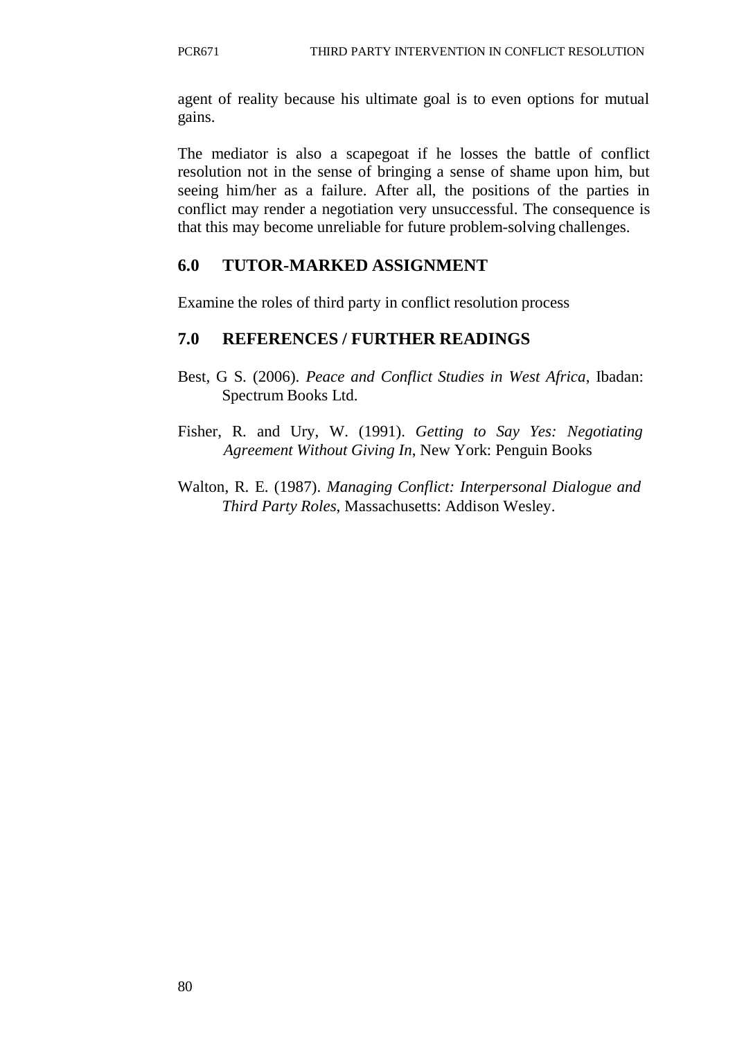agent of reality because his ultimate goal is to even options for mutual gains.

The mediator is also a scapegoat if he losses the battle of conflict resolution not in the sense of bringing a sense of shame upon him, but seeing him/her as a failure. After all, the positions of the parties in conflict may render a negotiation very unsuccessful. The consequence is that this may become unreliable for future problem-solving challenges.

# **6.0 TUTOR-MARKED ASSIGNMENT**

Examine the roles of third party in conflict resolution process

# **7.0 REFERENCES / FURTHER READINGS**

- Best, G S. (2006). *Peace and Conflict Studies in West Africa*, Ibadan: Spectrum Books Ltd.
- Fisher, R. and Ury, W. (1991). *Getting to Say Yes: Negotiating Agreement Without Giving In*, New York: Penguin Books
- Walton, R. E. (1987). *Managing Conflict: Interpersonal Dialogue and Third Party Roles*, Massachusetts: Addison Wesley.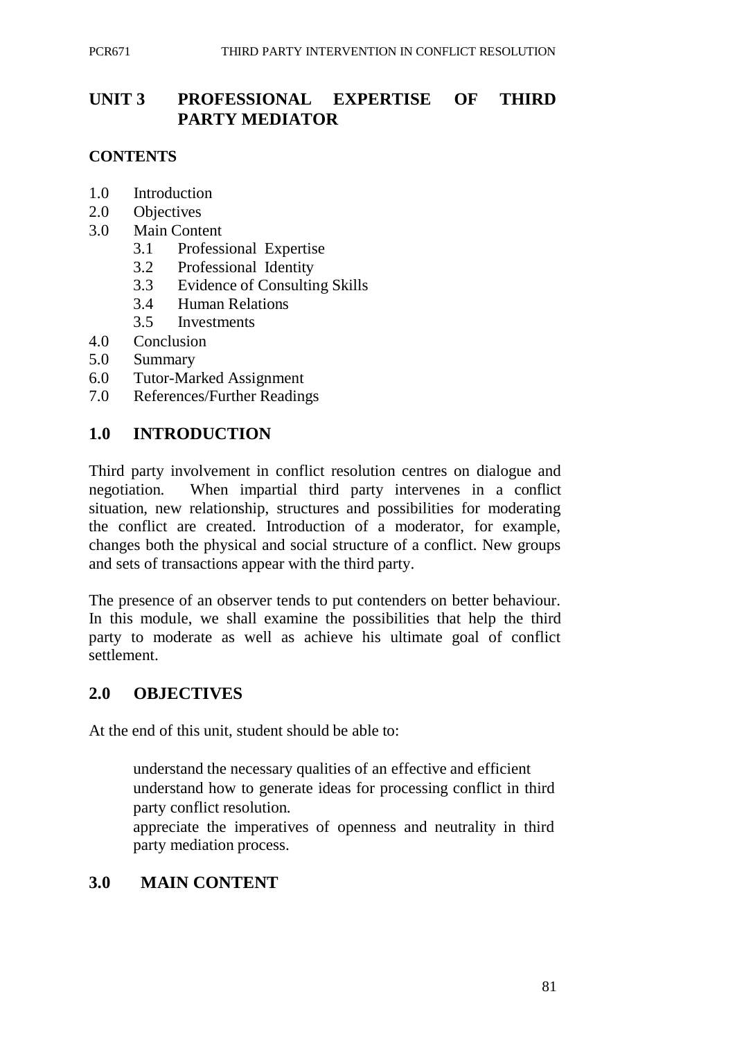# **UNIT 3 PROFESSIONAL EXPERTISE OF THIRD PARTY MEDIATOR**

#### **CONTENTS**

- 1.0 Introduction
- 2.0 Objectives
- 3.0 Main Content
	- 3.1 Professional Expertise
	- 3.2 Professional Identity
	- 3.3 Evidence of Consulting Skills
	- 3.4 Human Relations
	- 3.5 Investments
- 4.0 Conclusion
- 5.0 Summary
- 6.0 Tutor-Marked Assignment
- 7.0 References/Further Readings

# **1.0 INTRODUCTION**

Third party involvement in conflict resolution centres on dialogue and negotiation. When impartial third party intervenes in a conflict situation, new relationship, structures and possibilities for moderating the conflict are created. Introduction of a moderator, for example, changes both the physical and social structure of a conflict. New groups and sets of transactions appear with the third party.

The presence of an observer tends to put contenders on better behaviour. In this module, we shall examine the possibilities that help the third party to moderate as well as achieve his ultimate goal of conflict settlement.

## **2.0 OBJECTIVES**

At the end of this unit, student should be able to:

understand the necessary qualities of an effective and efficient understand how to generate ideas for processing conflict in third party conflict resolution.

appreciate the imperatives of openness and neutrality in third party mediation process.

# **3.0 MAIN CONTENT**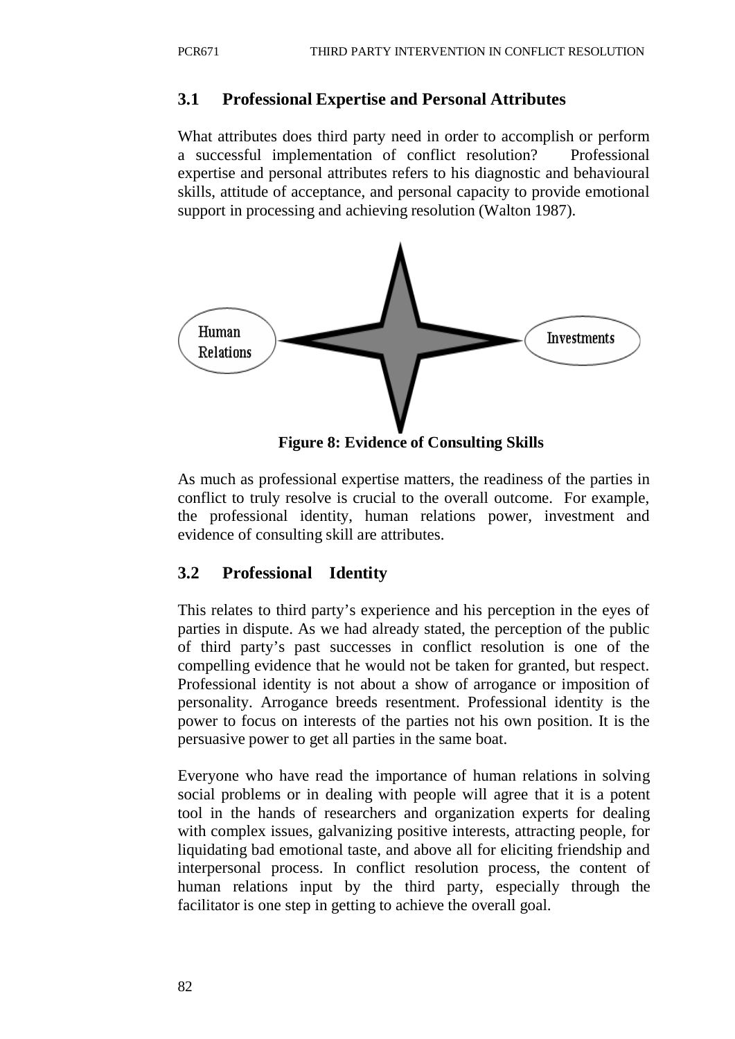#### **3.1 Professional Expertise and Personal Attributes**

What attributes does third party need in order to accomplish or perform a successful implementation of conflict resolution? Professional expertise and personal attributes refers to his diagnostic and behavioural skills, attitude of acceptance, and personal capacity to provide emotional support in processing and achieving resolution (Walton 1987).



**Figure 8: Evidence of Consulting Skills**

As much as professional expertise matters, the readiness of the parties in conflict to truly resolve is crucial to the overall outcome. For example, the professional identity, human relations power, investment and evidence of consulting skill are attributes.

## **3.2 Professional Identity**

This relates to third party's experience and his perception in the eyes of parties in dispute. As we had already stated, the perception of the public of third party's past successes in conflict resolution is one of the compelling evidence that he would not be taken for granted, but respect. Professional identity is not about a show of arrogance or imposition of personality. Arrogance breeds resentment. Professional identity is the power to focus on interests of the parties not his own position. It is the persuasive power to get all parties in the same boat.

Everyone who have read the importance of human relations in solving social problems or in dealing with people will agree that it is a potent tool in the hands of researchers and organization experts for dealing with complex issues, galvanizing positive interests, attracting people, for liquidating bad emotional taste, and above all for eliciting friendship and interpersonal process. In conflict resolution process, the content of human relations input by the third party, especially through the facilitator is one step in getting to achieve the overall goal.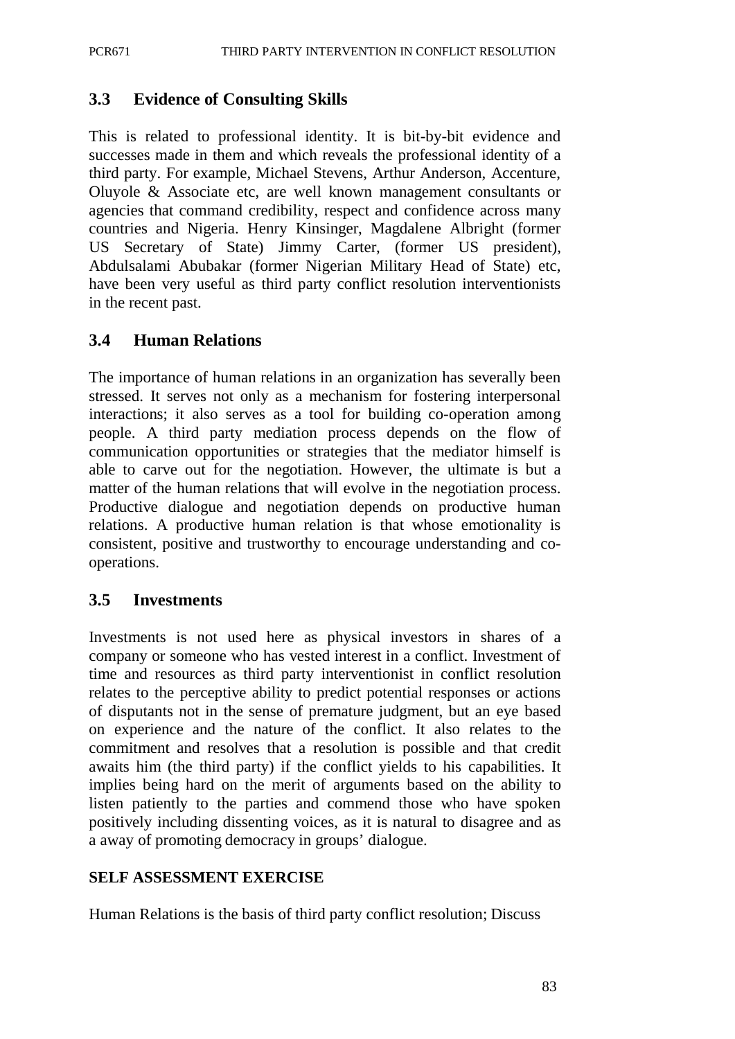## **3.3 Evidence of Consulting Skills**

This is related to professional identity. It is bit-by-bit evidence and successes made in them and which reveals the professional identity of a third party. For example, Michael Stevens, Arthur Anderson, Accenture, Oluyole & Associate etc, are well known management consultants or agencies that command credibility, respect and confidence across many countries and Nigeria. Henry Kinsinger, Magdalene Albright (former US Secretary of State) Jimmy Carter, (former US president), Abdulsalami Abubakar (former Nigerian Military Head of State) etc, have been very useful as third party conflict resolution interventionists in the recent past.

# **3.4 Human Relations**

The importance of human relations in an organization has severally been stressed. It serves not only as a mechanism for fostering interpersonal interactions; it also serves as a tool for building co-operation among people. A third party mediation process depends on the flow of communication opportunities or strategies that the mediator himself is able to carve out for the negotiation. However, the ultimate is but a matter of the human relations that will evolve in the negotiation process. Productive dialogue and negotiation depends on productive human relations. A productive human relation is that whose emotionality is consistent, positive and trustworthy to encourage understanding and cooperations.

## **3.5 Investments**

Investments is not used here as physical investors in shares of a company or someone who has vested interest in a conflict. Investment of time and resources as third party interventionist in conflict resolution relates to the perceptive ability to predict potential responses or actions of disputants not in the sense of premature judgment, but an eye based on experience and the nature of the conflict. It also relates to the commitment and resolves that a resolution is possible and that credit awaits him (the third party) if the conflict yields to his capabilities. It implies being hard on the merit of arguments based on the ability to listen patiently to the parties and commend those who have spoken positively including dissenting voices, as it is natural to disagree and as a away of promoting democracy in groups' dialogue.

## **SELF ASSESSMENT EXERCISE**

Human Relations is the basis of third party conflict resolution; Discuss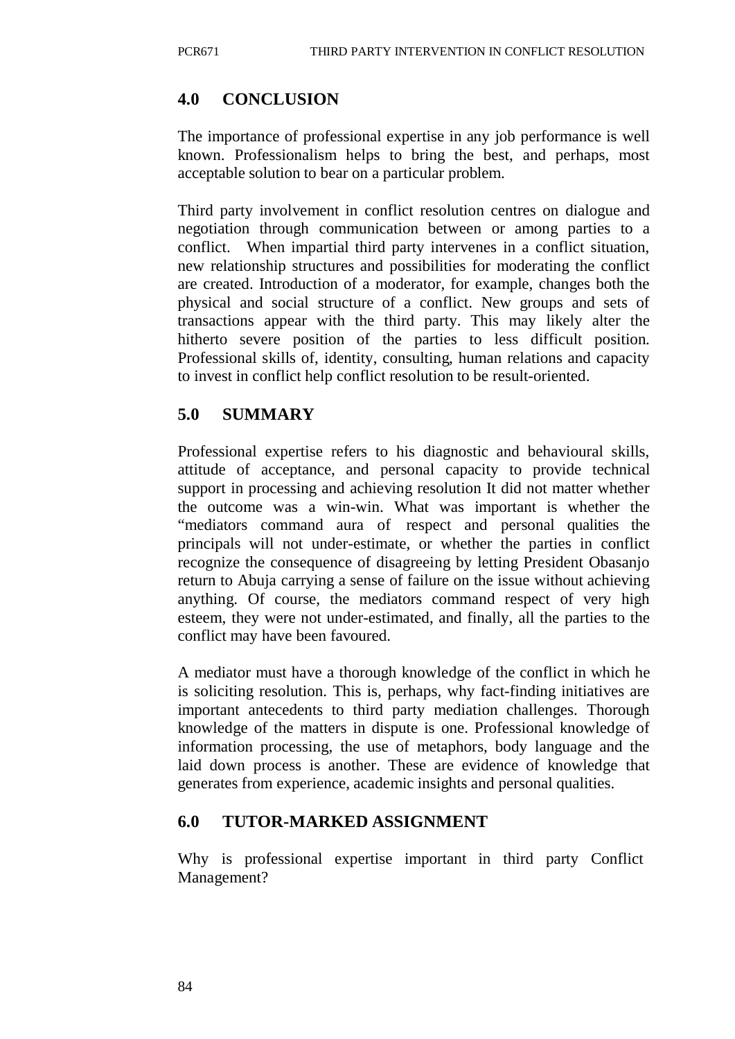# **4.0 CONCLUSION**

The importance of professional expertise in any job performance is well known. Professionalism helps to bring the best, and perhaps, most acceptable solution to bear on a particular problem.

Third party involvement in conflict resolution centres on dialogue and negotiation through communication between or among parties to a conflict. When impartial third party intervenes in a conflict situation, new relationship structures and possibilities for moderating the conflict are created. Introduction of a moderator, for example, changes both the physical and social structure of a conflict. New groups and sets of transactions appear with the third party. This may likely alter the hitherto severe position of the parties to less difficult position. Professional skills of, identity, consulting, human relations and capacity to invest in conflict help conflict resolution to be result-oriented.

# **5.0 SUMMARY**

Professional expertise refers to his diagnostic and behavioural skills, attitude of acceptance, and personal capacity to provide technical support in processing and achieving resolution It did not matter whether the outcome was a win-win. What was important is whether the "mediators command aura of respect and personal qualities the principals will not under-estimate, or whether the parties in conflict recognize the consequence of disagreeing by letting President Obasanjo return to Abuja carrying a sense of failure on the issue without achieving anything. Of course, the mediators command respect of very high esteem, they were not under-estimated, and finally, all the parties to the conflict may have been favoured.

A mediator must have a thorough knowledge of the conflict in which he is soliciting resolution. This is, perhaps, why fact-finding initiatives are important antecedents to third party mediation challenges. Thorough knowledge of the matters in dispute is one. Professional knowledge of information processing, the use of metaphors, body language and the laid down process is another. These are evidence of knowledge that generates from experience, academic insights and personal qualities.

## **6.0 TUTOR-MARKED ASSIGNMENT**

Why is professional expertise important in third party Conflict Management?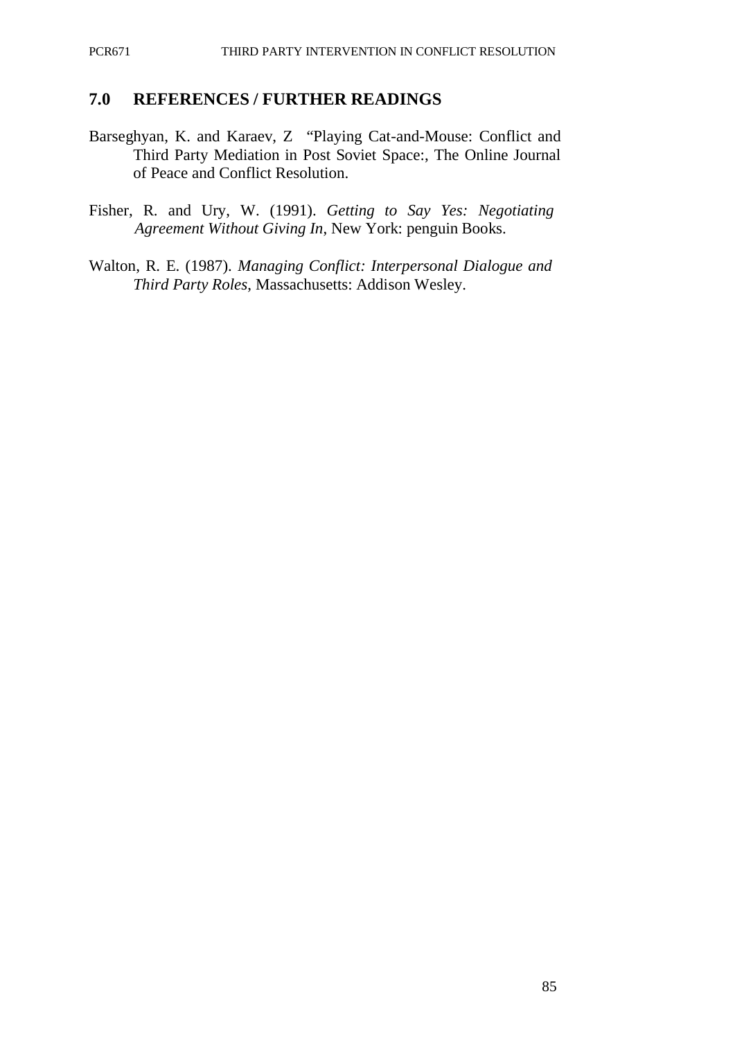#### **7.0 REFERENCES / FURTHER READINGS**

- Barseghyan, K. and Karaev, Z "Playing Cat-and-Mouse: Conflict and Third Party Mediation in Post Soviet Space:, The Online Journal of Peace and Conflict Resolution.
- Fisher, R. and Ury, W. (1991). *Getting to Say Yes: Negotiating Agreement Without Giving In*, New York: penguin Books.
- Walton, R. E. (1987). *Managing Conflict: Interpersonal Dialogue and Third Party Roles*, Massachusetts: Addison Wesley.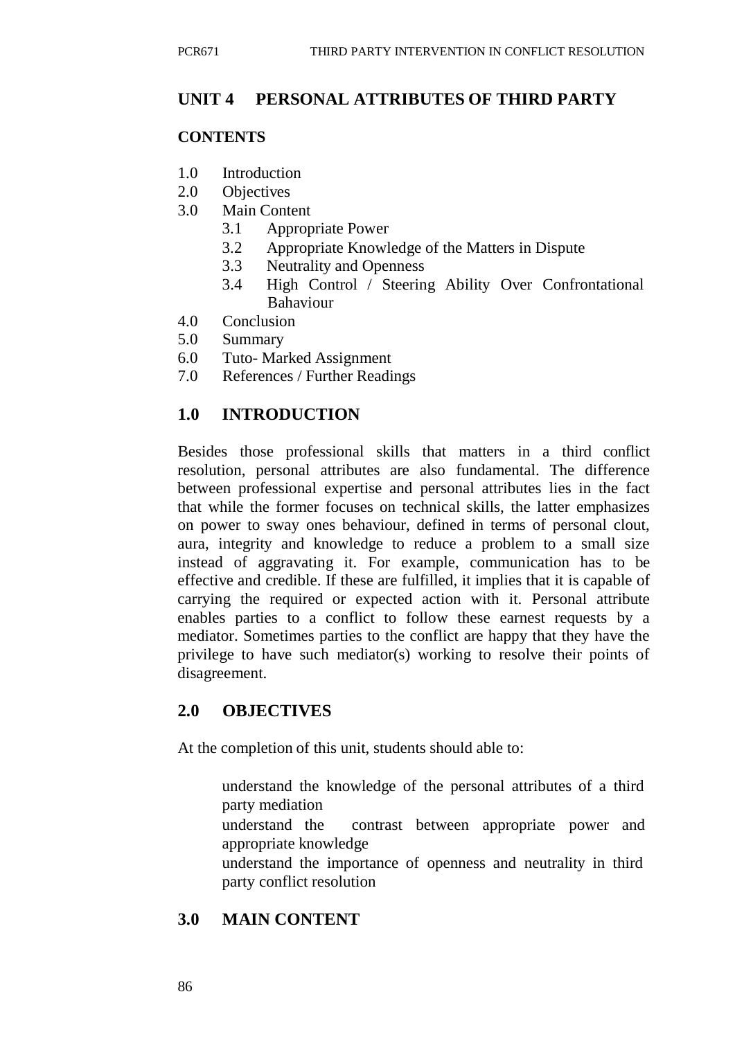#### **UNIT 4 PERSONAL ATTRIBUTES OF THIRD PARTY**

#### **CONTENTS**

- 1.0 Introduction
- 2.0 Objectives
- 3.0 Main Content
	- 3.1 Appropriate Power
	- 3.2 Appropriate Knowledge of the Matters in Dispute
	- 3.3 Neutrality and Openness
	- 3.4 High Control / Steering Ability Over Confrontational Bahaviour
- 4.0 Conclusion
- 5.0 Summary
- 6.0 Tuto- Marked Assignment
- 7.0 References / Further Readings

#### **1.0 INTRODUCTION**

Besides those professional skills that matters in a third conflict resolution, personal attributes are also fundamental. The difference between professional expertise and personal attributes lies in the fact that while the former focuses on technical skills, the latter emphasizes on power to sway ones behaviour, defined in terms of personal clout, aura, integrity and knowledge to reduce a problem to a small size instead of aggravating it. For example, communication has to be effective and credible. If these are fulfilled, it implies that it is capable of carrying the required or expected action with it. Personal attribute enables parties to a conflict to follow these earnest requests by a mediator. Sometimes parties to the conflict are happy that they have the privilege to have such mediator(s) working to resolve their points of disagreement.

#### **2.0 OBJECTIVES**

At the completion of this unit, students should able to:

- understand the knowledge of the personal attributes of a third party mediation
- understand the contrast between appropriate power and appropriate knowledge
- understand the importance of openness and neutrality in third party conflict resolution

#### **3.0 MAIN CONTENT**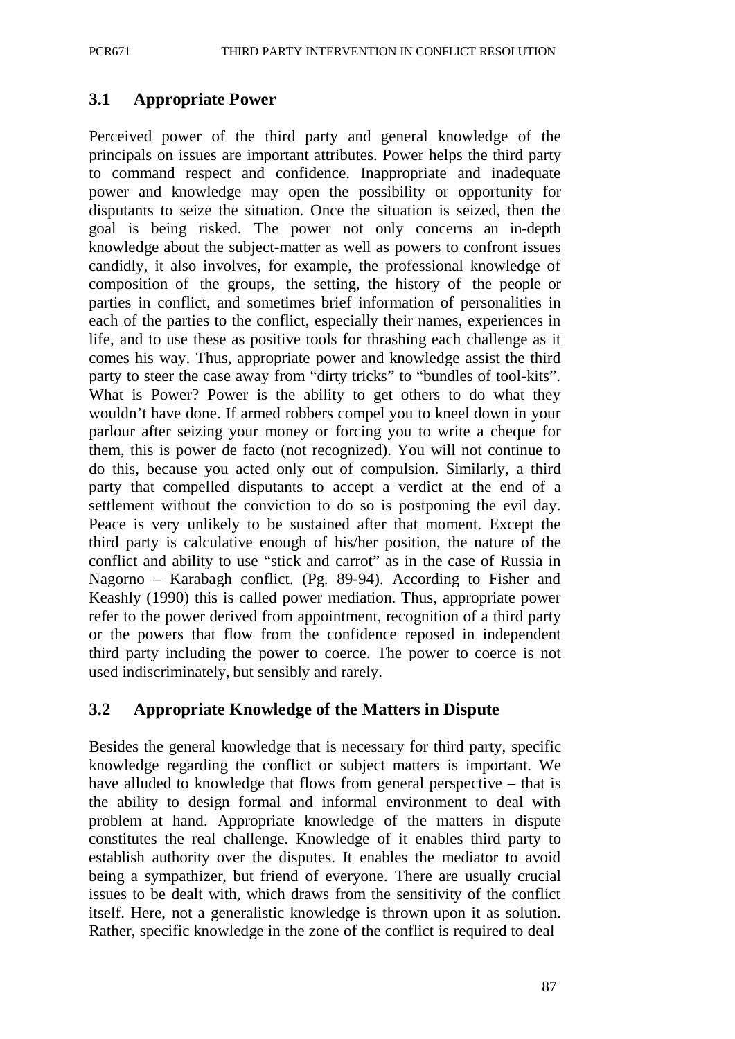## **3.1 Appropriate Power**

Perceived power of the third party and general knowledge of the principals on issues are important attributes. Power helps the third party to command respect and confidence. Inappropriate and inadequate power and knowledge may open the possibility or opportunity for disputants to seize the situation. Once the situation is seized, then the goal is being risked. The power not only concerns an in-depth knowledge about the subject-matter as well as powers to confront issues candidly, it also involves, for example, the professional knowledge of composition of the groups, the setting, the history of the people or parties in conflict, and sometimes brief information of personalities in each of the parties to the conflict, especially their names, experiences in life, and to use these as positive tools for thrashing each challenge as it comes his way. Thus, appropriate power and knowledge assist the third party to steer the case away from "dirty tricks" to "bundles of tool-kits". What is Power? Power is the ability to get others to do what they wouldn't have done. If armed robbers compel you to kneel down in your parlour after seizing your money or forcing you to write a cheque for them, this is power de facto (not recognized). You will not continue to do this, because you acted only out of compulsion. Similarly, a third party that compelled disputants to accept a verdict at the end of a settlement without the conviction to do so is postponing the evil day. Peace is very unlikely to be sustained after that moment. Except the third party is calculative enough of his/her position, the nature of the conflict and ability to use "stick and carrot" as in the case of Russia in Nagorno – Karabagh conflict. (Pg. 89-94). According to Fisher and Keashly (1990) this is called power mediation. Thus, appropriate power refer to the power derived from appointment, recognition of a third party or the powers that flow from the confidence reposed in independent third party including the power to coerce. The power to coerce is not used indiscriminately, but sensibly and rarely.

## **3.2 Appropriate Knowledge of the Matters in Dispute**

Besides the general knowledge that is necessary for third party, specific knowledge regarding the conflict or subject matters is important. We have alluded to knowledge that flows from general perspective – that is the ability to design formal and informal environment to deal with problem at hand. Appropriate knowledge of the matters in dispute constitutes the real challenge. Knowledge of it enables third party to establish authority over the disputes. It enables the mediator to avoid being a sympathizer, but friend of everyone. There are usually crucial issues to be dealt with, which draws from the sensitivity of the conflict itself. Here, not a generalistic knowledge is thrown upon it as solution. Rather, specific knowledge in the zone of the conflict is required to deal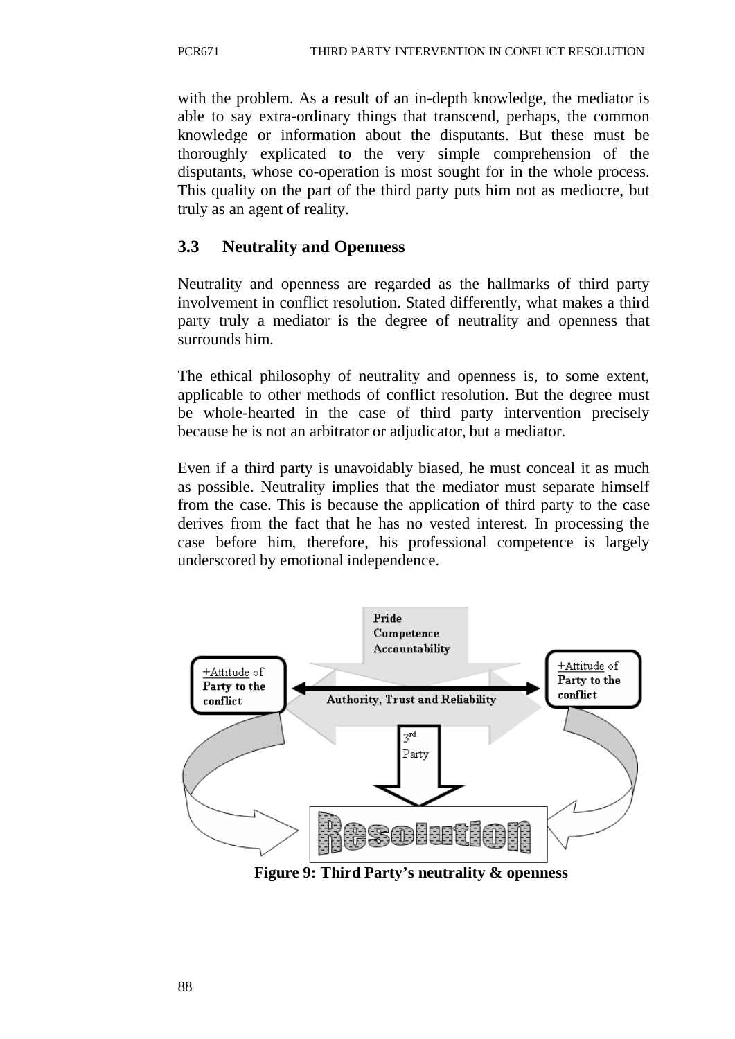with the problem. As a result of an in-depth knowledge, the mediator is able to say extra-ordinary things that transcend, perhaps, the common knowledge or information about the disputants. But these must be thoroughly explicated to the very simple comprehension of the disputants, whose co-operation is most sought for in the whole process. This quality on the part of the third party puts him not as mediocre, but truly as an agent of reality.

# **3.3 Neutrality and Openness**

Neutrality and openness are regarded as the hallmarks of third party involvement in conflict resolution. Stated differently, what makes a third party truly a mediator is the degree of neutrality and openness that surrounds him.

The ethical philosophy of neutrality and openness is, to some extent, applicable to other methods of conflict resolution. But the degree must be whole-hearted in the case of third party intervention precisely because he is not an arbitrator or adjudicator, but a mediator.

Even if a third party is unavoidably biased, he must conceal it as much as possible. Neutrality implies that the mediator must separate himself from the case. This is because the application of third party to the case derives from the fact that he has no vested interest. In processing the case before him, therefore, his professional competence is largely underscored by emotional independence.



**Figure 9: Third Party's neutrality & openness**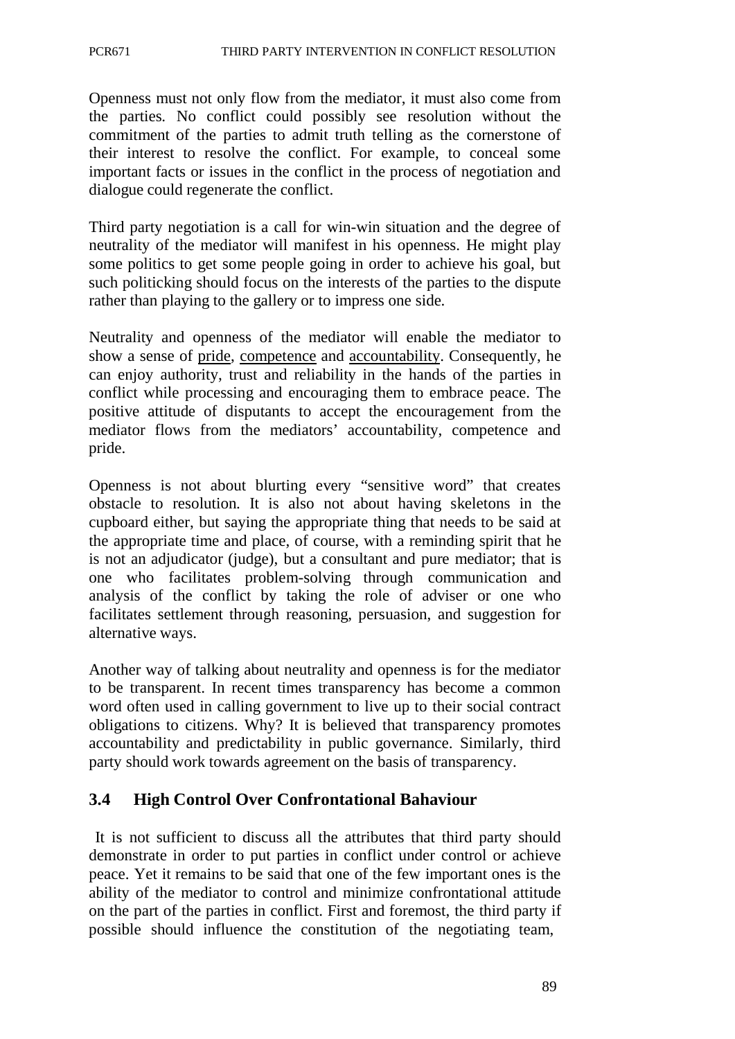Openness must not only flow from the mediator, it must also come from the parties. No conflict could possibly see resolution without the commitment of the parties to admit truth telling as the cornerstone of their interest to resolve the conflict. For example, to conceal some important facts or issues in the conflict in the process of negotiation and dialogue could regenerate the conflict.

Third party negotiation is a call for win-win situation and the degree of neutrality of the mediator will manifest in his openness. He might play some politics to get some people going in order to achieve his goal, but such politicking should focus on the interests of the parties to the dispute rather than playing to the gallery or to impress one side.

Neutrality and openness of the mediator will enable the mediator to show a sense of pride, competence and accountability. Consequently, he can enjoy authority, trust and reliability in the hands of the parties in conflict while processing and encouraging them to embrace peace. The positive attitude of disputants to accept the encouragement from the mediator flows from the mediators' accountability, competence and pride.

Openness is not about blurting every "sensitive word" that creates obstacle to resolution. It is also not about having skeletons in the cupboard either, but saying the appropriate thing that needs to be said at the appropriate time and place, of course, with a reminding spirit that he is not an adjudicator (judge), but a consultant and pure mediator; that is one who facilitates problem-solving through communication and analysis of the conflict by taking the role of adviser or one who facilitates settlement through reasoning, persuasion, and suggestion for alternative ways.

Another way of talking about neutrality and openness is for the mediator to be transparent. In recent times transparency has become a common word often used in calling government to live up to their social contract obligations to citizens. Why? It is believed that transparency promotes accountability and predictability in public governance. Similarly, third party should work towards agreement on the basis of transparency.

## **3.4 High Control Over Confrontational Bahaviour**

It is not sufficient to discuss all the attributes that third party should demonstrate in order to put parties in conflict under control or achieve peace. Yet it remains to be said that one of the few important ones is the ability of the mediator to control and minimize confrontational attitude on the part of the parties in conflict. First and foremost, the third party if possible should influence the constitution of the negotiating team,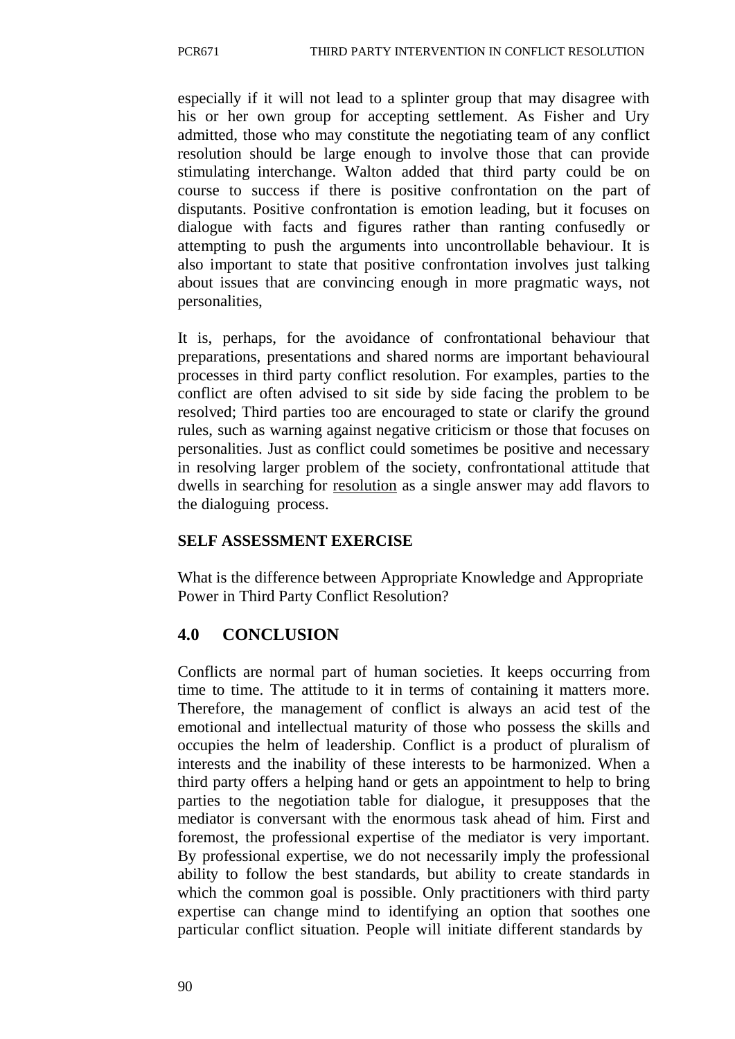especially if it will not lead to a splinter group that may disagree with his or her own group for accepting settlement. As Fisher and Ury admitted, those who may constitute the negotiating team of any conflict resolution should be large enough to involve those that can provide stimulating interchange. Walton added that third party could be on course to success if there is positive confrontation on the part of disputants. Positive confrontation is emotion leading, but it focuses on dialogue with facts and figures rather than ranting confusedly or attempting to push the arguments into uncontrollable behaviour. It is also important to state that positive confrontation involves just talking about issues that are convincing enough in more pragmatic ways, not personalities,

It is, perhaps, for the avoidance of confrontational behaviour that preparations, presentations and shared norms are important behavioural processes in third party conflict resolution. For examples, parties to the conflict are often advised to sit side by side facing the problem to be resolved; Third parties too are encouraged to state or clarify the ground rules, such as warning against negative criticism or those that focuses on personalities. Just as conflict could sometimes be positive and necessary in resolving larger problem of the society, confrontational attitude that dwells in searching for resolution as a single answer may add flavors to the dialoguing process.

#### **SELF ASSESSMENT EXERCISE**

What is the difference between Appropriate Knowledge and Appropriate Power in Third Party Conflict Resolution?

## **4.0 CONCLUSION**

Conflicts are normal part of human societies. It keeps occurring from time to time. The attitude to it in terms of containing it matters more. Therefore, the management of conflict is always an acid test of the emotional and intellectual maturity of those who possess the skills and occupies the helm of leadership. Conflict is a product of pluralism of interests and the inability of these interests to be harmonized. When a third party offers a helping hand or gets an appointment to help to bring parties to the negotiation table for dialogue, it presupposes that the mediator is conversant with the enormous task ahead of him. First and foremost, the professional expertise of the mediator is very important. By professional expertise, we do not necessarily imply the professional ability to follow the best standards, but ability to create standards in which the common goal is possible. Only practitioners with third party expertise can change mind to identifying an option that soothes one particular conflict situation. People will initiate different standards by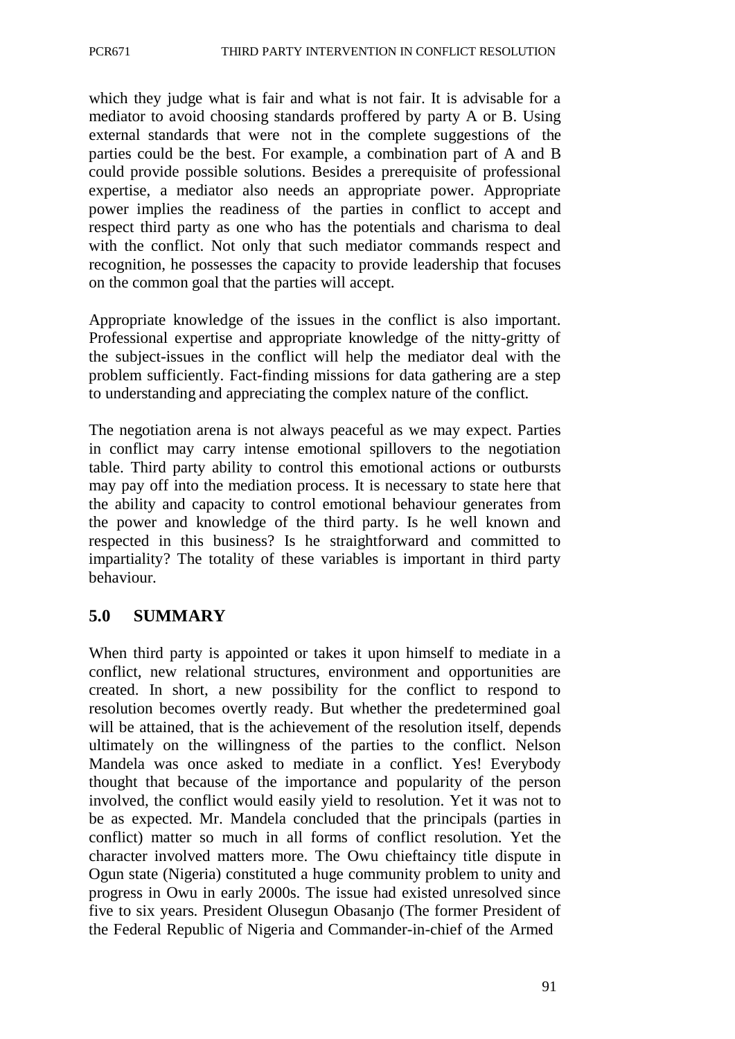which they judge what is fair and what is not fair. It is advisable for a mediator to avoid choosing standards proffered by party A or B. Using external standards that were not in the complete suggestions of the parties could be the best. For example, a combination part of A and B could provide possible solutions. Besides a prerequisite of professional expertise, a mediator also needs an appropriate power. Appropriate power implies the readiness of the parties in conflict to accept and respect third party as one who has the potentials and charisma to deal with the conflict. Not only that such mediator commands respect and recognition, he possesses the capacity to provide leadership that focuses on the common goal that the parties will accept.

Appropriate knowledge of the issues in the conflict is also important. Professional expertise and appropriate knowledge of the nitty-gritty of the subject-issues in the conflict will help the mediator deal with the problem sufficiently. Fact-finding missions for data gathering are a step to understanding and appreciating the complex nature of the conflict.

The negotiation arena is not always peaceful as we may expect. Parties in conflict may carry intense emotional spillovers to the negotiation table. Third party ability to control this emotional actions or outbursts may pay off into the mediation process. It is necessary to state here that the ability and capacity to control emotional behaviour generates from the power and knowledge of the third party. Is he well known and respected in this business? Is he straightforward and committed to impartiality? The totality of these variables is important in third party behaviour.

## **5.0 SUMMARY**

When third party is appointed or takes it upon himself to mediate in a conflict, new relational structures, environment and opportunities are created. In short, a new possibility for the conflict to respond to resolution becomes overtly ready. But whether the predetermined goal will be attained, that is the achievement of the resolution itself, depends ultimately on the willingness of the parties to the conflict. Nelson Mandela was once asked to mediate in a conflict. Yes! Everybody thought that because of the importance and popularity of the person involved, the conflict would easily yield to resolution. Yet it was not to be as expected. Mr. Mandela concluded that the principals (parties in conflict) matter so much in all forms of conflict resolution. Yet the character involved matters more. The Owu chieftaincy title dispute in Ogun state (Nigeria) constituted a huge community problem to unity and progress in Owu in early 2000s. The issue had existed unresolved since five to six years. President Olusegun Obasanjo (The former President of the Federal Republic of Nigeria and Commander-in-chief of the Armed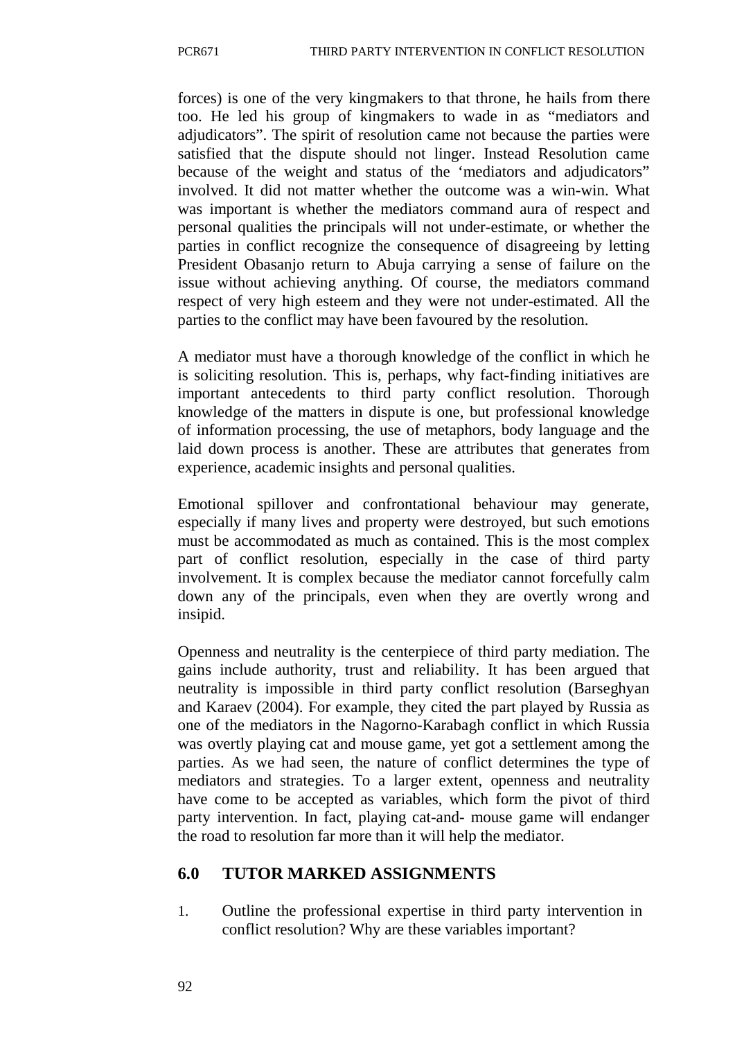forces) is one of the very kingmakers to that throne, he hails from there too. He led his group of kingmakers to wade in as "mediators and adjudicators". The spirit of resolution came not because the parties were satisfied that the dispute should not linger. Instead Resolution came because of the weight and status of the 'mediators and adjudicators" involved. It did not matter whether the outcome was a win-win. What was important is whether the mediators command aura of respect and personal qualities the principals will not under-estimate, or whether the parties in conflict recognize the consequence of disagreeing by letting President Obasanjo return to Abuja carrying a sense of failure on the issue without achieving anything. Of course, the mediators command respect of very high esteem and they were not under-estimated. All the parties to the conflict may have been favoured by the resolution.

A mediator must have a thorough knowledge of the conflict in which he is soliciting resolution. This is, perhaps, why fact-finding initiatives are important antecedents to third party conflict resolution. Thorough knowledge of the matters in dispute is one, but professional knowledge of information processing, the use of metaphors, body language and the laid down process is another. These are attributes that generates from experience, academic insights and personal qualities.

Emotional spillover and confrontational behaviour may generate, especially if many lives and property were destroyed, but such emotions must be accommodated as much as contained. This is the most complex part of conflict resolution, especially in the case of third party involvement. It is complex because the mediator cannot forcefully calm down any of the principals, even when they are overtly wrong and insipid.

Openness and neutrality is the centerpiece of third party mediation. The gains include authority, trust and reliability. It has been argued that neutrality is impossible in third party conflict resolution (Barseghyan and Karaev (2004). For example, they cited the part played by Russia as one of the mediators in the Nagorno-Karabagh conflict in which Russia was overtly playing cat and mouse game, yet got a settlement among the parties. As we had seen, the nature of conflict determines the type of mediators and strategies. To a larger extent, openness and neutrality have come to be accepted as variables, which form the pivot of third party intervention. In fact, playing cat-and- mouse game will endanger the road to resolution far more than it will help the mediator.

## **6.0 TUTOR MARKED ASSIGNMENTS**

1. Outline the professional expertise in third party intervention in conflict resolution? Why are these variables important?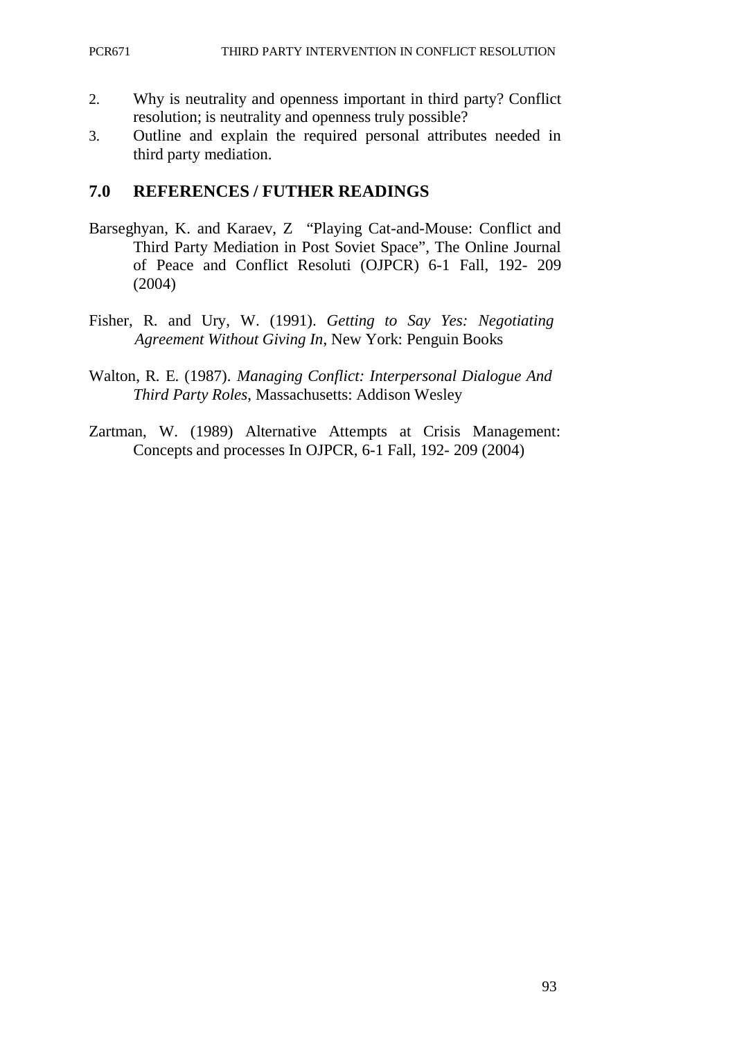- 2. Why is neutrality and openness important in third party? Conflict resolution; is neutrality and openness truly possible?
- 3. Outline and explain the required personal attributes needed in third party mediation.

#### **7.0 REFERENCES / FUTHER READINGS**

- Barseghyan, K. and Karaev, Z "Playing Cat-and-Mouse: Conflict and Third Party Mediation in Post Soviet Space", The Online Journal of Peace and Conflict Resoluti (OJPCR) 6-1 Fall, 192- 209 (2004)
- Fisher, R. and Ury, W. (1991). *Getting to Say Yes: Negotiating Agreement Without Giving In*, New York: Penguin Books
- Walton, R. E. (1987). *Managing Conflict: Interpersonal Dialogue And Third Party Roles*, Massachusetts: Addison Wesley
- Zartman, W. (1989) Alternative Attempts at Crisis Management: Concepts and processes In OJPCR, 6-1 Fall, 192- 209 (2004)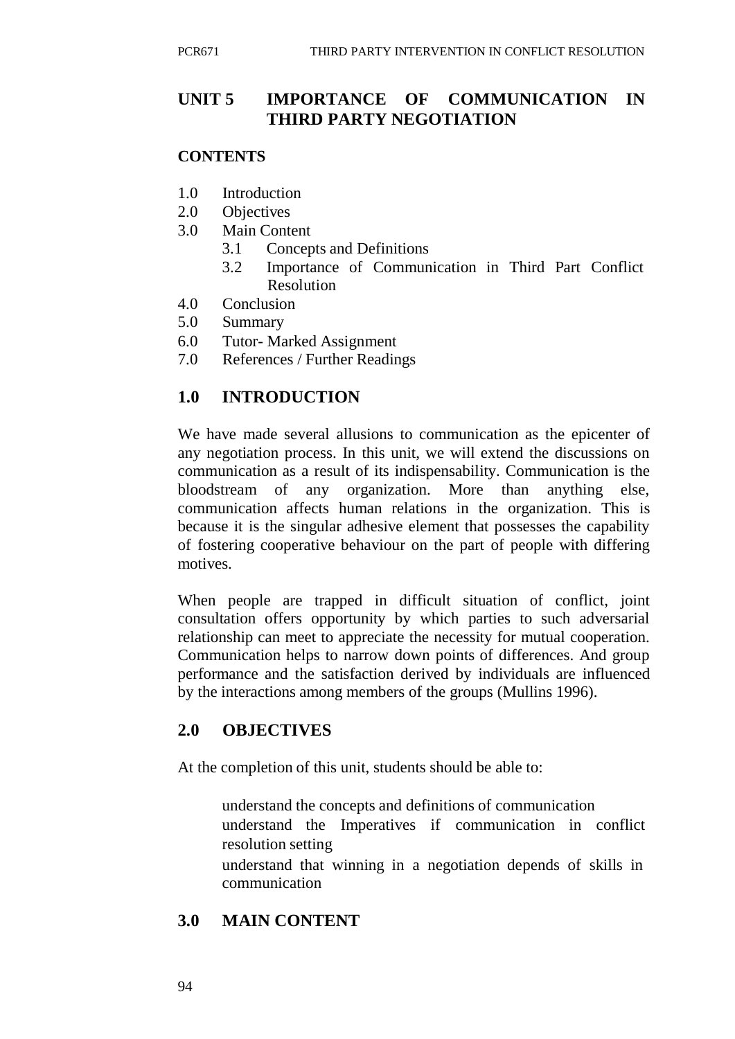## **UNIT 5 IMPORTANCE OF COMMUNICATION IN THIRD PARTY NEGOTIATION**

#### **CONTENTS**

- 1.0 Introduction
- 2.0 Objectives
- 3.0 Main Content
	- 3.1 Concepts and Definitions
	- 3.2 Importance of Communication in Third Part Conflict Resolution
- 4.0 Conclusion
- 5.0 Summary
- 6.0 Tutor- Marked Assignment
- 7.0 References / Further Readings

#### **1.0 INTRODUCTION**

We have made several allusions to communication as the epicenter of any negotiation process. In this unit, we will extend the discussions on communication as a result of its indispensability. Communication is the bloodstream of any organization. More than anything else, communication affects human relations in the organization. This is because it is the singular adhesive element that possesses the capability of fostering cooperative behaviour on the part of people with differing motives.

When people are trapped in difficult situation of conflict, joint consultation offers opportunity by which parties to such adversarial relationship can meet to appreciate the necessity for mutual cooperation. Communication helps to narrow down points of differences. And group performance and the satisfaction derived by individuals are influenced by the interactions among members of the groups (Mullins 1996).

#### **2.0 OBJECTIVES**

At the completion of this unit, students should be able to:

- understand the concepts and definitions of communication understand the Imperatives if communication in conflict resolution setting
- understand that winning in a negotiation depends of skills in communication

## **3.0 MAIN CONTENT**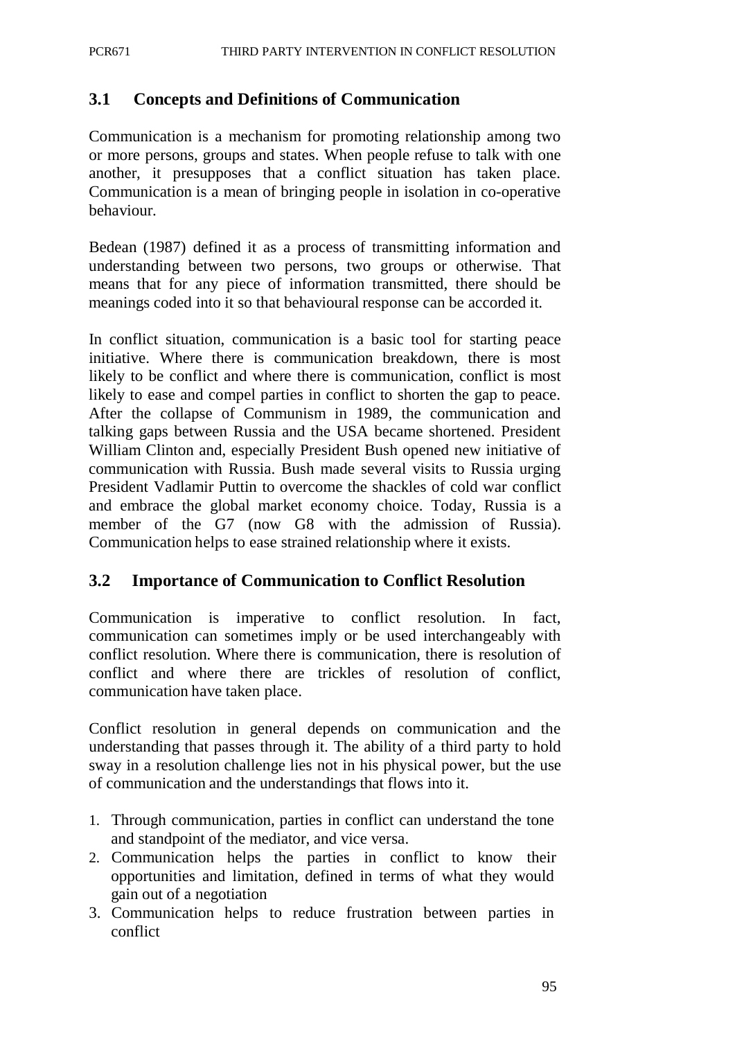#### **3.1 Concepts and Definitions of Communication**

Communication is a mechanism for promoting relationship among two or more persons, groups and states. When people refuse to talk with one another, it presupposes that a conflict situation has taken place. Communication is a mean of bringing people in isolation in co-operative behaviour.

Bedean (1987) defined it as a process of transmitting information and understanding between two persons, two groups or otherwise. That means that for any piece of information transmitted, there should be meanings coded into it so that behavioural response can be accorded it.

In conflict situation, communication is a basic tool for starting peace initiative. Where there is communication breakdown, there is most likely to be conflict and where there is communication, conflict is most likely to ease and compel parties in conflict to shorten the gap to peace. After the collapse of Communism in 1989, the communication and talking gaps between Russia and the USA became shortened. President William Clinton and, especially President Bush opened new initiative of communication with Russia. Bush made several visits to Russia urging President Vadlamir Puttin to overcome the shackles of cold war conflict and embrace the global market economy choice. Today, Russia is a member of the G7 (now G8 with the admission of Russia). Communication helps to ease strained relationship where it exists.

#### **3.2 Importance of Communication to Conflict Resolution**

Communication is imperative to conflict resolution. In fact, communication can sometimes imply or be used interchangeably with conflict resolution. Where there is communication, there is resolution of conflict and where there are trickles of resolution of conflict, communication have taken place.

Conflict resolution in general depends on communication and the understanding that passes through it. The ability of a third party to hold sway in a resolution challenge lies not in his physical power, but the use of communication and the understandings that flows into it.

- 1. Through communication, parties in conflict can understand the tone and standpoint of the mediator, and vice versa.
- 2. Communication helps the parties in conflict to know their opportunities and limitation, defined in terms of what they would gain out of a negotiation
- 3. Communication helps to reduce frustration between parties in conflict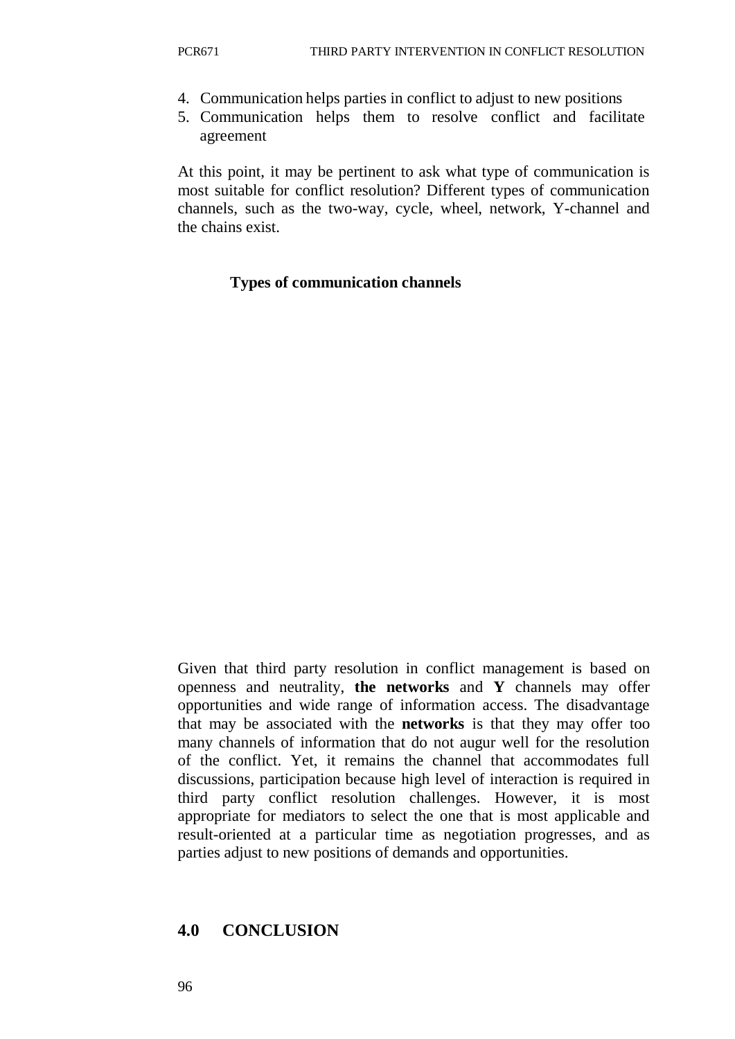- 4. Communication helps parties in conflict to adjust to new positions
- 5. Communication helps them to resolve conflict and facilitate agreement

At this point, it may be pertinent to ask what type of communication is most suitable for conflict resolution? Different types of communication channels, such as the two-way, cycle, wheel, network, Y-channel and the chains exist.

#### **Types of communication channels**

Given that third party resolution in conflict management is based on openness and neutrality, **the networks** and **Y** channels may offer opportunities and wide range of information access. The disadvantage that may be associated with the **networks** is that they may offer too many channels of information that do not augur well for the resolution of the conflict. Yet, it remains the channel that accommodates full discussions, participation because high level of interaction is required in third party conflict resolution challenges. However, it is most appropriate for mediators to select the one that is most applicable and result-oriented at a particular time as negotiation progresses, and as parties adjust to new positions of demands and opportunities.

## **4.0 CONCLUSION**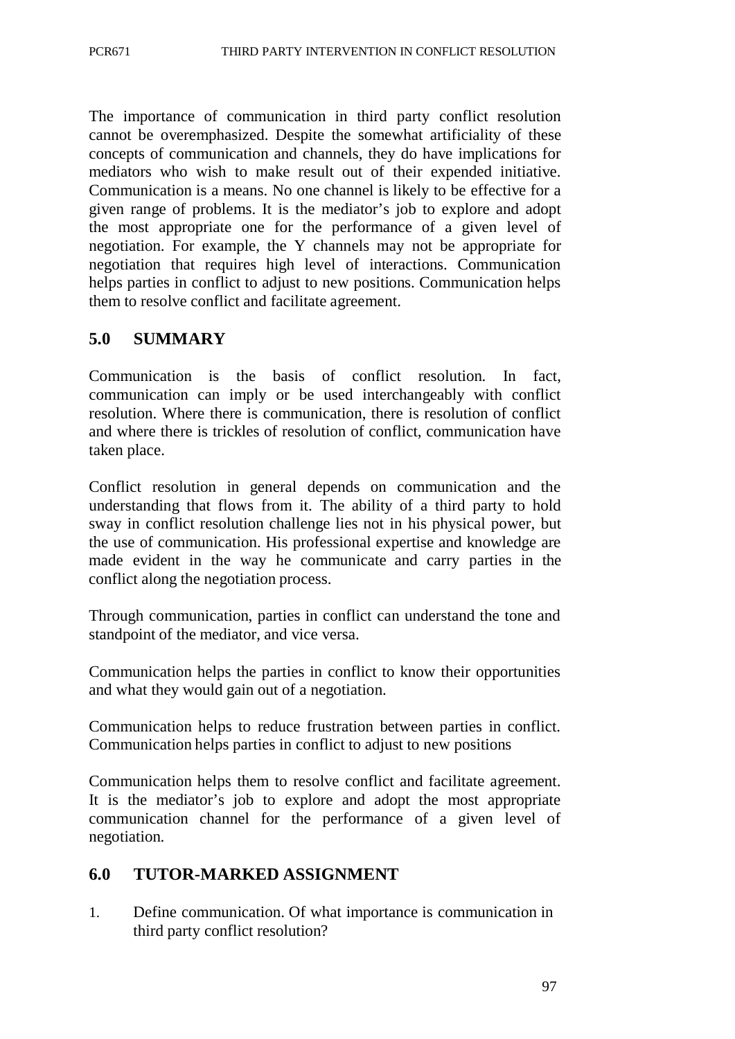The importance of communication in third party conflict resolution cannot be overemphasized. Despite the somewhat artificiality of these concepts of communication and channels, they do have implications for mediators who wish to make result out of their expended initiative. Communication is a means. No one channel is likely to be effective for a given range of problems. It is the mediator's job to explore and adopt the most appropriate one for the performance of a given level of negotiation. For example, the Y channels may not be appropriate for negotiation that requires high level of interactions. Communication helps parties in conflict to adjust to new positions. Communication helps them to resolve conflict and facilitate agreement.

# **5.0 SUMMARY**

Communication is the basis of conflict resolution. In fact, communication can imply or be used interchangeably with conflict resolution. Where there is communication, there is resolution of conflict and where there is trickles of resolution of conflict, communication have taken place.

Conflict resolution in general depends on communication and the understanding that flows from it. The ability of a third party to hold sway in conflict resolution challenge lies not in his physical power, but the use of communication. His professional expertise and knowledge are made evident in the way he communicate and carry parties in the conflict along the negotiation process.

Through communication, parties in conflict can understand the tone and standpoint of the mediator, and vice versa.

Communication helps the parties in conflict to know their opportunities and what they would gain out of a negotiation.

Communication helps to reduce frustration between parties in conflict. Communication helps parties in conflict to adjust to new positions

Communication helps them to resolve conflict and facilitate agreement. It is the mediator's job to explore and adopt the most appropriate communication channel for the performance of a given level of negotiation.

# **6.0 TUTOR-MARKED ASSIGNMENT**

1. Define communication. Of what importance is communication in third party conflict resolution?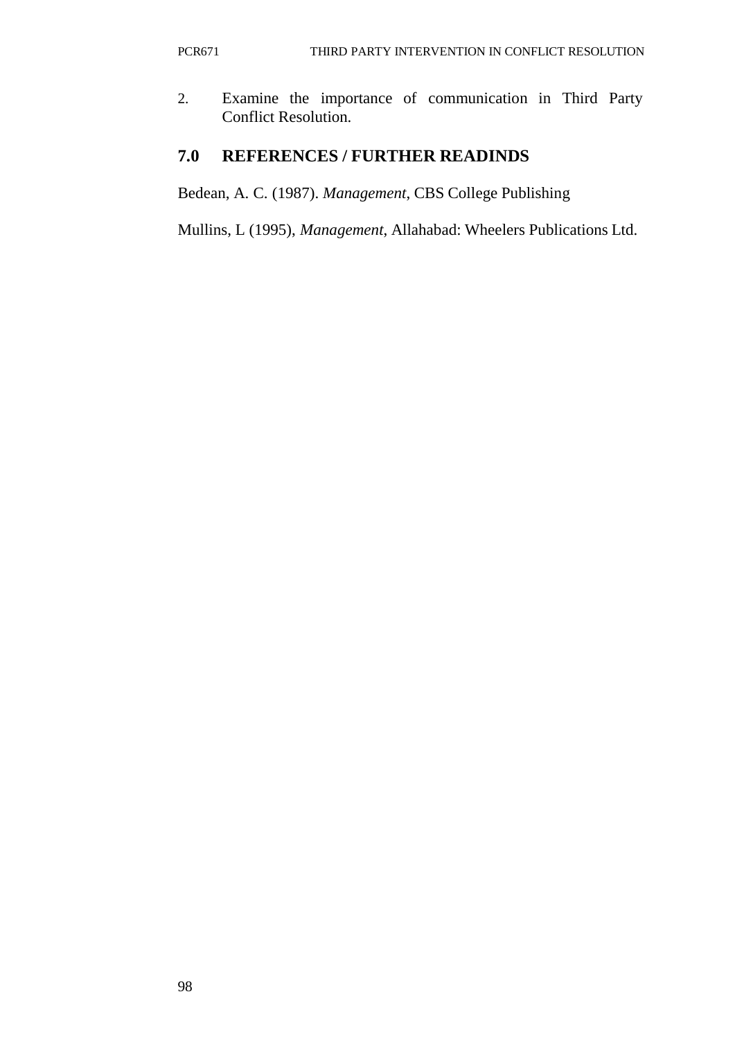2. Examine the importance of communication in Third Party Conflict Resolution.

# **7.0 REFERENCES / FURTHER READINDS**

Bedean, A. C. (1987). *Management*, CBS College Publishing

Mullins, L (1995), *Management*, Allahabad: Wheelers Publications Ltd.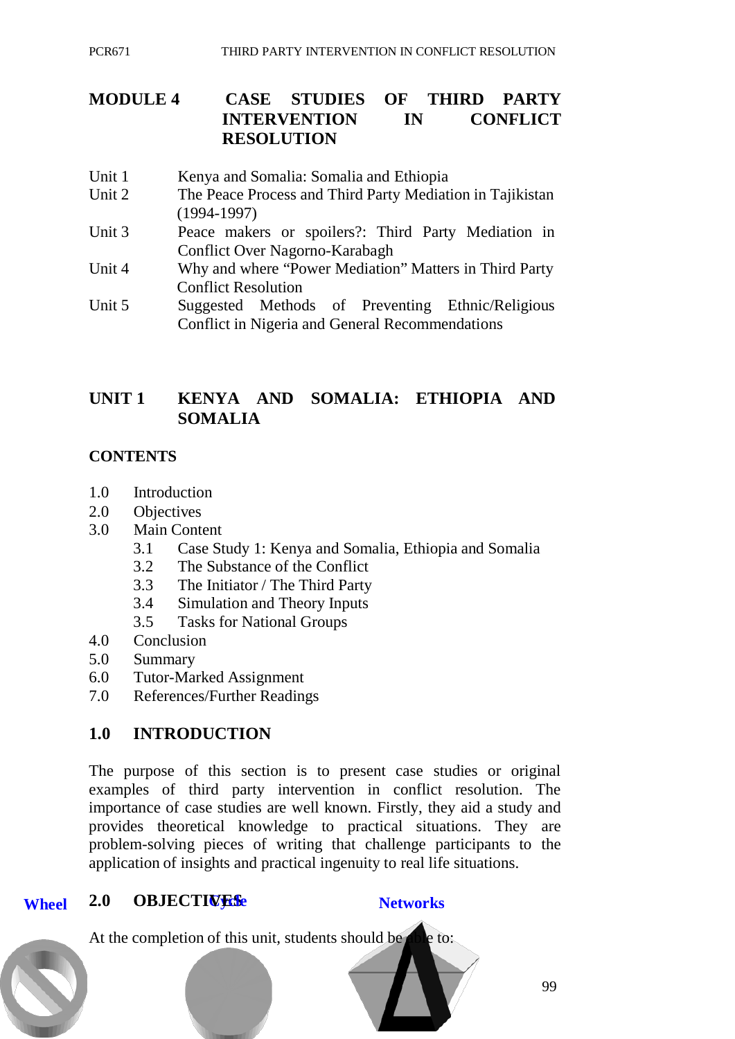# **MODULE 4 CASE STUDIES OF THIRD PARTY INTERVENTION IN CONFLICT RESOLUTION**

- Unit 1 Kenya and Somalia: Somalia and Ethiopia
- Unit 2 The Peace Process and Third Party Mediation in Tajikistan (1994-1997)
- Unit 3 Peace makers or spoilers?: Third Party Mediation in Conflict Over Nagorno-Karabagh
- Unit 4 Why and where "Power Mediation" Matters in Third Party Conflict Resolution
- Unit 5 Suggested Methods of Preventing Ethnic/Religious Conflict in Nigeria and General Recommendations

# **UNIT 1 KENYA AND SOMALIA: ETHIOPIA AND SOMALIA**

## **CONTENTS**

- 1.0 Introduction
- 2.0 Objectives
- 3.0 Main Content
	- 3.1 Case Study 1: Kenya and Somalia, Ethiopia and Somalia
	- 3.2 The Substance of the Conflict
	- 3.3 The Initiator / The Third Party
	- 3.4 Simulation and Theory Inputs
	- 3.5 Tasks for National Groups
- 4.0 Conclusion
- 5.0 Summary
- 6.0 Tutor-Marked Assignment
- 7.0 References/Further Readings

## **1.0 INTRODUCTION**

The purpose of this section is to present case studies or original examples of third party intervention in conflict resolution. The importance of case studies are well known. Firstly, they aid a study and provides theoretical knowledge to practical situations. They are problem-solving pieces of writing that challenge participants to the application of insights and practical ingenuity to real life situations.

#### **Wheel 2.0 OBJECTIVES**

At the completion of this unit, students should be able to:

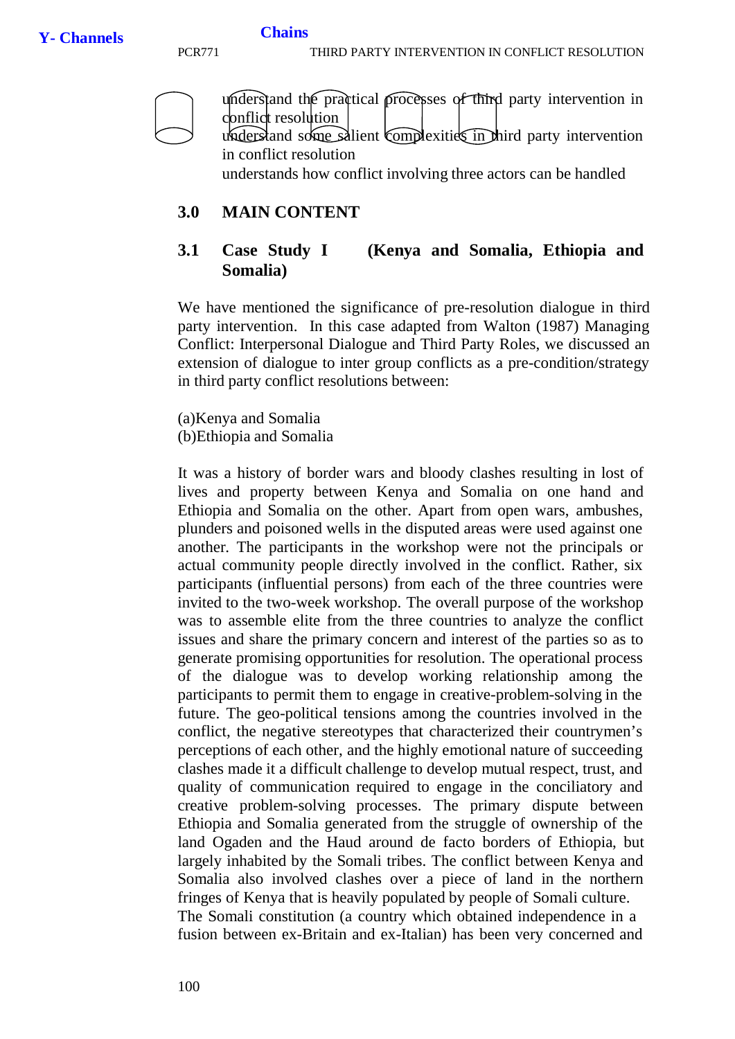

#### **3.0 MAIN CONTENT**

#### **3.1 Case Study I (Kenya and Somalia, Ethiopia and Somalia)**

We have mentioned the significance of pre-resolution dialogue in third party intervention. In this case adapted from Walton (1987) Managing Conflict: Interpersonal Dialogue and Third Party Roles, we discussed an extension of dialogue to inter group conflicts as a pre-condition/strategy in third party conflict resolutions between:

(a)Kenya and Somalia (b)Ethiopia and Somalia

It was a history of border wars and bloody clashes resulting in lost of lives and property between Kenya and Somalia on one hand and Ethiopia and Somalia on the other. Apart from open wars, ambushes, plunders and poisoned wells in the disputed areas were used against one another. The participants in the workshop were not the principals or actual community people directly involved in the conflict. Rather, six participants (influential persons) from each of the three countries were invited to the two-week workshop. The overall purpose of the workshop was to assemble elite from the three countries to analyze the conflict issues and share the primary concern and interest of the parties so as to generate promising opportunities for resolution. The operational process of the dialogue was to develop working relationship among the participants to permit them to engage in creative-problem-solving in the future. The geo-political tensions among the countries involved in the conflict, the negative stereotypes that characterized their countrymen's perceptions of each other, and the highly emotional nature of succeeding clashes made it a difficult challenge to develop mutual respect, trust, and quality of communication required to engage in the conciliatory and creative problem-solving processes. The primary dispute between Ethiopia and Somalia generated from the struggle of ownership of the land Ogaden and the Haud around de facto borders of Ethiopia, but largely inhabited by the Somali tribes. The conflict between Kenya and Somalia also involved clashes over a piece of land in the northern fringes of Kenya that is heavily populated by people of Somali culture. The Somali constitution (a country which obtained independence in a fusion between ex-Britain and ex-Italian) has been very concerned and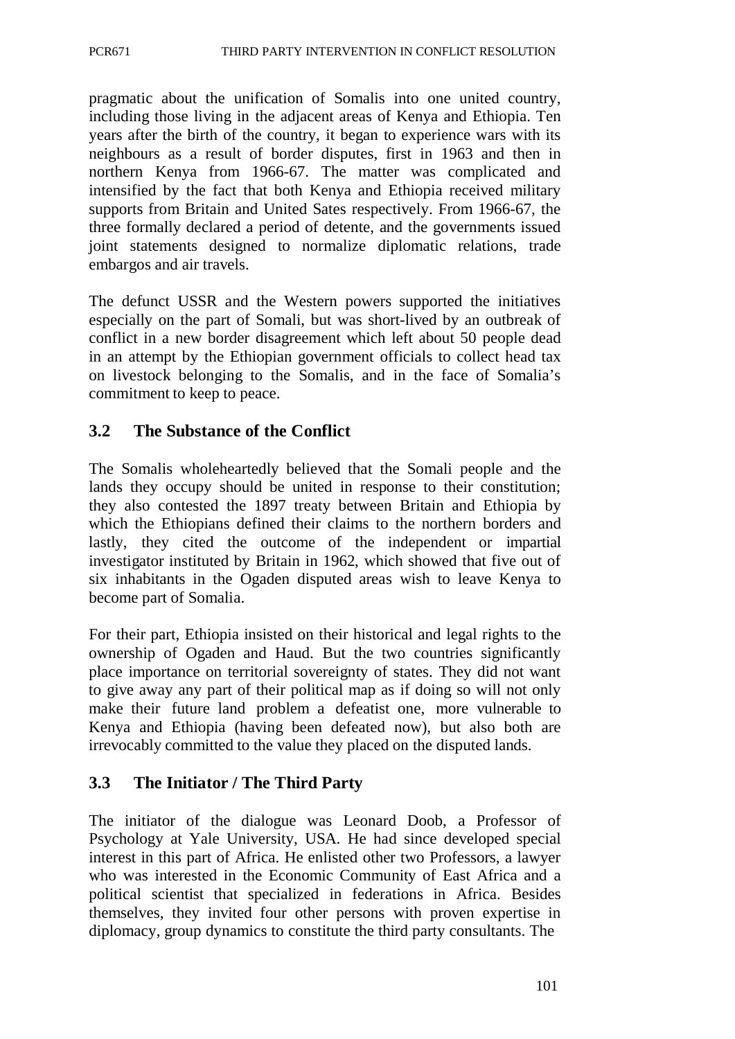pragmatic about the unification of Somalis into one united country, including those living in the adjacent areas of Kenya and Ethiopia. Ten years after the birth of the country, it began to experience wars with its neighbours as a result of border disputes, first in 1963 and then in northern Kenya from 1966-67. The matter was complicated and intensified by the fact that both Kenya and Ethiopia received military supports from Britain and United Sates respectively. From 1966-67, the three formally declared a period of detente, and the governments issued joint statements designed to normalize diplomatic relations, trade embargos and air travels.

The defunct USSR and the Western powers supported the initiatives especially on the part of Somali, but was short-lived by an outbreak of conflict in a new border disagreement which left about 50 people dead in an attempt by the Ethiopian government officials to collect head tax on livestock belonging to the Somalis, and in the face of Somalia's commitment to keep to peace.

## **3.2 The Substance of the Conflict**

The Somalis wholeheartedly believed that the Somali people and the lands they occupy should be united in response to their constitution; they also contested the 1897 treaty between Britain and Ethiopia by which the Ethiopians defined their claims to the northern borders and lastly, they cited the outcome of the independent or impartial investigator instituted by Britain in 1962, which showed that five out of six inhabitants in the Ogaden disputed areas wish to leave Kenya to become part of Somalia.

For their part, Ethiopia insisted on their historical and legal rights to the ownership of Ogaden and Haud. But the two countries significantly place importance on territorial sovereignty of states. They did not want to give away any part of their political map as if doing so will not only make their future land problem a defeatist one, more vulnerable to Kenya and Ethiopia (having been defeated now), but also both are irrevocably committed to the value they placed on the disputed lands.

## **3.3 The Initiator / The Third Party**

The initiator of the dialogue was Leonard Doob, a Professor of Psychology at Yale University, USA. He had since developed special interest in this part of Africa. He enlisted other two Professors, a lawyer who was interested in the Economic Community of East Africa and a political scientist that specialized in federations in Africa. Besides themselves, they invited four other persons with proven expertise in diplomacy, group dynamics to constitute the third party consultants. The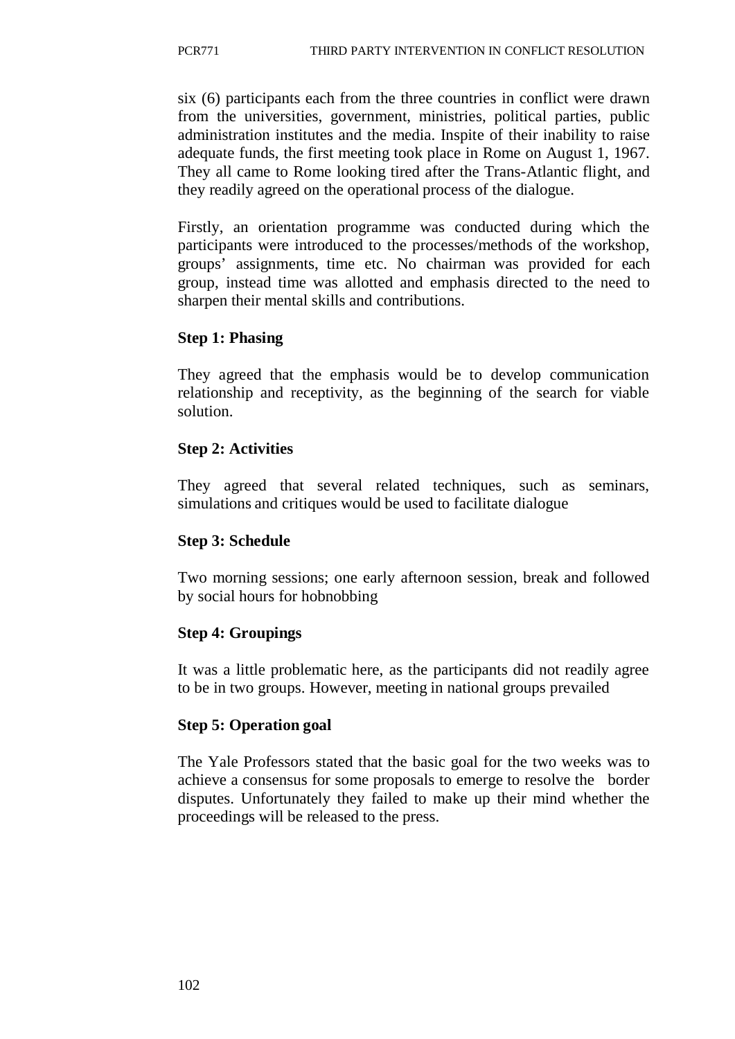six (6) participants each from the three countries in conflict were drawn from the universities, government, ministries, political parties, public administration institutes and the media. Inspite of their inability to raise adequate funds, the first meeting took place in Rome on August 1, 1967. They all came to Rome looking tired after the Trans-Atlantic flight, and they readily agreed on the operational process of the dialogue.

Firstly, an orientation programme was conducted during which the participants were introduced to the processes/methods of the workshop, groups' assignments, time etc. No chairman was provided for each group, instead time was allotted and emphasis directed to the need to sharpen their mental skills and contributions.

## **Step 1: Phasing**

They agreed that the emphasis would be to develop communication relationship and receptivity, as the beginning of the search for viable solution.

## **Step 2: Activities**

They agreed that several related techniques, such as seminars, simulations and critiques would be used to facilitate dialogue

## **Step 3: Schedule**

Two morning sessions; one early afternoon session, break and followed by social hours for hobnobbing

### **Step 4: Groupings**

It was a little problematic here, as the participants did not readily agree to be in two groups. However, meeting in national groups prevailed

### **Step 5: Operation goal**

The Yale Professors stated that the basic goal for the two weeks was to achieve a consensus for some proposals to emerge to resolve the border disputes. Unfortunately they failed to make up their mind whether the proceedings will be released to the press.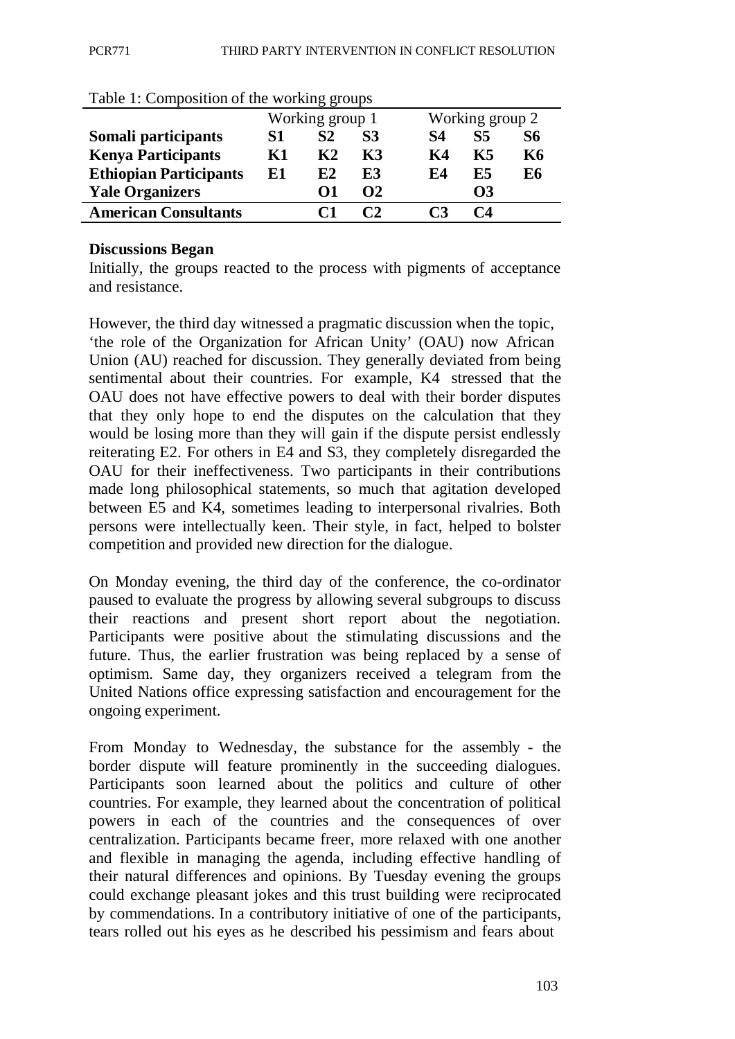| $\frac{1}{2}$ were $\frac{1}{2}$ . Some solved to the station of the station of $\frac{1}{2}$ |                 |                |           |                 |           |           |
|-----------------------------------------------------------------------------------------------|-----------------|----------------|-----------|-----------------|-----------|-----------|
|                                                                                               | Working group 1 |                |           | Working group 2 |           |           |
| Somali participants                                                                           | S1              | S <sub>2</sub> | <b>S3</b> | S4              | <b>S5</b> | <b>S6</b> |
| <b>Kenya Participants</b>                                                                     | Κ1              | K2             | K3        | K4              | K5        | K6        |
| <b>Ethiopian Participants</b>                                                                 | E1              | E2             | E3        | F.4             | E5        | E6        |
| <b>Yale Organizers</b>                                                                        |                 | O1             | $\Omega$  |                 | <b>O3</b> |           |
| <b>American Consultants</b>                                                                   |                 |                |           |                 | C4        |           |

Table 1: Composition of the working groups

#### **Discussions Began**

Initially, the groups reacted to the process with pigments of acceptance and resistance.

However, the third day witnessed a pragmatic discussion when the topic, 'the role of the Organization for African Unity' (OAU) now African Union (AU) reached for discussion. They generally deviated from being sentimental about their countries. For example, K4 stressed that the OAU does not have effective powers to deal with their border disputes that they only hope to end the disputes on the calculation that they would be losing more than they will gain if the dispute persist endlessly reiterating E2. For others in E4 and S3, they completely disregarded the OAU for their ineffectiveness. Two participants in their contributions made long philosophical statements, so much that agitation developed between E5 and K4, sometimes leading to interpersonal rivalries. Both persons were intellectually keen. Their style, in fact, helped to bolster competition and provided new direction for the dialogue.

On Monday evening, the third day of the conference, the co-ordinator paused to evaluate the progress by allowing several subgroups to discuss their reactions and present short report about the negotiation. Participants were positive about the stimulating discussions and the future. Thus, the earlier frustration was being replaced by a sense of optimism. Same day, they organizers received a telegram from the United Nations office expressing satisfaction and encouragement for the ongoing experiment.

From Monday to Wednesday, the substance for the assembly - the border dispute will feature prominently in the succeeding dialogues. Participants soon learned about the politics and culture of other countries. For example, they learned about the concentration of political powers in each of the countries and the consequences of over centralization. Participants became freer, more relaxed with one another and flexible in managing the agenda, including effective handling of their natural differences and opinions. By Tuesday evening the groups could exchange pleasant jokes and this trust building were reciprocated by commendations. In a contributory initiative of one of the participants, tears rolled out his eyes as he described his pessimism and fears about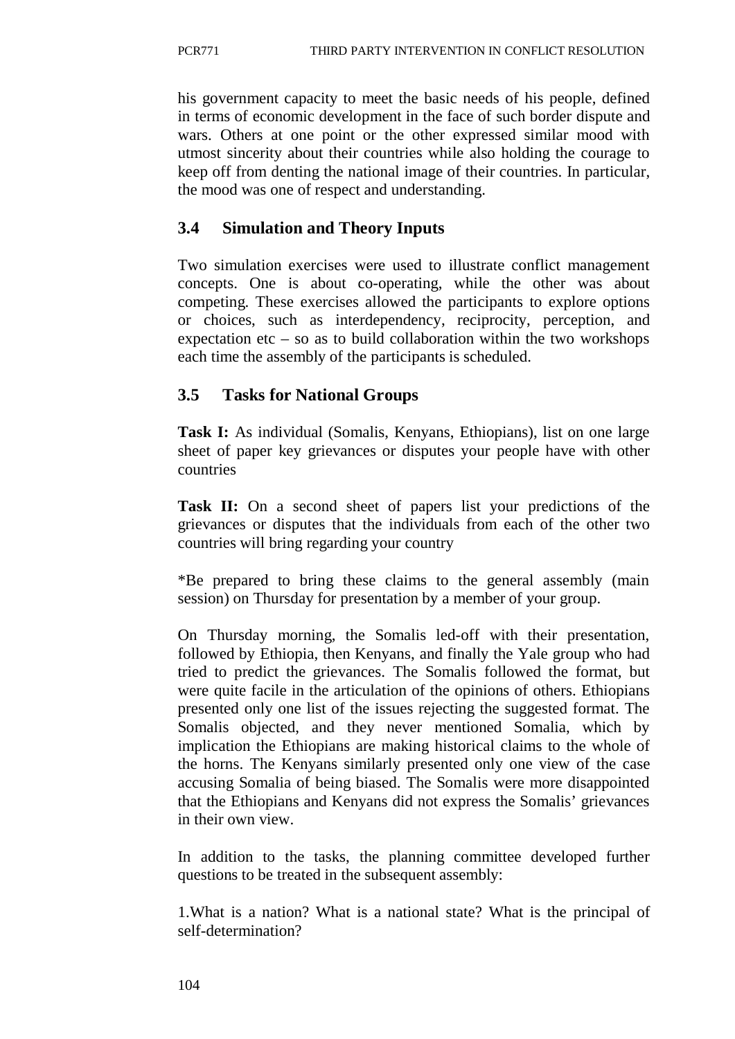his government capacity to meet the basic needs of his people, defined in terms of economic development in the face of such border dispute and wars. Others at one point or the other expressed similar mood with utmost sincerity about their countries while also holding the courage to keep off from denting the national image of their countries. In particular, the mood was one of respect and understanding.

# **3.4 Simulation and Theory Inputs**

Two simulation exercises were used to illustrate conflict management concepts. One is about co-operating, while the other was about competing. These exercises allowed the participants to explore options or choices, such as interdependency, reciprocity, perception, and expectation etc – so as to build collaboration within the two workshops each time the assembly of the participants is scheduled.

# **3.5 Tasks for National Groups**

**Task I:** As individual (Somalis, Kenyans, Ethiopians), list on one large sheet of paper key grievances or disputes your people have with other countries

**Task II:** On a second sheet of papers list your predictions of the grievances or disputes that the individuals from each of the other two countries will bring regarding your country

\*Be prepared to bring these claims to the general assembly (main session) on Thursday for presentation by a member of your group.

On Thursday morning, the Somalis led-off with their presentation, followed by Ethiopia, then Kenyans, and finally the Yale group who had tried to predict the grievances. The Somalis followed the format, but were quite facile in the articulation of the opinions of others. Ethiopians presented only one list of the issues rejecting the suggested format. The Somalis objected, and they never mentioned Somalia, which by implication the Ethiopians are making historical claims to the whole of the horns. The Kenyans similarly presented only one view of the case accusing Somalia of being biased. The Somalis were more disappointed that the Ethiopians and Kenyans did not express the Somalis' grievances in their own view.

In addition to the tasks, the planning committee developed further questions to be treated in the subsequent assembly:

1.What is a nation? What is a national state? What is the principal of self-determination?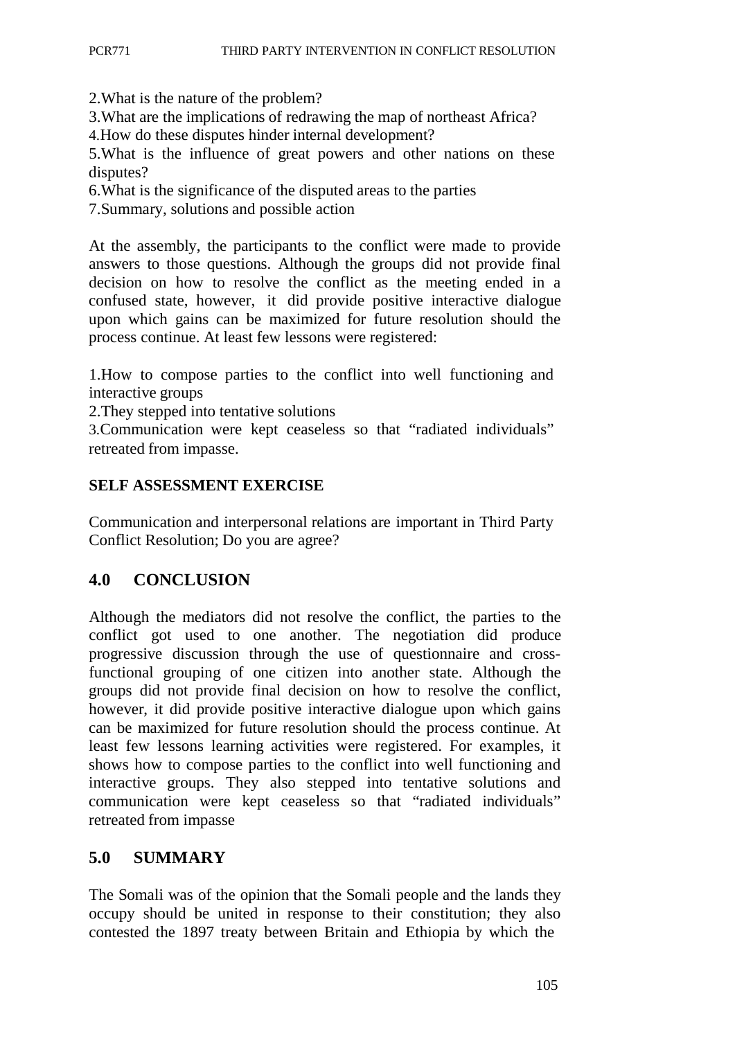2.What is the nature of the problem?

3.What are the implications of redrawing the map of northeast Africa?

4.How do these disputes hinder internal development?

5.What is the influence of great powers and other nations on these disputes?

6.What is the significance of the disputed areas to the parties

7.Summary, solutions and possible action

At the assembly, the participants to the conflict were made to provide answers to those questions. Although the groups did not provide final decision on how to resolve the conflict as the meeting ended in a confused state, however, it did provide positive interactive dialogue upon which gains can be maximized for future resolution should the process continue. At least few lessons were registered:

1.How to compose parties to the conflict into well functioning and interactive groups

2.They stepped into tentative solutions

3.Communication were kept ceaseless so that "radiated individuals" retreated from impasse.

### **SELF ASSESSMENT EXERCISE**

Communication and interpersonal relations are important in Third Party Conflict Resolution; Do you are agree?

### **4.0 CONCLUSION**

Although the mediators did not resolve the conflict, the parties to the conflict got used to one another. The negotiation did produce progressive discussion through the use of questionnaire and crossfunctional grouping of one citizen into another state. Although the groups did not provide final decision on how to resolve the conflict, however, it did provide positive interactive dialogue upon which gains can be maximized for future resolution should the process continue. At least few lessons learning activities were registered. For examples, it shows how to compose parties to the conflict into well functioning and interactive groups. They also stepped into tentative solutions and communication were kept ceaseless so that "radiated individuals" retreated from impasse

## **5.0 SUMMARY**

The Somali was of the opinion that the Somali people and the lands they occupy should be united in response to their constitution; they also contested the 1897 treaty between Britain and Ethiopia by which the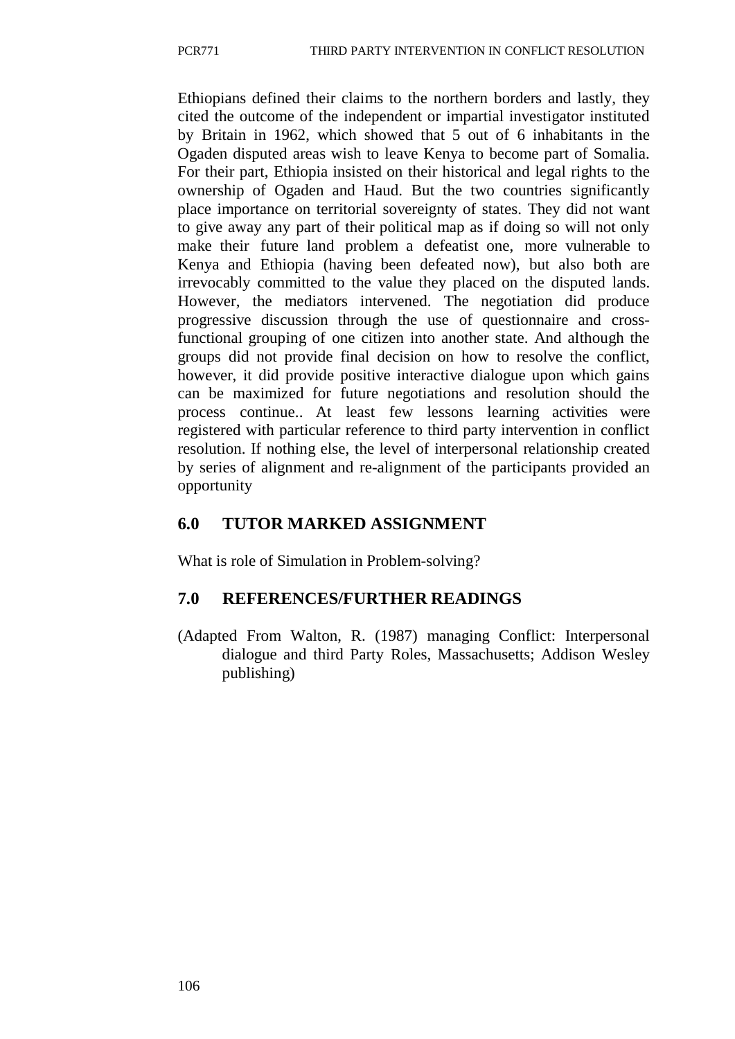Ethiopians defined their claims to the northern borders and lastly, they cited the outcome of the independent or impartial investigator instituted by Britain in 1962, which showed that 5 out of 6 inhabitants in the Ogaden disputed areas wish to leave Kenya to become part of Somalia. For their part, Ethiopia insisted on their historical and legal rights to the ownership of Ogaden and Haud. But the two countries significantly place importance on territorial sovereignty of states. They did not want to give away any part of their political map as if doing so will not only make their future land problem a defeatist one, more vulnerable to Kenya and Ethiopia (having been defeated now), but also both are irrevocably committed to the value they placed on the disputed lands. However, the mediators intervened. The negotiation did produce progressive discussion through the use of questionnaire and crossfunctional grouping of one citizen into another state. And although the groups did not provide final decision on how to resolve the conflict, however, it did provide positive interactive dialogue upon which gains can be maximized for future negotiations and resolution should the process continue.. At least few lessons learning activities were registered with particular reference to third party intervention in conflict resolution. If nothing else, the level of interpersonal relationship created by series of alignment and re-alignment of the participants provided an opportunity

## **6.0 TUTOR MARKED ASSIGNMENT**

What is role of Simulation in Problem-solving?

## **7.0 REFERENCES/FURTHER READINGS**

(Adapted From Walton, R. (1987) managing Conflict: Interpersonal dialogue and third Party Roles, Massachusetts; Addison Wesley publishing)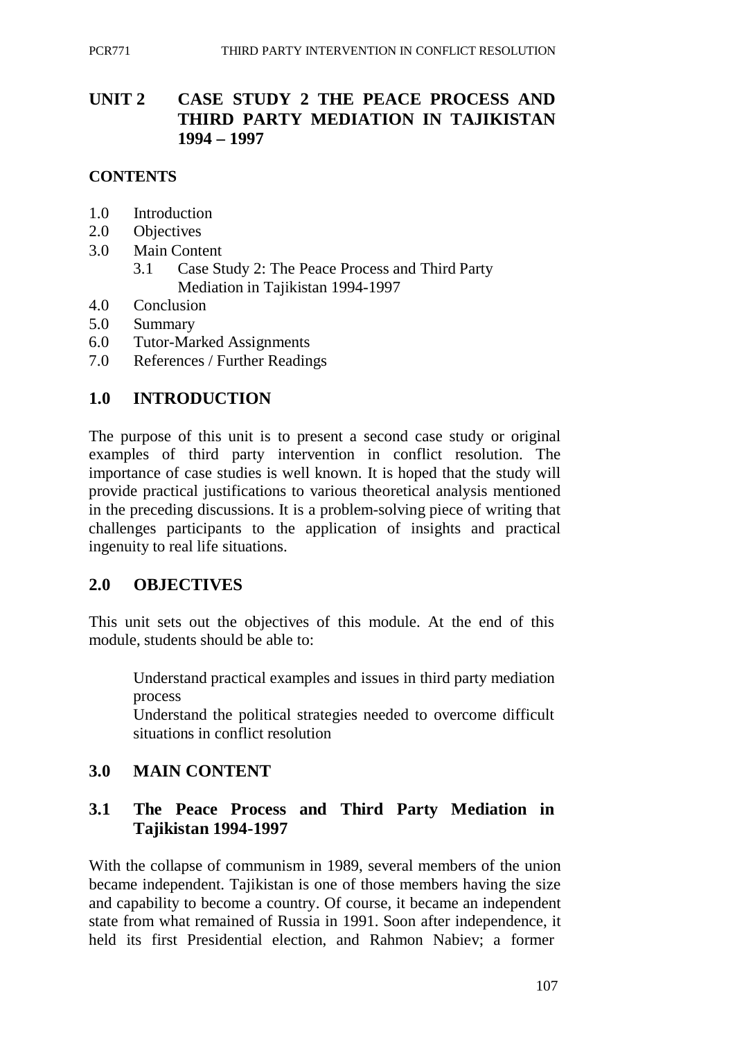# **UNIT 2 CASE STUDY 2 THE PEACE PROCESS AND THIRD PARTY MEDIATION IN TAJIKISTAN 1994 – 1997**

#### **CONTENTS**

- 1.0 Introduction
- 2.0 Objectives
- 3.0 Main Content
	- 3.1 Case Study 2: The Peace Process and Third Party Mediation in Tajikistan 1994-1997
- 4.0 Conclusion
- 5.0 Summary
- 6.0 Tutor-Marked Assignments
- 7.0 References / Further Readings

### **1.0 INTRODUCTION**

The purpose of this unit is to present a second case study or original examples of third party intervention in conflict resolution. The importance of case studies is well known. It is hoped that the study will provide practical justifications to various theoretical analysis mentioned in the preceding discussions. It is a problem-solving piece of writing that challenges participants to the application of insights and practical ingenuity to real life situations.

#### **2.0 OBJECTIVES**

This unit sets out the objectives of this module. At the end of this module, students should be able to:

Understand practical examples and issues in third party mediation process

Understand the political strategies needed to overcome difficult situations in conflict resolution

#### **3.0 MAIN CONTENT**

### **3.1 The Peace Process and Third Party Mediation in Tajikistan 1994-1997**

With the collapse of communism in 1989, several members of the union became independent. Tajikistan is one of those members having the size and capability to become a country. Of course, it became an independent state from what remained of Russia in 1991. Soon after independence, it held its first Presidential election, and Rahmon Nabiev; a former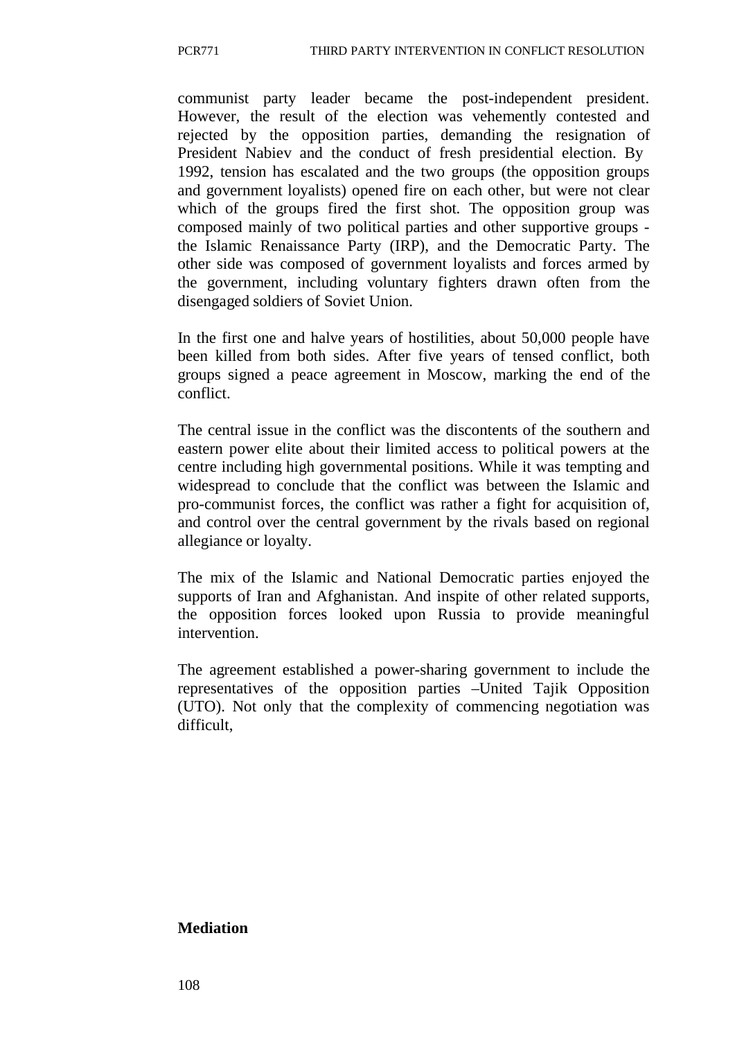communist party leader became the post-independent president. However, the result of the election was vehemently contested and rejected by the opposition parties, demanding the resignation of President Nabiev and the conduct of fresh presidential election. By 1992, tension has escalated and the two groups (the opposition groups and government loyalists) opened fire on each other, but were not clear which of the groups fired the first shot. The opposition group was composed mainly of two political parties and other supportive groups the Islamic Renaissance Party (IRP), and the Democratic Party. The other side was composed of government loyalists and forces armed by the government, including voluntary fighters drawn often from the disengaged soldiers of Soviet Union.

In the first one and halve years of hostilities, about 50,000 people have been killed from both sides. After five years of tensed conflict, both groups signed a peace agreement in Moscow, marking the end of the conflict.

The central issue in the conflict was the discontents of the southern and eastern power elite about their limited access to political powers at the centre including high governmental positions. While it was tempting and widespread to conclude that the conflict was between the Islamic and pro-communist forces, the conflict was rather a fight for acquisition of, and control over the central government by the rivals based on regional allegiance or loyalty.

The mix of the Islamic and National Democratic parties enjoyed the supports of Iran and Afghanistan. And inspite of other related supports, the opposition forces looked upon Russia to provide meaningful intervention.

The agreement established a power-sharing government to include the representatives of the opposition parties –United Tajik Opposition (UTO). Not only that the complexity of commencing negotiation was difficult,

#### **Mediation**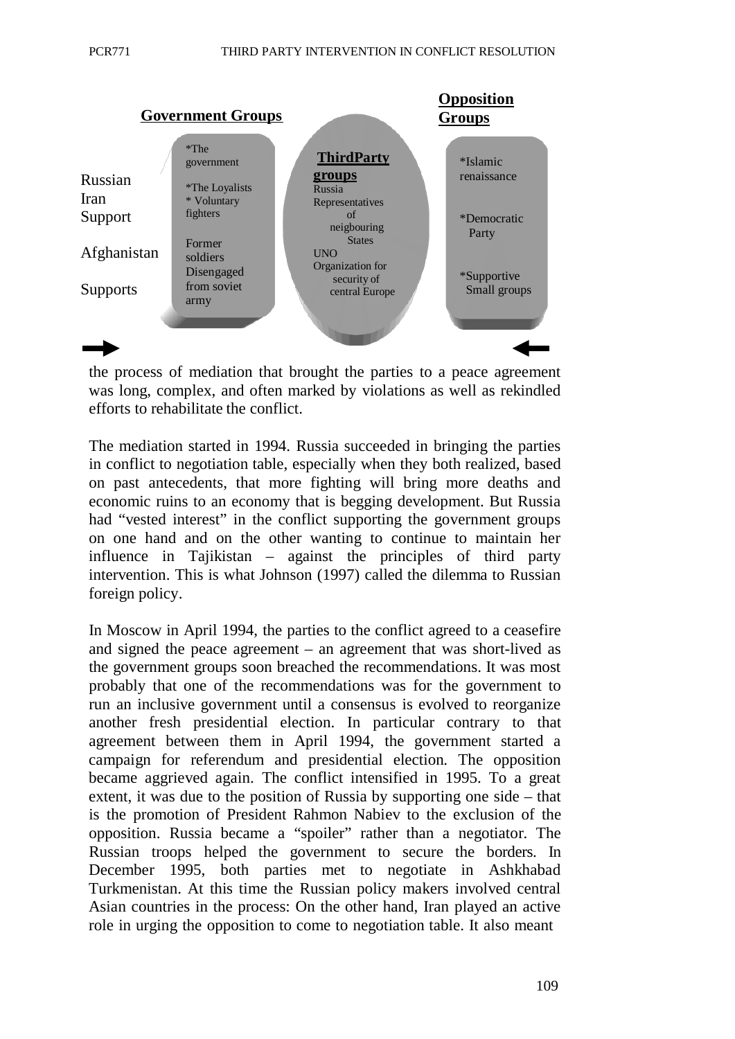

the process of mediation that brought the parties to a peace agreement was long, complex, and often marked by violations as well as rekindled efforts to rehabilitate the conflict.

The mediation started in 1994. Russia succeeded in bringing the parties in conflict to negotiation table, especially when they both realized, based on past antecedents, that more fighting will bring more deaths and economic ruins to an economy that is begging development. But Russia had "vested interest" in the conflict supporting the government groups on one hand and on the other wanting to continue to maintain her influence in Tajikistan – against the principles of third party intervention. This is what Johnson (1997) called the dilemma to Russian foreign policy.

In Moscow in April 1994, the parties to the conflict agreed to a ceasefire and signed the peace agreement – an agreement that was short-lived as the government groups soon breached the recommendations. It was most probably that one of the recommendations was for the government to run an inclusive government until a consensus is evolved to reorganize another fresh presidential election. In particular contrary to that agreement between them in April 1994, the government started a campaign for referendum and presidential election. The opposition became aggrieved again. The conflict intensified in 1995. To a great extent, it was due to the position of Russia by supporting one side – that is the promotion of President Rahmon Nabiev to the exclusion of the opposition. Russia became a "spoiler" rather than a negotiator. The Russian troops helped the government to secure the borders. In December 1995, both parties met to negotiate in Ashkhabad Turkmenistan. At this time the Russian policy makers involved central Asian countries in the process: On the other hand, Iran played an active role in urging the opposition to come to negotiation table. It also meant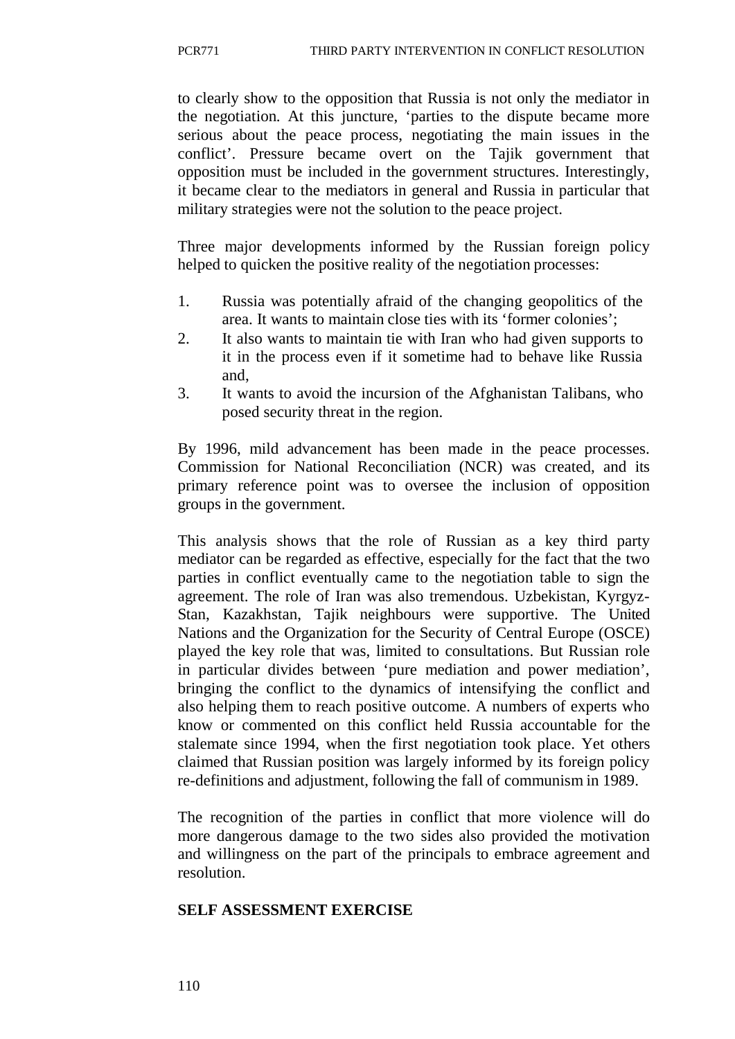to clearly show to the opposition that Russia is not only the mediator in the negotiation. At this juncture, 'parties to the dispute became more serious about the peace process, negotiating the main issues in the conflict'. Pressure became overt on the Tajik government that opposition must be included in the government structures. Interestingly, it became clear to the mediators in general and Russia in particular that military strategies were not the solution to the peace project.

Three major developments informed by the Russian foreign policy helped to quicken the positive reality of the negotiation processes:

- 1. Russia was potentially afraid of the changing geopolitics of the area. It wants to maintain close ties with its 'former colonies';
- 2. It also wants to maintain tie with Iran who had given supports to it in the process even if it sometime had to behave like Russia and,
- 3. It wants to avoid the incursion of the Afghanistan Talibans, who posed security threat in the region.

By 1996, mild advancement has been made in the peace processes. Commission for National Reconciliation (NCR) was created, and its primary reference point was to oversee the inclusion of opposition groups in the government.

This analysis shows that the role of Russian as a key third party mediator can be regarded as effective, especially for the fact that the two parties in conflict eventually came to the negotiation table to sign the agreement. The role of Iran was also tremendous. Uzbekistan, Kyrgyz-Stan, Kazakhstan, Tajik neighbours were supportive. The United Nations and the Organization for the Security of Central Europe (OSCE) played the key role that was, limited to consultations. But Russian role in particular divides between 'pure mediation and power mediation', bringing the conflict to the dynamics of intensifying the conflict and also helping them to reach positive outcome. A numbers of experts who know or commented on this conflict held Russia accountable for the stalemate since 1994, when the first negotiation took place. Yet others claimed that Russian position was largely informed by its foreign policy re-definitions and adjustment, following the fall of communism in 1989.

The recognition of the parties in conflict that more violence will do more dangerous damage to the two sides also provided the motivation and willingness on the part of the principals to embrace agreement and resolution.

#### **SELF ASSESSMENT EXERCISE**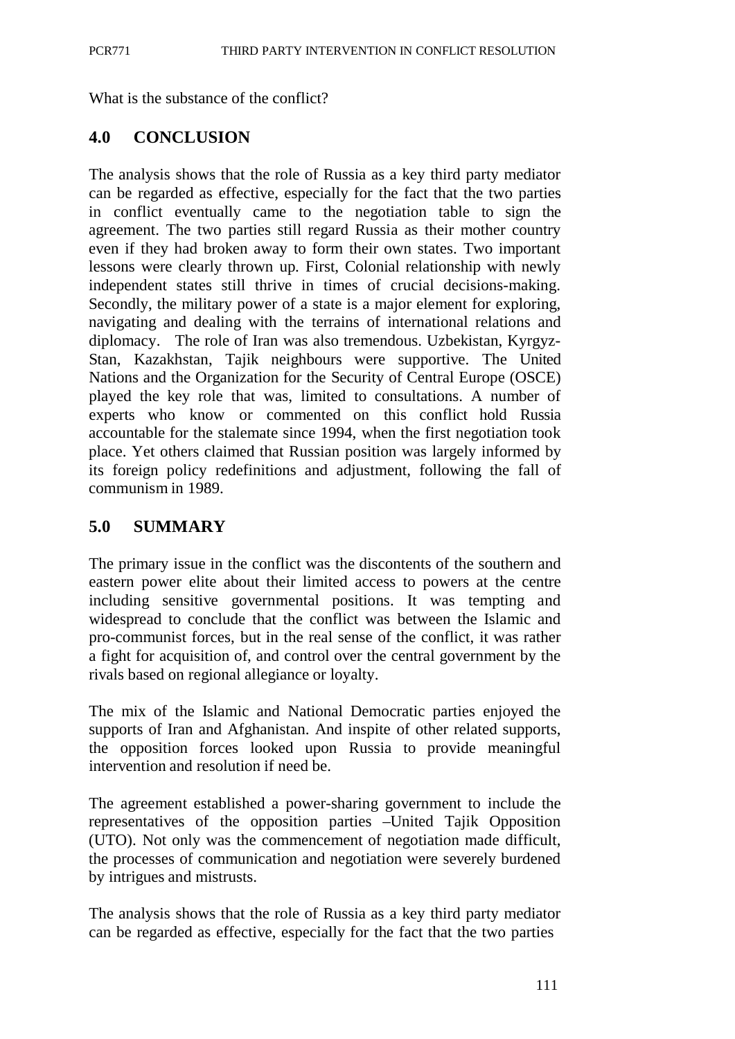What is the substance of the conflict?

# **4.0 CONCLUSION**

The analysis shows that the role of Russia as a key third party mediator can be regarded as effective, especially for the fact that the two parties in conflict eventually came to the negotiation table to sign the agreement. The two parties still regard Russia as their mother country even if they had broken away to form their own states. Two important lessons were clearly thrown up. First, Colonial relationship with newly independent states still thrive in times of crucial decisions-making. Secondly, the military power of a state is a major element for exploring, navigating and dealing with the terrains of international relations and diplomacy. The role of Iran was also tremendous. Uzbekistan, Kyrgyz-Stan, Kazakhstan, Tajik neighbours were supportive. The United Nations and the Organization for the Security of Central Europe (OSCE) played the key role that was, limited to consultations. A number of experts who know or commented on this conflict hold Russia accountable for the stalemate since 1994, when the first negotiation took place. Yet others claimed that Russian position was largely informed by its foreign policy redefinitions and adjustment, following the fall of communism in 1989.

# **5.0 SUMMARY**

The primary issue in the conflict was the discontents of the southern and eastern power elite about their limited access to powers at the centre including sensitive governmental positions. It was tempting and widespread to conclude that the conflict was between the Islamic and pro-communist forces, but in the real sense of the conflict, it was rather a fight for acquisition of, and control over the central government by the rivals based on regional allegiance or loyalty.

The mix of the Islamic and National Democratic parties enjoyed the supports of Iran and Afghanistan. And inspite of other related supports, the opposition forces looked upon Russia to provide meaningful intervention and resolution if need be.

The agreement established a power-sharing government to include the representatives of the opposition parties –United Tajik Opposition (UTO). Not only was the commencement of negotiation made difficult, the processes of communication and negotiation were severely burdened by intrigues and mistrusts.

The analysis shows that the role of Russia as a key third party mediator can be regarded as effective, especially for the fact that the two parties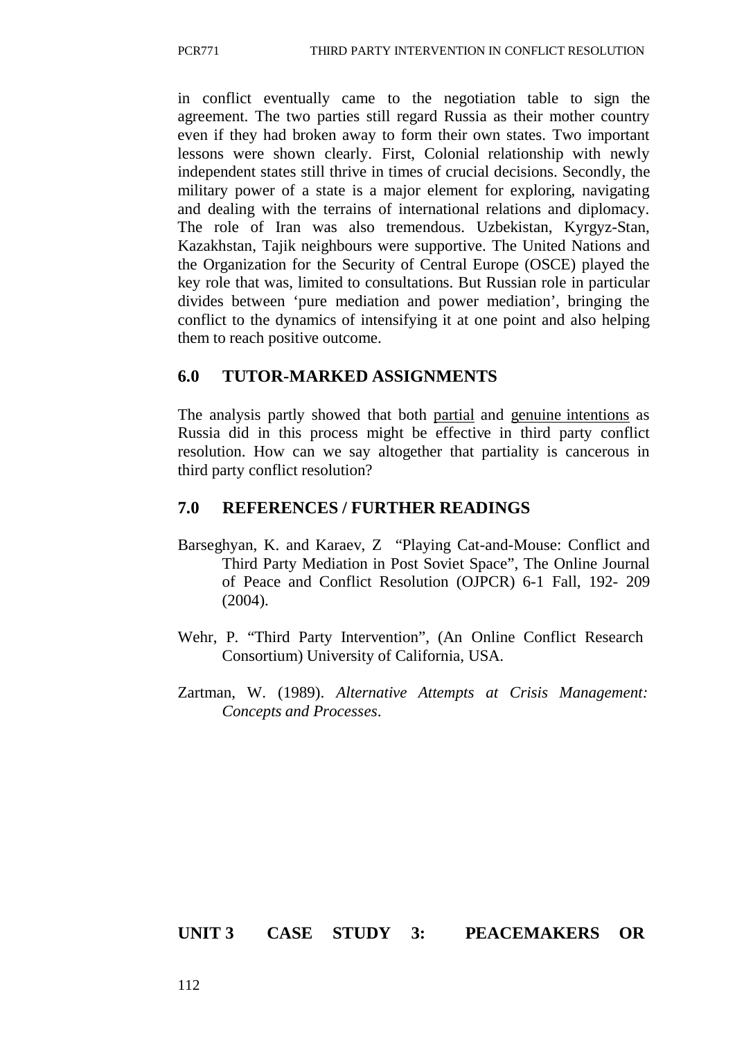in conflict eventually came to the negotiation table to sign the agreement. The two parties still regard Russia as their mother country even if they had broken away to form their own states. Two important lessons were shown clearly. First, Colonial relationship with newly independent states still thrive in times of crucial decisions. Secondly, the military power of a state is a major element for exploring, navigating and dealing with the terrains of international relations and diplomacy. The role of Iran was also tremendous. Uzbekistan, Kyrgyz-Stan, Kazakhstan, Tajik neighbours were supportive. The United Nations and the Organization for the Security of Central Europe (OSCE) played the key role that was, limited to consultations. But Russian role in particular divides between 'pure mediation and power mediation', bringing the conflict to the dynamics of intensifying it at one point and also helping them to reach positive outcome.

### **6.0 TUTOR-MARKED ASSIGNMENTS**

The analysis partly showed that both partial and genuine intentions as Russia did in this process might be effective in third party conflict resolution. How can we say altogether that partiality is cancerous in third party conflict resolution?

## **7.0 REFERENCES / FURTHER READINGS**

- Barseghyan, K. and Karaev, Z "Playing Cat-and-Mouse: Conflict and Third Party Mediation in Post Soviet Space", The Online Journal of Peace and Conflict Resolution (OJPCR) 6-1 Fall, 192- 209 (2004).
- Wehr, P. "Third Party Intervention", (An Online Conflict Research Consortium) University of California, USA.
- Zartman, W. (1989). *Alternative Attempts at Crisis Management: Concepts and Processes*.

#### **UNIT 3 CASE STUDY 3: PEACEMAKERS OR**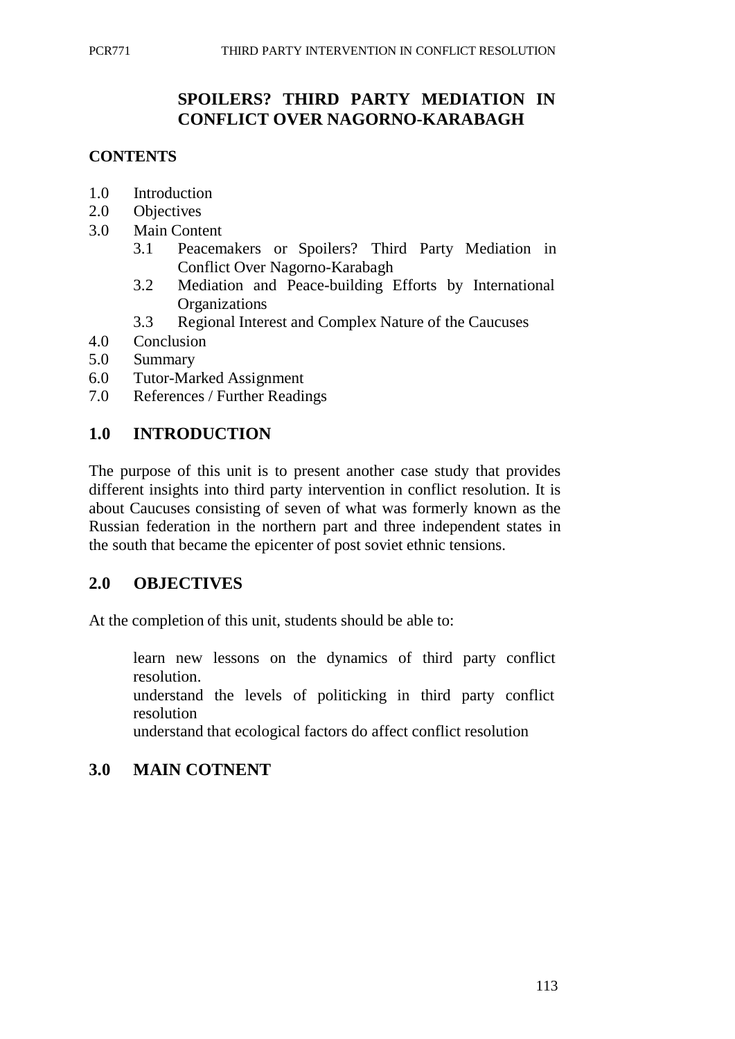# **SPOILERS? THIRD PARTY MEDIATION IN CONFLICT OVER NAGORNO-KARABAGH**

## **CONTENTS**

- 1.0 Introduction
- 2.0 Objectives
- 3.0 Main Content
	- 3.1 Peacemakers or Spoilers? Third Party Mediation in Conflict Over Nagorno-Karabagh
	- 3.2 Mediation and Peace-building Efforts by International **Organizations**
	- 3.3 Regional Interest and Complex Nature of the Caucuses
- 4.0 Conclusion
- 5.0 Summary
- 6.0 Tutor-Marked Assignment
- 7.0 References / Further Readings

# **1.0 INTRODUCTION**

The purpose of this unit is to present another case study that provides different insights into third party intervention in conflict resolution. It is about Caucuses consisting of seven of what was formerly known as the Russian federation in the northern part and three independent states in the south that became the epicenter of post soviet ethnic tensions.

## **2.0 OBJECTIVES**

At the completion of this unit, students should be able to:

learn new lessons on the dynamics of third party conflict resolution.

understand the levels of politicking in third party conflict resolution

understand that ecological factors do affect conflict resolution

## **3.0 MAIN COTNENT**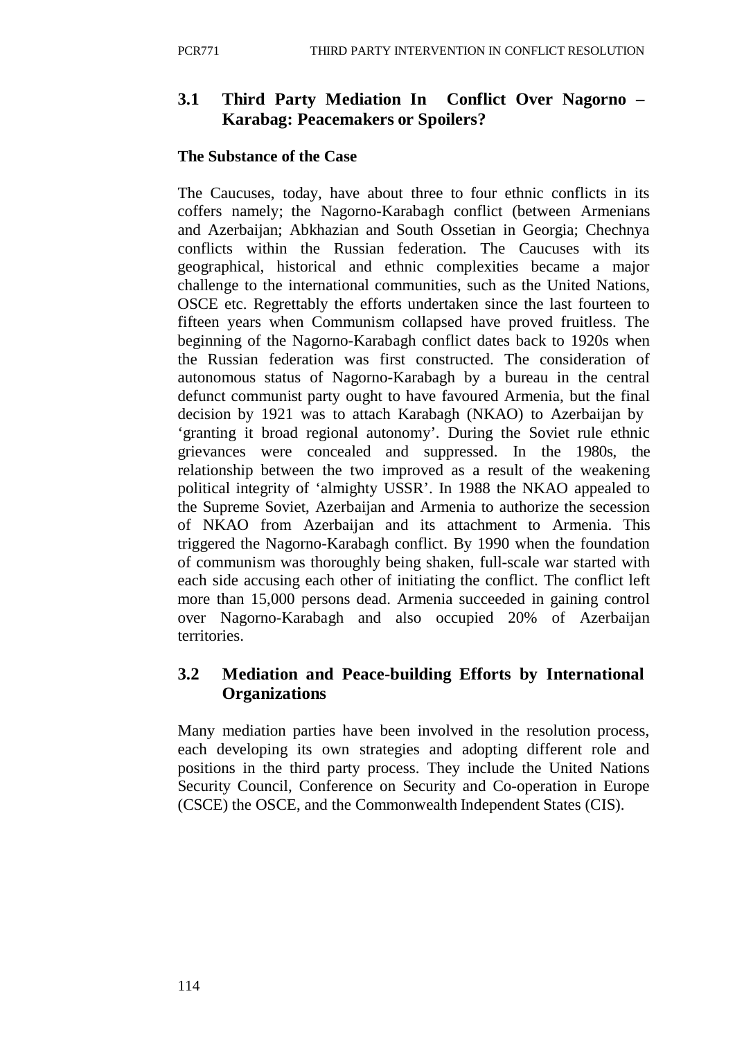# **3.1 Third Party Mediation In Conflict Over Nagorno – Karabag: Peacemakers or Spoilers?**

### **The Substance of the Case**

The Caucuses, today, have about three to four ethnic conflicts in its coffers namely; the Nagorno-Karabagh conflict (between Armenians and Azerbaijan; Abkhazian and South Ossetian in Georgia; Chechnya conflicts within the Russian federation. The Caucuses with its geographical, historical and ethnic complexities became a major challenge to the international communities, such as the United Nations, OSCE etc. Regrettably the efforts undertaken since the last fourteen to fifteen years when Communism collapsed have proved fruitless. The beginning of the Nagorno-Karabagh conflict dates back to 1920s when the Russian federation was first constructed. The consideration of autonomous status of Nagorno-Karabagh by a bureau in the central defunct communist party ought to have favoured Armenia, but the final decision by 1921 was to attach Karabagh (NKAO) to Azerbaijan by 'granting it broad regional autonomy'. During the Soviet rule ethnic grievances were concealed and suppressed. In the 1980s, the relationship between the two improved as a result of the weakening political integrity of 'almighty USSR'. In 1988 the NKAO appealed to the Supreme Soviet, Azerbaijan and Armenia to authorize the secession of NKAO from Azerbaijan and its attachment to Armenia. This triggered the Nagorno-Karabagh conflict. By 1990 when the foundation of communism was thoroughly being shaken, full-scale war started with each side accusing each other of initiating the conflict. The conflict left more than 15,000 persons dead. Armenia succeeded in gaining control over Nagorno-Karabagh and also occupied 20% of Azerbaijan territories.

## **3.2 Mediation and Peace-building Efforts by International Organizations**

Many mediation parties have been involved in the resolution process, each developing its own strategies and adopting different role and positions in the third party process. They include the United Nations Security Council, Conference on Security and Co-operation in Europe (CSCE) the OSCE, and the Commonwealth Independent States (CIS).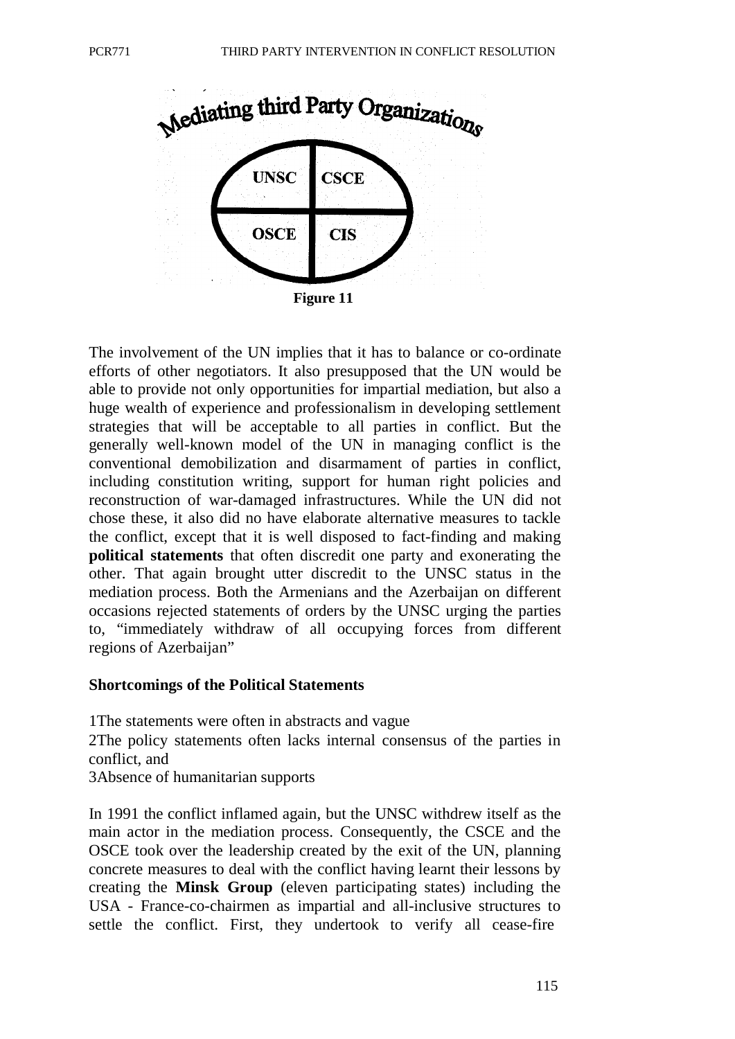

The involvement of the UN implies that it has to balance or co-ordinate efforts of other negotiators. It also presupposed that the UN would be able to provide not only opportunities for impartial mediation, but also a huge wealth of experience and professionalism in developing settlement strategies that will be acceptable to all parties in conflict. But the generally well-known model of the UN in managing conflict is the conventional demobilization and disarmament of parties in conflict, including constitution writing, support for human right policies and reconstruction of war-damaged infrastructures. While the UN did not chose these, it also did no have elaborate alternative measures to tackle the conflict, except that it is well disposed to fact-finding and making **political statements** that often discredit one party and exonerating the other. That again brought utter discredit to the UNSC status in the mediation process. Both the Armenians and the Azerbaijan on different occasions rejected statements of orders by the UNSC urging the parties to, "immediately withdraw of all occupying forces from different regions of Azerbaijan"

#### **Shortcomings of the Political Statements**

1The statements were often in abstracts and vague 2The policy statements often lacks internal consensus of the parties in conflict, and 3Absence of humanitarian supports

In 1991 the conflict inflamed again, but the UNSC withdrew itself as the main actor in the mediation process. Consequently, the CSCE and the OSCE took over the leadership created by the exit of the UN, planning concrete measures to deal with the conflict having learnt their lessons by creating the **Minsk Group** (eleven participating states) including the USA - France-co-chairmen as impartial and all-inclusive structures to settle the conflict. First, they undertook to verify all cease-fire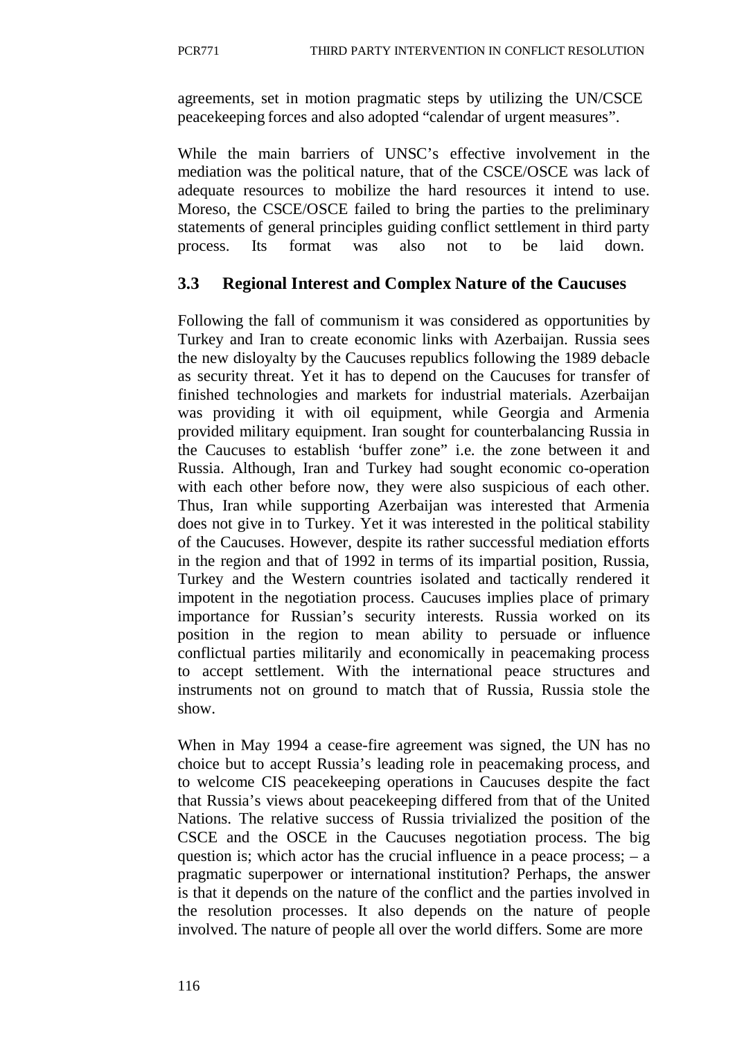agreements, set in motion pragmatic steps by utilizing the UN/CSCE peacekeeping forces and also adopted "calendar of urgent measures".

While the main barriers of UNSC's effective involvement in the mediation was the political nature, that of the CSCE/OSCE was lack of adequate resources to mobilize the hard resources it intend to use. Moreso, the CSCE/OSCE failed to bring the parties to the preliminary statements of general principles guiding conflict settlement in third party process. Its format was also not to be laid down.

# **3.3 Regional Interest and Complex Nature of the Caucuses**

Following the fall of communism it was considered as opportunities by Turkey and Iran to create economic links with Azerbaijan. Russia sees the new disloyalty by the Caucuses republics following the 1989 debacle as security threat. Yet it has to depend on the Caucuses for transfer of finished technologies and markets for industrial materials. Azerbaijan was providing it with oil equipment, while Georgia and Armenia provided military equipment. Iran sought for counterbalancing Russia in the Caucuses to establish 'buffer zone" i.e. the zone between it and Russia. Although, Iran and Turkey had sought economic co-operation with each other before now, they were also suspicious of each other. Thus, Iran while supporting Azerbaijan was interested that Armenia does not give in to Turkey. Yet it was interested in the political stability of the Caucuses. However, despite its rather successful mediation efforts in the region and that of 1992 in terms of its impartial position, Russia, Turkey and the Western countries isolated and tactically rendered it impotent in the negotiation process. Caucuses implies place of primary importance for Russian's security interests. Russia worked on its position in the region to mean ability to persuade or influence conflictual parties militarily and economically in peacemaking process to accept settlement. With the international peace structures and instruments not on ground to match that of Russia, Russia stole the show.

When in May 1994 a cease-fire agreement was signed, the UN has no choice but to accept Russia's leading role in peacemaking process, and to welcome CIS peacekeeping operations in Caucuses despite the fact that Russia's views about peacekeeping differed from that of the United Nations. The relative success of Russia trivialized the position of the CSCE and the OSCE in the Caucuses negotiation process. The big question is; which actor has the crucial influence in a peace process;  $-$  a pragmatic superpower or international institution? Perhaps, the answer is that it depends on the nature of the conflict and the parties involved in the resolution processes. It also depends on the nature of people involved. The nature of people all over the world differs. Some are more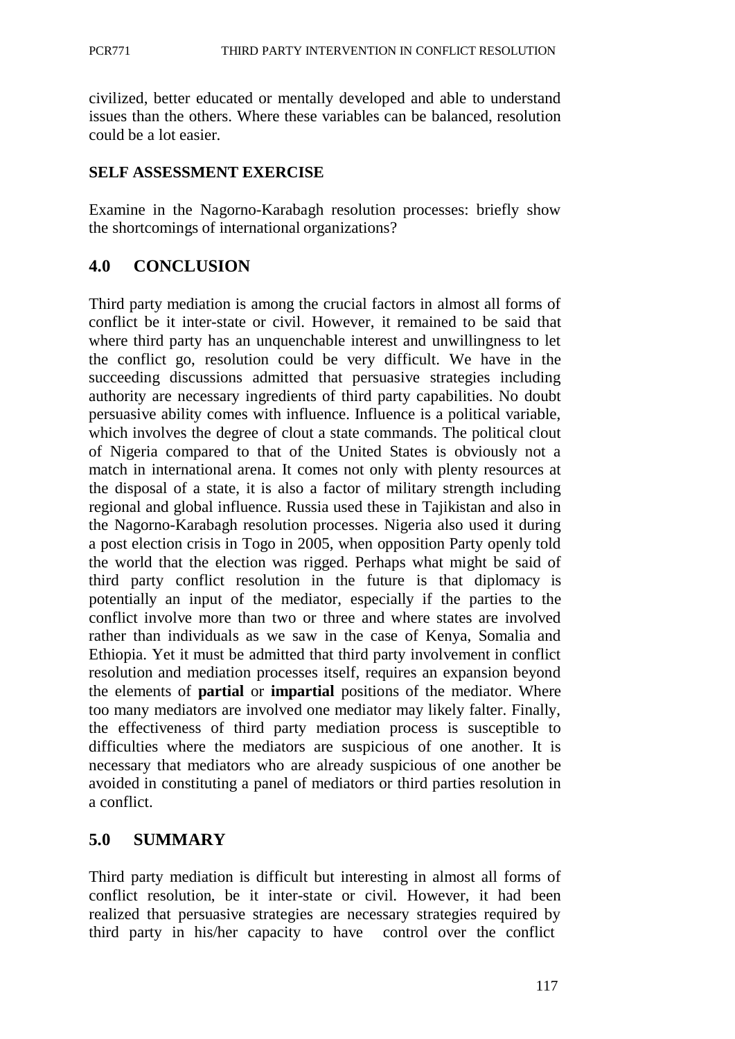civilized, better educated or mentally developed and able to understand issues than the others. Where these variables can be balanced, resolution could be a lot easier.

#### **SELF ASSESSMENT EXERCISE**

Examine in the Nagorno-Karabagh resolution processes: briefly show the shortcomings of international organizations?

# **4.0 CONCLUSION**

Third party mediation is among the crucial factors in almost all forms of conflict be it inter-state or civil. However, it remained to be said that where third party has an unquenchable interest and unwillingness to let the conflict go, resolution could be very difficult. We have in the succeeding discussions admitted that persuasive strategies including authority are necessary ingredients of third party capabilities. No doubt persuasive ability comes with influence. Influence is a political variable, which involves the degree of clout a state commands. The political clout of Nigeria compared to that of the United States is obviously not a match in international arena. It comes not only with plenty resources at the disposal of a state, it is also a factor of military strength including regional and global influence. Russia used these in Tajikistan and also in the Nagorno-Karabagh resolution processes. Nigeria also used it during a post election crisis in Togo in 2005, when opposition Party openly told the world that the election was rigged. Perhaps what might be said of third party conflict resolution in the future is that diplomacy is potentially an input of the mediator, especially if the parties to the conflict involve more than two or three and where states are involved rather than individuals as we saw in the case of Kenya, Somalia and Ethiopia. Yet it must be admitted that third party involvement in conflict resolution and mediation processes itself, requires an expansion beyond the elements of **partial** or **impartial** positions of the mediator. Where too many mediators are involved one mediator may likely falter. Finally, the effectiveness of third party mediation process is susceptible to difficulties where the mediators are suspicious of one another. It is necessary that mediators who are already suspicious of one another be avoided in constituting a panel of mediators or third parties resolution in a conflict.

### **5.0 SUMMARY**

Third party mediation is difficult but interesting in almost all forms of conflict resolution, be it inter-state or civil. However, it had been realized that persuasive strategies are necessary strategies required by third party in his/her capacity to have control over the conflict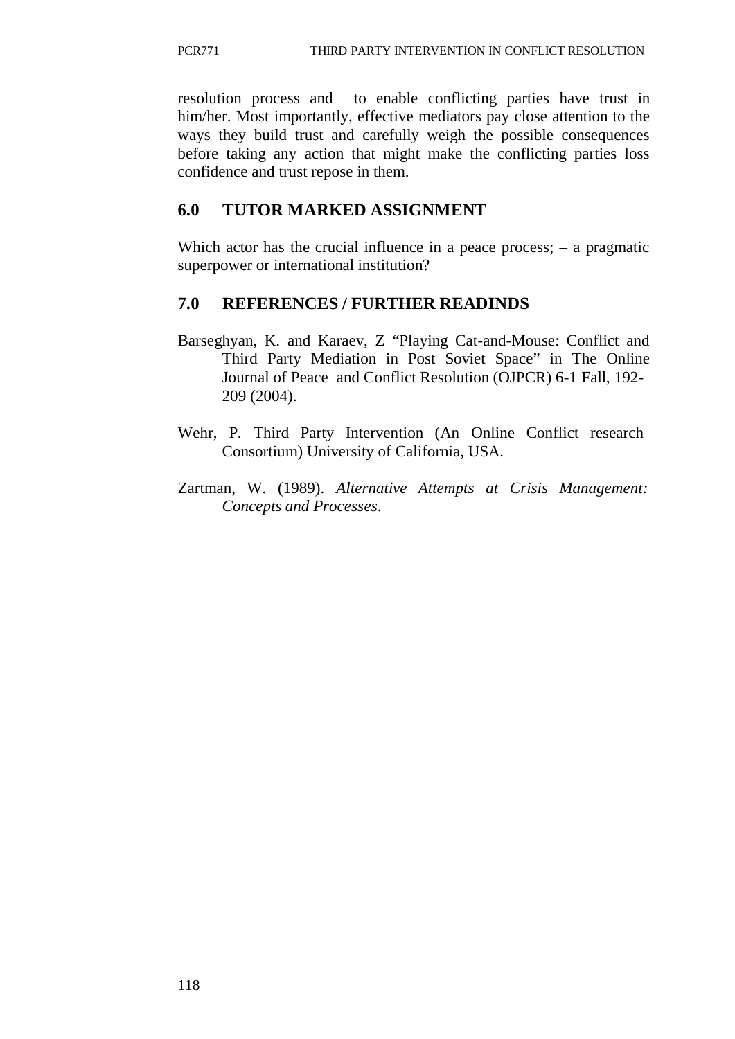resolution process and to enable conflicting parties have trust in him/her. Most importantly, effective mediators pay close attention to the ways they build trust and carefully weigh the possible consequences before taking any action that might make the conflicting parties loss confidence and trust repose in them.

# **6.0 TUTOR MARKED ASSIGNMENT**

Which actor has the crucial influence in a peace process; – a pragmatic superpower or international institution?

# **7.0 REFERENCES / FURTHER READINDS**

- Barseghyan, K. and Karaev, Z "Playing Cat-and-Mouse: Conflict and Third Party Mediation in Post Soviet Space" in The Online Journal of Peace and Conflict Resolution (OJPCR) 6-1 Fall, 192- 209 (2004).
- Wehr, P. Third Party Intervention (An Online Conflict research Consortium) University of California, USA.
- Zartman, W. (1989). *Alternative Attempts at Crisis Management: Concepts and Processes*.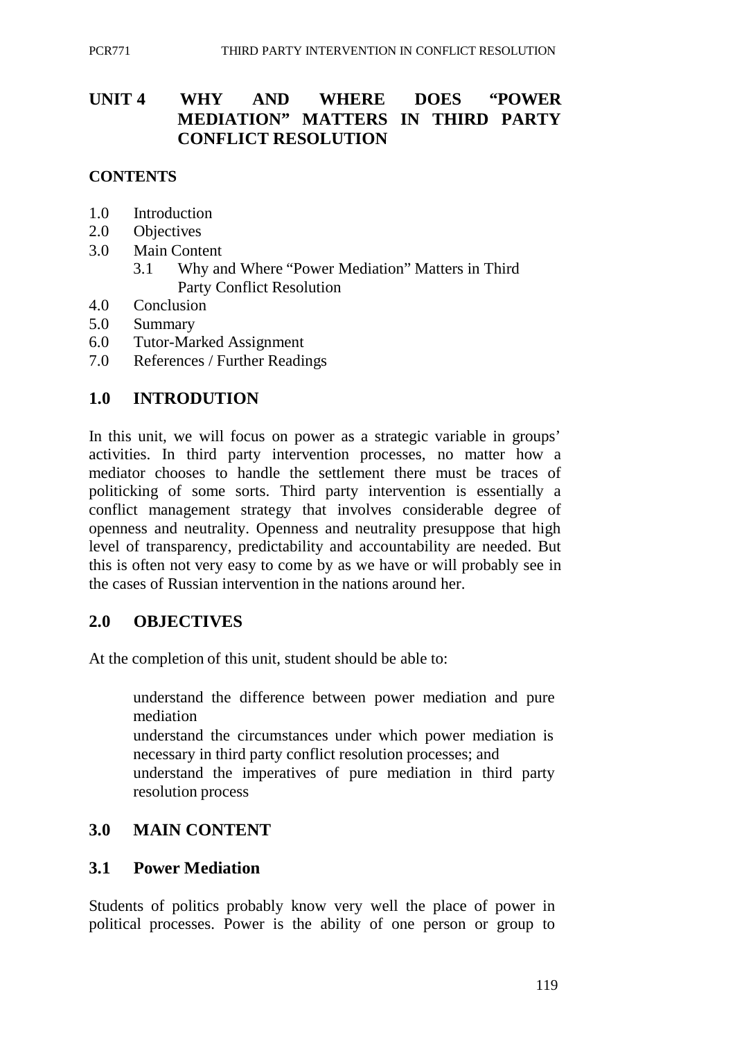# **UNIT 4 WHY AND WHERE DOES "POWER MEDIATION" MATTERS IN THIRD PARTY CONFLICT RESOLUTION**

#### **CONTENTS**

- 1.0 Introduction
- 2.0 Objectives
- 3.0 Main Content
	- 3.1 Why and Where "Power Mediation" Matters in Third Party Conflict Resolution
- 4.0 Conclusion
- 5.0 Summary
- 6.0 Tutor-Marked Assignment
- 7.0 References / Further Readings

## **1.0 INTRODUTION**

In this unit, we will focus on power as a strategic variable in groups' activities. In third party intervention processes, no matter how a mediator chooses to handle the settlement there must be traces of politicking of some sorts. Third party intervention is essentially a conflict management strategy that involves considerable degree of openness and neutrality. Openness and neutrality presuppose that high level of transparency, predictability and accountability are needed. But this is often not very easy to come by as we have or will probably see in the cases of Russian intervention in the nations around her.

#### **2.0 OBJECTIVES**

At the completion of this unit, student should be able to:

understand the difference between power mediation and pure mediation understand the circumstances under which power mediation is necessary in third party conflict resolution processes; and understand the imperatives of pure mediation in third party resolution process

### **3.0 MAIN CONTENT**

#### **3.1 Power Mediation**

Students of politics probably know very well the place of power in political processes. Power is the ability of one person or group to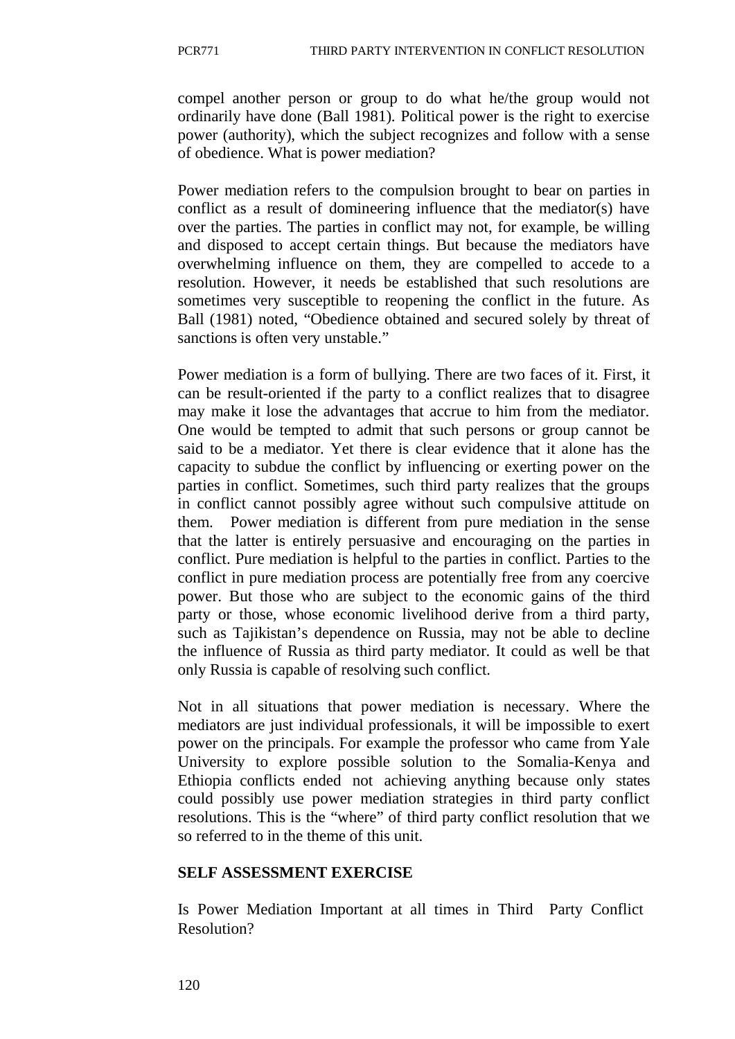compel another person or group to do what he/the group would not ordinarily have done (Ball 1981). Political power is the right to exercise power (authority), which the subject recognizes and follow with a sense of obedience. What is power mediation?

Power mediation refers to the compulsion brought to bear on parties in conflict as a result of domineering influence that the mediator(s) have over the parties. The parties in conflict may not, for example, be willing and disposed to accept certain things. But because the mediators have overwhelming influence on them, they are compelled to accede to a resolution. However, it needs be established that such resolutions are sometimes very susceptible to reopening the conflict in the future. As Ball (1981) noted, "Obedience obtained and secured solely by threat of sanctions is often very unstable."

Power mediation is a form of bullying. There are two faces of it. First, it can be result-oriented if the party to a conflict realizes that to disagree may make it lose the advantages that accrue to him from the mediator. One would be tempted to admit that such persons or group cannot be said to be a mediator. Yet there is clear evidence that it alone has the capacity to subdue the conflict by influencing or exerting power on the parties in conflict. Sometimes, such third party realizes that the groups in conflict cannot possibly agree without such compulsive attitude on them. Power mediation is different from pure mediation in the sense that the latter is entirely persuasive and encouraging on the parties in conflict. Pure mediation is helpful to the parties in conflict. Parties to the conflict in pure mediation process are potentially free from any coercive power. But those who are subject to the economic gains of the third party or those, whose economic livelihood derive from a third party, such as Tajikistan's dependence on Russia, may not be able to decline the influence of Russia as third party mediator. It could as well be that only Russia is capable of resolving such conflict.

Not in all situations that power mediation is necessary. Where the mediators are just individual professionals, it will be impossible to exert power on the principals. For example the professor who came from Yale University to explore possible solution to the Somalia-Kenya and Ethiopia conflicts ended not achieving anything because only states could possibly use power mediation strategies in third party conflict resolutions. This is the "where" of third party conflict resolution that we so referred to in the theme of this unit.

#### **SELF ASSESSMENT EXERCISE**

Is Power Mediation Important at all times in Third Party Conflict Resolution?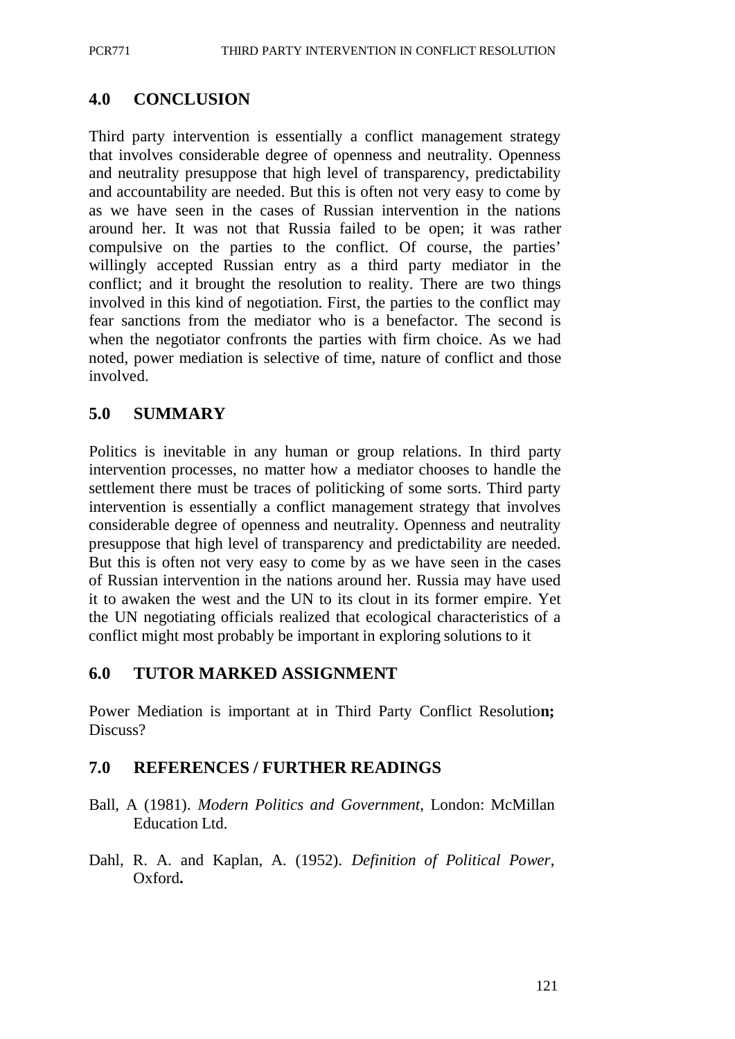# **4.0 CONCLUSION**

Third party intervention is essentially a conflict management strategy that involves considerable degree of openness and neutrality. Openness and neutrality presuppose that high level of transparency, predictability and accountability are needed. But this is often not very easy to come by as we have seen in the cases of Russian intervention in the nations around her. It was not that Russia failed to be open; it was rather compulsive on the parties to the conflict. Of course, the parties' willingly accepted Russian entry as a third party mediator in the conflict; and it brought the resolution to reality. There are two things involved in this kind of negotiation. First, the parties to the conflict may fear sanctions from the mediator who is a benefactor. The second is when the negotiator confronts the parties with firm choice. As we had noted, power mediation is selective of time, nature of conflict and those involved.

## **5.0 SUMMARY**

Politics is inevitable in any human or group relations. In third party intervention processes, no matter how a mediator chooses to handle the settlement there must be traces of politicking of some sorts. Third party intervention is essentially a conflict management strategy that involves considerable degree of openness and neutrality. Openness and neutrality presuppose that high level of transparency and predictability are needed. But this is often not very easy to come by as we have seen in the cases of Russian intervention in the nations around her. Russia may have used it to awaken the west and the UN to its clout in its former empire. Yet the UN negotiating officials realized that ecological characteristics of a conflict might most probably be important in exploring solutions to it

### **6.0 TUTOR MARKED ASSIGNMENT**

Power Mediation is important at in Third Party Conflict Resolutio**n;** Discuss?

## **7.0 REFERENCES / FURTHER READINGS**

- Ball, A (1981). *Modern Politics and Government*, London: McMillan Education Ltd.
- Dahl, R. A. and Kaplan, A. (1952). *Definition of Political Power*, Oxford**.**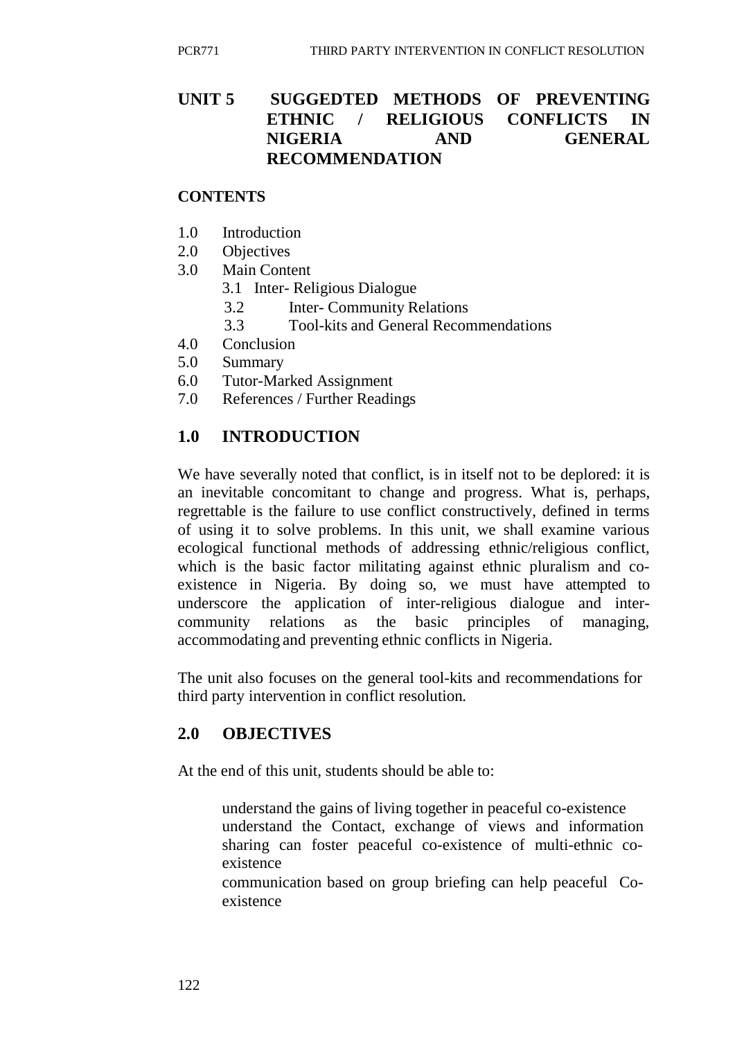# **UNIT 5 SUGGEDTED METHODS OF PREVENTING ETHNIC / RELIGIOUS CONFLICTS IN NIGERIA AND GENERAL RECOMMENDATION**

#### **CONTENTS**

- 1.0 Introduction
- 2.0 Objectives
- 3.0 Main Content
	- 3.1 Inter- Religious Dialogue
	- 3.2 Inter- Community Relations
	- 3.3 Tool-kits and General Recommendations
- 4.0 Conclusion
- 5.0 Summary
- 6.0 Tutor-Marked Assignment
- 7.0 References / Further Readings

# **1.0 INTRODUCTION**

We have severally noted that conflict, is in itself not to be deplored: it is an inevitable concomitant to change and progress. What is, perhaps, regrettable is the failure to use conflict constructively, defined in terms of using it to solve problems. In this unit, we shall examine various ecological functional methods of addressing ethnic/religious conflict, which is the basic factor militating against ethnic pluralism and coexistence in Nigeria. By doing so, we must have attempted to underscore the application of inter-religious dialogue and intercommunity relations as the basic principles of managing, accommodating and preventing ethnic conflicts in Nigeria.

The unit also focuses on the general tool-kits and recommendations for third party intervention in conflict resolution.

## **2.0 OBJECTIVES**

At the end of this unit, students should be able to:

understand the gains of living together in peaceful co-existence understand the Contact, exchange of views and information sharing can foster peaceful co-existence of multi-ethnic coexistence

communication based on group briefing can help peaceful Coexistence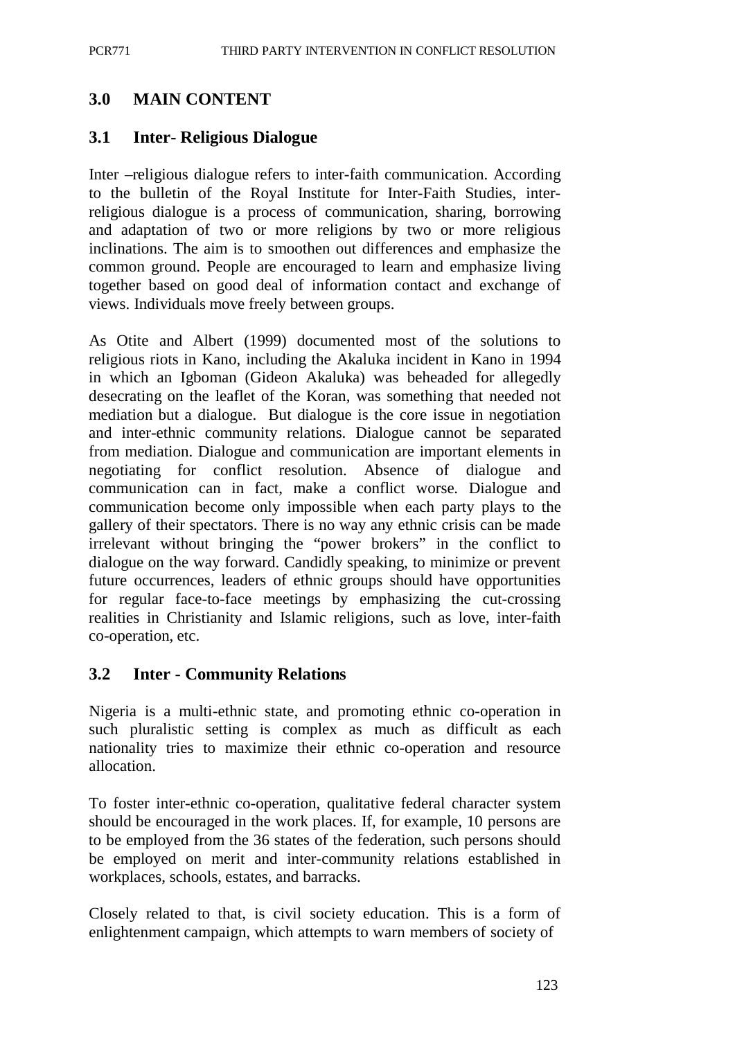# **3.0 MAIN CONTENT**

# **3.1 Inter- Religious Dialogue**

Inter –religious dialogue refers to inter-faith communication. According to the bulletin of the Royal Institute for Inter-Faith Studies, interreligious dialogue is a process of communication, sharing, borrowing and adaptation of two or more religions by two or more religious inclinations. The aim is to smoothen out differences and emphasize the common ground. People are encouraged to learn and emphasize living together based on good deal of information contact and exchange of views. Individuals move freely between groups.

As Otite and Albert (1999) documented most of the solutions to religious riots in Kano, including the Akaluka incident in Kano in 1994 in which an Igboman (Gideon Akaluka) was beheaded for allegedly desecrating on the leaflet of the Koran, was something that needed not mediation but a dialogue. But dialogue is the core issue in negotiation and inter-ethnic community relations. Dialogue cannot be separated from mediation. Dialogue and communication are important elements in negotiating for conflict resolution. Absence of dialogue and communication can in fact, make a conflict worse. Dialogue and communication become only impossible when each party plays to the gallery of their spectators. There is no way any ethnic crisis can be made irrelevant without bringing the "power brokers" in the conflict to dialogue on the way forward. Candidly speaking, to minimize or prevent future occurrences, leaders of ethnic groups should have opportunities for regular face-to-face meetings by emphasizing the cut-crossing realities in Christianity and Islamic religions, such as love, inter-faith co-operation, etc.

# **3.2 Inter - Community Relations**

Nigeria is a multi-ethnic state, and promoting ethnic co-operation in such pluralistic setting is complex as much as difficult as each nationality tries to maximize their ethnic co-operation and resource allocation.

To foster inter-ethnic co-operation, qualitative federal character system should be encouraged in the work places. If, for example, 10 persons are to be employed from the 36 states of the federation, such persons should be employed on merit and inter-community relations established in workplaces, schools, estates, and barracks.

Closely related to that, is civil society education. This is a form of enlightenment campaign, which attempts to warn members of society of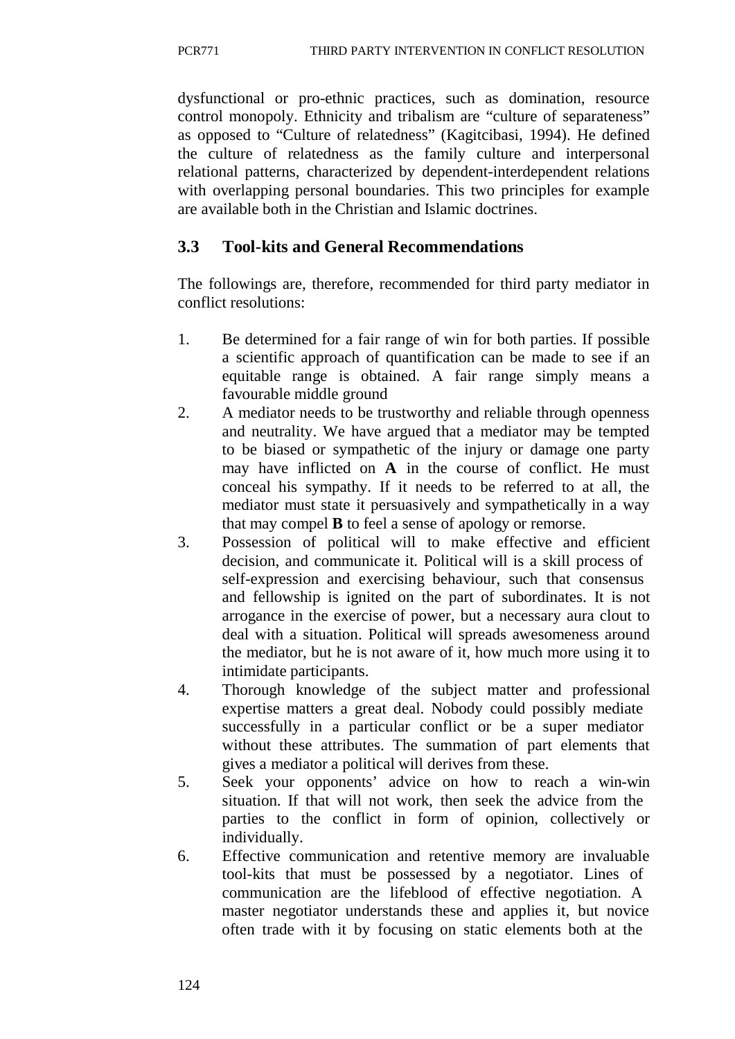dysfunctional or pro-ethnic practices, such as domination, resource control monopoly. Ethnicity and tribalism are "culture of separateness" as opposed to "Culture of relatedness" (Kagitcibasi, 1994). He defined the culture of relatedness as the family culture and interpersonal relational patterns, characterized by dependent-interdependent relations with overlapping personal boundaries. This two principles for example are available both in the Christian and Islamic doctrines.

# **3.3 Tool-kits and General Recommendations**

The followings are, therefore, recommended for third party mediator in conflict resolutions:

- 1. Be determined for a fair range of win for both parties. If possible a scientific approach of quantification can be made to see if an equitable range is obtained. A fair range simply means a favourable middle ground
- 2. A mediator needs to be trustworthy and reliable through openness and neutrality. We have argued that a mediator may be tempted to be biased or sympathetic of the injury or damage one party may have inflicted on **A** in the course of conflict. He must conceal his sympathy. If it needs to be referred to at all, the mediator must state it persuasively and sympathetically in a way that may compel **B** to feel a sense of apology or remorse.
- 3. Possession of political will to make effective and efficient decision, and communicate it. Political will is a skill process of self-expression and exercising behaviour, such that consensus and fellowship is ignited on the part of subordinates. It is not arrogance in the exercise of power, but a necessary aura clout to deal with a situation. Political will spreads awesomeness around the mediator, but he is not aware of it, how much more using it to intimidate participants.
- 4. Thorough knowledge of the subject matter and professional expertise matters a great deal. Nobody could possibly mediate successfully in a particular conflict or be a super mediator without these attributes. The summation of part elements that gives a mediator a political will derives from these.
- 5. Seek your opponents' advice on how to reach a win-win situation. If that will not work, then seek the advice from the parties to the conflict in form of opinion, collectively or individually.
- 6. Effective communication and retentive memory are invaluable tool-kits that must be possessed by a negotiator. Lines of communication are the lifeblood of effective negotiation. A master negotiator understands these and applies it, but novice often trade with it by focusing on static elements both at the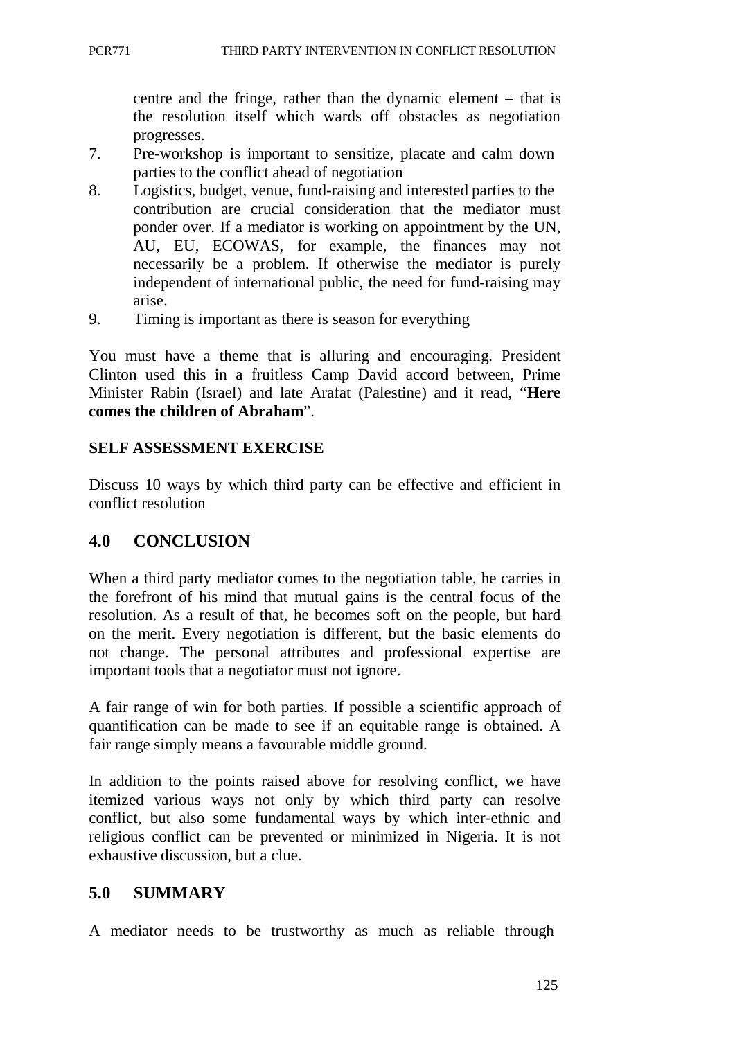centre and the fringe, rather than the dynamic element – that is the resolution itself which wards off obstacles as negotiation progresses.

- 7. Pre-workshop is important to sensitize, placate and calm down parties to the conflict ahead of negotiation
- 8. Logistics, budget, venue, fund-raising and interested parties to the contribution are crucial consideration that the mediator must ponder over. If a mediator is working on appointment by the UN, AU, EU, ECOWAS, for example, the finances may not necessarily be a problem. If otherwise the mediator is purely independent of international public, the need for fund-raising may arise.
- 9. Timing is important as there is season for everything

You must have a theme that is alluring and encouraging. President Clinton used this in a fruitless Camp David accord between, Prime Minister Rabin (Israel) and late Arafat (Palestine) and it read, "**Here comes the children of Abraham**".

#### **SELF ASSESSMENT EXERCISE**

Discuss 10 ways by which third party can be effective and efficient in conflict resolution

### **4.0 CONCLUSION**

When a third party mediator comes to the negotiation table, he carries in the forefront of his mind that mutual gains is the central focus of the resolution. As a result of that, he becomes soft on the people, but hard on the merit. Every negotiation is different, but the basic elements do not change. The personal attributes and professional expertise are important tools that a negotiator must not ignore.

A fair range of win for both parties. If possible a scientific approach of quantification can be made to see if an equitable range is obtained. A fair range simply means a favourable middle ground.

In addition to the points raised above for resolving conflict, we have itemized various ways not only by which third party can resolve conflict, but also some fundamental ways by which inter-ethnic and religious conflict can be prevented or minimized in Nigeria. It is not exhaustive discussion, but a clue.

## **5.0 SUMMARY**

A mediator needs to be trustworthy as much as reliable through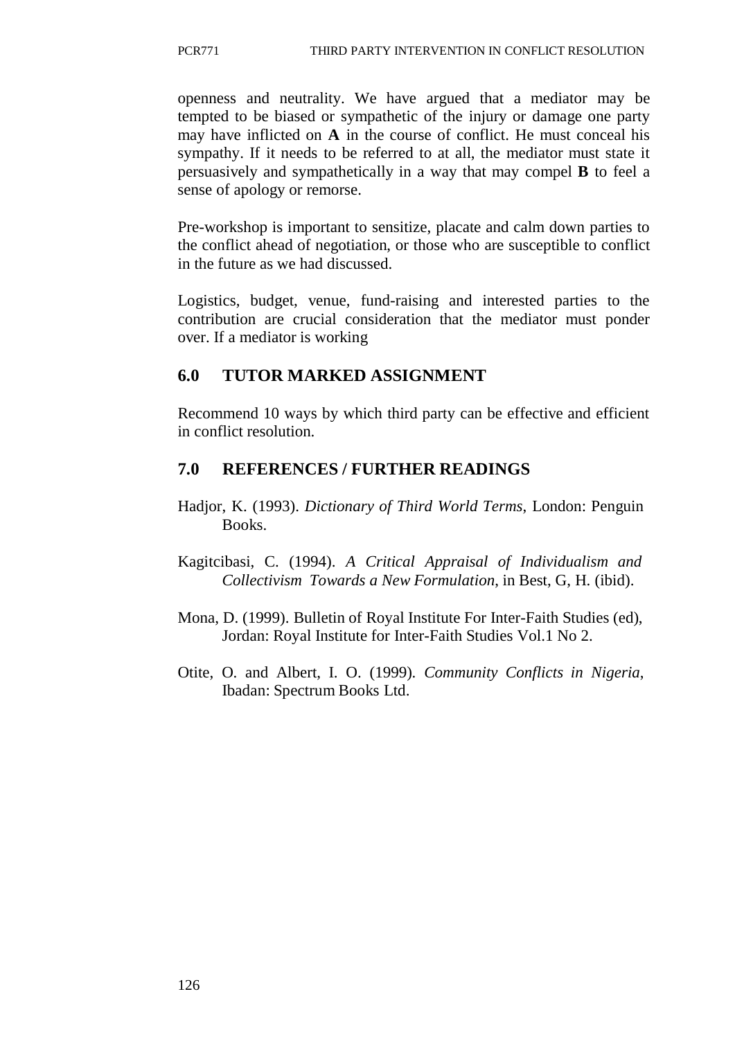openness and neutrality. We have argued that a mediator may be tempted to be biased or sympathetic of the injury or damage one party may have inflicted on **A** in the course of conflict. He must conceal his sympathy. If it needs to be referred to at all, the mediator must state it persuasively and sympathetically in a way that may compel **B** to feel a sense of apology or remorse.

Pre-workshop is important to sensitize, placate and calm down parties to the conflict ahead of negotiation, or those who are susceptible to conflict in the future as we had discussed.

Logistics, budget, venue, fund-raising and interested parties to the contribution are crucial consideration that the mediator must ponder over. If a mediator is working

## **6.0 TUTOR MARKED ASSIGNMENT**

Recommend 10 ways by which third party can be effective and efficient in conflict resolution.

## **7.0 REFERENCES / FURTHER READINGS**

- Hadjor, K. (1993). *Dictionary of Third World Terms*, London: Penguin Books.
- Kagitcibasi, C. (1994). *A Critical Appraisal of Individualism and Collectivism Towards a New Formulation*, in Best, G, H. (ibid).
- Mona, D. (1999). Bulletin of Royal Institute For Inter-Faith Studies (ed), Jordan: Royal Institute for Inter-Faith Studies Vol.1 No 2.
- Otite, O. and Albert, I. O. (1999). *Community Conflicts in Nigeria*, Ibadan: Spectrum Books Ltd.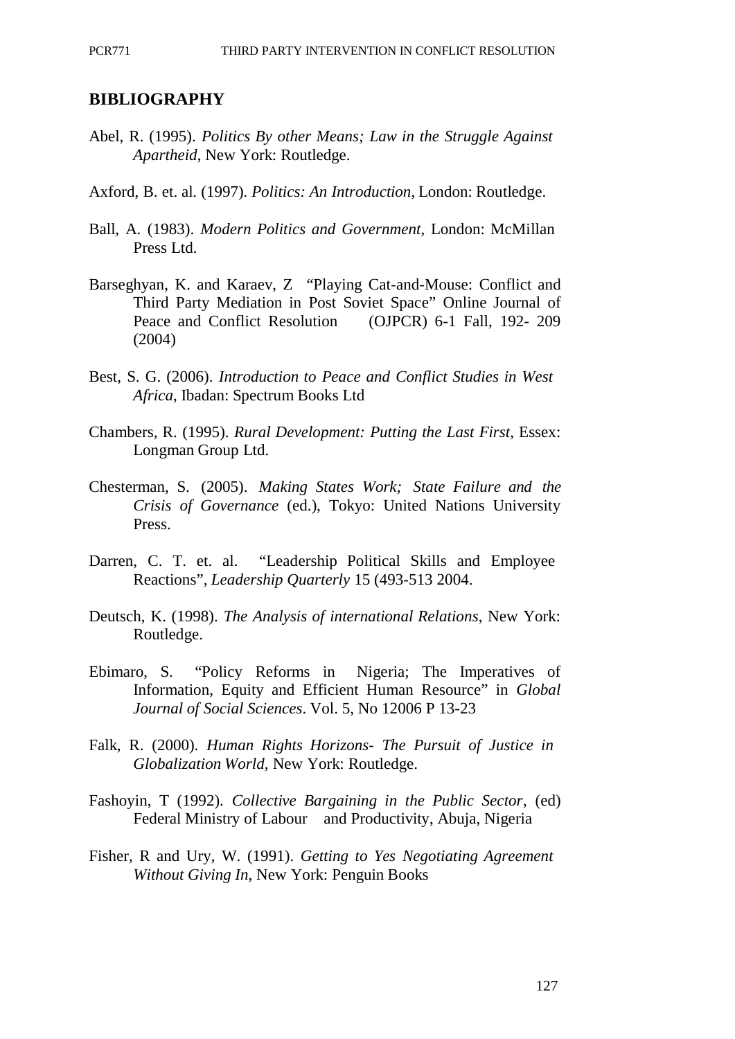#### **BIBLIOGRAPHY**

- Abel, R. (1995). *Politics By other Means; Law in the Struggle Against Apartheid*, New York: Routledge.
- Axford, B. et. al. (1997). *Politics: An Introduction*, London: Routledge.
- Ball, A. (1983). *Modern Politics and Government*, London: McMillan Press Ltd.
- Barseghyan, K. and Karaev, Z "Playing Cat-and-Mouse: Conflict and Third Party Mediation in Post Soviet Space" Online Journal of Peace and Conflict Resolution (OJPCR) 6-1 Fall, 192- 209 (2004)
- Best, S. G. (2006). *Introduction to Peace and Conflict Studies in West Africa*, Ibadan: Spectrum Books Ltd
- Chambers, R. (1995). *Rural Development: Putting the Last First*, Essex: Longman Group Ltd.
- Chesterman, S. (2005). *Making States Work; State Failure and the Crisis of Governance* (ed.), Tokyo: United Nations University Press.
- Darren, C. T. et. al. "Leadership Political Skills and Employee Reactions", *Leadership Quarterly* 15 (493-513 2004.
- Deutsch, K. (1998). *The Analysis of international Relations*, New York: Routledge.
- Ebimaro, S. "Policy Reforms in Nigeria; The Imperatives of Information, Equity and Efficient Human Resource" in *Global Journal of Social Sciences*. Vol. 5, No 12006 P 13-23
- Falk, R. (2000). *Human Rights Horizons- The Pursuit of Justice in Globalization World*, New York: Routledge.
- Fashoyin, T (1992). *Collective Bargaining in the Public Sector*, (ed) Federal Ministry of Labour and Productivity, Abuja, Nigeria
- Fisher, R and Ury, W. (1991). *Getting to Yes Negotiating Agreement Without Giving In*, New York: Penguin Books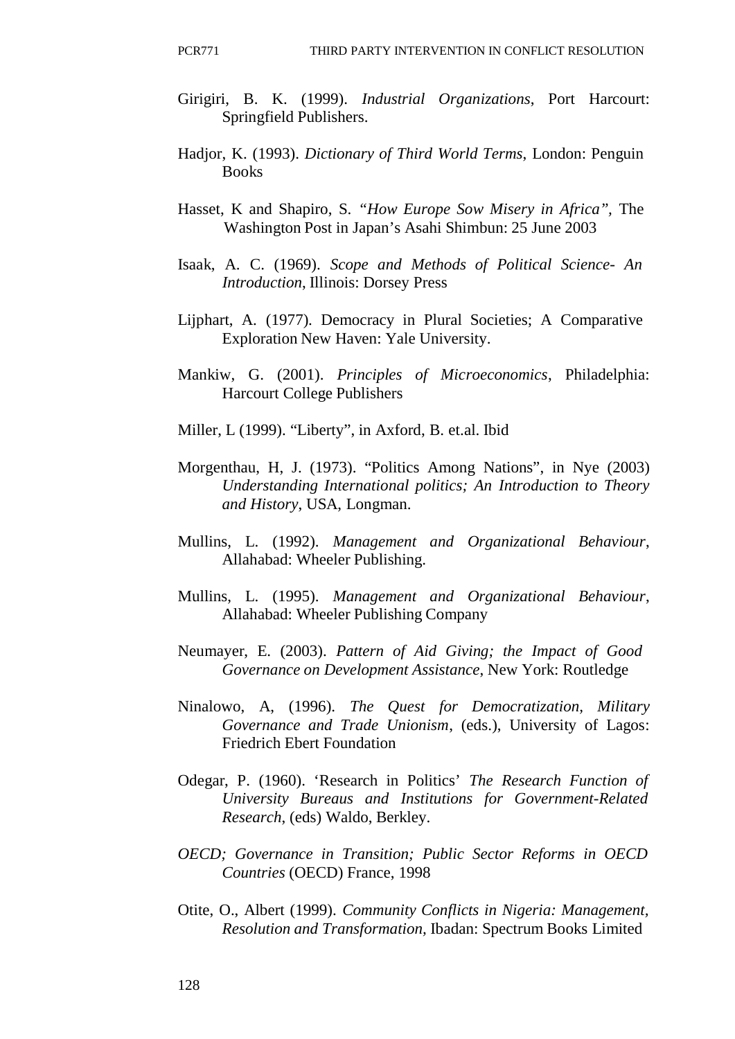- Girigiri, B. K. (1999). *Industrial Organizations*, Port Harcourt: Springfield Publishers.
- Hadjor, K. (1993). *Dictionary of Third World Terms*, London: Penguin **Books**
- Hasset, K and Shapiro, S. *"How Europe Sow Misery in Africa",* The Washington Post in Japan's Asahi Shimbun: 25 June 2003
- Isaak, A. C. (1969). *Scope and Methods of Political Science- An Introduction*, Illinois: Dorsey Press
- Lijphart, A. (1977). Democracy in Plural Societies; A Comparative Exploration New Haven: Yale University.
- Mankiw, G. (2001). *Principles of Microeconomics*, Philadelphia: Harcourt College Publishers
- Miller, L (1999). "Liberty", in Axford, B. et.al. Ibid
- Morgenthau, H, J. (1973). "Politics Among Nations", in Nye (2003) *Understanding International politics; An Introduction to Theory and History*, USA, Longman.
- Mullins, L. (1992). *Management and Organizational Behaviour*, Allahabad: Wheeler Publishing.
- Mullins, L. (1995). *Management and Organizational Behaviour*, Allahabad: Wheeler Publishing Company
- Neumayer, E. (2003). *Pattern of Aid Giving; the Impact of Good Governance on Development Assistance*, New York: Routledge
- Ninalowo, A, (1996). *The Quest for Democratization, Military Governance and Trade Unionism*, (eds.), University of Lagos: Friedrich Ebert Foundation
- Odegar, P. (1960). 'Research in Politics' *The Research Function of University Bureaus and Institutions for Government-Related Research*, (eds) Waldo, Berkley.
- *OECD; Governance in Transition; Public Sector Reforms in OECD Countries* (OECD) France, 1998
- Otite, O., Albert (1999). *Community Conflicts in Nigeria: Management, Resolution and Transformation,* Ibadan: Spectrum Books Limited